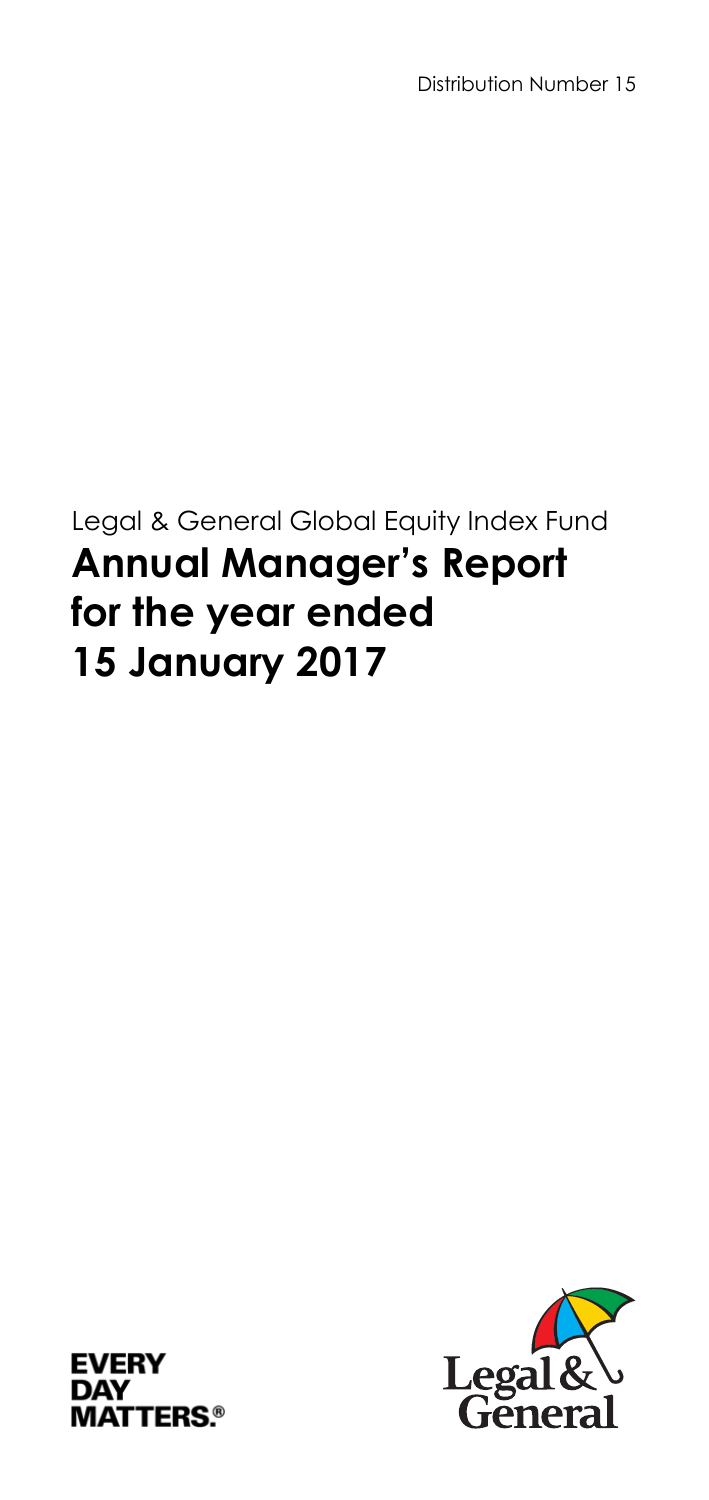Distribution Number 15

# Legal & General Global Equity Index Fund **Annual Manager's Report for the year ended 15 January 2017**



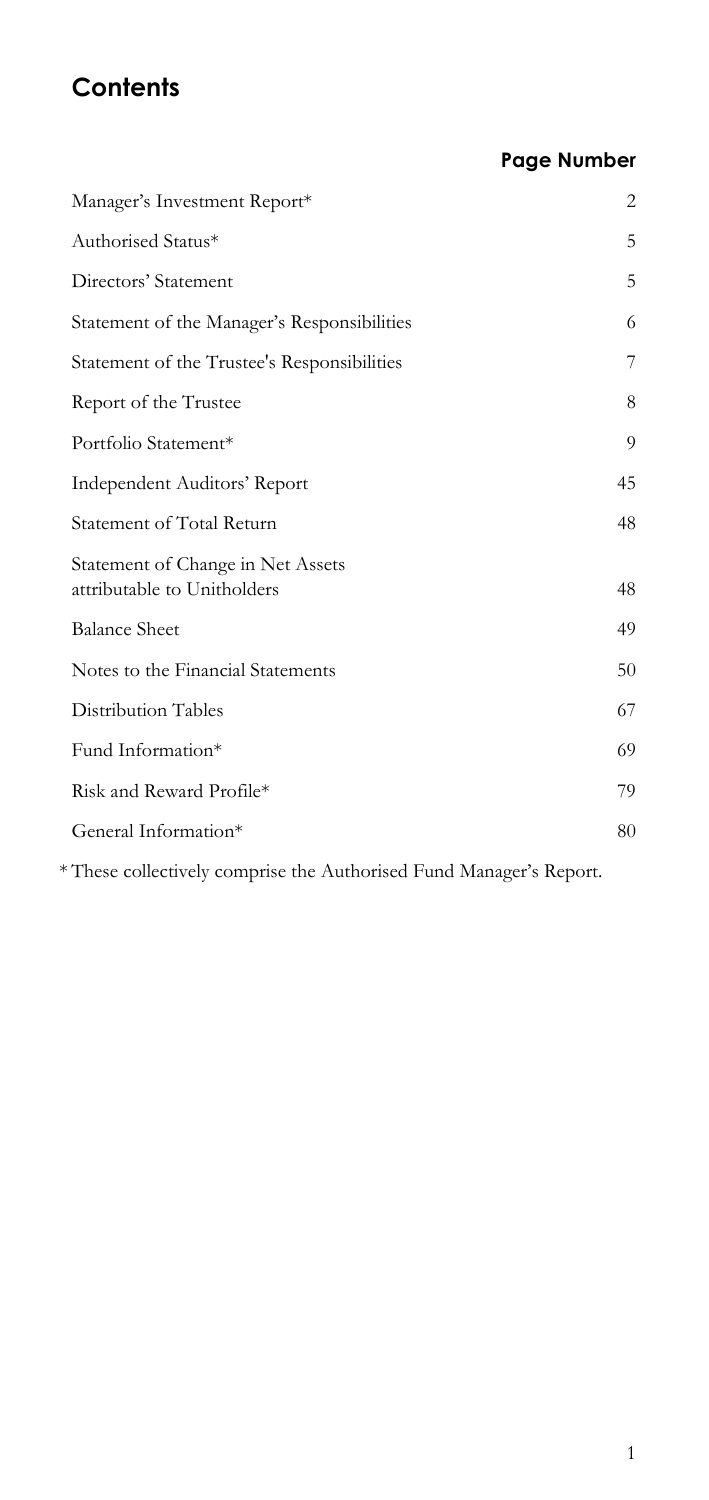# **Contents**

#### **Page Number**

| Manager's Investment Report*                                     | 2  |
|------------------------------------------------------------------|----|
| Authorised Status*                                               | 5  |
| Directors' Statement                                             | 5  |
| Statement of the Manager's Responsibilities                      | 6  |
| Statement of the Trustee's Responsibilities                      | 7  |
| Report of the Trustee                                            | 8  |
| Portfolio Statement*                                             | 9  |
| <b>Independent Auditors' Report</b>                              | 45 |
| Statement of Total Return                                        | 48 |
| Statement of Change in Net Assets<br>attributable to Unitholders | 48 |
| <b>Balance Sheet</b>                                             | 49 |
| Notes to the Financial Statements                                | 50 |
| <b>Distribution Tables</b>                                       | 67 |
| Fund Information*                                                | 69 |
| Risk and Reward Profile*                                         | 79 |
| General Information*                                             | 80 |
|                                                                  |    |

\* These collectively comprise the Authorised Fund Manager's Report.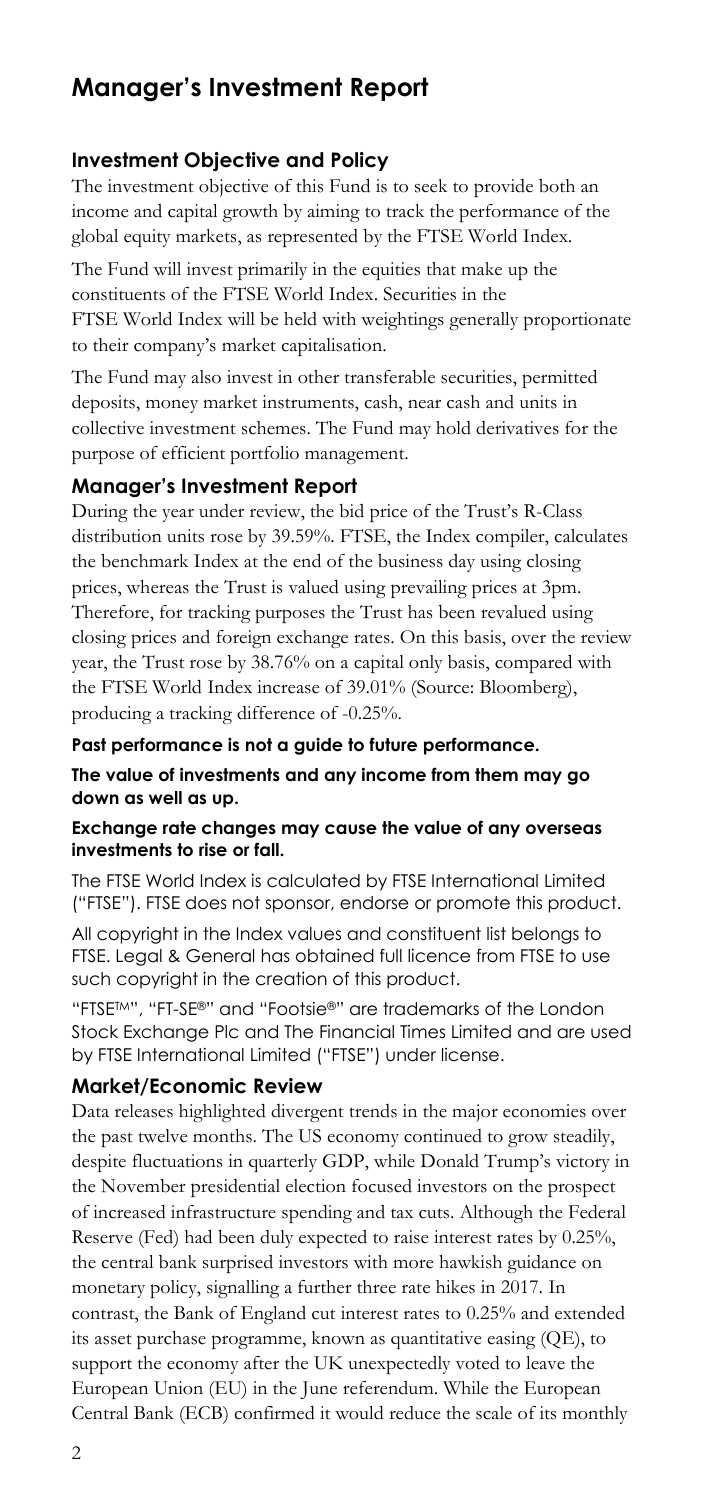#### **Manager's Investment Report**

#### **Investment Objective and Policy**

 global equity markets, as represented by the FTSE World Index. The investment objective of this Fund is to seek to provide both an income and capital growth by aiming to track the performance of the

The Fund will invest primarily in the equities that make up the constituents of the FTSE World Index. Securities in the FTSE World Index will be held with weightings generally proportionate to their company's market capitalisation.

The Fund may also invest in other transferable securities, permitted deposits, money market instruments, cash, near cash and units in collective investment schemes. The Fund may hold derivatives for the purpose of efficient portfolio management.

#### **Manager's Investment Report**

 prices, whereas the Trust is valued using prevailing prices at 3pm. During the year under review, the bid price of the Trust's R-Class distribution units rose by 39.59%. FTSE, the Index compiler, calculates the benchmark Index at the end of the business day using closing Therefore, for tracking purposes the Trust has been revalued using closing prices and foreign exchange rates. On this basis, over the review year, the Trust rose by 38.76% on a capital only basis, compared with the FTSE World Index increase of 39.01% (Source: Bloomberg), producing a tracking difference of -0.25%.

 **The value of investments and any income from them may go Past performance is not a guide to future performance. down as well as up.** 

#### **Exchange rate changes may cause the value of any overseas investments to rise or fall.**

The FTSE World Index is calculated by FTSE International Limited ("FTSE"). FTSE does not sponsor, endorse or promote this product.

such copyright in the creation of this product. All copyright in the Index values and constituent list belongs to FTSE. Legal & General has obtained full licence from FTSE to use

"FTSE<sup>TM"</sup>, "FT-SE®" and "Footsie®" are trademarks of the London Stock Exchange Plc and The Financial Times Limited and are used by FTSE International Limited ("FTSE") under license.

#### **Market/Economic Review**

 European Union (EU) in the June referendum. While the European Data releases highlighted divergent trends in the major economies over the past twelve months. The US economy continued to grow steadily, despite fluctuations in quarterly GDP, while Donald Trump's victory in the November presidential election focused investors on the prospect of increased infrastructure spending and tax cuts. Although the Federal Reserve (Fed) had been duly expected to raise interest rates by 0.25%, the central bank surprised investors with more hawkish guidance on monetary policy, signalling a further three rate hikes in 2017. In contrast, the Bank of England cut interest rates to 0.25% and extended its asset purchase programme, known as quantitative easing (QE), to support the economy after the UK unexpectedly voted to leave the Central Bank (ECB) confirmed it would reduce the scale of its monthly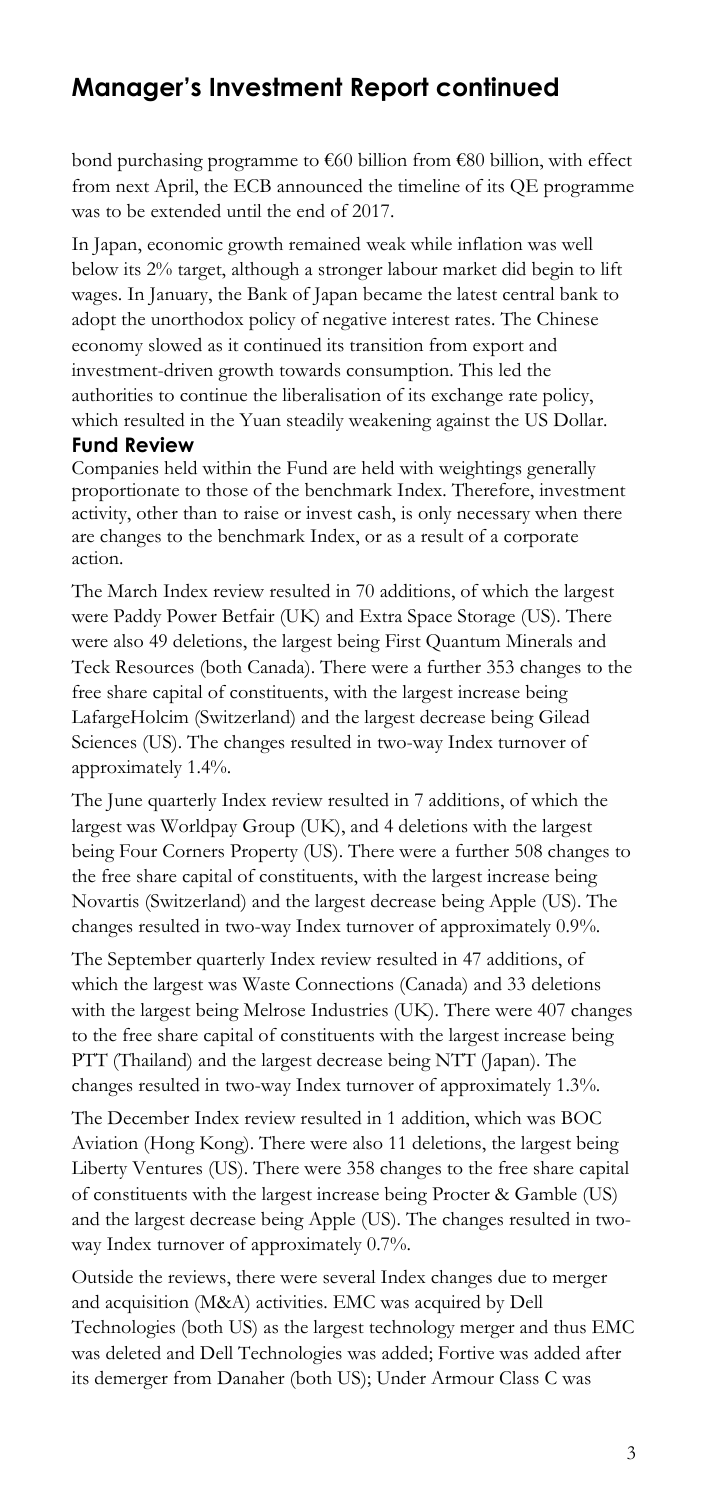#### **Manager's Investment Report continued**

bond purchasing programme to €60 billion from €80 billion, with effect from next April, the ECB announced the timeline of its QE programme was to be extended until the end of 2017.

In Japan, economic growth remained weak while inflation was well below its 2% target, although a stronger labour market did begin to lift wages. In January, the Bank of Japan became the latest central bank to adopt the unorthodox policy of negative interest rates. The Chinese economy slowed as it continued its transition from export and investment-driven growth towards consumption. This led the authorities to continue the liberalisation of its exchange rate policy, which resulted in the Yuan steadily weakening against the US Dollar. **Fund Review** 

 are changes to the benchmark Index, or as a result of a corporate Companies held within the Fund are held with weightings generally proportionate to those of the benchmark Index. Therefore, investment activity, other than to raise or invest cash, is only necessary when there action.

 The March Index review resulted in 70 additions, of which the largest free share capital of constituents, with the largest increase being were Paddy Power Betfair (UK) and Extra Space Storage (US). There were also 49 deletions, the largest being First Quantum Minerals and Teck Resources (both Canada). There were a further 353 changes to the LafargeHolcim (Switzerland) and the largest decrease being Gilead Sciences (US). The changes resulted in two-way Index turnover of approximately 1.4%.

The June quarterly Index review resulted in 7 additions, of which the largest was Worldpay Group (UK), and 4 deletions with the largest being Four Corners Property (US). There were a further 508 changes to the free share capital of constituents, with the largest increase being Novartis (Switzerland) and the largest decrease being Apple (US). The changes resulted in two-way Index turnover of approximately 0.9%.

The September quarterly Index review resulted in 47 additions, of which the largest was Waste Connections (Canada) and 33 deletions with the largest being Melrose Industries (UK). There were 407 changes to the free share capital of constituents with the largest increase being PTT (Thailand) and the largest decrease being NTT (Japan). The changes resulted in two-way Index turnover of approximately 1.3%.

 Liberty Ventures (US). There were 358 changes to the free share capital The December Index review resulted in 1 addition, which was BOC Aviation (Hong Kong). There were also 11 deletions, the largest being of constituents with the largest increase being Procter & Gamble (US) and the largest decrease being Apple (US). The changes resulted in twoway Index turnover of approximately 0.7%.

 and acquisition (M&A) activities. EMC was acquired by Dell its demerger from Danaher (both US); Under Armour Class C was Outside the reviews, there were several Index changes due to merger Technologies (both US) as the largest technology merger and thus EMC was deleted and Dell Technologies was added; Fortive was added after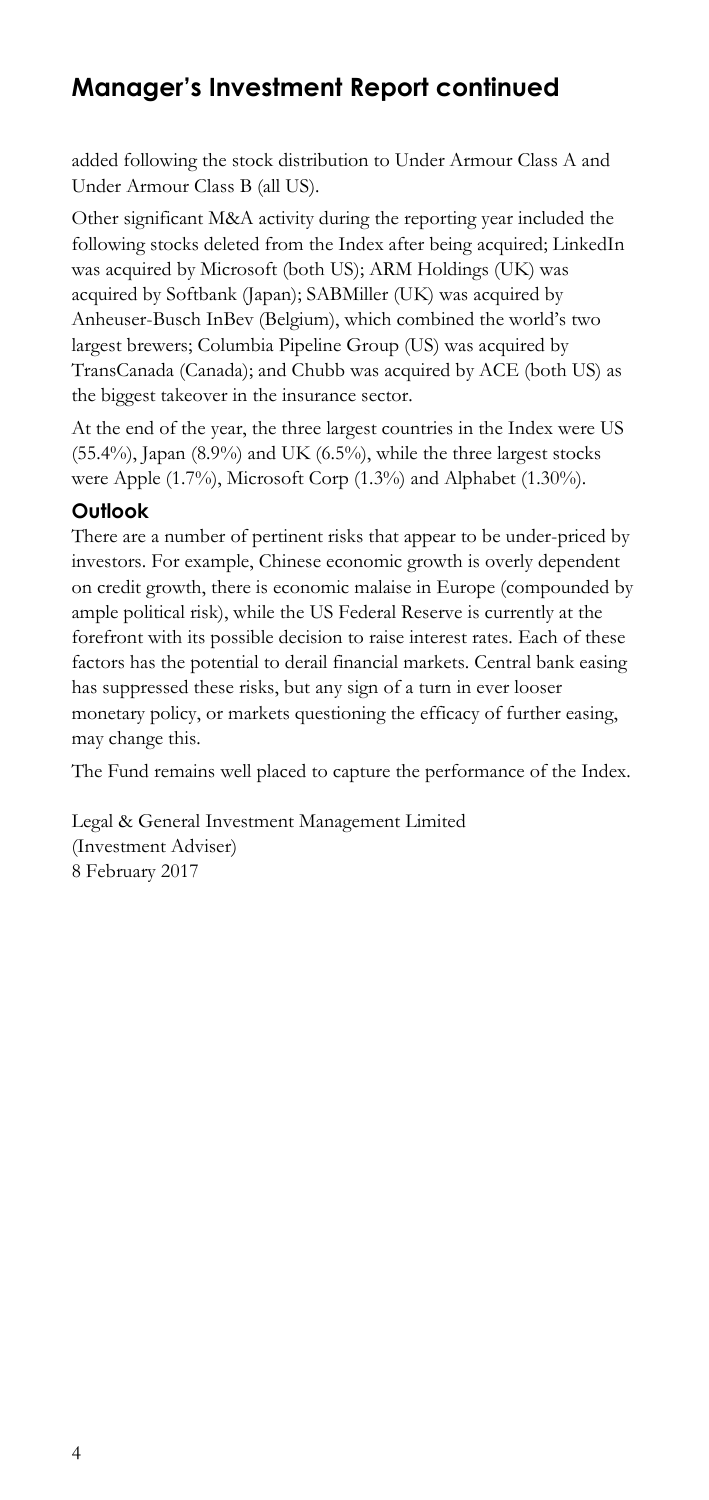#### **Manager's Investment Report continued**

added following the stock distribution to Under Armour Class A and Under Armour Class B (all US).

Other significant M&A activity during the reporting year included the following stocks deleted from the Index after being acquired; LinkedIn was acquired by Microsoft (both US); ARM Holdings (UK) was acquired by Softbank (Japan); SABMiller (UK) was acquired by Anheuser-Busch InBev (Belgium), which combined the world's two largest brewers; Columbia Pipeline Group (US) was acquired by TransCanada (Canada); and Chubb was acquired by ACE (both US) as the biggest takeover in the insurance sector.

 were Apple (1.7%), Microsoft Corp (1.3%) and Alphabet (1.30%). At the end of the year, the three largest countries in the Index were US  $(55.4\%)$ , Japan  $(8.9\%)$  and UK  $(6.5\%)$ , while the three largest stocks

#### **Outlook**

 has suppressed these risks, but any sign of a turn in ever looser There are a number of pertinent risks that appear to be under-priced by investors. For example, Chinese economic growth is overly dependent on credit growth, there is economic malaise in Europe (compounded by ample political risk), while the US Federal Reserve is currently at the forefront with its possible decision to raise interest rates. Each of these factors has the potential to derail financial markets. Central bank easing monetary policy, or markets questioning the efficacy of further easing, may change this.

The Fund remains well placed to capture the performance of the Index.

Legal & General Investment Management Limited (Investment Adviser) 8 February 2017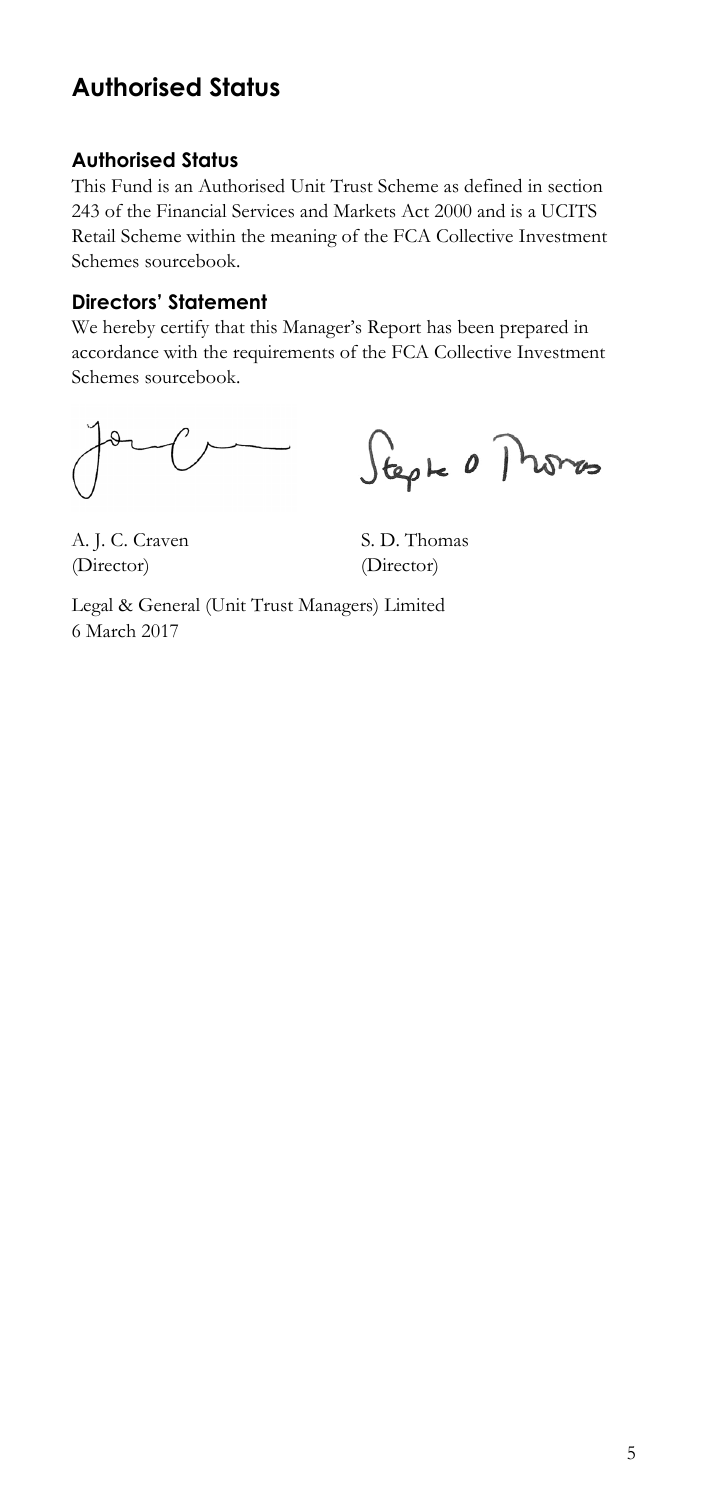#### **Authorised Status**

#### **Authorised Status**

 This Fund is an Authorised Unit Trust Scheme as defined in section 243 of the Financial Services and Markets Act 2000 and is a UCITS Retail Scheme within the meaning of the FCA Collective Investment Schemes sourcebook.

#### **Directors' Statement**

We hereby certify that this Manager's Report has been prepared in accordance with the requirements of the FCA Collective Investment Schemes sourcebook.

Stephe 0 Promos

A. J. C. Craven S. D. Thomas (Director) (Director)

Legal & General (Unit Trust Managers) Limited 6 March 2017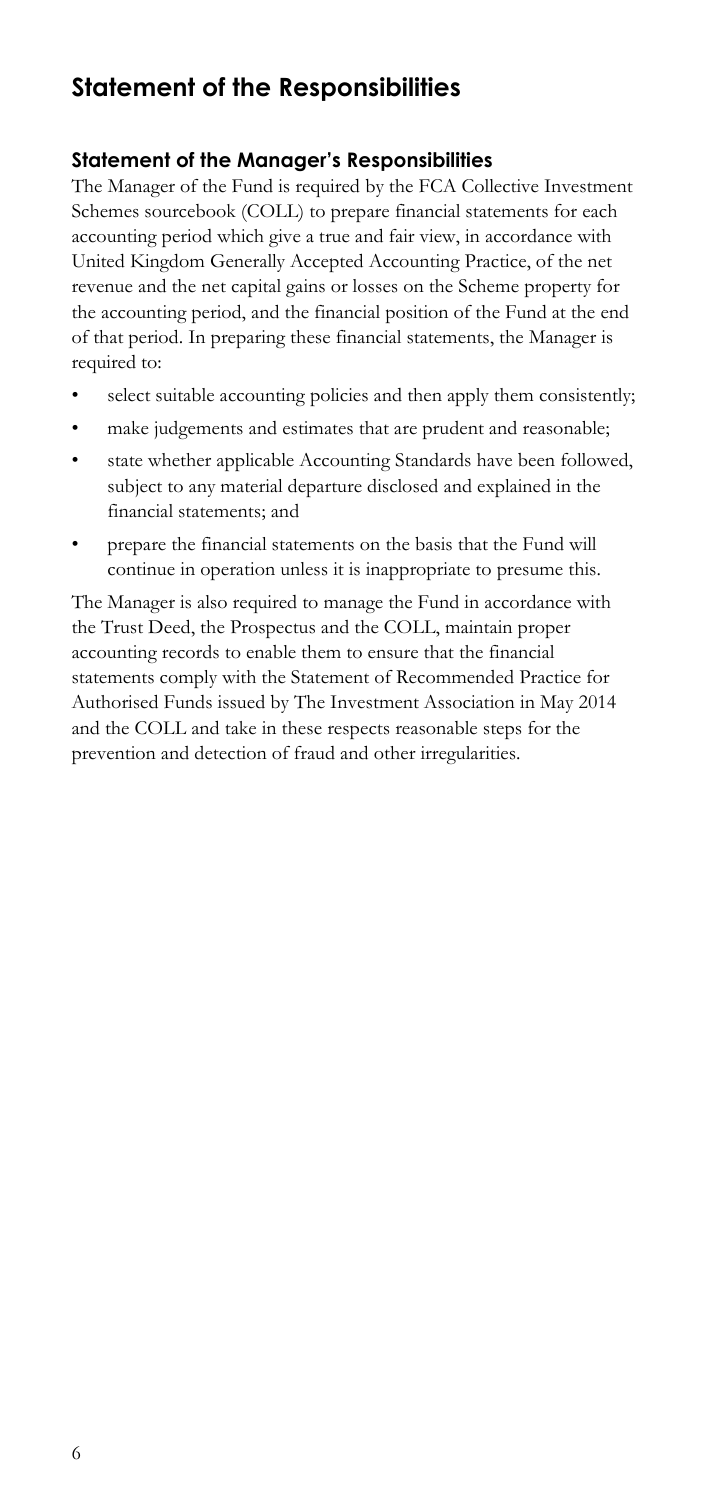#### **Statement of the Responsibilities**

#### **Statement of the Manager's Responsibilities**

 The Manager of the Fund is required by the FCA Collective Investment Schemes sourcebook (COLL) to prepare financial statements for each accounting period which give a true and fair view, in accordance with United Kingdom Generally Accepted Accounting Practice, of the net revenue and the net capital gains or losses on the Scheme property for the accounting period, and the financial position of the Fund at the end of that period. In preparing these financial statements, the Manager is required to:

- select suitable accounting policies and then apply them consistently;
- make judgements and estimates that are prudent and reasonable;
- state whether applicable Accounting Standards have been followed, subject to any material departure disclosed and explained in the financial statements; and
- • prepare the financial statements on the basis that the Fund will continue in operation unless it is inappropriate to presume this.

 statements comply with the Statement of Recommended Practice for and the COLL and take in these respects reasonable steps for the The Manager is also required to manage the Fund in accordance with the Trust Deed, the Prospectus and the COLL, maintain proper accounting records to enable them to ensure that the financial Authorised Funds issued by The Investment Association in May 2014 prevention and detection of fraud and other irregularities.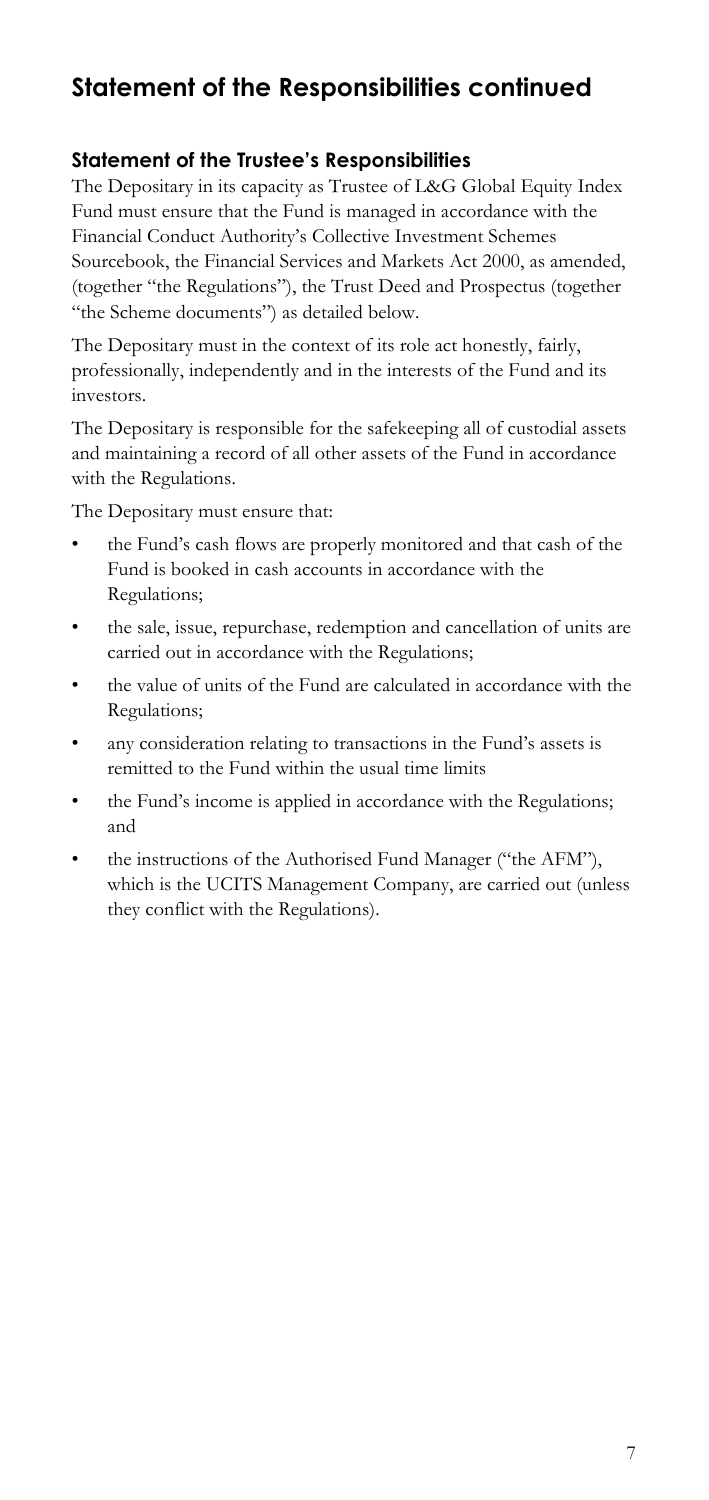#### **Statement of the Responsibilities continued**

#### **Statement of the Trustee's Responsibilities**

The Depositary in its capacity as Trustee of L&G Global Equity Index Fund must ensure that the Fund is managed in accordance with the Financial Conduct Authority's Collective Investment Schemes Sourcebook, the Financial Services and Markets Act 2000, as amended, (together "the Regulations"), the Trust Deed and Prospectus (together "the Scheme documents") as detailed below.

The Depositary must in the context of its role act honestly, fairly, professionally, independently and in the interests of the Fund and its investors.

The Depositary is responsible for the safekeeping all of custodial assets and maintaining a record of all other assets of the Fund in accordance with the Regulations.

The Depositary must ensure that:

- the Fund's cash flows are properly monitored and that cash of the Fund is booked in cash accounts in accordance with the Regulations;
- the sale, issue, repurchase, redemption and cancellation of units are carried out in accordance with the Regulations;
- the value of units of the Fund are calculated in accordance with the Regulations;
- any consideration relating to transactions in the Fund's assets is remitted to the Fund within the usual time limits
- • the Fund's income is applied in accordance with the Regulations; and
- which is the UCITS Management Company, are carried out (unless the instructions of the Authorised Fund Manager ("the AFM"), they conflict with the Regulations).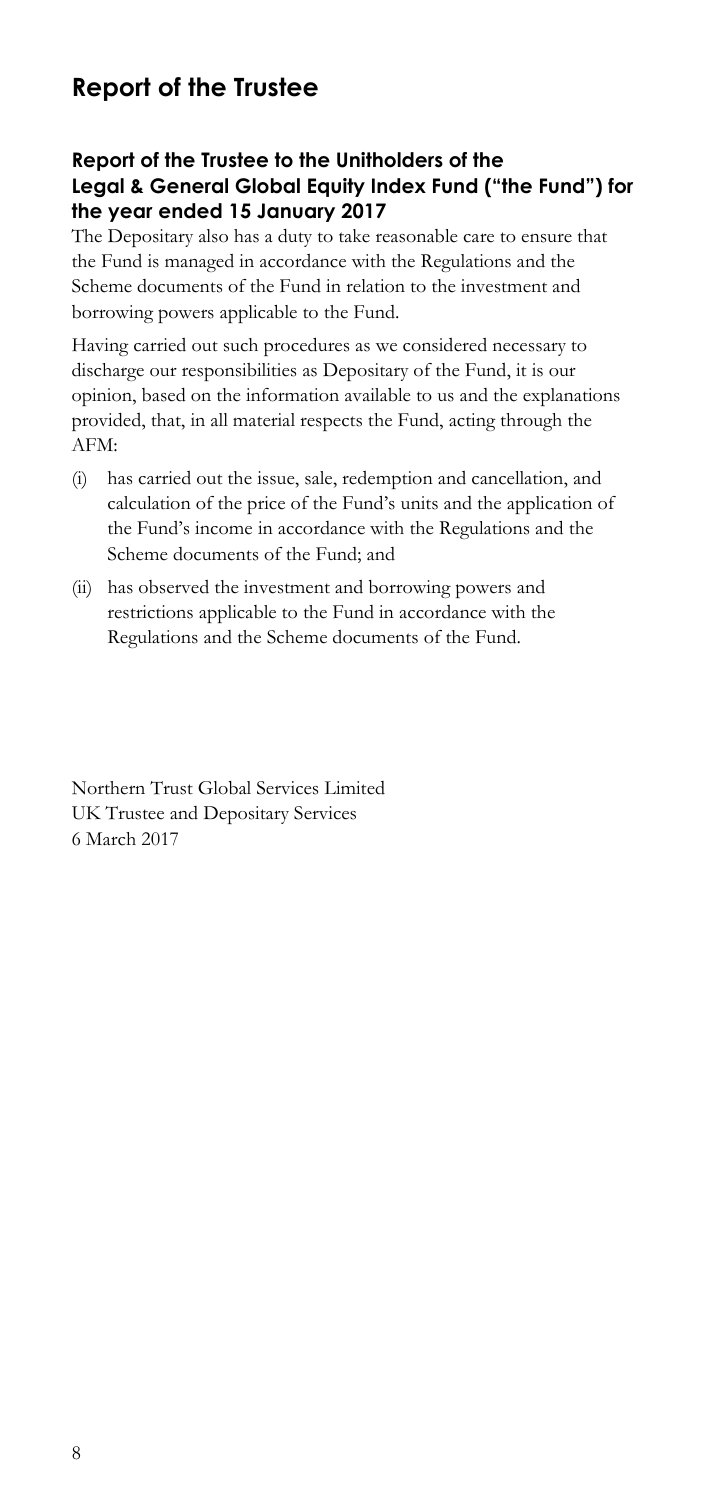#### **Report of the Trustee**

#### **Report of the Trustee to the Unitholders of the Legal & General Global Equity Index Fund ("the Fund") for the year ended 15 January 2017**

The Depositary also has a duty to take reasonable care to ensure that the Fund is managed in accordance with the Regulations and the Scheme documents of the Fund in relation to the investment and borrowing powers applicable to the Fund.

Having carried out such procedures as we considered necessary to discharge our responsibilities as Depositary of the Fund, it is our opinion, based on the information available to us and the explanations provided, that, in all material respects the Fund, acting through the AFM:

- (i) has carried out the issue, sale, redemption and cancellation, and calculation of the price of the Fund's units and the application of the Fund's income in accordance with the Regulations and the Scheme documents of the Fund; and
- (ii) has observed the investment and borrowing powers and restrictions applicable to the Fund in accordance with the Regulations and the Scheme documents of the Fund.

Northern Trust Global Services Limited UK Trustee and Depositary Services 6 March 2017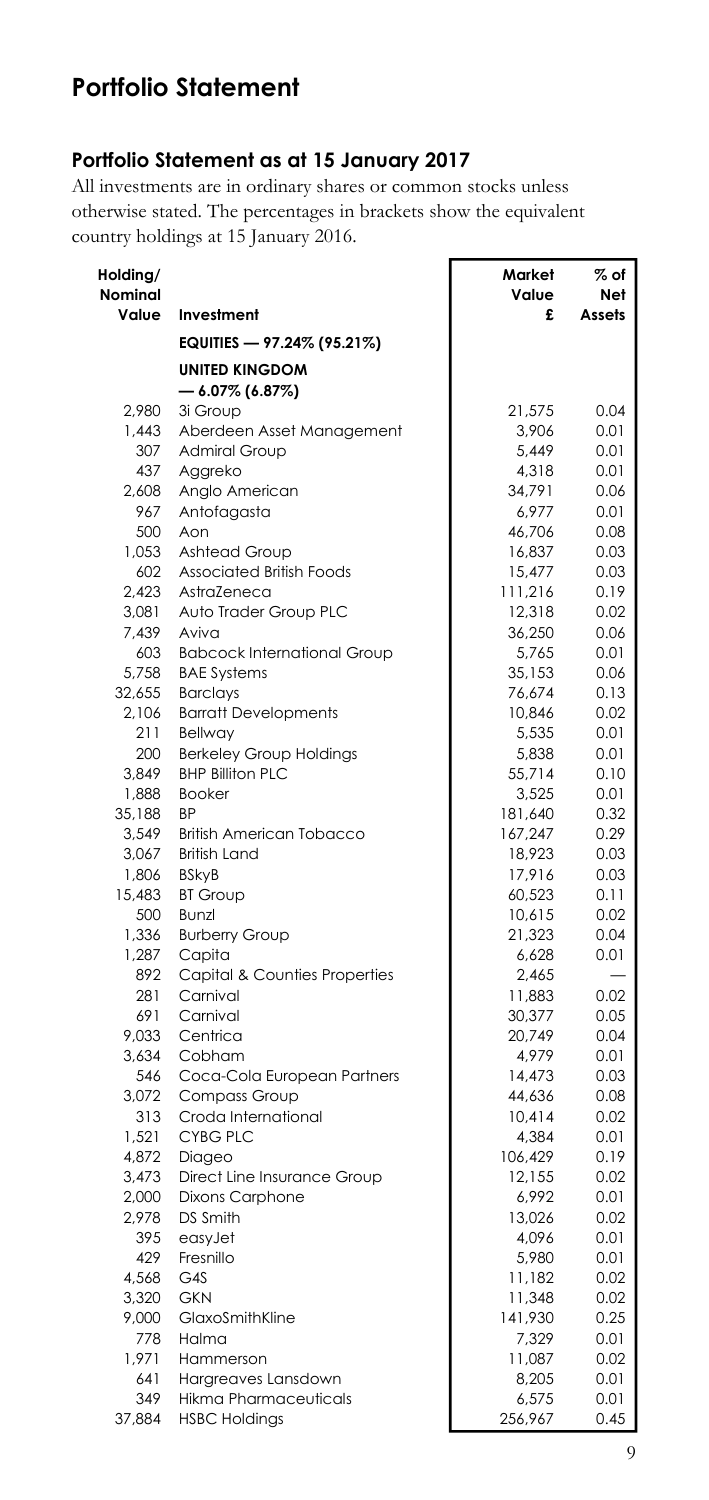#### **Portfolio Statement**

#### **Portfolio Statement as at 15 January 2017**

All investments are in ordinary shares or common stocks unless otherwise stated. The percentages in brackets show the equivalent country holdings at 15 January 2016.

| Holding/         |                                         | Market            | % of          |
|------------------|-----------------------------------------|-------------------|---------------|
| Nominal<br>Value | Investment                              | Value<br>£        | Net<br>Assets |
|                  | EQUITIES — 97.24% (95.21%)              |                   |               |
|                  | <b>UNITED KINGDOM</b>                   |                   |               |
|                  | $-$ 6.07% (6.87%)                       |                   |               |
| 2.980            | 3i Group                                | 21,575            | 0.04          |
| 1.443            | Aberdeen Asset Management               | 3,906             | 0.01          |
| 307              | <b>Admiral Group</b>                    | 5,449             | 0.01          |
| 437              | Aggreko                                 | 4,318             | 0.01          |
| 2.608            | Anglo American                          | 34,791            | 0.06          |
| 967              | Antofagasta                             | 6,977             | 0.01          |
| 500              | Aon                                     | 46,706            | 0.08          |
| 1,053            | Ashtead Group                           | 16,837            | 0.03          |
| 602              | Associated British Foods                | 15,477            | 0.03          |
| 2.423            | AstraZeneca                             | 111,216           | 0.19          |
| 3,081<br>7,439   | Auto Trader Group PLC<br>Aviva          | 12,318<br>36,250  | 0.02<br>0.06  |
| 603              | <b>Babcock International Group</b>      | 5,765             | 0.01          |
| 5.758            | <b>BAE Systems</b>                      | 35,153            | 0.06          |
| 32,655           | <b>Barclays</b>                         | 76,674            | 0.13          |
| 2.106            | <b>Barratt Developments</b>             | 10.846            | 0.02          |
| 211              | Bellway                                 | 5,535             | 0.01          |
| 200              | <b>Berkeley Group Holdings</b>          | 5,838             | 0.01          |
| 3.849            | <b>BHP Billiton PLC</b>                 | 55,714            | 0.10          |
| 1,888            | <b>Booker</b>                           | 3,525             | 0.01          |
| 35,188           | BP                                      | 181,640           | 0.32          |
| 3,549            | <b>British American Tobacco</b>         | 167,247           | 0.29          |
| 3,067            | <b>British Land</b>                     | 18,923            | 0.03          |
| 1,806            | <b>BSkyB</b>                            | 17,916            | 0.03          |
| 15,483           | <b>BT Group</b>                         | 60,523            | 0.11          |
| 500              | Bunzl                                   | 10,615            | 0.02          |
| 1,336            | <b>Burberry Group</b>                   | 21,323            | 0.04          |
| 1,287<br>892     | Capita<br>Capital & Counties Properties | 6,628<br>2,465    | 0.01          |
| 281              | Carnival                                | 11,883            | 0.02          |
| 691              | Carnival                                | 30,377            | 0.05          |
| 9,033            | Centrica                                | 20,749            | 0.04          |
| 3,634            | Cobham                                  | 4,979             | 0.01          |
| 546              | Coca-Cola European Partners             | 14,473            | 0.03          |
| 3,072            | Compass Group                           | 44,636            | 0.08          |
| 313              | Croda International                     | 10,414            | 0.02          |
| 1.521            | <b>CYBG PLC</b>                         | 4.384             | 0.01          |
| 4,872            | Diageo                                  | 106,429           | 0.19          |
| 3,473            | Direct Line Insurance Group             | 12,155            | 0.02          |
| 2,000            | <b>Dixons Carphone</b>                  | 6,992             | 0.01          |
| 2,978            | DS Smith                                | 13,026            | 0.02          |
| 395              | easyJet                                 | 4,096             | 0.01          |
| 429              | Fresnillo                               | 5,980             | 0.01          |
| 4,568            | G4S                                     | 11,182            | 0.02          |
| 3,320<br>9,000   | GKN<br>GlaxoSmithKline                  | 11,348<br>141,930 | 0.02<br>0.25  |
| 778              | Halma                                   | 7,329             | 0.01          |
| 1,971            | Hammerson                               | 11,087            | 0.02          |
| 641              | Hargreaves Lansdown                     | 8,205             | 0.01          |
| 349              | <b>Hikma Pharmaceuticals</b>            | 6,575             | 0.01          |
| 37,884           | <b>HSBC Holdings</b>                    | 256,967           | 0.45          |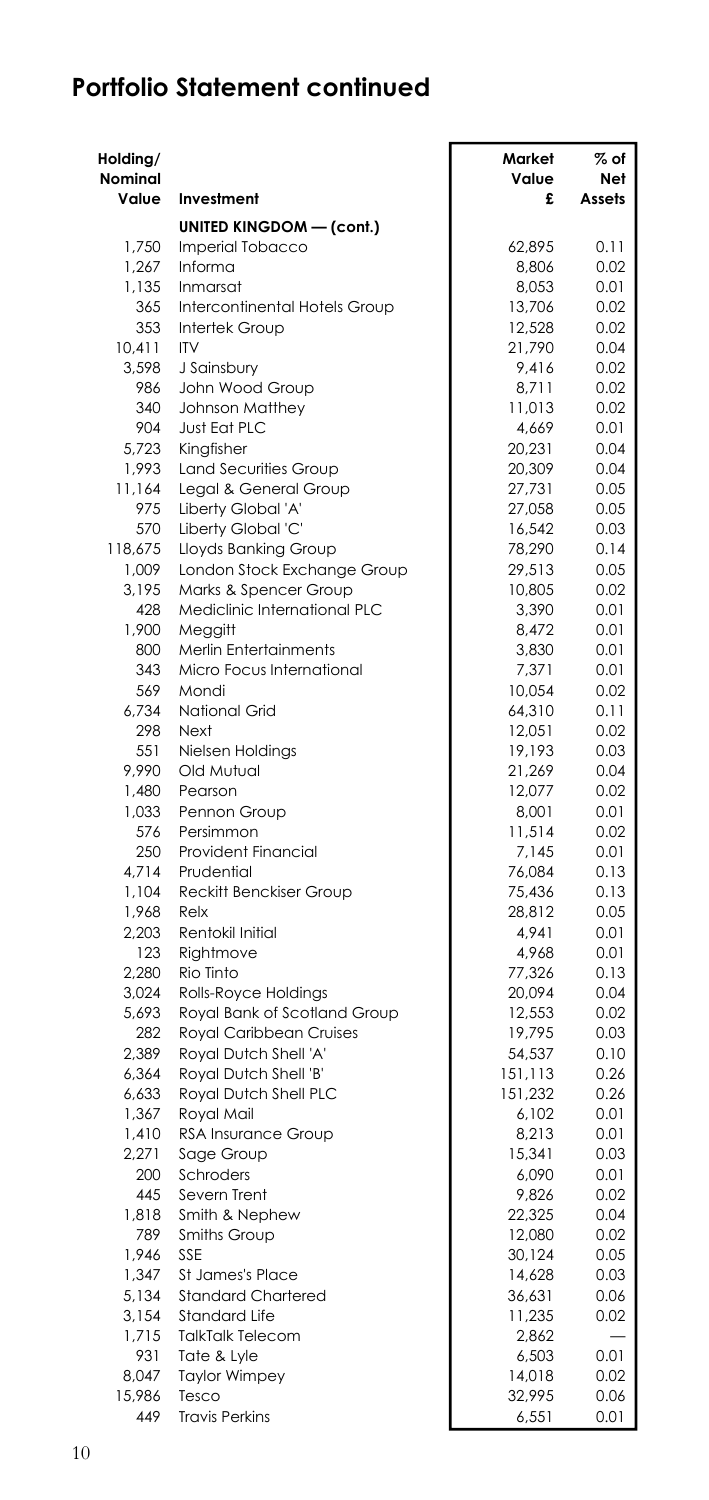| Holding/<br>Nominal |                                                | Market<br>Value    | % of<br>Net  |
|---------------------|------------------------------------------------|--------------------|--------------|
| Value               | Investment                                     | £                  | Assets       |
|                     | <b>UNITED KINGDOM - (cont.)</b>                |                    |              |
| 1.750               | Imperial Tobacco                               | 62.895             | 0.11         |
| 1,267               | Informa                                        | 8,806              | 0.02         |
| 1,135               | Inmarsat                                       | 8,053              | 0.01         |
| 365                 | Intercontinental Hotels Group                  | 13,706             | 0.02         |
| 353                 | Intertek Group                                 | 12,528             | 0.02         |
| 10,411              | <b>ITV</b>                                     | 21,790             | 0.04         |
| 3,598               | J Sainsbury                                    | 9,416              | 0.02         |
| 986                 | John Wood Group                                | 8,711              | 0.02         |
| 340<br>904          | <b>Johnson Matthey</b><br>Just Eat PLC         | 11,013<br>4,669    | 0.02<br>0.01 |
| 5,723               | Kingfisher                                     | 20,231             | 0.04         |
| 1,993               | <b>Land Securities Group</b>                   | 20,309             | 0.04         |
| 11,164              | Legal & General Group                          | 27,731             | 0.05         |
| 975                 | Liberty Global 'A'                             | 27,058             | 0.05         |
| 570                 | Liberty Global 'C'                             | 16,542             | 0.03         |
| 118,675             | Lloyds Banking Group                           | 78,290             | 0.14         |
| 1,009               | London Stock Exchange Group                    | 29,513             | 0.05         |
| 3,195               | Marks & Spencer Group                          | 10,805             | 0.02         |
| 428                 | Mediclinic International PLC                   | 3,390              | 0.01         |
| 1,900               | Meggitt                                        | 8,472              | 0.01         |
| 800                 | Merlin Entertainments                          | 3,830              | 0.01         |
| 343                 | Micro Focus International                      | 7,371              | 0.01         |
| 569                 | Mondi                                          | 10,054             | 0.02         |
| 6,734               | National Grid                                  | 64,310             | 0.11         |
| 298<br>551          | Next<br>Nielsen Holdings                       | 12,051<br>19,193   | 0.02<br>0.03 |
| 9,990               | Old Mutual                                     | 21,269             | 0.04         |
| 1,480               | Pearson                                        | 12,077             | 0.02         |
| 1,033               | Pennon Group                                   | 8,001              | 0.01         |
| 576                 | Persimmon                                      | 11,514             | 0.02         |
| 250                 | <b>Provident Financial</b>                     | 7,145              | 0.01         |
| 4,714               | Prudential                                     | 76,084             | 0.13         |
| 1,104               | Reckitt Benckiser Group                        | 75,436             | 0.13         |
| 1,968               | Relx                                           | 28,812             | 0.05         |
| 2,203               | Rentokil Initial                               | 4,941              | 0.01         |
| 123                 | Rightmove                                      | 4.968              | 0.01         |
| 2,280               | Rio Tinto                                      | 77,326             | 0.13         |
| 3,024               | Rolls-Royce Holdings                           | 20,094             | 0.04         |
| 5,693               | Royal Bank of Scotland Group                   | 12,553             | 0.02         |
| 282                 | Royal Caribbean Cruises                        | 19,795             | 0.03         |
| 2,389               | Royal Dutch Shell 'A'                          | 54,537             | 0.10         |
| 6,364<br>6,633      | Royal Dutch Shell 'B'<br>Royal Dutch Shell PLC | 151,113<br>151,232 | 0.26<br>0.26 |
| 1,367               | Royal Mail                                     | 6,102              | 0.01         |
| 1,410               | RSA Insurance Group                            | 8,213              | 0.01         |
| 2,271               | Sage Group                                     | 15,341             | 0.03         |
| 200                 | Schroders                                      | 6,090              | 0.01         |
| 445                 | Severn Trent                                   | 9,826              | 0.02         |
| 1,818               | Smith & Nephew                                 | 22,325             | 0.04         |
| 789                 | Smiths Group                                   | 12,080             | 0.02         |
| 1,946               | SSE                                            | 30,124             | 0.05         |
| 1,347               | St James's Place                               | 14,628             | 0.03         |
| 5,134               | <b>Standard Chartered</b>                      | 36,631             | 0.06         |
| 3.154               | Standard Life                                  | 11,235             | 0.02         |
| 1,715               | <b>TalkTalk Telecom</b>                        | 2,862              |              |
| 931                 | Tate & Lyle                                    | 6,503              | 0.01         |
| 8,047               | <b>Taylor Wimpey</b>                           | 14,018             | 0.02         |
| 15,986              | Tesco                                          | 32,995             | 0.06         |
| 449                 | <b>Travis Perkins</b>                          | 6,551              | 0.01         |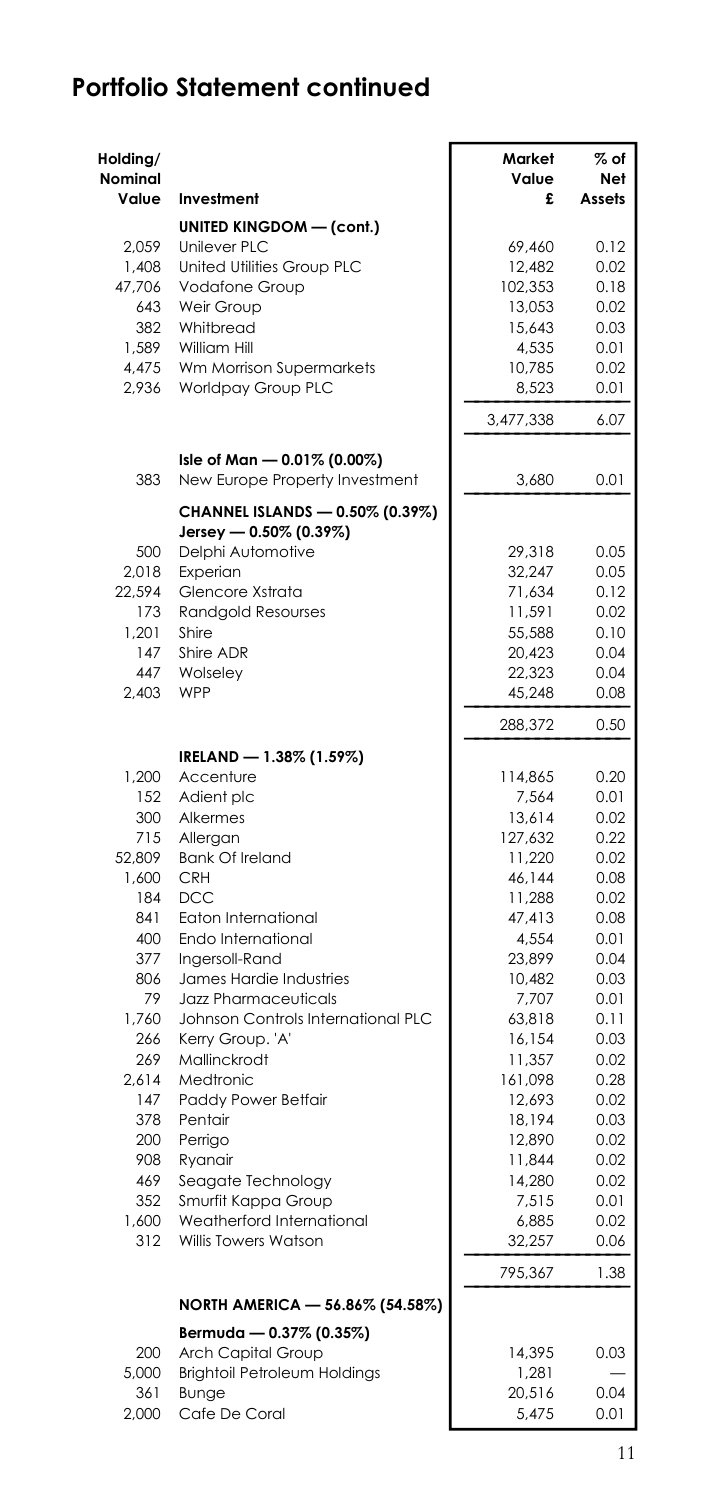| Holding/<br>Nominal<br>Value | Investment                                                    | Market<br>Value<br>£ | $\%$ of<br>Net<br>Assets |
|------------------------------|---------------------------------------------------------------|----------------------|--------------------------|
|                              | <b>UNITED KINGDOM - (cont.)</b>                               |                      |                          |
| 2.059                        | Unilever PLC                                                  | 69,460               | 0.12                     |
| 1,408                        | United Utilities Group PLC                                    | 12,482               | 0.02                     |
| 47,706                       | Vodafone Group                                                | 102,353              | 0.18                     |
| 643                          | Weir Group                                                    | 13,053               | 0.02                     |
| 382                          | Whitbread                                                     | 15,643               | 0.03                     |
| 1.589                        | William Hill                                                  | 4,535                | 0.01                     |
| 4,475                        | Wm Morrison Supermarkets                                      | 10,785               | 0.02                     |
| 2,936                        | Worldpay Group PLC                                            | 8,523                | 0.01                     |
|                              |                                                               | 3,477,338            | 6.07                     |
| 383                          | Isle of Man - 0.01% (0.00%)<br>New Europe Property Investment | 3,680                | 0.01                     |
|                              | CHANNEL ISLANDS - 0.50% (0.39%)<br>Jersey - 0.50% (0.39%)     |                      |                          |
| 500                          | Delphi Automotive                                             | 29,318               | 0.05                     |
| 2.018                        | Experian                                                      | 32,247               | 0.05                     |
| 22,594                       | Glencore Xstrata                                              | 71,634               | 0.12                     |
| 173                          | Randgold Resourses                                            | 11,591               | 0.02                     |
| 1,201                        | Shire                                                         | 55,588               | 0.10                     |
| 147                          | Shire ADR                                                     | 20,423               | 0.04                     |
| 447                          | Wolseley                                                      | 22,323               | 0.04                     |
| 2,403                        | WPP                                                           | 45,248               | 0.08                     |
|                              |                                                               | 288,372              | 0.50                     |
|                              | IRELAND - 1.38% (1.59%)                                       |                      |                          |
| 1.200                        | Accenture                                                     | 114,865              | 0.20                     |
| 152                          | Adient plc                                                    | 7,564                | 0.01                     |
| 300                          | Alkermes                                                      | 13,614               | 0.02                     |
| 715                          | Allergan                                                      | 127,632              | 0.22                     |
| 52,809                       | <b>Bank Of Ireland</b>                                        | 11,220               | 0.02                     |
| 1,600                        | <b>CRH</b>                                                    | 46,144               | 0.08                     |
| 184                          | DCC                                                           | 11,288               | 0.02                     |
| 841                          | Eaton International                                           | 47,413               | 0.08                     |
| 400                          | Endo International                                            | 4,554                | 0.01                     |
| 377                          | Ingersoll-Rand                                                | 23,899               | 0.04                     |
| 806<br>79                    | James Hardie Industries                                       | 10,482               | 0.03                     |
| 1,760                        | Jazz Pharmaceuticals<br>Johnson Controls International PLC    | 7,707<br>63,818      | 0.01<br>0.11             |
| 266                          | Kerry Group. 'A'                                              | 16,154               | 0.03                     |
| 269                          | Mallinckrodt                                                  | 11,357               | 0.02                     |
| 2.614                        | Medtronic                                                     | 161,098              | 0.28                     |
| 147                          | Paddy Power Betfair                                           | 12,693               | 0.02                     |
| 378                          | Pentair                                                       | 18,194               | 0.03                     |
| 200                          | Perrigo                                                       | 12,890               | 0.02                     |
| 908                          | Ryanair                                                       | 11,844               | 0.02                     |
| 469                          | Seagate Technology                                            | 14,280               | 0.02                     |
| 352                          | Smurfit Kappa Group                                           | 7,515                | 0.01                     |
| 1.600                        | Weatherford International                                     | 6,885                | 0.02                     |
| 312                          | Willis Towers Watson                                          | 32,257               | 0.06                     |
|                              |                                                               | 795,367              | 1.38                     |
|                              | NORTH AMERICA - 56.86% (54.58%)                               |                      |                          |
|                              | Bermuda — 0.37% (0.35%)                                       |                      |                          |
| 200                          | Arch Capital Group                                            | 14.395               | 0.03                     |
| 5,000                        | Brightoil Petroleum Holdings                                  | 1,281                |                          |
| 361                          | Bunge                                                         | 20,516               | 0.04                     |
| 2.000                        | Cafe De Coral                                                 | 5,475                | 0.01                     |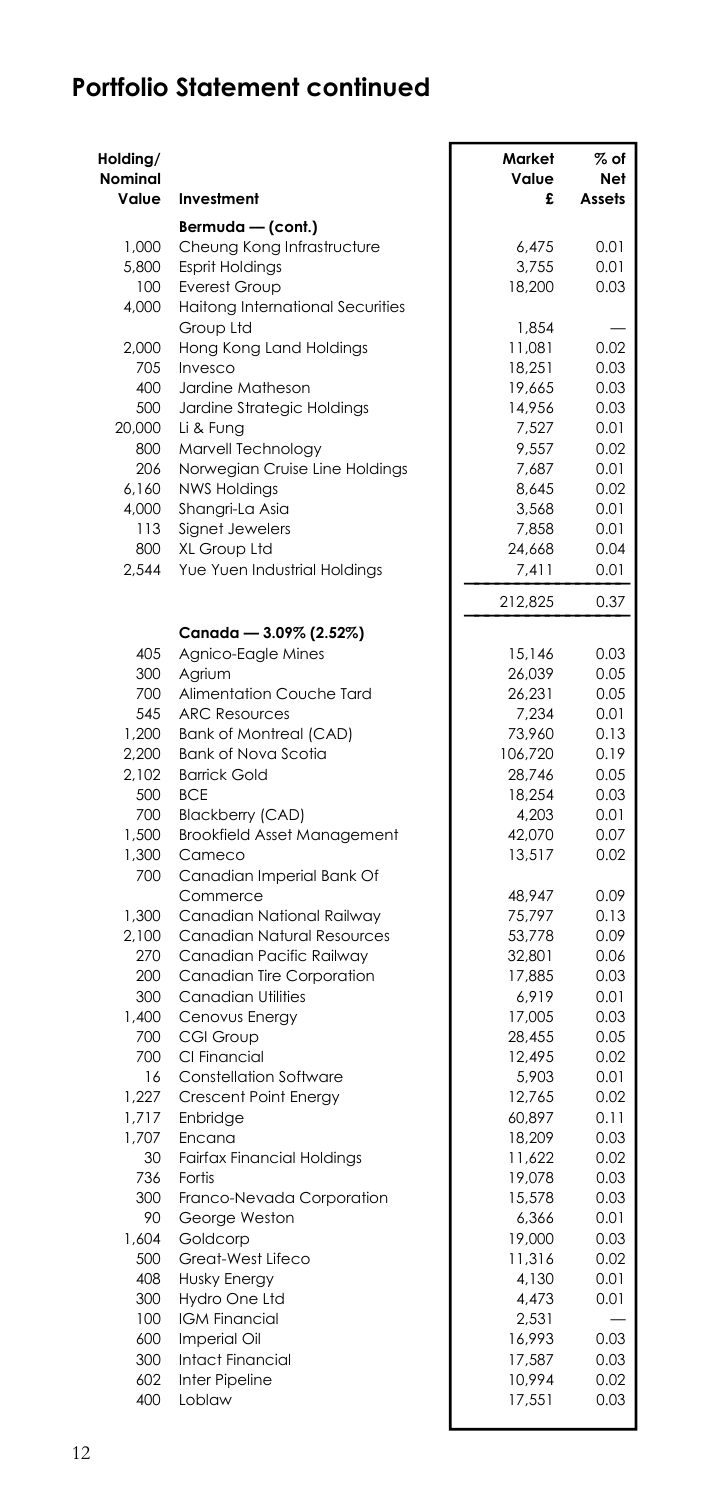| Holding/<br>Nominal<br>Value | Investment                                           | Market<br>Value<br>£ | $%$ of<br>Net<br>Assets |
|------------------------------|------------------------------------------------------|----------------------|-------------------------|
|                              | Bermuda — (cont.)                                    |                      |                         |
| 1.000                        | Cheung Kong Infrastructure                           | 6.475                | 0.01                    |
| 5,800                        | <b>Esprit Holdings</b>                               | 3,755                | 0.01                    |
| 100                          | Everest Group                                        | 18,200               | 0.03                    |
| 4,000                        | Haitong International Securities                     |                      |                         |
|                              | Group Ltd                                            | 1,854                |                         |
| 2,000                        | Hong Kong Land Holdings                              | 11,081               | 0.02                    |
| 705                          | Invesco                                              | 18,251               | 0.03                    |
| 400                          | Jardine Matheson                                     | 19,665               | 0.03                    |
| 500                          | Jardine Strategic Holdings                           | 14,956               | 0.03                    |
| 20,000                       | Li & Fung                                            | 7,527                | 0.01                    |
| 800<br>206                   | Marvell Technology<br>Norwegian Cruise Line Holdings | 9,557<br>7,687       | 0.02<br>0.01            |
| 6,160                        | <b>NWS Holdings</b>                                  | 8,645                | 0.02                    |
| 4,000                        | Shangri-La Asia                                      | 3,568                | 0.01                    |
| 113                          | Signet Jewelers                                      | 7,858                | 0.01                    |
| 800                          | XL Group Ltd                                         | 24,668               | 0.04                    |
| 2,544                        | Yue Yuen Industrial Holdings                         | 7,411                | 0.01                    |
|                              |                                                      | 212,825              | 0.37                    |
|                              | Canada - 3.09% (2.52%)                               |                      |                         |
| 405                          | Agnico-Eagle Mines                                   | 15,146               | 0.03                    |
| 300                          | Agrium                                               | 26,039               | 0.05                    |
| 700                          | Alimentation Couche Tard                             | 26,231               | 0.05                    |
| 545                          | <b>ARC Resources</b>                                 | 7,234                | 0.01                    |
| 1,200                        | <b>Bank of Montreal (CAD)</b>                        | 73,960               | 0.13                    |
| 2,200                        | Bank of Nova Scotia                                  | 106,720              | 0.19                    |
| 2,102                        | <b>Barrick Gold</b>                                  | 28,746               | 0.05                    |
| 500                          | <b>BCE</b>                                           | 18,254               | 0.03                    |
| 700                          | <b>Blackberry (CAD)</b>                              | 4,203                | 0.01                    |
| 1,500                        | <b>Brookfield Asset Management</b>                   | 42,070               | 0.07                    |
| 1,300<br>700                 | Cameco<br>Canadian Imperial Bank Of                  | 13,517               | 0.02                    |
|                              | Commerce                                             | 48,947               | 0.09                    |
| 1,300                        | Canadian National Railway                            | 75,797               | 0.13                    |
| 2,100                        | Canadian Natural Resources                           | 53,778               | 0.09                    |
| 270                          | Canadian Pacific Railway                             | 32,801               | 0.06                    |
| 200                          | Canadian Tire Corporation                            | 17,885               | 0.03                    |
| 300                          | <b>Canadian Utilities</b>                            | 6,919                | 0.01                    |
| 1,400                        | Cenovus Energy                                       | 17,005               | 0.03                    |
| 700                          | CGI Group                                            | 28,455               | 0.05                    |
| 700                          | CI Financial                                         | 12,495               | 0.02                    |
| 16                           | <b>Constellation Software</b>                        | 5,903                | 0.01                    |
| 1,227                        | Crescent Point Energy                                | 12,765               | 0.02                    |
| 1.717                        | Enbridge                                             | 60,897               | 0.11                    |
| 1,707<br>30                  | Encana                                               | 18,209               | 0.03                    |
| 736                          | <b>Fairfax Financial Holdings</b><br>Fortis          | 11,622<br>19,078     | 0.02<br>0.03            |
| 300                          | Franco-Nevada Corporation                            | 15,578               | 0.03                    |
| 90                           | George Weston                                        | 6,366                | 0.01                    |
| 1,604                        | Goldcorp                                             | 19,000               | 0.03                    |
| 500                          | Great-West Lifeco                                    | 11,316               | 0.02                    |
| 408                          | Husky Energy                                         | 4,130                | 0.01                    |
| 300                          | Hydro One Ltd                                        | 4,473                | 0.01                    |
| 100                          | <b>IGM Financial</b>                                 | 2,531                |                         |
| 600                          | Imperial Oil                                         | 16,993               | 0.03                    |
| 300                          | <b>Intact Financial</b>                              | 17,587               | 0.03                    |
| 602                          | Inter Pipeline                                       | 10,994               | 0.02                    |
| 400                          | Loblaw                                               | 17,551               | 0.03                    |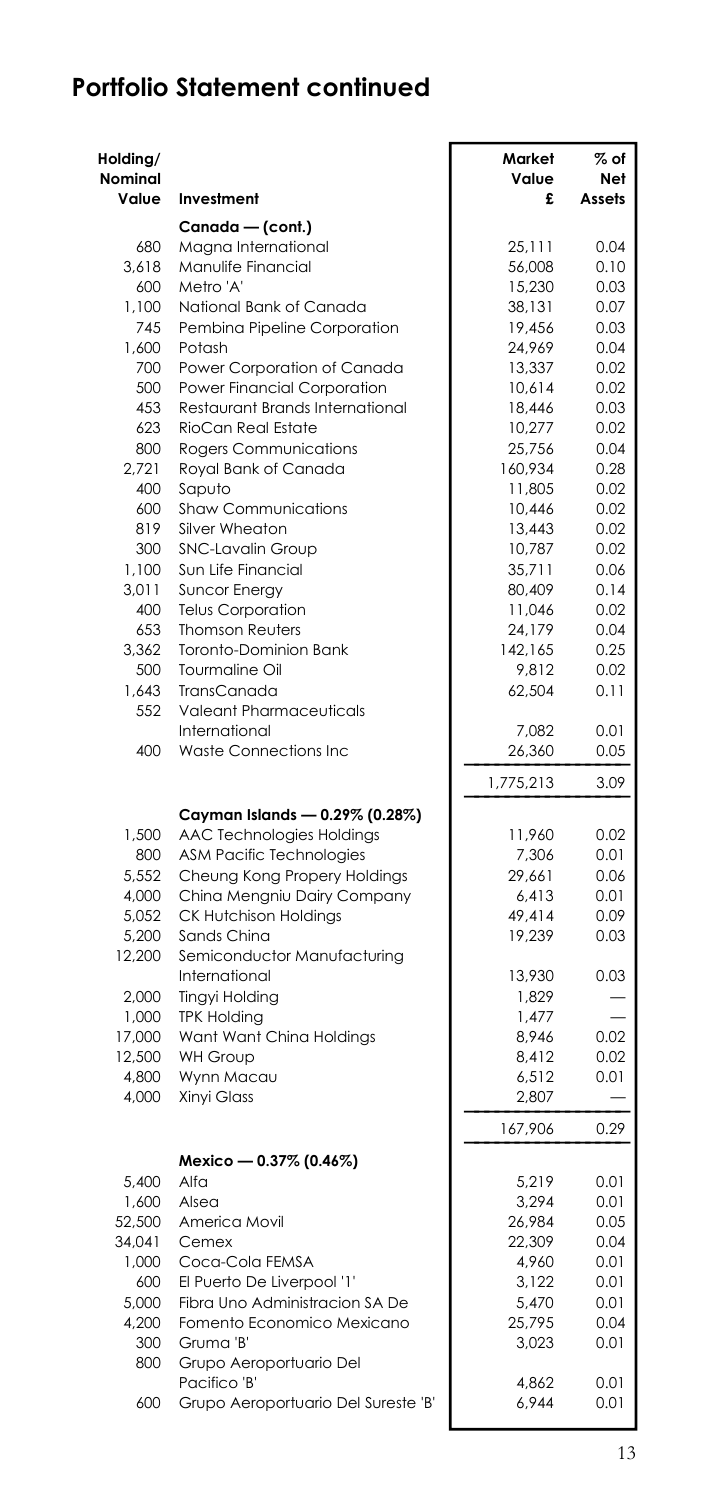| Holding/<br>Nominal<br>Value | Investment                          | Market<br>Value<br>£ | $\%$ of<br>Net<br>Assets |
|------------------------------|-------------------------------------|----------------------|--------------------------|
|                              | Canada - (cont.)                    |                      |                          |
| 680                          | Magna International                 | 25,111               | 0.04                     |
| 3,618                        | Manulife Financial                  | 56,008               | 0.10                     |
| 600                          | Metro 'A'                           | 15,230               | 0.03                     |
| 1,100                        | National Bank of Canada             | 38,131               | 0.07                     |
| 745                          | Pembina Pipeline Corporation        | 19,456               | 0.03                     |
| 1.600                        | Potash                              | 24,969               | 0.04                     |
| 700                          | Power Corporation of Canada         | 13,337               | 0.02                     |
| 500                          | Power Financial Corporation         | 10,614               | 0.02                     |
| 453                          | Restaurant Brands International     | 18,446               | 0.03                     |
| 623                          | RioCan Real Estate                  | 10,277               | 0.02                     |
| 800                          | <b>Rogers Communications</b>        | 25,756               | 0.04                     |
| 2.721                        | Royal Bank of Canada                | 160.934              | 0.28                     |
| 400                          | Saputo                              | 11,805               | 0.02                     |
| 600                          | Shaw Communications                 | 10,446               | 0.02                     |
| 819                          | Silver Wheaton                      | 13,443               | 0.02                     |
| 300                          | <b>SNC-Lavalin Group</b>            | 10,787               | 0.02                     |
| 1,100                        | Sun Life Financial                  | 35,711               | 0.06                     |
| 3,011                        | <b>Suncor Energy</b>                | 80,409               | 0.14                     |
| 400                          | <b>Telus Corporation</b>            | 11,046               | 0.02                     |
| 653                          | <b>Thomson Reuters</b>              | 24,179               | 0.04                     |
| 3,362                        | Toronto-Dominion Bank               | 142,165              | 0.25                     |
| 500                          | Tourmaline Oil                      | 9,812                | 0.02                     |
| 1,643                        | TransCanada                         | 62,504               | 0.11                     |
| 552                          | <b>Valeant Pharmaceuticals</b>      |                      |                          |
|                              | International                       | 7,082                | 0.01                     |
| 400                          | Waste Connections Inc               | 26,360               | 0.05                     |
|                              |                                     | 1,775,213            | 3.09                     |
|                              | Cayman Islands - 0.29% (0.28%)      |                      |                          |
| 1,500                        | AAC Technologies Holdings           | 11,960               | 0.02                     |
| 800                          | <b>ASM Pacific Technologies</b>     | 7,306                | 0.01                     |
| 5.552                        | Cheung Kong Propery Holdings        | 29.661               | 0.06                     |
| 4,000                        | China Mengniu Dairy Company         | 6,413                | 0.01                     |
| 5,052                        | <b>CK Hutchison Holdings</b>        | 49,414               | 0.09                     |
| 5,200                        | Sands China                         | 19,239               | 0.03                     |
| 12,200                       | Semiconductor Manufacturing         |                      |                          |
|                              | International                       | 13,930               | 0.03                     |
| 2,000                        | <b>Tingyi Holding</b>               | 1,829                |                          |
| 1,000                        | <b>TPK Holding</b>                  | 1,477                |                          |
| 17,000                       | Want Want China Holdings            | 8,946                | 0.02                     |
| 12,500                       | <b>WH Group</b>                     | 8,412                | 0.02                     |
| 4,800                        | Wynn Macau                          | 6,512                | 0.01                     |
| 4,000                        | Xinyi Glass                         | 2,807                |                          |
|                              |                                     | 167,906              | 0.29                     |
|                              | Mexico - 0.37% (0.46%)              |                      |                          |
| 5,400                        | Alfa                                | 5,219                | 0.01                     |
| 1,600                        | Alsea                               | 3,294                | 0.01                     |
| 52,500                       | America Movil                       | 26,984               | 0.05                     |
| 34,041                       | Cemex                               | 22,309               | 0.04                     |
| 1,000                        | Coca-Cola FEMSA                     | 4,960                | 0.01                     |
| 600                          | El Puerto De Liverpool '1'          | 3,122                | 0.01                     |
| 5,000                        | Fibra Uno Administracion SA De      | 5,470                | 0.01                     |
| 4,200                        | Fomento Economico Mexicano          | 25,795               | 0.04                     |
| 300                          | Gruma 'B'                           | 3,023                | 0.01                     |
| 800                          | Grupo Aeroportuario Del             |                      |                          |
|                              | Pacifico 'B'                        | 4,862                | 0.01                     |
| 600                          | Grupo Aeroportuario Del Sureste 'B' | 6,944                | 0.01                     |
|                              |                                     |                      |                          |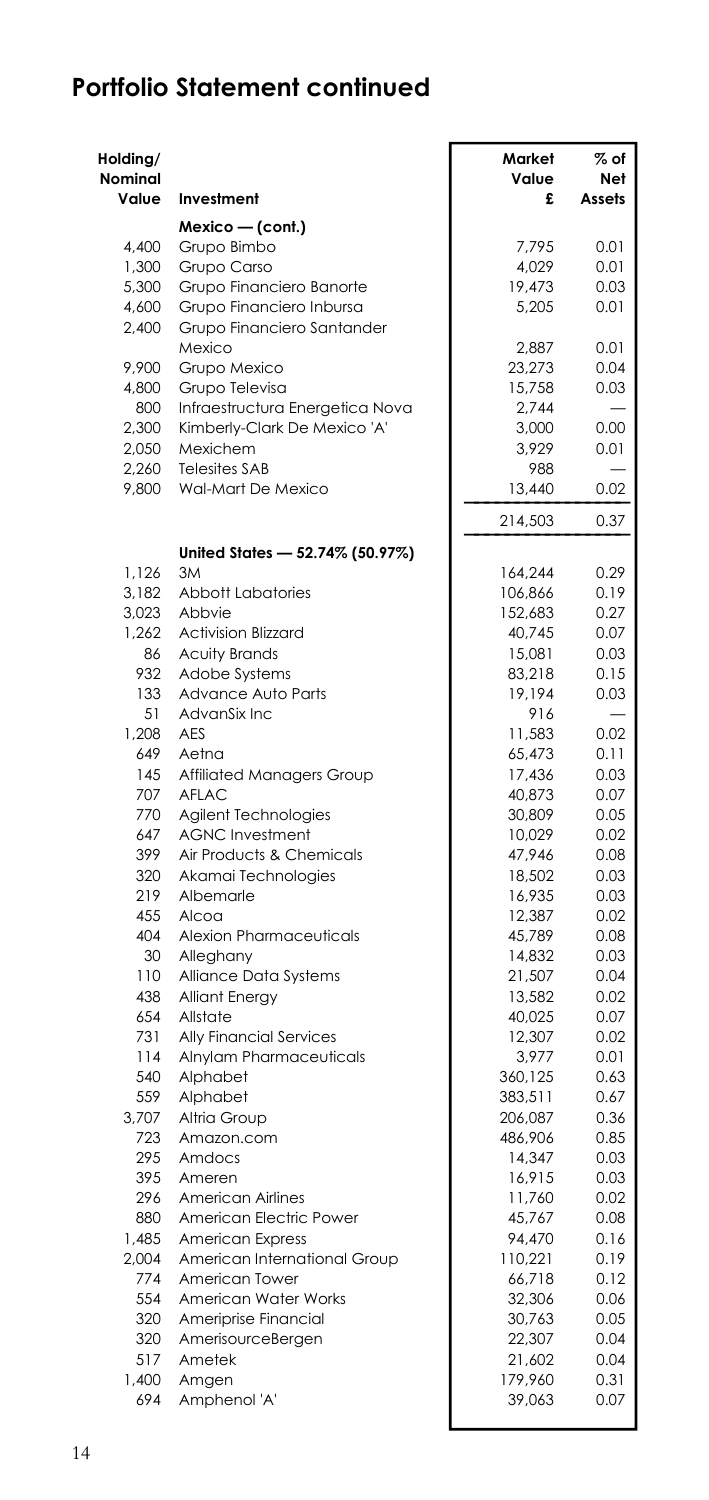| Holding/<br><b>Nominal</b><br>Value | Investment                                 | Market<br>Value<br>£ | $%$ of<br>Net<br>Assets |
|-------------------------------------|--------------------------------------------|----------------------|-------------------------|
|                                     | Mexico - (cont.)                           |                      |                         |
| 4,400                               | Grupo Bimbo                                | 7,795                | 0.01                    |
| 1,300                               | Grupo Carso                                | 4,029                | 0.01                    |
| 5,300                               | Grupo Financiero Banorte                   | 19,473               | 0.03                    |
| 4,600                               | Grupo Financiero Inbursa                   | 5,205                | 0.01                    |
| 2,400                               | Grupo Financiero Santander<br>Mexico       | 2,887                | 0.01                    |
| 9,900                               | Grupo Mexico                               | 23,273               | 0.04                    |
| 4,800                               | Grupo Televisa                             | 15,758               | 0.03                    |
| 800                                 | Infraestructura Energetica Nova            | 2,744                |                         |
| 2,300                               | Kimberly-Clark De Mexico 'A'               | 3,000                | 0.00                    |
| 2,050                               | Mexichem                                   | 3,929                | 0.01                    |
| 2,260<br>9,800                      | <b>Telesites SAB</b><br>Wal-Mart De Mexico | 988<br>13,440        | 0.02                    |
|                                     |                                            | 214,503              | 0.37                    |
|                                     | United States - 52.74% (50.97%)            |                      |                         |
| 1,126                               | 3M                                         | 164,244              | 0.29                    |
| 3,182                               | <b>Abbott Labatories</b>                   | 106,866              | 0.19                    |
| 3.023                               | Abbvie                                     | 152.683              | 0.27                    |
| 1,262<br>86                         | <b>Activision Blizzard</b>                 | 40,745               | 0.07<br>0.03            |
| 932                                 | <b>Acuity Brands</b><br>Adobe Systems      | 15,081<br>83,218     | 0.15                    |
| 133                                 | Advance Auto Parts                         | 19,194               | 0.03                    |
| 51                                  | AdvanSix Inc                               | 916                  |                         |
| 1,208                               | AES                                        | 11,583               | 0.02                    |
| 649                                 | Aetna                                      | 65.473               | 0.11                    |
| 145                                 | Affiliated Managers Group                  | 17,436               | 0.03                    |
| 707                                 | AFLAC                                      | 40,873               | 0.07                    |
| 770                                 | Agilent Technologies                       | 30,809               | 0.05                    |
| 647                                 | <b>AGNC Investment</b>                     | 10,029               | 0.02                    |
| 399                                 | Air Products & Chemicals                   | 47,946               | 0.08                    |
| 320                                 | Akamai Technologies                        | 18,502               | 0.03                    |
| 219                                 | Albemarle                                  | 16,935               | 0.03                    |
| 455                                 | Alcoa                                      | 12,387               | 0.02                    |
| 404                                 | Alexion Pharmaceuticals                    | 45,789               | 0.08                    |
| 30                                  | Alleghany                                  | 14,832               | 0.03                    |
| 110                                 | Alliance Data Systems                      | 21,507               | 0.04                    |
| 438                                 | <b>Alliant Energy</b>                      | 13,582               | 0.02                    |
| 654                                 | Allstate                                   | 40,025               | 0.07                    |
| 731<br>114                          | Ally Financial Services                    | 12,307<br>3,977      | 0.02<br>0.01            |
| 540                                 | Alnylam Pharmaceuticals<br>Alphabet        | 360,125              | 0.63                    |
| 559                                 | Alphabet                                   | 383,511              | 0.67                    |
| 3,707                               | Altria Group                               | 206,087              | 0.36                    |
| 723                                 | Amazon.com                                 | 486,906              | 0.85                    |
| 295                                 | Amdocs                                     | 14,347               | 0.03                    |
| 395                                 | Ameren                                     | 16,915               | 0.03                    |
| 296                                 | American Airlines                          | 11,760               | 0.02                    |
| 880                                 | American Electric Power                    | 45,767               | 0.08                    |
| 1,485                               | <b>American Express</b>                    | 94,470               | 0.16                    |
| 2,004                               | American International Group               | 110,221              | 0.19                    |
| 774                                 | American Tower                             | 66,718               | 0.12                    |
| 554                                 | American Water Works                       | 32,306               | 0.06                    |
| 320                                 | Ameriprise Financial                       | 30,763               | 0.05                    |
| 320                                 | AmerisourceBergen                          | 22,307               | 0.04                    |
| 517                                 | Ametek                                     | 21,602               | 0.04                    |
| 1,400                               | Amgen                                      | 179,960              | 0.31                    |
| 694                                 | Amphenol 'A'                               | 39,063               | 0.07                    |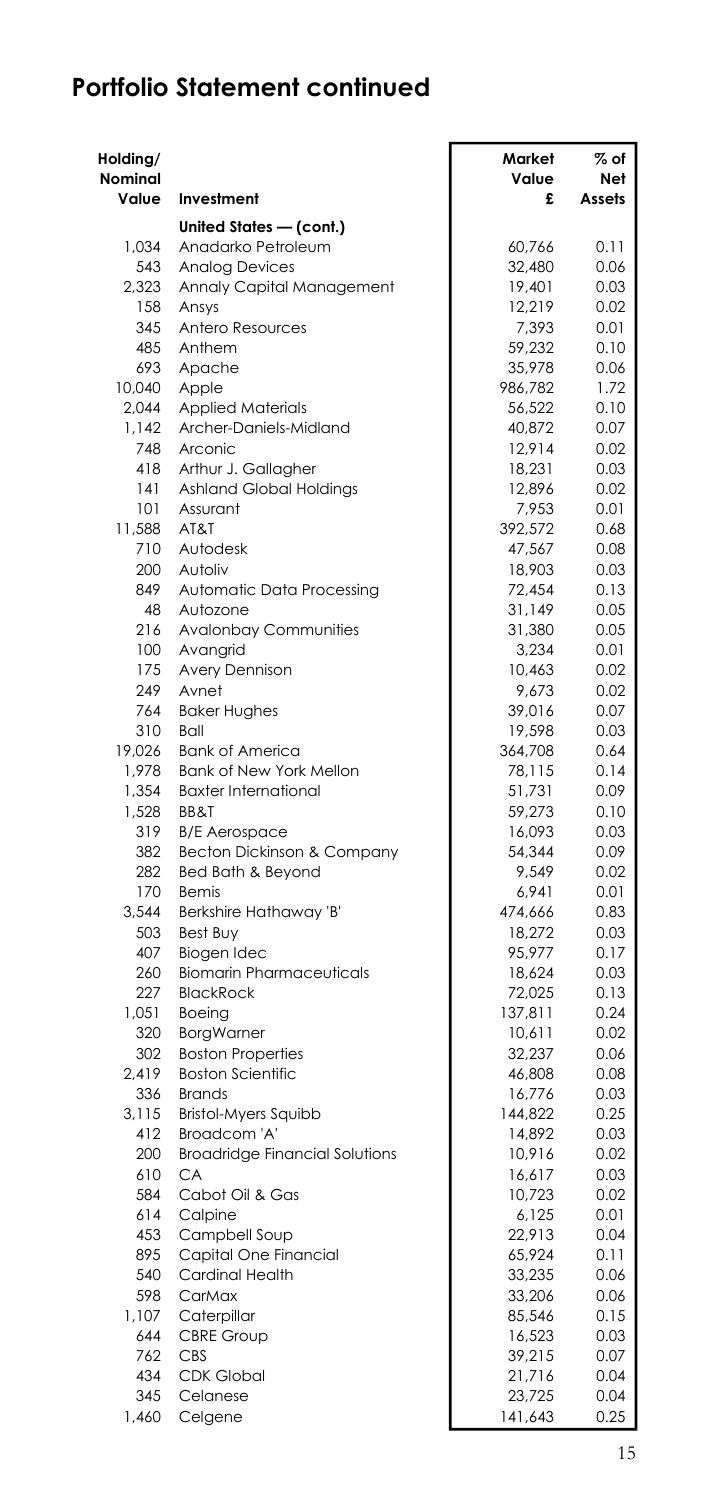| Holding/<br>Nominal<br>Value | Investment                                  | Market<br>Value<br>£ | $\%$ of<br>Net<br>Assets |
|------------------------------|---------------------------------------------|----------------------|--------------------------|
|                              |                                             |                      |                          |
| 1.034                        | United States - (cont.)                     | 60,766               | 0.11                     |
| 543                          | Anadarko Petroleum<br><b>Analog Devices</b> | 32,480               | 0.06                     |
| 2,323                        | Annaly Capital Management                   | 19,401               | 0.03                     |
| 158                          | Ansys                                       | 12,219               | 0.02                     |
| 345                          | Antero Resources                            | 7,393                | 0.01                     |
| 485                          | Anthem                                      | 59,232               | 0.10                     |
| 693                          | Apache                                      | 35,978               | 0.06                     |
| 10,040                       | Apple                                       | 986,782              | 1.72                     |
| 2,044                        | <b>Applied Materials</b>                    | 56,522               | 0.10                     |
| 1,142                        | Archer-Daniels-Midland                      | 40,872               | 0.07                     |
| 748                          | Arconic                                     | 12,914               | 0.02                     |
| 418                          | Arthur J. Gallagher                         | 18,231               | 0.03                     |
| 141                          | Ashland Global Holdings                     | 12,896               | 0.02                     |
| 101                          | Assurant<br>AT&T                            | 7,953                | 0.01                     |
| 11,588<br>710                | Autodesk                                    | 392,572<br>47,567    | 0.68<br>0.08             |
| 200                          | Autoliv                                     | 18,903               | 0.03                     |
| 849                          | Automatic Data Processing                   | 72,454               | 0.13                     |
| 48                           | Autozone                                    | 31,149               | 0.05                     |
| 216                          | Avalonbay Communities                       | 31,380               | 0.05                     |
| 100                          | Avangrid                                    | 3,234                | 0.01                     |
| 175                          | Avery Dennison                              | 10,463               | 0.02                     |
| 249                          | Avnet                                       | 9,673                | 0.02                     |
| 764                          | <b>Baker Hughes</b>                         | 39,016               | 0.07                     |
| 310                          | Ball                                        | 19,598               | 0.03                     |
| 19,026                       | <b>Bank of America</b>                      | 364,708              | 0.64                     |
| 1,978                        | Bank of New York Mellon                     | 78,115               | 0.14                     |
| 1,354                        | <b>Baxter International</b><br>BB&T         | 51,731               | 0.09                     |
| 1,528<br>319                 | <b>B/E</b> Aerospace                        | 59,273<br>16,093     | 0.10<br>0.03             |
| 382                          | Becton Dickinson & Company                  | 54,344               | 0.09                     |
| 282                          | Bed Bath & Beyond                           | 9,549                | 0.02                     |
| 170                          | Remis                                       | 6,941                | 0.01                     |
| 3,544                        | Berkshire Hathaway 'B'                      | 474,666              | 0.83                     |
| 503                          | Best Buy                                    | 18,272               | 0.03                     |
| 407                          | Biogen Idec                                 | 95,977               | 0.17                     |
| 260                          | <b>Biomarin Pharmaceuticals</b>             | 18,624               | 0.03                     |
| 227                          | <b>BlackRock</b>                            | 72,025               | 0.13                     |
| 1,051                        | Boeing                                      | 137,811              | 0.24                     |
| 320                          | <b>BorgWarner</b>                           | 10,611               | 0.02                     |
| 302<br>2,419                 | <b>Boston Properties</b>                    | 32,237               | 0.06                     |
| 336                          | <b>Boston Scientific</b><br><b>Brands</b>   | 46,808<br>16,776     | 0.08<br>0.03             |
| 3,115                        | <b>Bristol-Myers Squibb</b>                 | 144,822              | 0.25                     |
| 412                          | Broadcom 'A'                                | 14,892               | 0.03                     |
| 200                          | <b>Broadridge Financial Solutions</b>       | 10,916               | 0.02                     |
| 610                          | CA                                          | 16,617               | 0.03                     |
| 584                          | Cabot Oil & Gas                             | 10,723               | 0.02                     |
| 614                          | Calpine                                     | 6,125                | 0.01                     |
| 453                          | Campbell Soup                               | 22,913               | 0.04                     |
| 895                          | Capital One Financial                       | 65,924               | 0.11                     |
| 540                          | Cardinal Health                             | 33,235               | 0.06                     |
| 598                          | CarMax                                      | 33,206               | 0.06                     |
| 1,107                        | Caterpillar                                 | 85,546               | 0.15                     |
| 644<br>762                   | <b>CBRE Group</b><br>CBS                    | 16,523<br>39,215     | 0.03<br>0.07             |
| 434                          | <b>CDK Global</b>                           | 21,716               | 0.04                     |
| 345                          | Celanese                                    | 23,725               | 0.04                     |
| 1,460                        | Celgene                                     | 141,643              | 0.25                     |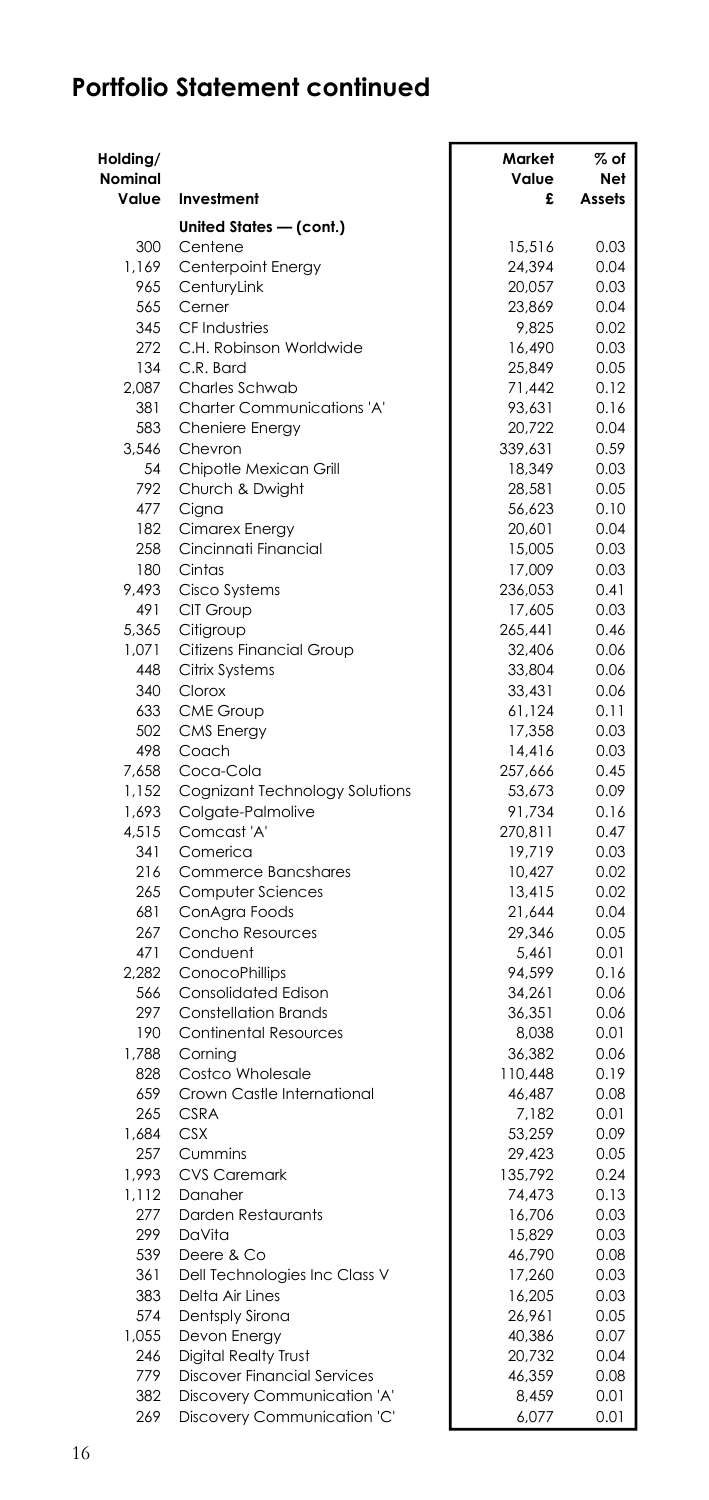| Holding/     |                                       | Market            | % of         |
|--------------|---------------------------------------|-------------------|--------------|
| Nominal      |                                       | Value             | Net          |
| Value        | Investment                            | £                 | Assets       |
|              | United States - (cont.)               |                   |              |
| 300          | Centene                               | 15.516            | 0.03         |
| 1,169        | Centerpoint Energy                    | 24,394            | 0.04         |
| 965          | CenturyLink                           | 20,057            | 0.03         |
| 565          | Cerner                                | 23,869            | 0.04         |
| 345          | CF Industries                         | 9,825             | 0.02         |
| 272          | C.H. Robinson Worldwide               | 16,490            | 0.03         |
| 134          | C.R. Bard                             | 25,849            | 0.05         |
| 2,087        | Charles Schwab                        | 71,442            | 0.12         |
| 381          | Charter Communications 'A'            | 93,631            | 0.16         |
| 583          | Cheniere Energy                       | 20,722            | 0.04         |
| 3,546        | Chevron                               | 339,631           | 0.59         |
| 54           | Chipotle Mexican Grill                | 18,349            | 0.03         |
| 792          | Church & Dwight                       | 28,581            | 0.05         |
| 477          | Cigna                                 | 56,623            | 0.10         |
| 182          | Cimarex Energy                        | 20,601            | 0.04         |
| 258          | Cincinnati Financial                  | 15,005            | 0.03         |
| 180          | Cintas                                | 17,009            | 0.03         |
| 9,493        | Cisco Systems                         | 236,053           | 0.41         |
| 491<br>5,365 | CIT Group                             | 17,605            | 0.03         |
| 1,071        | Citigroup<br>Citizens Financial Group | 265,441<br>32,406 | 0.46<br>0.06 |
| 448          | Citrix Systems                        | 33,804            | 0.06         |
| 340          | Clorox                                | 33,431            | 0.06         |
| 633          | CME Group                             | 61,124            | 0.11         |
| 502          | <b>CMS</b> Energy                     | 17,358            | 0.03         |
| 498          | Coach                                 | 14,416            | 0.03         |
| 7,658        | Coca-Cola                             | 257,666           | 0.45         |
| 1,152        | Cognizant Technology Solutions        | 53,673            | 0.09         |
| 1,693        | Colgate-Palmolive                     | 91,734            | 0.16         |
| 4,515        | Comcast 'A'                           | 270,811           | 0.47         |
| 341          | Comerica                              | 19,719            | 0.03         |
| 216          | <b>Commerce Bancshares</b>            | 10,427            | 0.02         |
| 265          | Computer Sciences                     | 13,415            | 0.02         |
| 681          | ConAgra Foods                         | 21,644            | 0.04         |
| 267          | Concho Resources                      | 29,346            | 0.05         |
| 471          | Conduent                              | 5,461             | 0.01         |
| 2,282        | ConocoPhillips                        | 94,599            | 0.16         |
| 566          | <b>Consolidated Edison</b>            | 34,261            | 0.06         |
| 297          | <b>Constellation Brands</b>           | 36,351            | 0.06         |
| 190          | Continental Resources                 | 8,038             | 0.01         |
| 1.788        | Corning                               | 36,382            | 0.06         |
| 828          | Costco Wholesale                      | 110,448           | 0.19         |
| 659          | Crown Castle International            | 46,487            | 0.08         |
| 265          | CSRA                                  | 7,182             | 0.01         |
| 1.684<br>257 | <b>CSX</b><br>Cummins                 | 53,259            | 0.09         |
| 1,993        | <b>CVS Caremark</b>                   | 29,423<br>135,792 | 0.05<br>0.24 |
| 1,112        | Danaher                               | 74,473            | 0.13         |
| 277          | Darden Restaurants                    | 16,706            | 0.03         |
| 299          | DaVita                                | 15,829            | 0.03         |
| 539          | Deere & Co                            | 46,790            | 0.08         |
| 361          | Dell Technologies Inc Class V         | 17,260            | 0.03         |
| 383          | Delta Air Lines                       | 16,205            | 0.03         |
| 574          | Dentsply Sirona                       | 26,961            | 0.05         |
| 1,055        | Devon Energy                          | 40,386            | 0.07         |
| 246          | <b>Digital Realty Trust</b>           | 20,732            | 0.04         |
| 779          | <b>Discover Financial Services</b>    | 46,359            | 0.08         |
| 382          | Discovery Communication 'A'           | 8,459             | 0.01         |
| 269          | Discovery Communication 'C'           | 6,077             | 0.01         |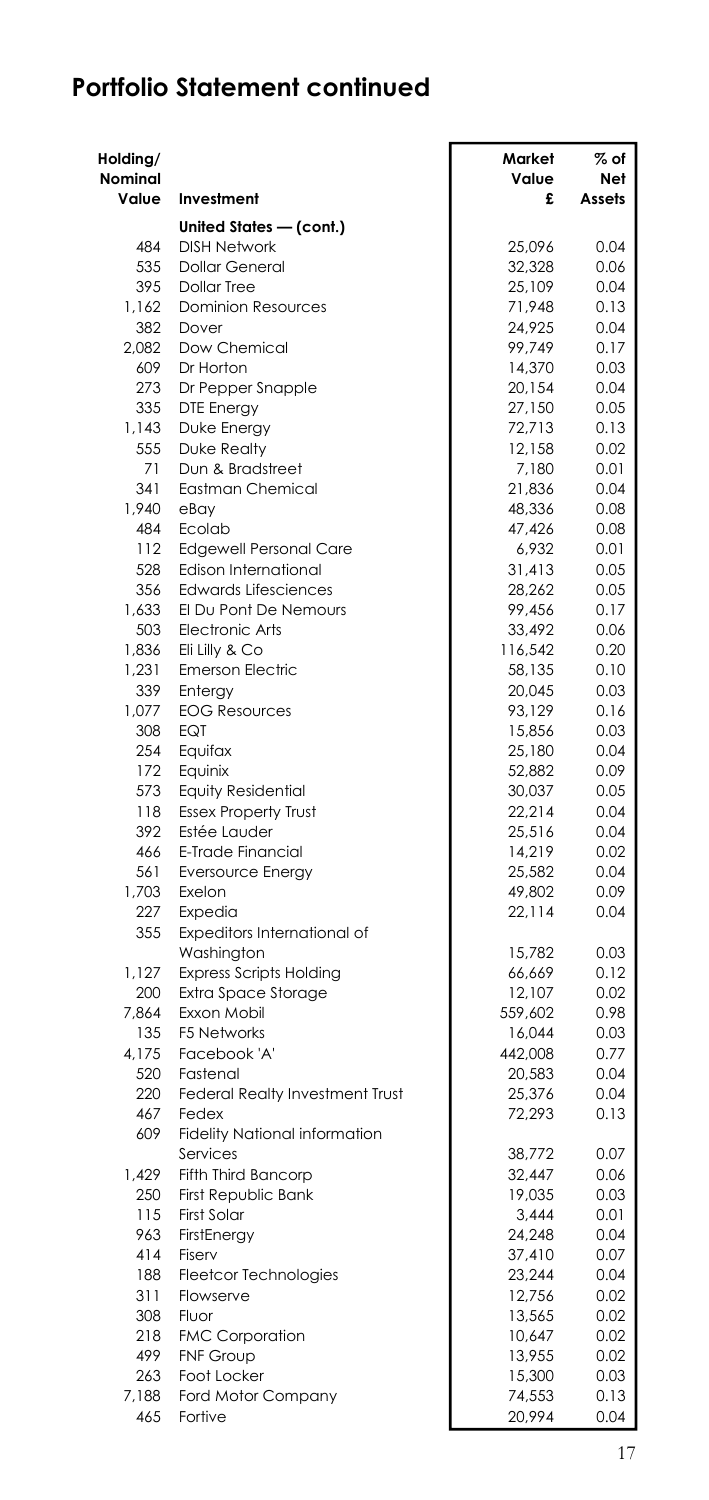| Holding/     |                                                       | Market            | % of         |
|--------------|-------------------------------------------------------|-------------------|--------------|
| Nominal      |                                                       | Value             | Net          |
| Value        | Investment                                            | £                 | Assets       |
|              | United States - (cont.)                               |                   |              |
| 484          | <b>DISH Network</b>                                   | 25.096            | 0.04         |
| 535<br>395   | <b>Dollar General</b><br><b>Dollar Tree</b>           | 32,328<br>25,109  | 0.06<br>0.04 |
| 1,162        | <b>Dominion Resources</b>                             | 71,948            | 0.13         |
| 382          | Dover                                                 | 24,925            | 0.04         |
| 2,082        | Dow Chemical                                          | 99,749            | 0.17         |
| 609          | Dr Horton                                             | 14,370            | 0.03         |
| 273          | Dr Pepper Snapple                                     | 20,154            | 0.04         |
| 335          | <b>DTE Energy</b>                                     | 27,150            | 0.05         |
| 1,143        | Duke Energy                                           | 72,713            | 0.13         |
| 555          | <b>Duke Realty</b>                                    | 12,158            | 0.02         |
| 71           | Dun & Bradstreet                                      | 7,180             | 0.01         |
| 341          | Eastman Chemical                                      | 21,836            | 0.04         |
| 1.940        | eBav                                                  | 48,336            | 0.08         |
| 484          | Ecolab                                                | 47,426            | 0.08         |
| 112          | <b>Edgewell Personal Care</b>                         | 6,932             | 0.01         |
| 528          | Edison International                                  | 31,413            | 0.05         |
| 356          | <b>Edwards Lifesciences</b>                           | 28,262            | 0.05         |
| 1,633        | El Du Pont De Nemours<br><b>Electronic Arts</b>       | 99,456            | 0.17         |
| 503<br>1,836 | Eli Lilly & Co                                        | 33,492<br>116,542 | 0.06<br>0.20 |
| 1.231        | <b>Emerson Electric</b>                               | 58,135            | 0.10         |
| 339          | Entergy                                               | 20,045            | 0.03         |
| 1,077        | <b>EOG Resources</b>                                  | 93,129            | 0.16         |
| 308          | <b>EQT</b>                                            | 15,856            | 0.03         |
| 254          | Equifax                                               | 25,180            | 0.04         |
| 172          | Equinix                                               | 52,882            | 0.09         |
| 573          | <b>Equity Residential</b>                             | 30,037            | 0.05         |
| 118          | <b>Essex Property Trust</b>                           | 22,214            | 0.04         |
| 392          | Estée Lauder                                          | 25,516            | 0.04         |
| 466          | E-Trade Financial                                     | 14,219            | 0.02         |
| 561          | <b>Eversource Energy</b>                              | 25,582            | 0.04         |
| 1,703        | Exelon                                                | 49,802            | 0.09         |
| 227          | Expedia                                               | 22,114            | 0.04         |
| 355          | Expeditors International of                           |                   |              |
| 1,127        | Washington                                            | 15.782            | 0.03         |
| 200          | <b>Express Scripts Holding</b><br>Extra Space Storage | 66,669<br>12,107  | 0.12<br>0.02 |
| 7.864        | Exxon Mobil                                           | 559,602           | 0.98         |
| 135          | <b>F5 Networks</b>                                    | 16,044            | 0.03         |
| 4,175        | Facebook 'A'                                          | 442,008           | 0.77         |
| 520          | Fastenal                                              | 20,583            | 0.04         |
| 220          | <b>Federal Realty Investment Trust</b>                | 25,376            | 0.04         |
| 467          | Fedex                                                 | 72,293            | 0.13         |
| 609          | <b>Fidelity National information</b>                  |                   |              |
|              | Services                                              | 38,772            | 0.07         |
| 1,429        | <b>Fifth Third Bancorp</b>                            | 32,447            | 0.06         |
| 250          | First Republic Bank                                   | 19,035            | 0.03         |
| 115          | <b>First Solar</b>                                    | 3,444             | 0.01         |
| 963          | FirstEnergy                                           | 24.248            | 0.04         |
| 414          | Fiserv                                                | 37,410            | 0.07         |
| 188          | <b>Fleetcor Technologies</b>                          | 23,244            | 0.04         |
| 311          | Flowserve                                             | 12,756            | 0.02         |
| 308          | Fluor                                                 | 13,565            | 0.02         |
| 218<br>499   | <b>FMC Corporation</b><br><b>FNF Group</b>            | 10,647            | 0.02         |
| 263          | Foot Locker                                           | 13,955<br>15,300  | 0.02<br>0.03 |
| 7,188        | Ford Motor Company                                    | 74,553            | 0.13         |
| 465          | Fortive                                               | 20,994            | 0.04         |
|              |                                                       |                   |              |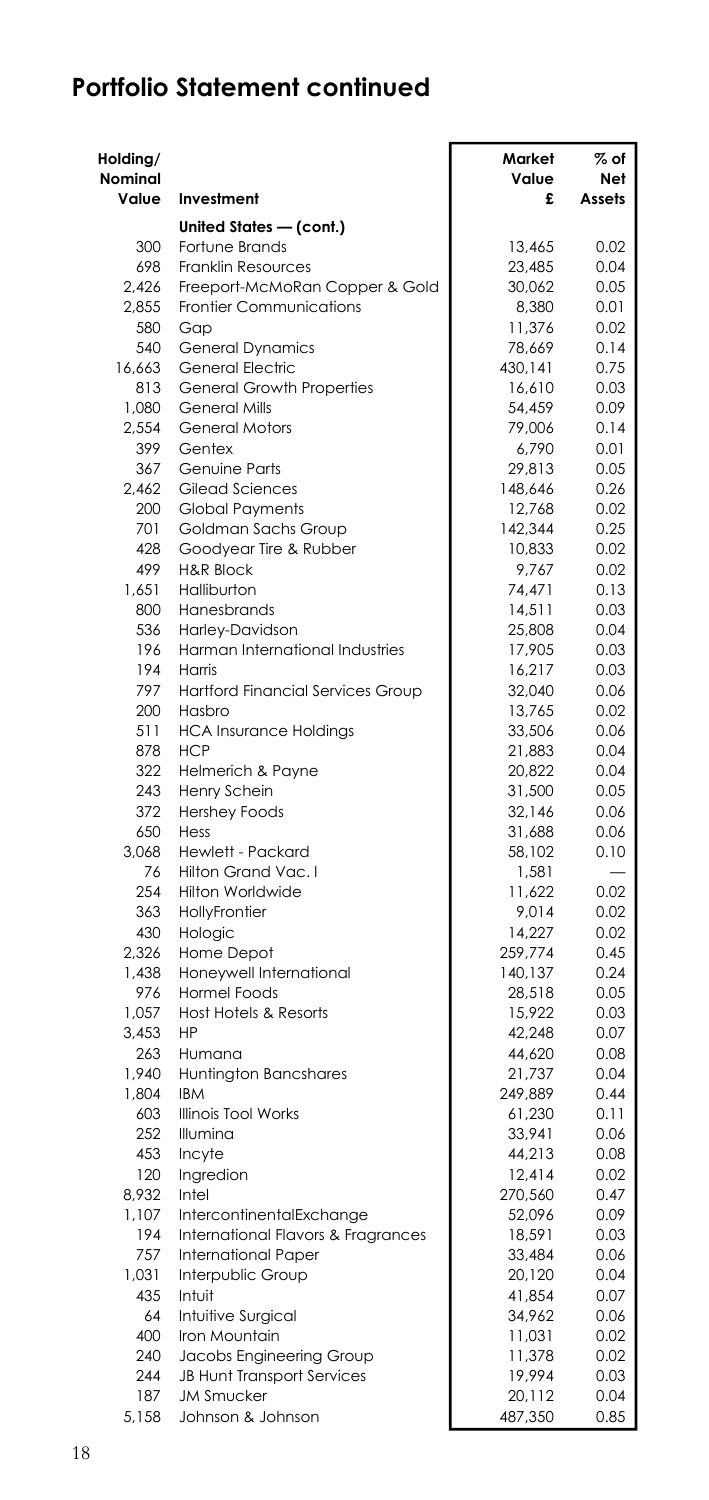| Holding/<br>Nominal<br>Value | Investment                                             | Market<br>Value<br>£ | % of<br>Net<br>Assets    |
|------------------------------|--------------------------------------------------------|----------------------|--------------------------|
|                              |                                                        |                      |                          |
| 300                          | United States - (cont.)                                | 13,465               | 0.02                     |
| 698                          | Fortune Brands<br>Franklin Resources                   | 23,485               | 0.04                     |
| 2.426                        | Freeport-McMoRan Copper & Gold                         | 30,062               | 0.05                     |
| 2,855                        | Frontier Communications                                | 8,380                | 0.01                     |
| 580                          | Gap                                                    | 11,376               | 0.02                     |
| 540                          | <b>General Dynamics</b>                                | 78,669               | 0.14                     |
| 16,663                       | General Electric                                       | 430,141              | 0.75                     |
| 813                          | General Growth Properties                              | 16,610               | 0.03                     |
| 1.080                        | <b>General Mills</b>                                   | 54,459               | 0.09                     |
| 2,554                        | <b>General Motors</b>                                  | 79,006               | 0.14                     |
| 399                          | Gentex                                                 | 6,790                | 0.01                     |
| 367                          | <b>Genuine Parts</b>                                   | 29,813               | 0.05                     |
| 2,462                        | Gilead Sciences                                        | 148,646              | 0.26                     |
| 200                          | <b>Global Payments</b>                                 | 12,768               | 0.02                     |
| 701                          | Goldman Sachs Group                                    | 142,344              | 0.25                     |
| 428                          | Goodyear Tire & Rubber                                 | 10,833               | 0.02                     |
| 499<br>1,651                 | <b>H&amp;R Block</b><br>Halliburton                    | 9,767<br>74,471      | 0.02<br>0.13             |
| 800                          | Hanesbrands                                            | 14,511               | 0.03                     |
| 536                          | Harley-Davidson                                        | 25,808               | 0.04                     |
| 196                          | Harman International Industries                        | 17,905               | 0.03                     |
| 194                          | Harris                                                 | 16,217               | 0.03                     |
| 797                          | <b>Hartford Financial Services Group</b>               | 32.040               | 0.06                     |
| 200                          | Hasbro                                                 | 13,765               | 0.02                     |
| 511                          | <b>HCA Insurance Holdings</b>                          | 33,506               | 0.06                     |
| 878                          | <b>HCP</b>                                             | 21,883               | 0.04                     |
| 322                          | Helmerich & Payne                                      | 20,822               | 0.04                     |
| 243                          | Henry Schein                                           | 31,500               | 0.05                     |
| 372                          | <b>Hershey Foods</b>                                   | 32,146               | 0.06                     |
| 650                          | Hess                                                   | 31,688               | 0.06                     |
| 3,068                        | Hewlett - Packard                                      | 58,102               | 0.10                     |
| 76                           | Hilton Grand Vac. I                                    | 1,581                | $\overline{\phantom{0}}$ |
| 254                          | <b>Hilton Worldwide</b>                                | 11,622               | 0.02                     |
| 363                          | HollyFrontier                                          | 9,014                | 0.02                     |
| 430                          | Hologic                                                | 14,227               | 0.02                     |
| 2,326                        | Home Depot                                             | 259,774              | 0.45                     |
| 1,438<br>976                 | Honeywell International<br><b>Hormel Foods</b>         | 140,137              | 0.24<br>0.05             |
| 1,057                        | <b>Host Hotels &amp; Resorts</b>                       | 28,518<br>15,922     | 0.03                     |
| 3,453                        | HP                                                     | 42,248               | 0.07                     |
| 263                          | Humana                                                 | 44,620               | 0.08                     |
| 1,940                        | Huntington Bancshares                                  | 21,737               | 0.04                     |
| 1,804                        | <b>IBM</b>                                             | 249,889              | 0.44                     |
| 603                          | <b>Illinois Tool Works</b>                             | 61,230               | 0.11                     |
| 252                          | Illumina                                               | 33,941               | 0.06                     |
| 453                          | Incyte                                                 | 44,213               | 0.08                     |
| 120                          | Ingredion                                              | 12,414               | 0.02                     |
| 8,932                        | Intel                                                  | 270,560              | 0.47                     |
| 1,107                        | IntercontinentalExchange                               | 52,096               | 0.09                     |
| 194                          | International Flavors & Fragrances                     | 18,591               | 0.03                     |
| 757                          | <b>International Paper</b>                             | 33,484               | 0.06                     |
| 1,031                        | Interpublic Group                                      | 20,120               | 0.04                     |
| 435                          | Intuit                                                 | 41,854               | 0.07                     |
| 64                           | Intuitive Surgical                                     | 34,962               | 0.06                     |
| 400                          | Iron Mountain                                          | 11,031               | 0.02                     |
| 240                          | Jacobs Engineering Group                               | 11,378               | 0.02                     |
| 244<br>187                   | <b>JB Hunt Transport Services</b><br><b>JM Smucker</b> | 19,994<br>20,112     | 0.03<br>0.04             |
| 5,158                        | Johnson & Johnson                                      | 487,350              | 0.85                     |
|                              |                                                        |                      |                          |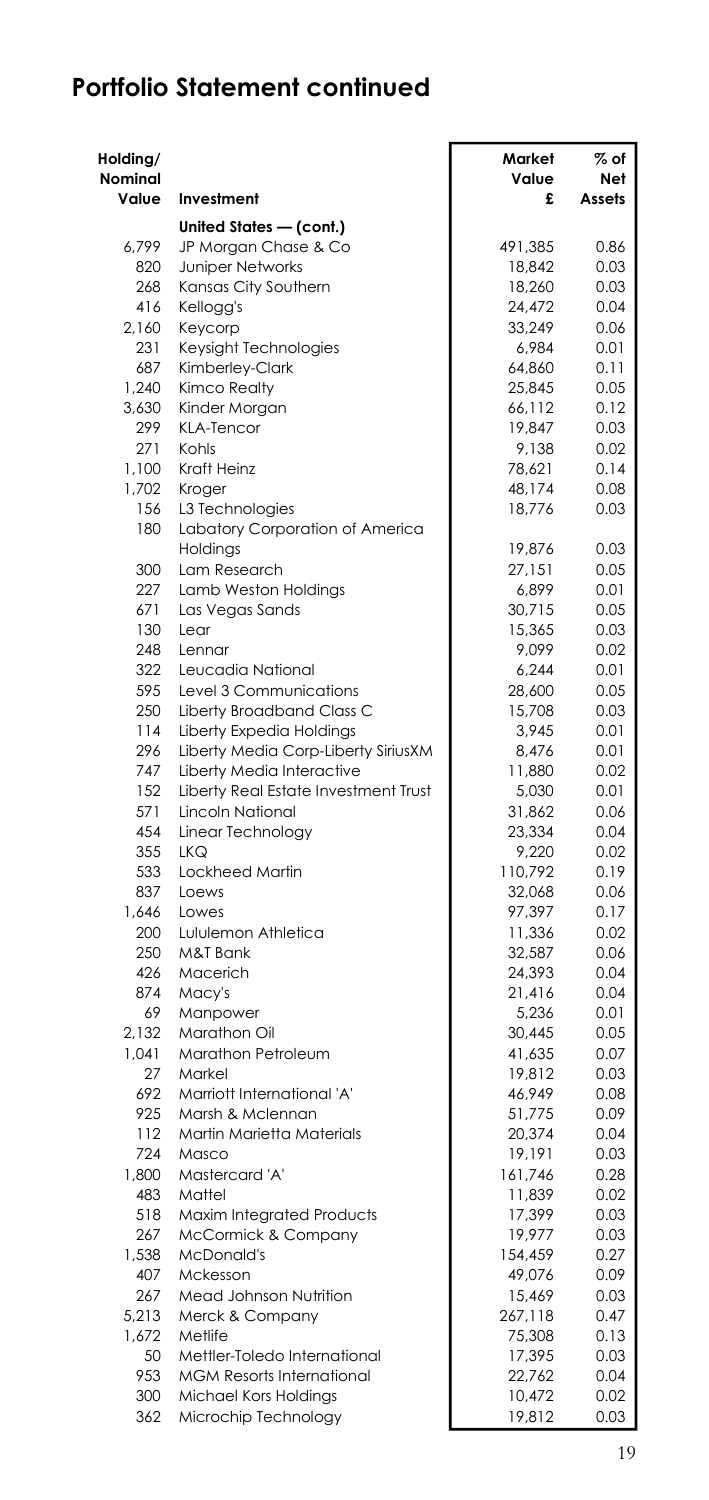| Holding/<br>Nominal |                                                     | Market<br>Value  | % of<br>Net  |
|---------------------|-----------------------------------------------------|------------------|--------------|
| Value               | Investment                                          | £                | Assets       |
|                     | United States - (cont.)                             |                  |              |
| 6.799               | JP Morgan Chase & Co                                | 491,385          | 0.86         |
| 820                 | <b>Juniper Networks</b>                             | 18,842           | 0.03         |
| 268                 | Kansas City Southern                                | 18,260           | 0.03         |
| 416                 | Kellogg's                                           | 24,472           | 0.04         |
| 2,160               | Keycorp                                             | 33,249           | 0.06         |
| 231<br>687          | Keysight Technologies<br>Kimberley-Clark            | 6,984<br>64,860  | 0.01<br>0.11 |
| 1,240               | <b>Kimco Realty</b>                                 | 25,845           | 0.05         |
| 3.630               | Kinder Morgan                                       | 66,112           | 0.12         |
| 299                 | <b>KLA-Tencor</b>                                   | 19,847           | 0.03         |
| 271                 | Kohls                                               | 9,138            | 0.02         |
| 1,100               | <b>Kraft Heinz</b>                                  | 78,621           | 0.14         |
| 1,702               | Kroger                                              | 48,174           | 0.08         |
| 156                 | L3 Technologies                                     | 18,776           | 0.03         |
| 180                 | Labatory Corporation of America                     |                  |              |
|                     | Holdings                                            | 19,876           | 0.03         |
| 300                 | Lam Research                                        | 27,151           | 0.05         |
| 227                 | Lamb Weston Holdings                                | 6,899            | 0.01         |
| 671                 | Las Vegas Sands                                     | 30,715           | 0.05         |
| 130                 | Lear                                                | 15,365           | 0.03         |
| 248                 | Lennar                                              | 9,099            | 0.02         |
| 322                 | Leucadia National                                   | 6,244            | 0.01         |
| 595<br>250          | Level 3 Communications<br>Liberty Broadband Class C | 28,600<br>15,708 | 0.05<br>0.03 |
| 114                 | Liberty Expedia Holdings                            | 3,945            | 0.01         |
| 296                 | Liberty Media Corp-Liberty SiriusXM                 | 8.476            | 0.01         |
| 747                 | Liberty Media Interactive                           | 11,880           | 0.02         |
| 152                 | Liberty Real Estate Investment Trust                | 5,030            | 0.01         |
| 571                 | <b>Lincoln National</b>                             | 31,862           | 0.06         |
| 454                 | Linear Technology                                   | 23,334           | 0.04         |
| 355                 | <b>LKQ</b>                                          | 9,220            | 0.02         |
| 533                 | Lockheed Martin                                     | 110,792          | 0.19         |
| 837                 | Loews                                               | 32,068           | 0.06         |
| 1,646               | Lowes                                               | 97,397           | 0.17         |
| 200                 | Lululemon Athletica                                 | 11,336           | 0.02         |
| 250                 | M&T Bank                                            | 32,587           | 0.06         |
| 426                 | Macerich                                            | 24,393           | 0.04         |
| 874                 | Macy's                                              | 21,416           | 0.04         |
| 69                  | Manpower                                            | 5,236            | 0.01         |
| 2,132<br>1,041      | Marathon Oil<br>Marathon Petroleum                  | 30,445           | 0.05<br>0.07 |
| 27                  | Markel                                              | 41,635<br>19,812 | 0.03         |
| 692                 | Marriott International 'A'                          | 46,949           | 0.08         |
| 925                 | Marsh & Mclennan                                    | 51,775           | 0.09         |
| 112                 | Martin Marietta Materials                           | 20,374           | 0.04         |
| 724                 | Masco                                               | 19,191           | 0.03         |
| 1,800               | Mastercard 'A'                                      | 161,746          | 0.28         |
| 483                 | Mattel                                              | 11,839           | 0.02         |
| 518                 | Maxim Integrated Products                           | 17,399           | 0.03         |
| 267                 | McCormick & Company                                 | 19,977           | 0.03         |
| 1,538               | McDonald's                                          | 154,459          | 0.27         |
| 407                 | Mckesson                                            | 49,076           | 0.09         |
| 267                 | Mead Johnson Nutrition                              | 15,469           | 0.03         |
| 5.213               | Merck & Company                                     | 267,118          | 0.47         |
| 1,672               | Metlife                                             | 75,308           | 0.13         |
| 50                  | Mettler-Toledo International                        | 17,395           | 0.03         |
| 953                 | <b>MGM Resorts International</b>                    | 22,762           | 0.04         |
| 300                 | Michael Kors Holdings                               | 10,472           | 0.02<br>0.03 |
| 362                 | Microchip Technology                                | 19,812           |              |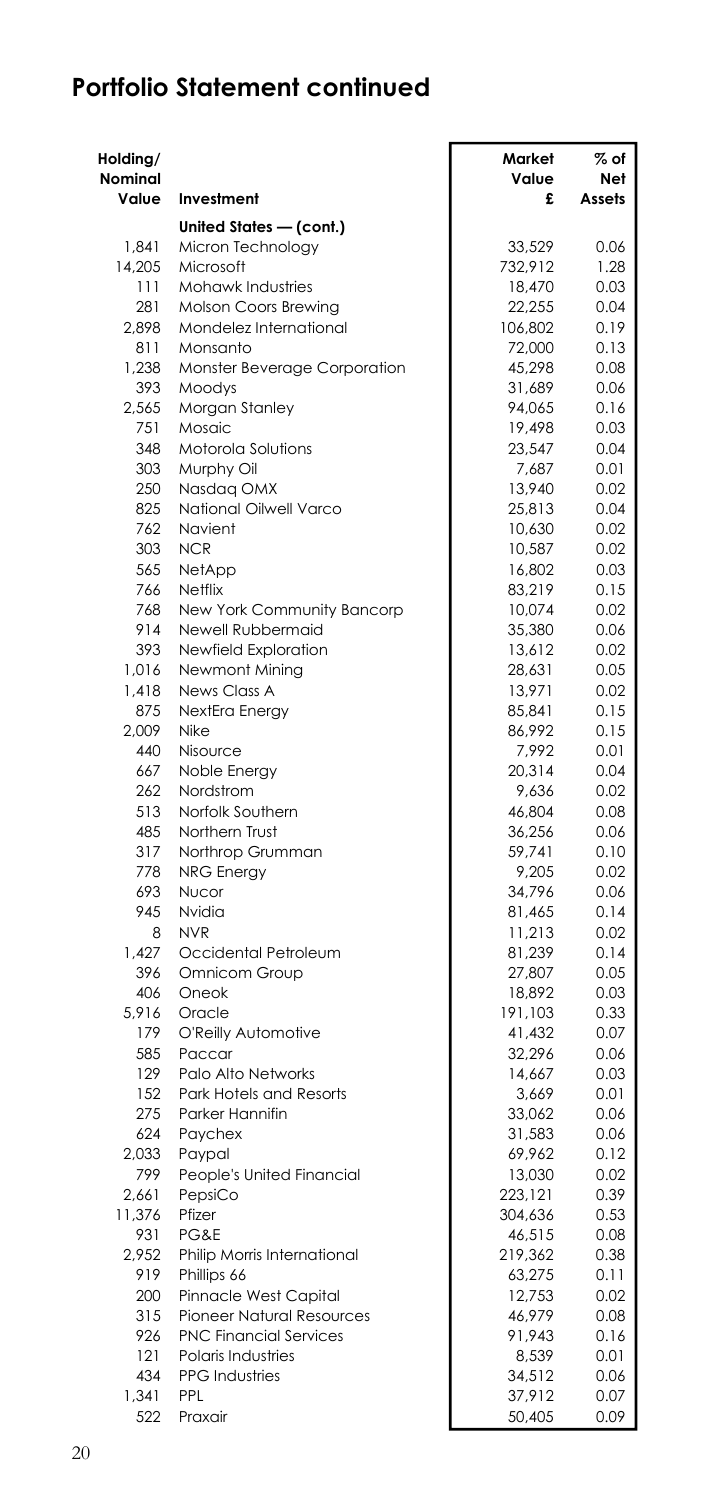| Holding/     |                                          | Market           | % of         |
|--------------|------------------------------------------|------------------|--------------|
| Nominal      |                                          | Value            | Net          |
| Value        | Investment                               | £                | Assets       |
|              | United States - (cont.)                  |                  |              |
| 1.841        | Micron Technology                        | 33.529           | 0.06         |
| 14,205       | Microsoft                                | 732,912          | 1.28         |
| 111          | Mohawk Industries                        | 18,470           | 0.03         |
| 281          | Molson Coors Brewing                     | 22,255           | 0.04         |
| 2.898        | Mondelez International                   | 106,802          | 0.19         |
| 811<br>1.238 | Monsanto<br>Monster Beverage Corporation | 72,000<br>45,298 | 0.13<br>0.08 |
| 393          | Moodys                                   | 31,689           | 0.06         |
| 2.565        | Morgan Stanley                           | 94,065           | 0.16         |
| 751          | Mosaic                                   | 19,498           | 0.03         |
| 348          | Motorola Solutions                       | 23,547           | 0.04         |
| 303          | Murphy Oil                               | 7,687            | 0.01         |
| 250          | Nasdaq OMX                               | 13,940           | 0.02         |
| 825          | National Oilwell Varco                   | 25,813           | 0.04         |
| 762          | Navient                                  | 10,630           | 0.02         |
| 303          | <b>NCR</b>                               | 10,587           | 0.02         |
| 565          | NetApp                                   | 16,802           | 0.03         |
| 766          | Netflix                                  | 83,219           | 0.15         |
| 768          | New York Community Bancorp               | 10,074           | 0.02         |
| 914          | Newell Rubbermaid                        | 35,380           | 0.06         |
| 393          | Newfield Exploration                     | 13,612           | 0.02         |
| 1,016        | Newmont Mining                           | 28,631           | 0.05         |
| 1,418<br>875 | News Class A<br>NextEra Energy           | 13,971<br>85,841 | 0.02<br>0.15 |
| 2,009        | Nike                                     | 86,992           | 0.15         |
| 440          | Nisource                                 | 7,992            | 0.01         |
| 667          | Noble Energy                             | 20,314           | 0.04         |
| 262          | Nordstrom                                | 9,636            | 0.02         |
| 513          | Norfolk Southern                         | 46,804           | 0.08         |
| 485          | Northern Trust                           | 36,256           | 0.06         |
| 317          | Northrop Grumman                         | 59,741           | 0.10         |
| 778          | <b>NRG Energy</b>                        | 9,205            | 0.02         |
| 693          | Nucor                                    | 34,796           | 0.06         |
| 945          | Nvidia                                   | 81,465           | 0.14         |
| 8            | <b>NVR</b>                               | 11,213           | 0.02         |
| 1,427        | Occidental Petroleum                     | 81,239           | 0.14         |
| 396          | Omnicom Group                            | 27,807           | 0.05         |
| 406          | Oneok                                    | 18,892           | 0.03         |
| 5,916<br>179 | Oracle<br>O'Reilly Automotive            | 191,103          | 0.33<br>0.07 |
| 585          | Paccar                                   | 41,432<br>32,296 | 0.06         |
| 129          | Palo Alto Networks                       | 14,667           | 0.03         |
| 152          | Park Hotels and Resorts                  | 3,669            | 0.01         |
| 275          | Parker Hannifin                          | 33,062           | 0.06         |
| 624          | Paychex                                  | 31,583           | 0.06         |
| 2,033        | Paypal                                   | 69,962           | 0.12         |
| 799          | People's United Financial                | 13,030           | 0.02         |
| 2,661        | PepsiCo                                  | 223,121          | 0.39         |
| 11,376       | Pfizer                                   | 304,636          | 0.53         |
| 931          | PG&E                                     | 46,515           | 0.08         |
| 2.952        | Philip Morris International              | 219,362          | 0.38         |
| 919          | Phillips 66                              | 63,275           | 0.11         |
| 200          | Pinnacle West Capital                    | 12,753           | 0.02         |
| 315          | <b>Pioneer Natural Resources</b>         | 46,979           | 0.08         |
| 926          | <b>PNC Financial Services</b>            | 91,943           | 0.16         |
| 121          | Polaris Industries                       | 8,539            | 0.01         |
| 434          | <b>PPG</b> Industries                    | 34,512           | 0.06         |
| 1,341        | PPL                                      | 37,912           | 0.07         |
| 522          | Praxair                                  | 50,405           | 0.09         |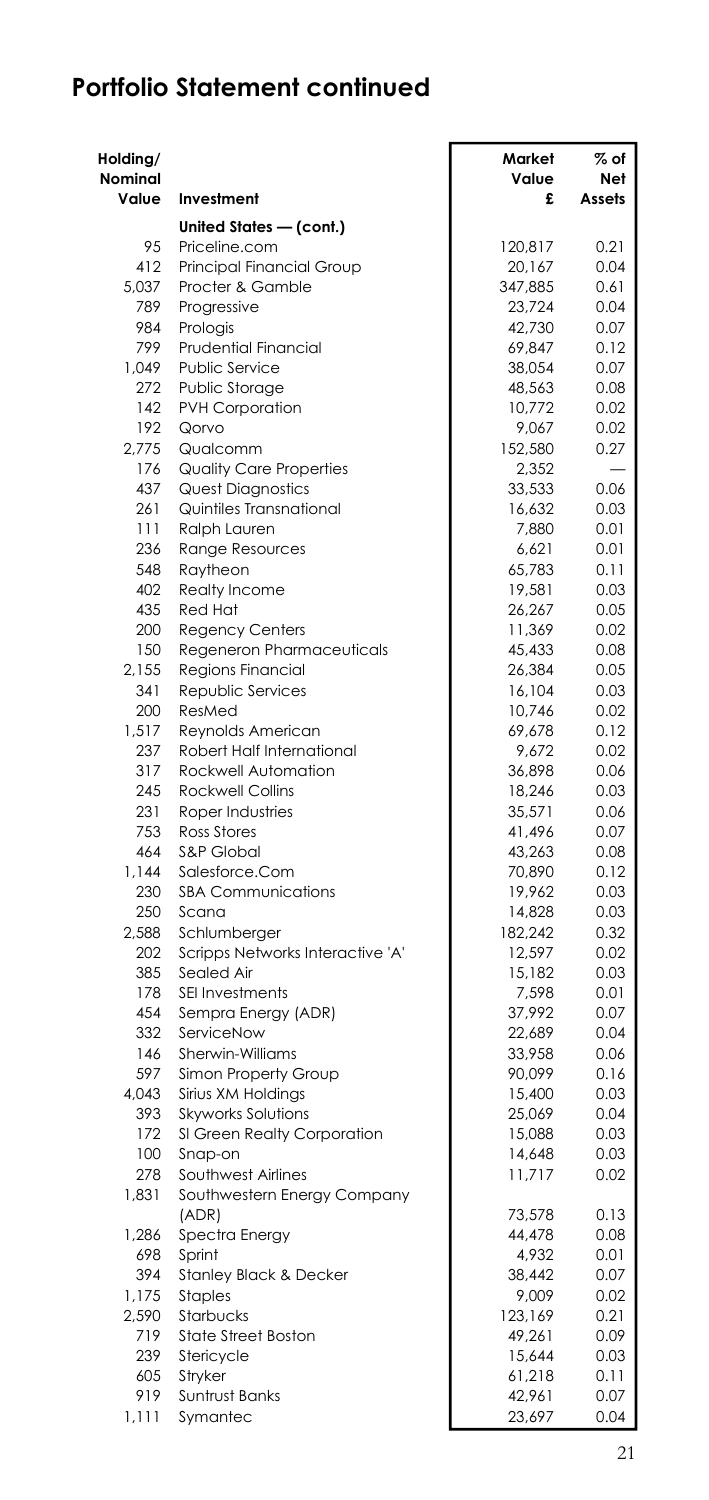| Holding/     |                                                  | Market            | % of         |
|--------------|--------------------------------------------------|-------------------|--------------|
| Nominal      |                                                  | Value             | Net          |
| Value        | Investment                                       | £                 | Assets       |
|              | United States - (cont.)                          |                   |              |
| 95           | Priceline.com                                    | 120.817           | 0.21         |
| 412<br>5,037 | Principal Financial Group<br>Procter & Gamble    | 20,167<br>347,885 | 0.04<br>0.61 |
| 789          | Progressive                                      | 23,724            | 0.04         |
| 984          | Prologis                                         | 42,730            | 0.07         |
| 799          | <b>Prudential Financial</b>                      | 69,847            | 0.12         |
| 1,049        | Public Service                                   | 38,054            | 0.07         |
| 272          | <b>Public Storage</b>                            | 48,563            | 0.08         |
| 142          | <b>PVH Corporation</b>                           | 10,772            | 0.02         |
| 192          | Qorvo                                            | 9,067             | 0.02         |
| 2,775        | Qualcomm                                         | 152,580           | 0.27         |
| 176          | <b>Quality Care Properties</b>                   | 2,352             |              |
| 437          | <b>Quest Diagnostics</b>                         | 33,533            | 0.06         |
| 261          | Quintiles Transnational                          | 16,632            | 0.03         |
| 111          | Ralph Lauren                                     | 7,880             | 0.01         |
| 236          | <b>Range Resources</b>                           | 6,621             | 0.01         |
| 548<br>402   | Raytheon                                         | 65,783            | 0.11<br>0.03 |
| 435          | Realty Income<br><b>Red Hat</b>                  | 19,581<br>26,267  | 0.05         |
| 200          | <b>Regency Centers</b>                           | 11,369            | 0.02         |
| 150          | Regeneron Pharmaceuticals                        | 45,433            | 0.08         |
| 2,155        | Regions Financial                                | 26,384            | 0.05         |
| 341          | Republic Services                                | 16,104            | 0.03         |
| 200          | ResMed                                           | 10,746            | 0.02         |
| 1,517        | Reynolds American                                | 69,678            | 0.12         |
| 237          | Robert Half International                        | 9,672             | 0.02         |
| 317          | Rockwell Automation                              | 36,898            | 0.06         |
| 245          | Rockwell Collins                                 | 18,246            | 0.03         |
| 231          | Roper Industries                                 | 35,571            | 0.06         |
| 753          | <b>Ross Stores</b>                               | 41,496            | 0.07         |
| 464          | S&P Global                                       | 43,263            | 0.08         |
| 1,144        | Salesforce.Com                                   | 70,890            | 0.12         |
| 230          | <b>SBA Communications</b>                        | 19.962            | 0.03         |
| 250          | Scana                                            | 14,828            | 0.03         |
| 2,588<br>202 | Schlumberger<br>Scripps Networks Interactive 'A' | 182,242<br>12,597 | 0.32<br>0.02 |
| 385          | Sealed Air                                       | 15,182            | 0.03         |
| 178          | SEI Investments                                  | 7,598             | 0.01         |
| 454          | Sempra Energy (ADR)                              | 37,992            | 0.07         |
| 332          | ServiceNow                                       | 22,689            | 0.04         |
| 146          | Sherwin-Williams                                 | 33,958            | 0.06         |
| 597          | Simon Property Group                             | 90,099            | 0.16         |
| 4.043        | Sirius XM Holdings                               | 15,400            | 0.03         |
| 393          | Skyworks Solutions                               | 25,069            | 0.04         |
| 172          | SI Green Realty Corporation                      | 15,088            | 0.03         |
| 100          | Snap-on                                          | 14,648            | 0.03         |
| 278          | Southwest Airlines                               | 11,717            | 0.02         |
| 1,831        | Southwestern Energy Company                      |                   |              |
|              | (ADR)                                            | 73,578            | 0.13         |
| 1,286        | Spectra Energy                                   | 44,478            | 0.08         |
| 698          | Sprint                                           | 4,932             | 0.01         |
| 394          | <b>Stanley Black &amp; Decker</b>                | 38,442            | 0.07         |
| 1,175        | <b>Staples</b>                                   | 9,009             | 0.02         |
| 2,590<br>719 | Starbucks<br><b>State Street Boston</b>          | 123,169<br>49,261 | 0.21<br>0.09 |
| 239          | Stericycle                                       | 15,644            | 0.03         |
| 605          | Stryker                                          | 61,218            | 0.11         |
| 919          | Suntrust Banks                                   | 42,961            | 0.07         |
| 1,111        | Symantec                                         | 23,697            | 0.04         |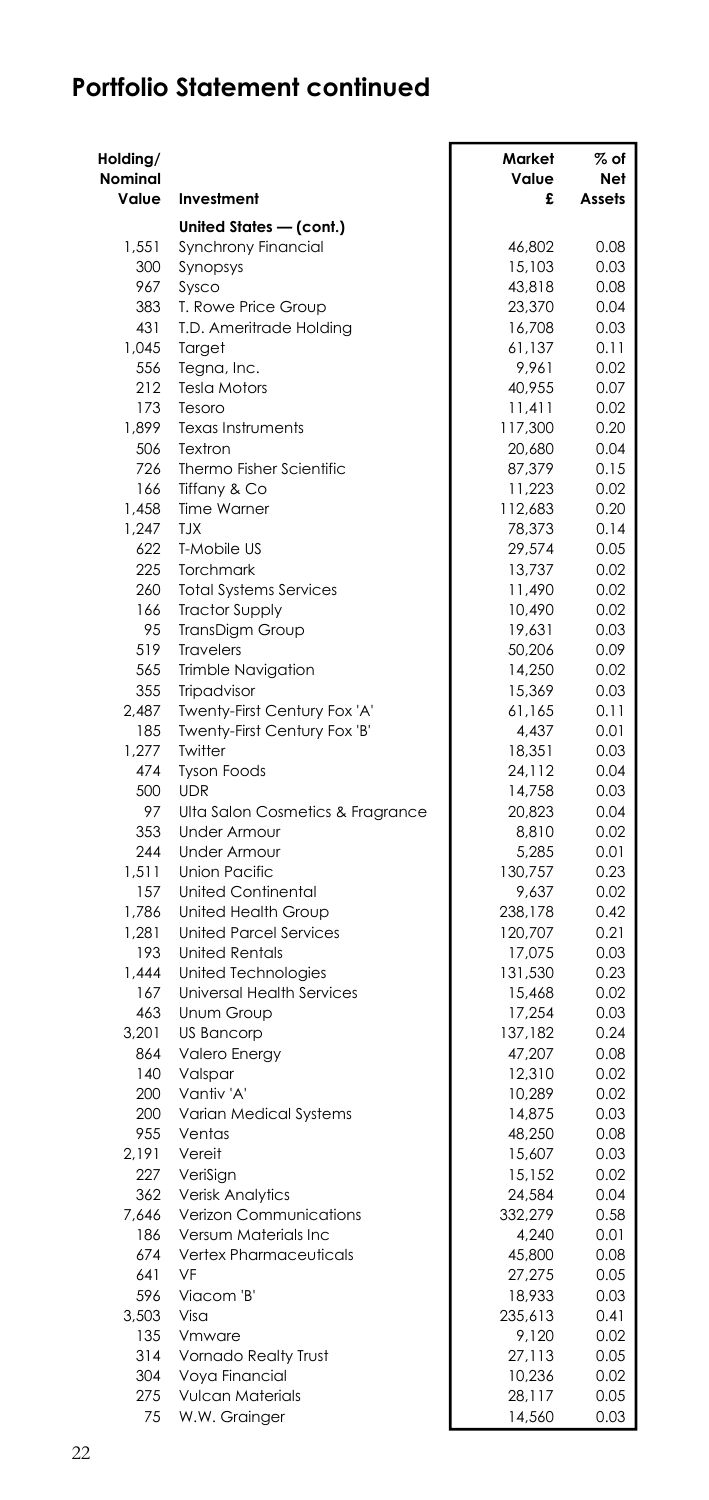| Holding/<br>Nominal |                                    | Market<br>Value   | $\%$ of<br>Net |
|---------------------|------------------------------------|-------------------|----------------|
| Value               | Investment                         | £                 | Assets         |
|                     | United States - (cont.)            |                   |                |
| 1,551               | Synchrony Financial                | 46.802            | 0.08           |
| 300                 | Synopsys                           | 15,103            | 0.03           |
| 967                 | Sysco                              | 43,818            | 0.08           |
| 383                 | T. Rowe Price Group                | 23,370            | 0.04           |
| 431                 | T.D. Ameritrade Holding            | 16,708            | 0.03           |
| 1.045               | Target                             | 61,137            | 0.11           |
| 556                 | Tegna, Inc.                        | 9,961             | 0.02           |
| 212                 | <b>Tesla Motors</b>                | 40,955            | 0.07           |
| 173<br>1,899        | Tesoro<br><b>Texas Instruments</b> | 11,411            | 0.02<br>0.20   |
| 506                 | Textron                            | 117,300<br>20,680 | 0.04           |
| 726                 | Thermo Fisher Scientific           | 87,379            | 0.15           |
| 166                 | Tiffany & Co                       | 11,223            | 0.02           |
| 1,458               | <b>Time Warner</b>                 | 112,683           | 0.20           |
| 1,247               | <b>TJX</b>                         | 78,373            | 0.14           |
| 622                 | T-Mobile US                        | 29,574            | 0.05           |
| 225                 | Torchmark                          | 13,737            | 0.02           |
| 260                 | <b>Total Systems Services</b>      | 11,490            | 0.02           |
| 166                 | <b>Tractor Supply</b>              | 10,490            | 0.02           |
| 95                  | TransDigm Group                    | 19,631            | 0.03           |
| 519                 | Travelers                          | 50,206            | 0.09           |
| 565                 | Trimble Navigation                 | 14,250            | 0.02           |
| 355                 | Tripadvisor                        | 15,369            | 0.03           |
| 2,487               | Twenty-First Century Fox 'A'       | 61,165            | 0.11           |
| 185<br>1,277        | Twenty-First Century Fox 'B'       | 4,437             | 0.01           |
| 474                 | Twitter<br><b>Tyson Foods</b>      | 18,351<br>24,112  | 0.03<br>0.04   |
| 500                 | <b>UDR</b>                         | 14,758            | 0.03           |
| 97                  | Ulta Salon Cosmetics & Fragrance   | 20,823            | 0.04           |
| 353                 | <b>Under Armour</b>                | 8,810             | 0.02           |
| 244                 | Under Armour                       | 5,285             | 0.01           |
| 1,511               | <b>Union Pacific</b>               | 130,757           | 0.23           |
| 157                 | <b>United Continental</b>          | 9.637             | 0.02           |
| 1,786               | United Health Group                | 238,178           | 0.42           |
| 1,281               | <b>United Parcel Services</b>      | 120,707           | 0.21           |
| 193                 | <b>United Rentals</b>              | 17,075            | 0.03           |
| 1,444               | United Technologies                | 131,530           | 0.23           |
| 167                 | <b>Universal Health Services</b>   | 15,468            | 0.02           |
| 463                 | Unum Group                         | 17,254            | 0.03           |
| 3,201               | <b>US Bancorp</b>                  | 137,182           | 0.24           |
| 864                 | <b>Valero Energy</b>               | 47,207            | 0.08           |
| 140<br>200          | Valspar<br>Vantiv 'A'              | 12,310            | 0.02<br>0.02   |
| 200                 | Varian Medical Systems             | 10,289<br>14,875  | 0.03           |
| 955                 | Ventas                             | 48,250            | 0.08           |
| 2,191               | Vereit                             | 15,607            | 0.03           |
| 227                 | VeriSign                           | 15,152            | 0.02           |
| 362                 | <b>Verisk Analytics</b>            | 24,584            | 0.04           |
| 7,646               | Verizon Communications             | 332,279           | 0.58           |
| 186                 | Versum Materials Inc               | 4,240             | 0.01           |
| 674                 | <b>Vertex Pharmaceuticals</b>      | 45,800            | 0.08           |
| 641                 | VF                                 | 27,275            | 0.05           |
| 596                 | Viacom 'B'                         | 18,933            | 0.03           |
| 3,503               | Visa                               | 235,613           | 0.41           |
| 135                 | Vmware                             | 9,120             | 0.02           |
| 314                 | Vornado Realty Trust               | 27,113            | 0.05           |
| 304                 | Voya Financial                     | 10,236            | 0.02           |
| 275                 | Vulcan Materials                   | 28,117            | 0.05           |
| 75                  | W.W. Grainger                      | 14,560            | 0.03           |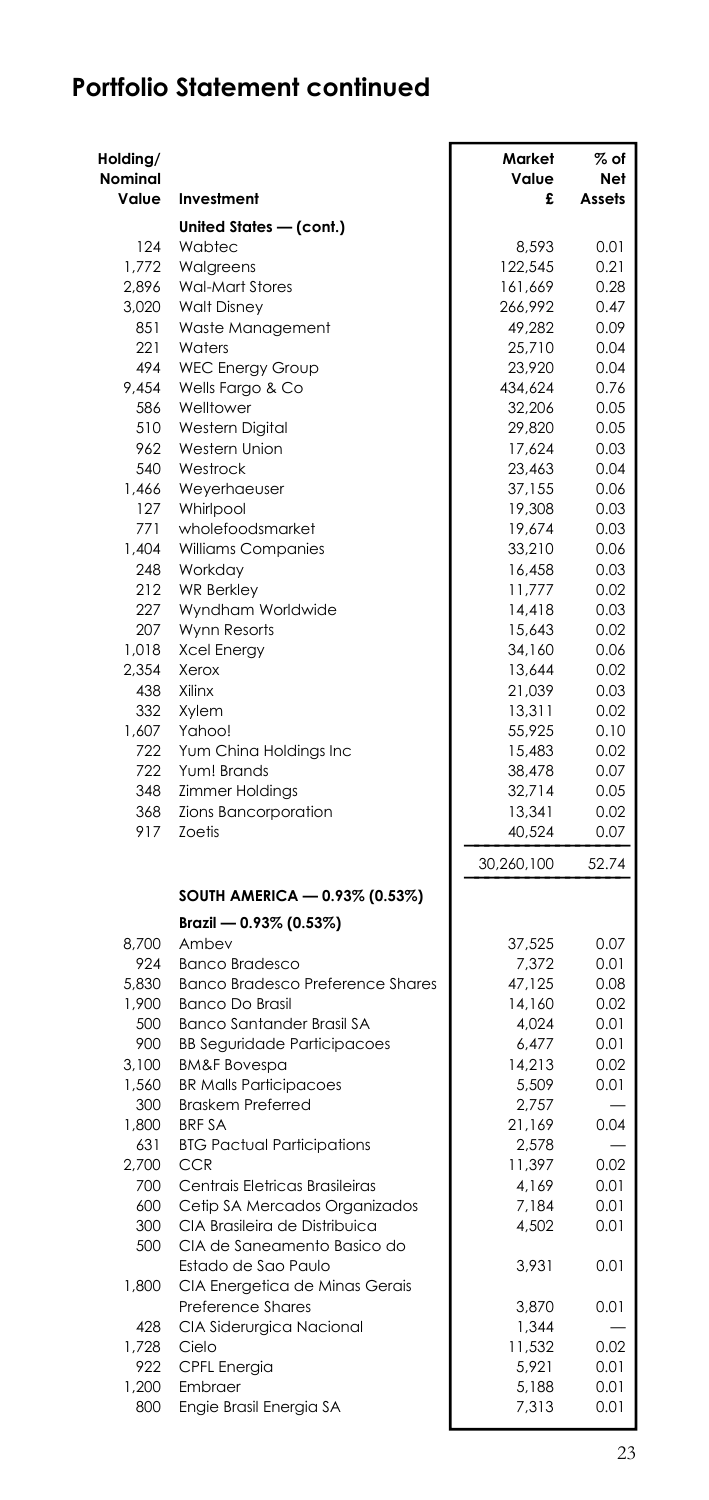| Holding/<br>Nominal<br>Value | Investment                                                        | Market<br>Value<br>£ | $%$ of<br>Net<br>Assets |
|------------------------------|-------------------------------------------------------------------|----------------------|-------------------------|
|                              | United States - (cont.)                                           |                      |                         |
| 124                          | Wabtec                                                            | 8,593                | 0.01                    |
| 1,772                        | Walgreens                                                         | 122,545              | 0.21                    |
| 2.896                        | <b>Wal-Mart Stores</b>                                            | 161,669              | 0.28                    |
| 3,020                        | <b>Walt Disney</b>                                                | 266,992              | 0.47                    |
| 851                          | Waste Management                                                  | 49,282               | 0.09                    |
| 221                          | Waters                                                            | 25,710               | 0.04                    |
| 494                          | <b>WEC Energy Group</b>                                           | 23,920               | 0.04                    |
| 9,454                        | Wells Fargo & Co                                                  | 434,624              | 0.76                    |
| 586                          | Welltower                                                         | 32,206               | 0.05                    |
| 510                          | <b>Western Digital</b>                                            | 29,820               | 0.05                    |
| 962                          | Western Union                                                     | 17,624               | 0.03                    |
| 540                          | Westrock                                                          | 23,463               | 0.04                    |
| 1,466                        | Weyerhaeuser                                                      | 37,155               | 0.06                    |
| 127                          | Whirlpool                                                         | 19,308               | 0.03                    |
| 771                          | wholefoodsmarket                                                  | 19,674               | 0.03                    |
| 1,404                        | Williams Companies                                                | 33,210               | 0.06                    |
| 248                          | Workday                                                           | 16,458               | 0.03                    |
| 212                          | <b>WR Berkley</b>                                                 | 11,777               | 0.02                    |
| 227<br>207                   | Wyndham Worldwide                                                 | 14,418               | 0.03<br>0.02            |
| 1,018                        | Wynn Resorts<br><b>Xcel Energy</b>                                | 15,643<br>34,160     | 0.06                    |
| 2,354                        | Xerox                                                             | 13,644               | 0.02                    |
| 438                          | Xilinx                                                            | 21,039               | 0.03                    |
| 332                          | Xvlem                                                             | 13,311               | 0.02                    |
| 1,607                        | Yahoo!                                                            | 55,925               | 0.10                    |
| 722                          | Yum China Holdings Inc                                            | 15,483               | 0.02                    |
| 722                          | Yum! Brands                                                       | 38,478               | 0.07                    |
| 348                          | <b>Zimmer Holdings</b>                                            | 32,714               | 0.05                    |
| 368                          | Zions Bancorporation                                              | 13,341               | 0.02                    |
| 917                          | <b>Zoetis</b>                                                     | 40,524               | 0.07                    |
|                              |                                                                   | 30,260,100           | 52.74                   |
|                              | SOUTH AMERICA - 0.93% (0.53%)                                     |                      |                         |
|                              | Brazil - 0.93% (0.53%)                                            |                      |                         |
| 8.700                        | Ambev                                                             | 37,525               | 0.07                    |
| 924                          | <b>Banco Bradesco</b>                                             | 7,372                | 0.01                    |
| 5,830<br>1,900               | <b>Banco Bradesco Preference Shares</b><br><b>Banco Do Brasil</b> | 47,125<br>14,160     | 0.08                    |
| 500                          | Banco Santander Brasil SA                                         | 4,024                | 0.02<br>0.01            |
| 900                          | <b>BB Seguridade Participacoes</b>                                | 6.477                | 0.01                    |
| 3,100                        | <b>BM&amp;F Bovespa</b>                                           | 14,213               | 0.02                    |
| 1,560                        | <b>BR Malls Participacoes</b>                                     | 5,509                | 0.01                    |
| 300                          | <b>Braskem Preferred</b>                                          | 2,757                |                         |
| 1,800                        | <b>BRF SA</b>                                                     | 21,169               | 0.04                    |
| 631                          | <b>BTG Pactual Participations</b>                                 | 2,578                |                         |
| 2,700                        | CCR                                                               | 11,397               | 0.02                    |
| 700                          | Centrais Eletricas Brasileiras                                    | 4,169                | 0.01                    |
| 600                          | Cetip SA Mercados Organizados                                     | 7,184                | 0.01                    |
| 300                          | CIA Brasileira de Distribuica                                     | 4,502                | 0.01                    |
| 500                          | CIA de Saneamento Basico do<br>Estado de Sao Paulo                | 3,931                | 0.01                    |
| 1,800                        | CIA Energetica de Minas Gerais                                    |                      |                         |
|                              | <b>Preference Shares</b>                                          | 3,870                | 0.01                    |
| 428                          | CIA Siderurgica Nacional                                          | 1,344                |                         |
| 1,728                        | Cielo                                                             | 11,532               | 0.02                    |
| 922<br>1,200                 | CPFL Energia                                                      | 5,921<br>5,188       | 0.01                    |
| 800                          | Embraer<br>Engie Brasil Energia SA                                | 7,313                | 0.01<br>0.01            |
|                              |                                                                   |                      |                         |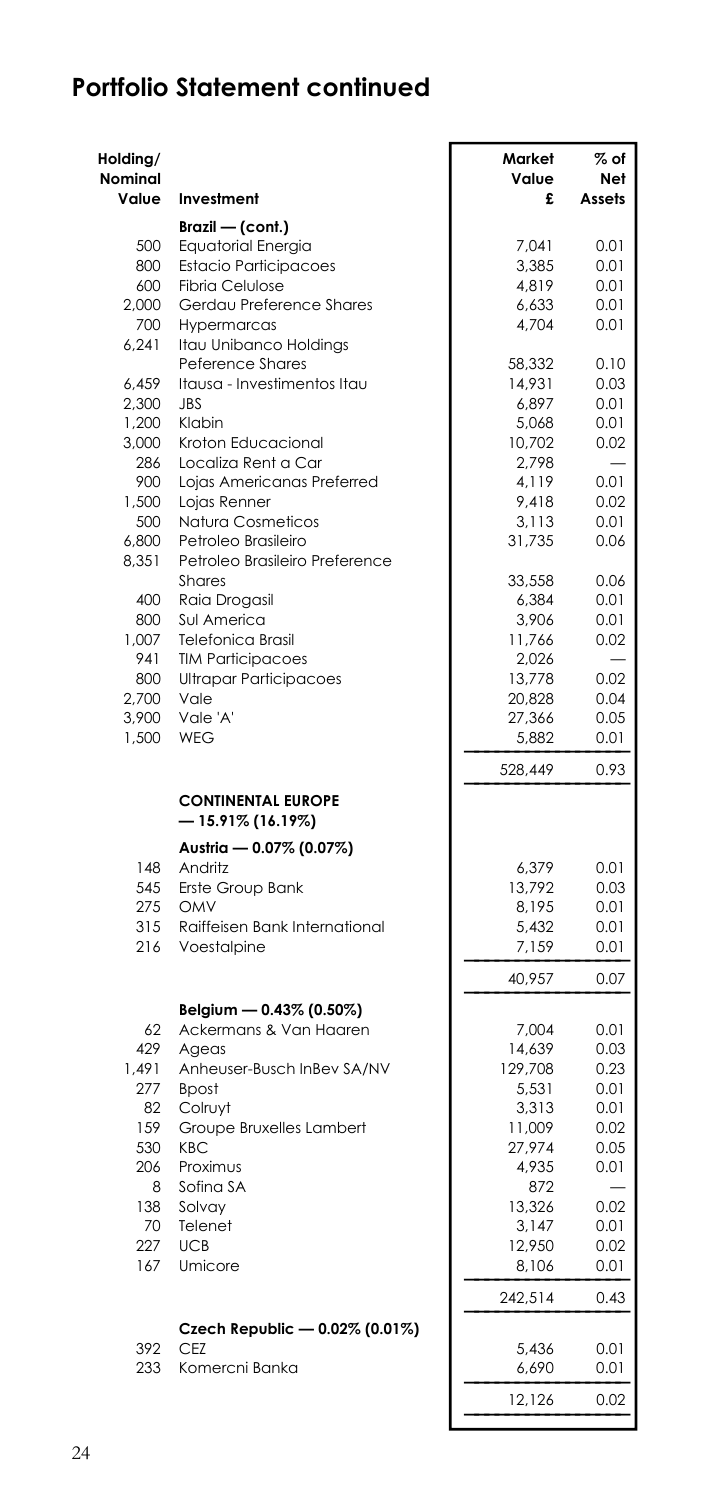| Holding/<br>Nominal |                                                | Market<br>Value  | $%$ of<br>Net |
|---------------------|------------------------------------------------|------------------|---------------|
| Value               | Investment                                     | £                | Assets        |
|                     | Brazil — (cont.)                               |                  |               |
| 500                 | Equatorial Energia                             | 7.041            | 0.01          |
| 800                 | <b>Estacio Participacoes</b>                   | 3,385            | 0.01          |
| 600                 | <b>Fibria Celulose</b>                         | 4,819            | 0.01          |
| 2.000               | Gerdau Preference Shares                       | 6,633            | 0.01          |
| 700<br>6,241        | Hypermarcas<br>Itau Unibanco Holdings          | 4,704            | 0.01          |
|                     | <b>Peference Shares</b>                        | 58,332           | 0.10          |
| 6,459               | Itausa - Investimentos Itau                    | 14,931           | 0.03          |
| 2,300               | <b>JBS</b>                                     | 6,897            | 0.01          |
| 1,200               | Klabin                                         | 5,068            | 0.01          |
| 3,000               | Kroton Educacional                             | 10,702           | 0.02          |
| 286                 | Localiza Rent a Car                            | 2,798            |               |
| 900                 | Lojas Americanas Preferred                     | 4,119            | 0.01          |
| 1,500<br>500        | Lojas Renner<br>Natura Cosmeticos              | 9,418<br>3,113   | 0.02<br>0.01  |
| 6,800               | Petroleo Brasileiro                            | 31,735           | 0.06          |
| 8,351               | Petroleo Brasileiro Preference                 |                  |               |
|                     | Shares                                         | 33,558           | 0.06          |
| 400                 | Raia Drogasil                                  | 6,384            | 0.01          |
| 800                 | Sul America                                    | 3,906            | 0.01          |
| 1,007               | <b>Telefonica Brasil</b>                       | 11,766           | 0.02          |
| 941                 | <b>TIM Participacoes</b>                       | 2,026            |               |
| 800<br>2.700        | Ultrapar Participacoes<br>Vale                 | 13,778           | 0.02          |
| 3,900               | Vale 'A'                                       | 20,828<br>27,366 | 0.04<br>0.05  |
| 1,500               | WEG                                            | 5,882            | 0.01          |
|                     |                                                |                  |               |
|                     |                                                | 528,449          | 0.93          |
|                     | <b>CONTINENTAL EUROPE</b><br>— 15.91% (16.19%) |                  |               |
|                     | Austria - 0.07% (0.07%)                        |                  |               |
| 148                 | Andritz                                        | 6,379            | 0.01          |
| 545<br>275          | Erste Group Bank<br>OMV                        | 13,792<br>8,195  | 0.03<br>0.01  |
| 315                 | Raiffeisen Bank International                  | 5,432            | 0.01          |
| 216                 | Voestalpine                                    | 7,159            | 0.01          |
|                     |                                                | 40,957           | 0.07          |
|                     | Belgium - 0.43% (0.50%)                        |                  |               |
| 62                  | Ackermans & Van Haaren                         | 7,004            | 0.01          |
| 429                 | Ageas                                          | 14,639           | 0.03          |
| 1,491               | Anheuser-Busch InBev SA/NV                     | 129,708          | 0.23          |
| 277                 | <b>Bpost</b>                                   | 5,531            | 0.01          |
| 82<br>159           | Colruyt<br>Groupe Bruxelles Lambert            | 3,313            | 0.01          |
| 530                 | <b>KBC</b>                                     | 11,009<br>27,974 | 0.02<br>0.05  |
| 206                 | Proximus                                       | 4,935            | 0.01          |
| 8                   | Sofina SA                                      | 872              |               |
| 138                 | Solvay                                         | 13,326           | 0.02          |
| 70                  | Telenet                                        | 3,147            | 0.01          |
| 227                 | <b>UCB</b>                                     | 12,950           | 0.02          |
| 167                 | Umicore                                        | 8,106            | 0.01          |
|                     |                                                | 242,514          | 0.43          |
|                     | Czech Republic - 0.02% (0.01%)                 |                  |               |
| 392<br>233          | <b>CEZ</b><br>Komercni Banka                   | 5,436<br>6,690   | 0.01<br>0.01  |
|                     |                                                | 12,126           | 0.02          |
|                     |                                                |                  |               |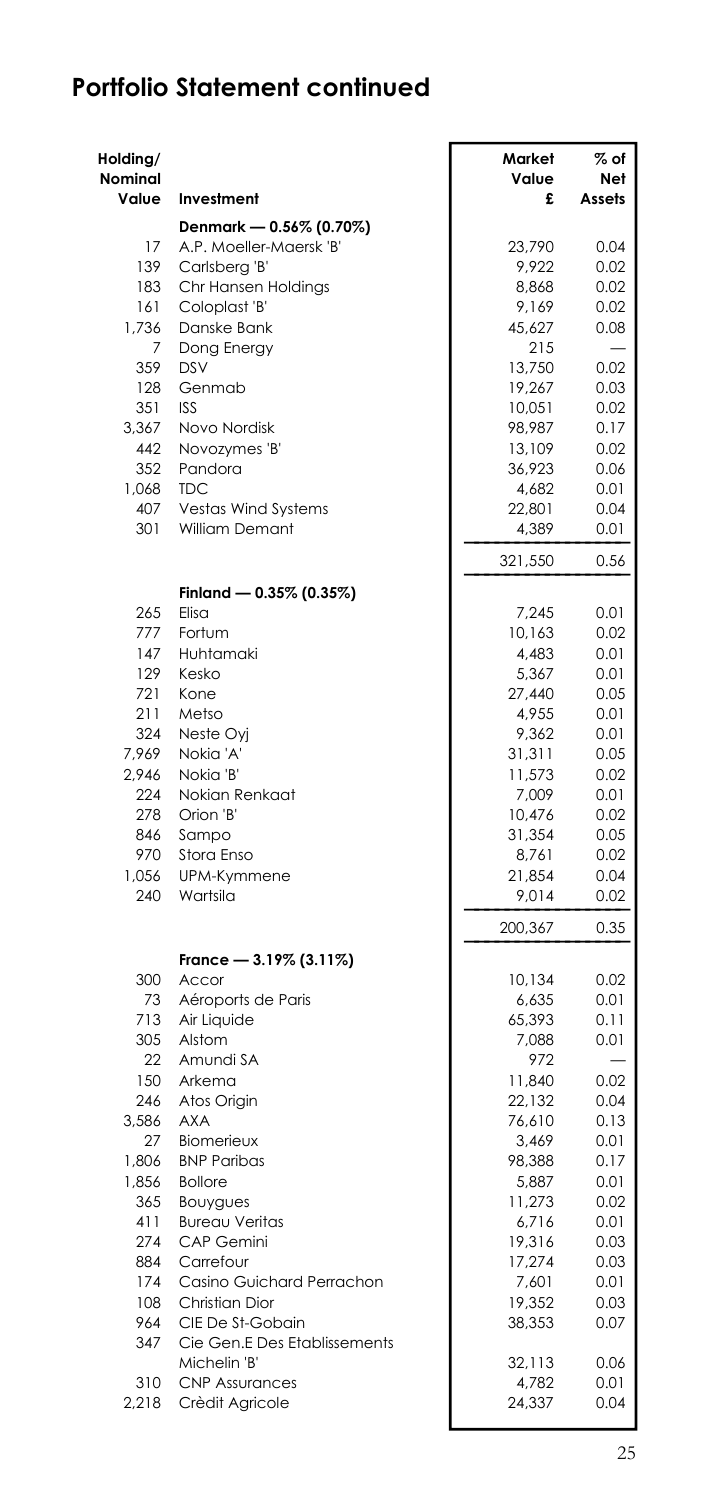| Holding/<br><b>Nominal</b><br>Value | Investment                        | Market<br>Value<br>£ | $%$ of<br><b>Net</b><br>Assets |
|-------------------------------------|-----------------------------------|----------------------|--------------------------------|
|                                     | Denmark - 0.56% (0.70%)           |                      |                                |
| 17                                  | A.P. Moeller-Maersk 'B'           | 23,790               | 0.04                           |
| 139                                 | Carlsberg 'B'                     | 9,922                | 0.02                           |
| 183                                 | Chr Hansen Holdings               | 8.868                | 0.02                           |
| 161                                 | Coloplast 'B'                     | 9,169                | 0.02                           |
| 1,736                               | Danske Bank                       | 45,627               | 0.08                           |
| 7                                   | Dong Energy                       | 215                  |                                |
| 359                                 | DSV                               | 13,750               | 0.02                           |
| 128                                 | Genmab                            | 19,267               | 0.03                           |
| 351                                 | <b>ISS</b>                        | 10,051               | 0.02                           |
| 3,367                               | Novo Nordisk                      | 98,987               | 0.17                           |
| 442                                 | Novozymes 'B'                     | 13,109               | 0.02                           |
| 352                                 | Pandora                           | 36,923               | 0.06                           |
| 1,068                               | <b>TDC</b>                        | 4,682                | 0.01                           |
| 407                                 | Vestas Wind Systems               | 22,801               | 0.04                           |
| 301                                 | William Demant                    | 4,389                | 0.01                           |
|                                     |                                   | 321,550              | 0.56                           |
|                                     | Finland - 0.35% (0.35%)<br>Flisa  |                      |                                |
| 265<br>777                          | Fortum                            | 7,245<br>10,163      | 0.01<br>0.02                   |
| 147                                 | Huhtamaki                         | 4,483                | 0.01                           |
| 129                                 | Kesko                             | 5,367                | 0.01                           |
| 721                                 | Kone                              | 27,440               | 0.05                           |
| 211                                 | Metso                             | 4,955                | 0.01                           |
| 324                                 | Neste Oyi                         | 9,362                | 0.01                           |
| 7,969                               | Nokia 'A'                         | 31,311               | 0.05                           |
| 2,946                               | Nokia 'B'                         | 11,573               | 0.02                           |
| 224                                 | Nokian Renkaat                    | 7,009                | 0.01                           |
| 278                                 | Orion 'B'                         | 10,476               | 0.02                           |
| 846                                 | Sampo                             | 31,354               | 0.05                           |
| 970                                 | Stora Enso                        | 8.761                | 0.02                           |
| 1,056                               | UPM-Kymmene                       | 21,854               | 0.04                           |
| 240                                 | Wartsila                          | 9,014                | 0.02                           |
|                                     |                                   | 200,367              | 0.35                           |
|                                     | France - 3.19% (3.11%)            |                      |                                |
| 300                                 | Accor                             | 10,134               | 0.02                           |
| 73                                  | Aéroports de Paris                | 6,635                | 0.01                           |
| 713                                 | Air Liquide                       | 65,393               | 0.11                           |
| 305                                 | Alstom                            | 7,088                | 0.01                           |
| 22                                  | Amundi SA                         | 972                  |                                |
| 150                                 | Arkema                            | 11,840               | 0.02                           |
| 246                                 | Atos Origin                       | 22,132               | 0.04                           |
| 3.586                               | <b>AXA</b>                        | 76,610               | 0.13                           |
| 27                                  | Biomerieux                        | 3,469                | 0.01                           |
| 1,806                               | <b>BNP Paribas</b>                | 98,388               | 0.17                           |
| 1,856<br>365                        | <b>Bollore</b>                    | 5,887                | 0.01<br>0.02                   |
| 411                                 | Bouygues<br><b>Bureau Veritas</b> | 11,273<br>6,716      | 0.01                           |
| 274                                 | CAP Gemini                        | 19,316               | 0.03                           |
| 884                                 | Carrefour                         | 17,274               | 0.03                           |
| 174                                 | Casino Guichard Perrachon         | 7,601                | 0.01                           |
| 108                                 | Christian Dior                    | 19,352               | 0.03                           |
| 964                                 | CIE De St-Gobain                  | 38,353               | 0.07                           |
| 347                                 | Cie Gen.E Des Etablissements      |                      |                                |
|                                     | Michelin 'B'                      | 32,113               | 0.06                           |
| 310                                 | <b>CNP Assurances</b>             | 4,782                | 0.01                           |
| 2,218                               | Crèdit Agricole                   | 24,337               | 0.04                           |
|                                     |                                   |                      |                                |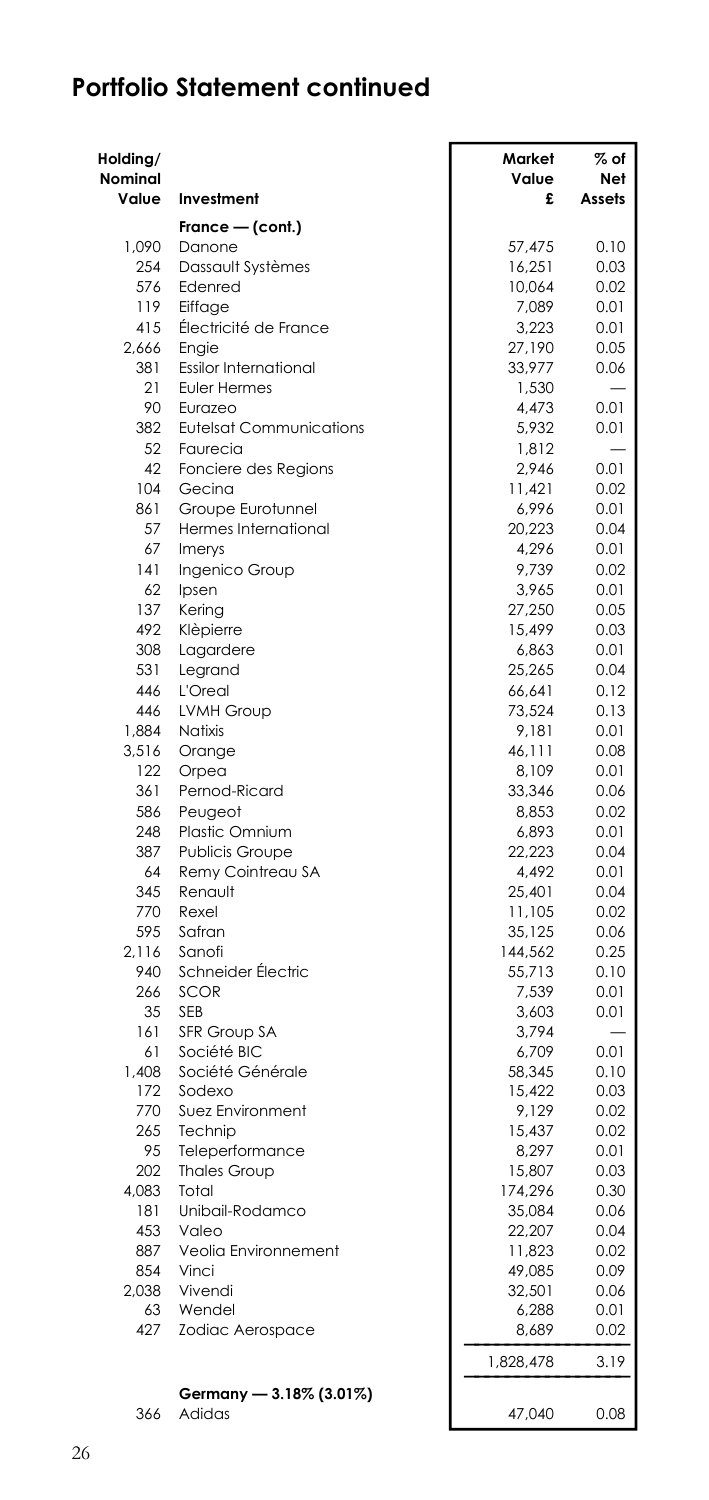| Holding/<br><b>Nominal</b><br>Value | Investment                                  | Market<br>Value<br>£ | $%$ of<br>Net<br>Assets |
|-------------------------------------|---------------------------------------------|----------------------|-------------------------|
|                                     | France — (cont.)                            |                      |                         |
| 1.090                               | Danone                                      | 57.475               | 0.10                    |
| 254                                 | Dassault Systèmes                           | 16,251               | 0.03                    |
| 576                                 | Edenred                                     | 10,064               | 0.02                    |
| 119                                 | Eiffage                                     | 7,089                | 0.01                    |
| 415                                 | Electricité de France                       | 3,223                | 0.01                    |
| 2.666                               | Enaie                                       | 27,190               | 0.05                    |
| 381                                 | <b>Essilor International</b>                | 33,977               | 0.06                    |
| 21                                  | <b>Euler Hermes</b>                         | 1,530                |                         |
| 90                                  | Eurazeo                                     | 4,473                | 0.01                    |
| 382                                 | <b>Eutelsat Communications</b>              | 5,932                | 0.01                    |
| 52                                  | Faurecia                                    | 1,812                |                         |
| 42                                  | Fonciere des Regions                        | 2,946                | 0.01                    |
| 104                                 | Gecina                                      | 11,421               | 0.02                    |
| 861<br>57                           | Groupe Eurotunnel                           | 6,996                | 0.01                    |
| 67                                  | Hermes International                        | 20,223               | 0.04                    |
| 141                                 | Imerys<br>Ingenico Group                    | 4,296<br>9,739       | 0.01<br>0.02            |
| 62                                  | Ipsen                                       | 3,965                | 0.01                    |
| 137                                 | Kering                                      | 27,250               | 0.05                    |
| 492                                 | Klèpierre                                   | 15,499               | 0.03                    |
| 308                                 | Lagardere                                   | 6,863                | 0.01                    |
| 531                                 | Legrand                                     | 25,265               | 0.04                    |
| 446                                 | L'Oreal                                     | 66,641               | 0.12                    |
| 446                                 | <b>LVMH Group</b>                           | 73,524               | 0.13                    |
| 1,884                               | Natixis                                     | 9,181                | 0.01                    |
| 3,516                               | Orange                                      | 46,111               | 0.08                    |
| 122                                 | Orpea                                       | 8,109                | 0.01                    |
| 361                                 | Pernod-Ricard                               | 33,346               | 0.06                    |
| 586                                 | Peugeot                                     | 8,853                | 0.02                    |
| 248                                 | Plastic Omnium                              | 6,893                | 0.01                    |
| 387<br>64                           | <b>Publicis Groupe</b><br>Remy Cointreau SA | 22,223<br>4,492      | 0.04<br>0.01            |
| 345                                 | Renault                                     | 25,401               | 0.04                    |
| 770                                 | Rexel                                       | 11,105               | 0.02                    |
| 595                                 | Safran                                      | 35,125               | 0.06                    |
| 2.116                               | Sanofi                                      | 144,562              | 0.25                    |
| 940                                 | Schneider Électric                          | 55,713               | 0.10                    |
| 266                                 | <b>SCOR</b>                                 | 7,539                | 0.01                    |
| 35                                  | <b>SEB</b>                                  | 3,603                | 0.01                    |
| 161                                 | SFR Group SA                                | 3,794                |                         |
| 61                                  | Société BIC                                 | 6,709                | 0.01                    |
| 1,408                               | Société Générale                            | 58,345               | 0.10                    |
| 172                                 | Sodexo                                      | 15,422               | 0.03                    |
| 770                                 | Suez Environment                            | 9,129                | 0.02                    |
| 265<br>95                           | Technip                                     | 15,437               | 0.02<br>0.01            |
| 202                                 | Teleperformance<br><b>Thales Group</b>      | 8,297<br>15,807      | 0.03                    |
| 4,083                               | Total                                       | 174,296              | 0.30                    |
| 181                                 | Unibail-Rodamco                             | 35,084               | 0.06                    |
| 453                                 | Valeo                                       | 22,207               | 0.04                    |
| 887                                 | Veolia Environnement                        | 11,823               | 0.02                    |
| 854                                 | Vinci                                       | 49,085               | 0.09                    |
| 2,038                               | Vivendi                                     | 32,501               | 0.06                    |
| 63                                  | Wendel                                      | 6,288                | 0.01                    |
| 427                                 | Zodiac Aerospace                            | 8,689                | 0.02                    |
|                                     |                                             | 1,828,478            | 3.19                    |
| 366                                 | Germany - 3.18% (3.01%)<br>Adidas           | 47,040               | 0.08                    |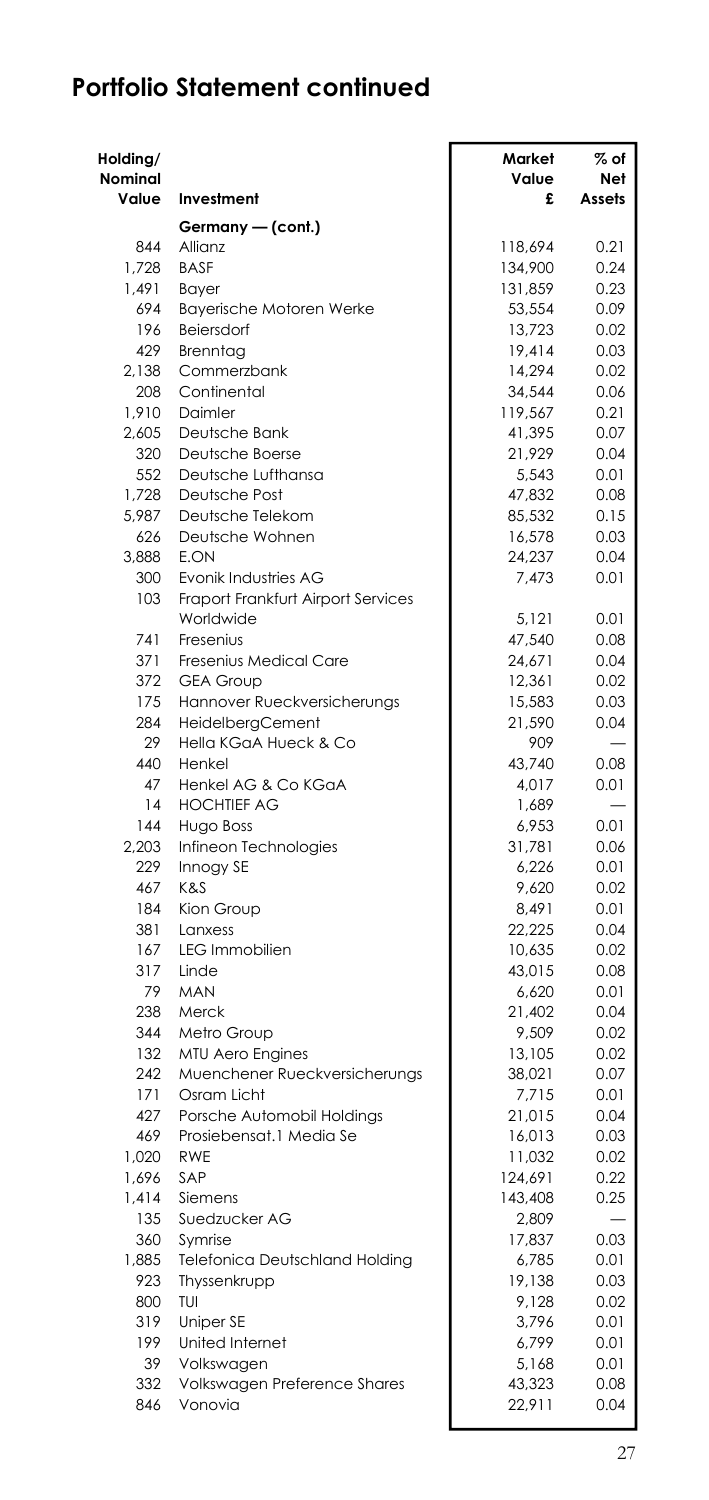| Holding/<br>Nominal |                                           | Market<br>Value  | $\%$ of<br>Net |
|---------------------|-------------------------------------------|------------------|----------------|
| Value               | Investment                                | £                | Assets         |
|                     | Germany — (cont.)                         |                  |                |
| 844                 | Allianz                                   | 118,694          | 0.21           |
| 1.728               | <b>BASE</b>                               | 134,900          | 0.24           |
| 1,491               | <b>Bayer</b>                              | 131,859          | 0.23           |
| 694                 | <b>Bayerische Motoren Werke</b>           | 53,554           | 0.09           |
| 196                 | Beiersdorf                                | 13,723           | 0.02           |
| 429<br>2,138        | Brenntag<br>Commerzbank                   | 19,414<br>14,294 | 0.03<br>0.02   |
| 208                 | Continental                               | 34,544           | 0.06           |
| 1.910               | Daimler                                   | 119.567          | 0.21           |
| 2,605               | Deutsche Bank                             | 41,395           | 0.07           |
| 320                 | Deutsche Boerse                           | 21,929           | 0.04           |
| 552                 | Deutsche Lufthansa                        | 5,543            | 0.01           |
| 1,728               | Deutsche Post                             | 47,832           | 0.08           |
| 5.987               | Deutsche Telekom                          | 85,532           | 0.15           |
| 626                 | Deutsche Wohnen                           | 16,578           | 0.03           |
| 3,888               | E.ON                                      | 24,237           | 0.04           |
| 300                 | Evonik Industries AG                      | 7,473            | 0.01           |
| 103                 | Fraport Frankfurt Airport Services        |                  |                |
|                     | Worldwide                                 | 5.121            | 0.01           |
| 741                 | Fresenius                                 | 47,540           | 0.08           |
| 371                 | Fresenius Medical Care                    | 24,671           | 0.04           |
| 372                 | <b>GEA Group</b>                          | 12,361           | 0.02           |
| 175                 | Hannover Rueckversicherungs               | 15,583           | 0.03           |
| 284                 | HeidelbergCement                          | 21,590           | 0.04           |
| 29                  | Hella KGaA Hueck & Co                     | 909              |                |
| 440                 | Henkel                                    | 43,740           | 0.08           |
| 47                  | Henkel AG & Co KGaA                       | 4,017            | 0.01           |
| 14<br>144           | <b>HOCHTIEF AG</b>                        | 1,689            |                |
| 2,203               | <b>Hugo Boss</b><br>Infineon Technologies | 6,953<br>31,781  | 0.01<br>0.06   |
| 229                 | Innogy SE                                 | 6,226            | 0.01           |
| 467                 | K&S                                       | 9,620            | 0.02           |
| 184                 | Kion Group                                | 8,491            | 0.01           |
| 381                 | Lanxess                                   | 22,225           | 0.04           |
| 167                 | LEG Immobilien                            | 10,635           | 0.02           |
| 317                 | Linde                                     | 43,015           | 0.08           |
| 79                  | <b>MAN</b>                                | 6,620            | 0.01           |
| 238                 | Merck                                     | 21,402           | 0.04           |
| 344                 | Metro Group                               | 9.509            | 0.02           |
| 132                 | <b>MTU Aero Engines</b>                   | 13,105           | 0.02           |
| 242                 | Muenchener Rueckversicherungs             | 38,021           | 0.07           |
| 171                 | Osram Licht                               | 7,715            | 0.01           |
| 427                 | Porsche Automobil Holdings                | 21,015           | 0.04           |
| 469                 | Prosiebensat.1 Media Se                   | 16,013           | 0.03           |
| 1.020               | <b>RWE</b>                                | 11,032           | 0.02           |
| 1,696               | SAP                                       | 124,691          | 0.22           |
| 1.414               | Siemens                                   | 143,408          | 0.25           |
| 135                 | Suedzucker AG                             | 2,809            |                |
| 360                 | Symrise                                   | 17,837           | 0.03           |
| 1.885               | <b>Telefonica Deutschland Holding</b>     | 6,785            | 0.01           |
| 923                 | Thyssenkrupp                              | 19,138           | 0.03           |
| 800                 | TUI                                       | 9,128            | 0.02           |
| 319<br>199          | Uniper SE                                 | 3,796            | 0.01           |
| 39                  | United Internet<br>Volkswagen             | 6,799<br>5,168   | 0.01<br>0.01   |
| 332                 | Volkswagen Preference Shares              | 43,323           | 0.08           |
| 846                 | Vonovia                                   | 22,911           | 0.04           |
|                     |                                           |                  |                |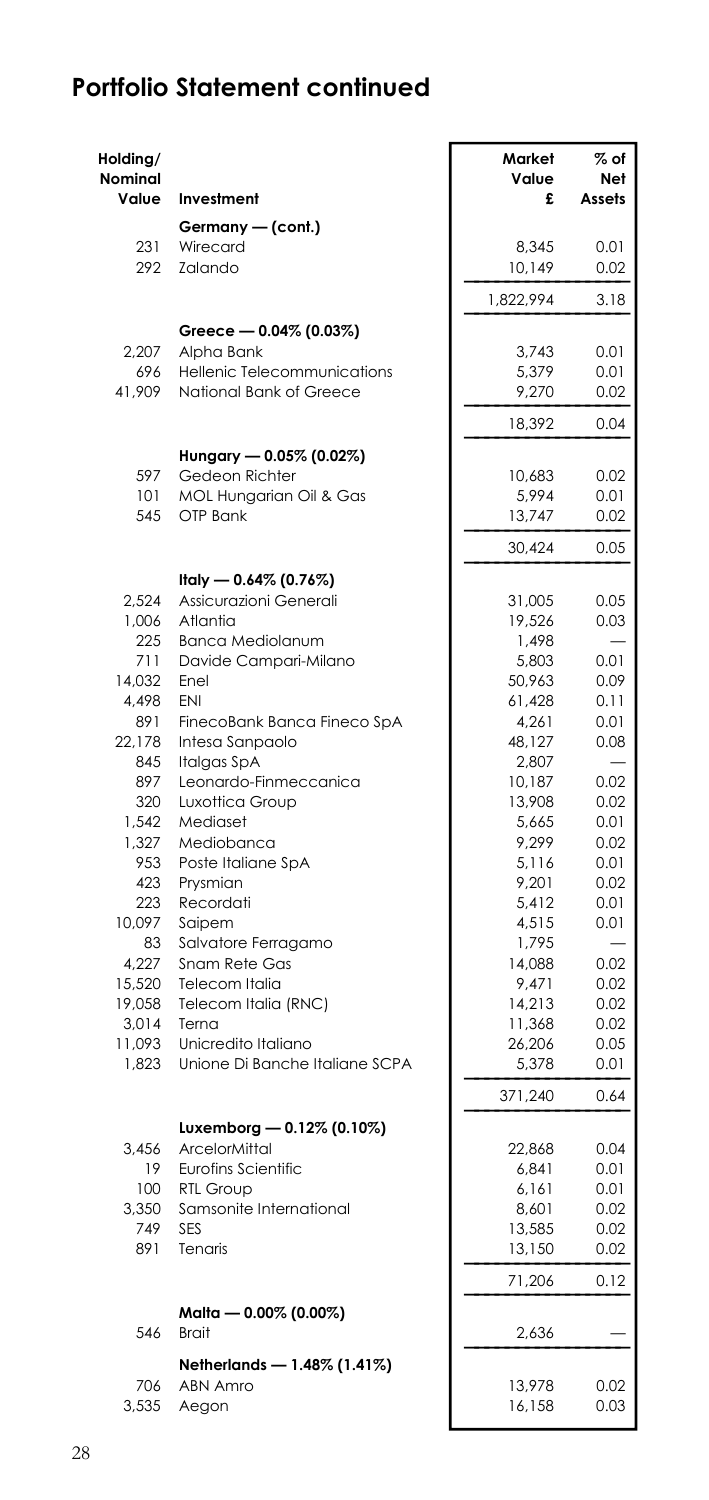| Holding/<br><b>Nominal</b><br>Value | Investment                                     | Market<br>Value<br>£ | $%$ of<br>Net<br>Assets |
|-------------------------------------|------------------------------------------------|----------------------|-------------------------|
|                                     | Germany - (cont.)                              |                      |                         |
| 231                                 | Wirecard                                       | 8,345                | 0.01                    |
| 292                                 | Zalando                                        | 10,149               | 0.02                    |
|                                     |                                                | 1,822,994            | 3.18                    |
|                                     | Greece - 0.04% (0.03%)                         |                      |                         |
| 2,207                               | Alpha Bank                                     | 3,743                | 0.01                    |
| 696                                 | Hellenic Telecommunications                    | 5,379                | 0.01                    |
| 41,909                              | National Bank of Greece                        | 9,270                | 0.02                    |
|                                     |                                                | 18,392               | 0.04                    |
|                                     | Hungary - 0.05% (0.02%)                        |                      |                         |
| 597<br>101                          | Gedeon Richter<br>MOL Hungarian Oil & Gas      | 10.683<br>5,994      | 0.02<br>0.01            |
| 545                                 | OTP Bank                                       | 13,747               | 0.02                    |
|                                     |                                                | 30.424               | 0.05                    |
|                                     | Italy — 0.64% (0.76%)                          |                      |                         |
| 2,524                               | Assicurazioni Generali                         | 31,005               | 0.05                    |
| 1,006                               | Atlantia                                       | 19,526               | 0.03                    |
| 225                                 | Banca Mediolanum                               | 1,498                |                         |
| 711                                 | Davide Campari-Milano                          | 5,803                | 0.01                    |
| 14,032                              | Enel                                           | 50,963               | 0.09                    |
| 4,498                               | ENI                                            | 61,428               | 0.11                    |
| 891<br>22.178                       | FinecoBank Banca Fineco SpA<br>Intesa Sanpaolo | 4,261<br>48,127      | 0.01<br>0.08            |
| 845                                 | Italgas SpA                                    | 2,807                |                         |
| 897                                 | Leonardo-Finmeccanica                          | 10,187               | 0.02                    |
| 320                                 | Luxottica Group                                | 13,908               | 0.02                    |
| 1,542                               | Mediaset                                       | 5,665                | 0.01                    |
| 1,327                               | Mediobanca                                     | 9,299                | 0.02                    |
| 953                                 | Poste Italiane SpA                             | 5,116                | 0.01                    |
| 423                                 | Prysmian                                       | 9,201                | 0.02                    |
| 223                                 | Recordati                                      | 5,412                | 0.01                    |
| 10,097                              | Saipem                                         | 4,515                | 0.01                    |
| 83                                  | Salvatore Ferragamo                            | 1,795                |                         |
| 4,227                               | Snam Rete Gas                                  | 14,088               | 0.02                    |
| 15,520                              | Telecom Italia<br>Telecom Italia (RNC)         | 9,471<br>14,213      | 0.02<br>0.02            |
| 19,058<br>3,014                     | Terna                                          | 11,368               | 0.02                    |
| 11,093                              | Unicredito Italiano                            | 26,206               | 0.05                    |
| 1,823                               | Unione Di Banche Italiane SCPA                 | 5,378                | 0.01                    |
|                                     |                                                | 371,240              | 0.64                    |
|                                     | Luxemborg - 0.12% (0.10%)                      |                      |                         |
| 3,456                               | ArcelorMittal                                  | 22,868               | 0.04                    |
| 19                                  | <b>Eurofins Scientific</b>                     | 6,841                | 0.01                    |
| 100                                 | <b>RTL Group</b>                               | 6,161                | 0.01                    |
| 3,350                               | Samsonite International                        | 8,601                | 0.02                    |
| 749                                 | <b>SES</b>                                     | 13,585               | 0.02                    |
| 891                                 | Tenaris                                        | 13,150               | 0.02                    |
|                                     |                                                | 71,206               | 0.12                    |
| 546                                 | Malta — 0.00% (0.00%)<br>Brait                 | 2,636                |                         |
|                                     | Netherlands - 1.48% (1.41%)                    |                      |                         |
| 706                                 | <b>ABN Amro</b>                                | 13,978               | 0.02                    |
| 3,535                               | Aegon                                          | 16,158               | 0.03                    |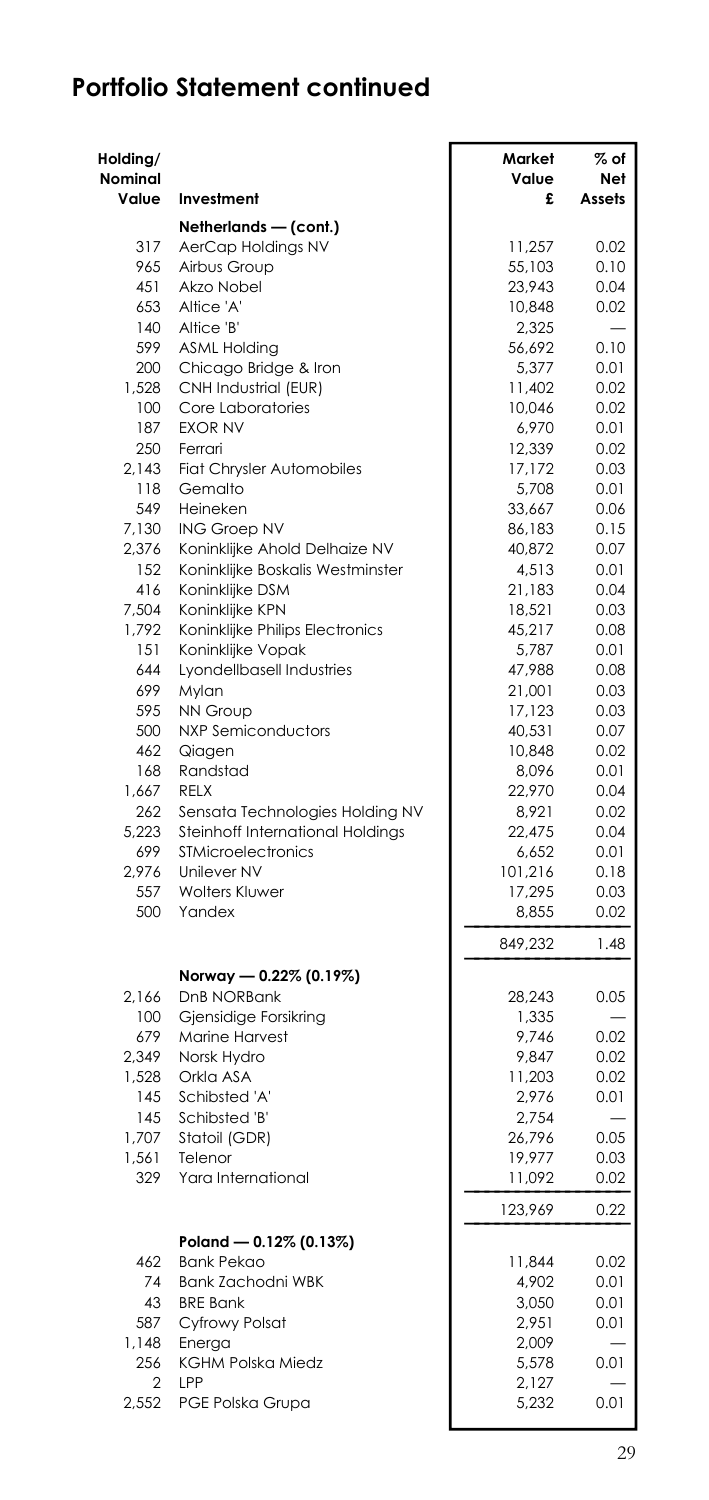| Holding/<br>Nominal<br>Value | Investment                             | Market<br>Value<br>£ | % of<br>Net<br>Assets |
|------------------------------|----------------------------------------|----------------------|-----------------------|
|                              | Netherlands - (cont.)                  |                      |                       |
| 317                          | AerCap Holdings NV                     | 11,257               | 0.02                  |
| 965                          | Airbus Group                           | 55,103               | 0.10                  |
| 451                          | Akzo Nobel                             | 23,943               | 0.04                  |
| 653                          | Altice 'A'                             | 10,848               | 0.02                  |
| 140                          | Altice 'B'                             | 2,325                |                       |
| 599                          | <b>ASML Holding</b>                    | 56,692               | 0.10                  |
| 200                          | Chicago Bridge & Iron                  | 5,377                | 0.01                  |
| 1,528                        | CNH Industrial (EUR)                   | 11,402               | 0.02                  |
| 100                          | Core Laboratories                      | 10,046               | 0.02                  |
| 187                          | <b>EXOR NV</b>                         | 6,970                | 0.01                  |
| 250                          | Ferrari                                | 12,339               | 0.02                  |
| 2.143                        | Fiat Chrysler Automobiles              | 17,172               | 0.03                  |
| 118                          | Gemalto                                | 5,708                | 0.01                  |
| 549                          | Heineken                               | 33,667               | 0.06                  |
| 7,130                        | ING Groep NV                           | 86,183               | 0.15                  |
| 2,376                        | Koninklijke Ahold Delhaize NV          | 40,872               | 0.07                  |
| 152                          | Koninklijke Boskalis Westminster       | 4,513                | 0.01                  |
| 416                          | Koninklijke DSM                        | 21,183               | 0.04                  |
| 7.504                        | Koninklijke KPN                        | 18,521               | 0.03                  |
| 1,792                        | Koninklijke Philips Electronics        | 45,217               | 0.08                  |
| 151                          | Koninklijke Vopak                      | 5,787                | 0.01                  |
| 644<br>699                   | Lyondellbasell Industries              | 47,988               | 0.08<br>0.03          |
| 595                          | Mylan<br><b>NN Group</b>               | 21,001<br>17,123     | 0.03                  |
| 500                          | <b>NXP Semiconductors</b>              | 40,531               | 0.07                  |
| 462                          | Qiagen                                 | 10,848               | 0.02                  |
| 168                          | Randstad                               | 8.096                | 0.01                  |
| 1,667                        | RELX                                   | 22,970               | 0.04                  |
| 262                          | Sensata Technologies Holding NV        | 8,921                | 0.02                  |
| 5.223                        | Steinhoff International Holdings       | 22,475               | 0.04                  |
| 699                          | <b>STMicroelectronics</b>              | 6,652                | 0.01                  |
| 2,976                        | Unilever NV                            | 101,216              | 0.18                  |
| 557                          | <b>Wolters Kluwer</b>                  | 17,295               | 0.03                  |
| 500                          | Yandex                                 | 8.855                | 0.02                  |
|                              |                                        | 849,232              | 1.48                  |
|                              | Norway - 0.22% (0.19%)                 |                      |                       |
| 2,166                        | DnB NORBank                            | 28,243               | 0.05                  |
| 100                          | Gjensidige Forsikring                  | 1,335                |                       |
| 679                          | <b>Marine Harvest</b>                  | 9,746                | 0.02                  |
| 2.349                        | Norsk Hydro                            | 9,847                | 0.02                  |
| 1,528                        | Orkla ASA                              | 11,203               | 0.02                  |
| 145                          | Schibsted 'A'                          | 2,976                | 0.01                  |
| 145                          | Schibsted 'B'                          | 2,754                |                       |
| 1,707                        | Statoil (GDR)                          | 26,796               | 0.05                  |
| 1,561<br>329                 | Telenor                                | 19,977               | 0.03                  |
|                              | Yara International                     | 11,092               | 0.02                  |
|                              |                                        | 123,969              | 0.22                  |
|                              | Poland - 0.12% (0.13%)                 |                      |                       |
| 462<br>74                    | <b>Bank Pekao</b><br>Bank Zachodni WBK | 11,844               | 0.02<br>0.01          |
| 43                           | <b>BRE Bank</b>                        | 4,902<br>3,050       | 0.01                  |
| 587                          | Cyfrowy Polsat                         | 2,951                | 0.01                  |
| 1,148                        | Energa                                 | 2,009                |                       |
| 256                          | <b>KGHM Polska Miedz</b>               | 5,578                | 0.01                  |
| 2                            | LPP                                    | 2,127                |                       |
| 2,552                        | PGE Polska Grupa                       | 5,232                | 0.01                  |
|                              |                                        |                      |                       |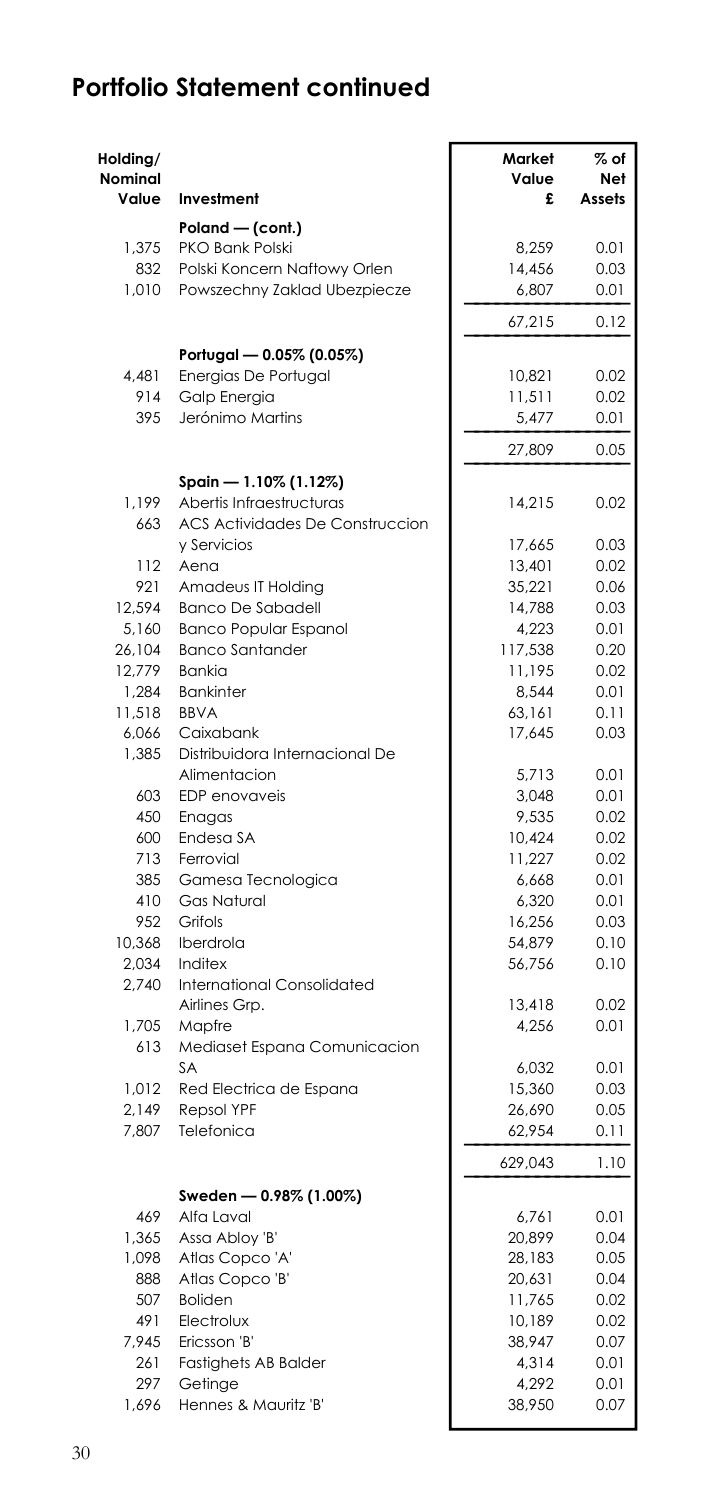| Holding/<br>Nominal<br>Value | Investment                             | Market<br>Value<br>£ | $\%$ of<br>Net<br>Assets |
|------------------------------|----------------------------------------|----------------------|--------------------------|
|                              | Poland - (cont.)                       |                      |                          |
| 1,375                        | PKO Bank Polski                        | 8,259                | 0.01                     |
| 832                          | Polski Koncern Naftowy Orlen           | 14,456               | 0.03                     |
| 1,010                        | Powszechny Zaklad Ubezpiecze           | 6,807                | 0.01                     |
|                              |                                        | 67,215               | 0.12                     |
|                              | Portugal - 0.05% (0.05%)               |                      |                          |
| 4,481<br>914                 | Energias De Portugal<br>Galp Energia   | 10,821<br>11,511     | 0.02<br>0.02             |
| 395                          | Jerónimo Martins                       | 5,477                | 0.01                     |
|                              |                                        | 27,809               | 0.05                     |
|                              | Spain - 1.10% (1.12%)                  |                      |                          |
| 1.199                        | Abertis Infraestructuras               | 14,215               | 0.02                     |
| 663                          | <b>ACS Actividades De Construccion</b> |                      |                          |
|                              | y Servicios                            | 17,665               | 0.03                     |
| 112                          | Aena                                   | 13,401               | 0.02                     |
| 921                          | Amadeus IT Holding                     | 35,221               | 0.06                     |
| 12,594                       | <b>Banco De Sabadell</b>               | 14,788               | 0.03                     |
| 5,160                        | <b>Banco Popular Espanol</b>           | 4,223                | 0.01                     |
| 26,104                       | <b>Banco Santander</b>                 | 117,538              | 0.20                     |
| 12,779<br>1,284              | Bankia<br><b>Bankinter</b>             | 11,195<br>8,544      | 0.02<br>0.01             |
| 11,518                       | <b>BBVA</b>                            | 63,161               | 0.11                     |
| 6,066                        | Caixabank                              | 17,645               | 0.03                     |
| 1,385                        | Distribuidora Internacional De         |                      |                          |
|                              | Alimentacion                           | 5,713                | 0.01                     |
| 603                          | EDP enovaveis                          | 3,048                | 0.01                     |
| 450                          | Enagas                                 | 9,535                | 0.02                     |
| 600                          | Endesa SA                              | 10,424               | 0.02                     |
| 713                          | Ferrovial                              | 11,227               | 0.02                     |
| 385                          | Gamesa Tecnologica                     | 6,668                | 0.01                     |
| 410<br>952                   | Gas Natural<br>Grifols                 | 6,320                | 0.01<br>0.03             |
| 10,368                       | Iberdrola                              | 16,256<br>54,879     | 0.10                     |
| 2,034                        | Inditex                                | 56,756               | 0.10                     |
| 2,740                        | <b>International Consolidated</b>      |                      |                          |
|                              | Airlines Grp.                          | 13,418               | 0.02                     |
| 1.705                        | Mapfre                                 | 4,256                | 0.01                     |
| 613                          | Mediaset Espana Comunicacion           |                      |                          |
|                              | <b>SA</b>                              | 6,032                | 0.01                     |
| 1.012                        | Red Electrica de Espana                | 15,360               | 0.03                     |
| 2,149                        | <b>Repsol YPF</b>                      | 26,690               | 0.05                     |
| 7,807                        | Telefonica                             | 62,954               | 0.11                     |
|                              |                                        | 629,043              | 1.10                     |
|                              | Sweden - 0.98% (1.00%)                 |                      |                          |
| 469                          | Alfa Laval                             | 6,761                | 0.01                     |
| 1,365                        | Assa Abloy 'B'                         | 20,899               | 0.04                     |
| 1,098                        | Atlas Copco 'A'                        | 28,183               | 0.05                     |
| 888<br>507                   | Atlas Copco 'B'<br><b>Boliden</b>      | 20,631<br>11,765     | 0.04<br>0.02             |
| 491                          | Electrolux                             | 10,189               | 0.02                     |
| 7,945                        | Ericsson 'B'                           | 38,947               | 0.07                     |
| 261                          | <b>Fastighets AB Balder</b>            | 4,314                | 0.01                     |
| 297                          | Getinge                                | 4,292                | 0.01                     |
| 1,696                        | Hennes & Mauritz 'B'                   | 38,950               | 0.07                     |
|                              |                                        |                      |                          |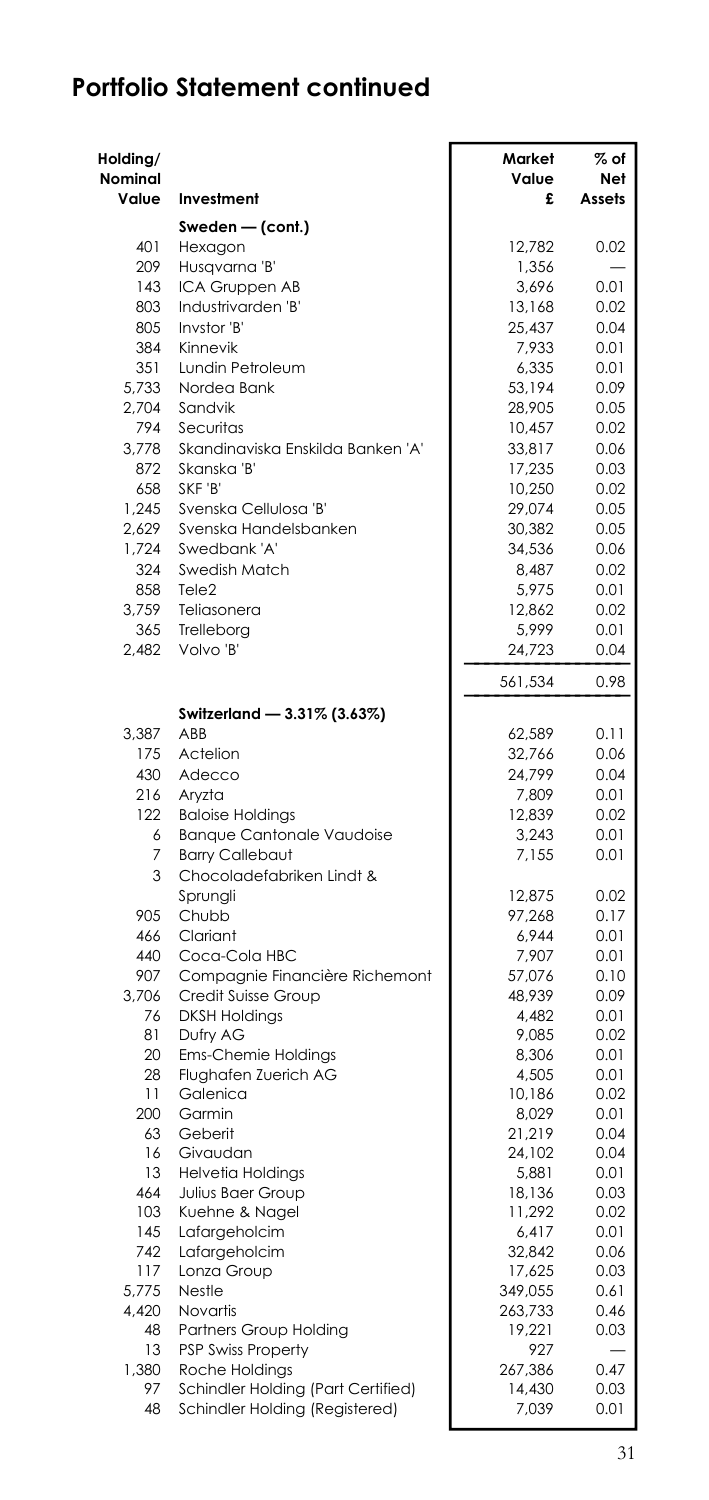| Holding/<br>Nominal<br>Value | Investment                                            | Market<br>Value<br>£ | % of<br><b>Net</b><br>Assets |
|------------------------------|-------------------------------------------------------|----------------------|------------------------------|
|                              | Sweden — (cont.)                                      |                      |                              |
| 401                          | Hexagon                                               | 12,782               | 0.02                         |
| 209                          | Husqvarna 'B'                                         | 1,356                |                              |
| 143                          | ICA Gruppen AB                                        | 3.696                | 0.01                         |
| 803                          | Industrivarden 'B'                                    | 13,168               | 0.02                         |
| 805                          | Invstor 'B'                                           | 25,437               | 0.04                         |
| 384                          | Kinnevik                                              | 7,933                | 0.01                         |
| 351                          | Lundin Petroleum                                      | 6,335                | 0.01                         |
| 5,733                        | Nordea Bank                                           | 53,194               | 0.09                         |
| 2,704<br>794                 | Sandvik<br>Securitas                                  | 28,905               | 0.05                         |
| 3,778                        | Skandinaviska Enskilda Banken 'A'                     | 10,457<br>33,817     | 0.02<br>0.06                 |
| 872                          | Skanska 'B'                                           | 17,235               | 0.03                         |
| 658                          | SKF 'B'                                               | 10,250               | 0.02                         |
| 1,245                        | Svenska Cellulosa 'B'                                 | 29,074               | 0.05                         |
| 2.629                        | Svenska Handelsbanken                                 | 30,382               | 0.05                         |
| 1,724                        | Swedbank 'A'                                          | 34,536               | 0.06                         |
| 324                          | Swedish Match                                         | 8,487                | 0.02                         |
| 858                          | Tele <sub>2</sub>                                     | 5,975                | 0.01                         |
| 3,759                        | Teliasonera                                           | 12,862               | 0.02                         |
| 365                          | Trelleborg                                            | 5,999                | 0.01                         |
| 2,482                        | Volvo 'B'                                             | 24,723               | 0.04                         |
|                              |                                                       | 561,534              | 0.98                         |
|                              | Switzerland — 3.31% (3.63%)<br>ABB                    |                      |                              |
| 3.387<br>175                 | Actelion                                              | 62,589<br>32,766     | 0.11<br>0.06                 |
| 430                          | Adecco                                                | 24,799               | 0.04                         |
| 216                          | Aryzta                                                | 7,809                | 0.01                         |
| 122                          | <b>Baloise Holdings</b>                               | 12,839               | 0.02                         |
| 6                            | <b>Banque Cantonale Vaudoise</b>                      | 3,243                | 0.01                         |
| 7                            | <b>Barry Callebaut</b>                                | 7,155                | 0.01                         |
| 3                            | Chocoladefabriken Lindt &                             |                      |                              |
|                              | Sprungli                                              | 12,875               | 0.02                         |
| 905                          | Chubb                                                 | 97,268               | 0.17                         |
| 466                          | Clariant                                              | 6,944                | 0.01                         |
| 440<br>907                   | Coca-Cola HBC                                         | 7,907                | 0.01                         |
| 3,706                        | Compagnie Financière Richemont<br>Credit Suisse Group | 57,076<br>48,939     | 0.10<br>0.09                 |
| 76                           | <b>DKSH Holdings</b>                                  | 4,482                | 0.01                         |
| 81                           | Dufry AG                                              | 9,085                | 0.02                         |
| 20                           | Ems-Chemie Holdings                                   | 8,306                | 0.01                         |
| 28                           | Flughafen Zuerich AG                                  | 4,505                | 0.01                         |
| 11                           | Galenica                                              | 10.186               | 0.02                         |
| 200                          | Garmin                                                | 8,029                | 0.01                         |
| 63                           | Geberit                                               | 21,219               | 0.04                         |
| 16<br>13                     | Givaudan<br><b>Helvetia Holdings</b>                  | 24,102<br>5,881      | 0.04                         |
| 464                          | Julius Baer Group                                     | 18,136               | 0.01<br>0.03                 |
| 103                          | Kuehne & Nagel                                        | 11,292               | 0.02                         |
| 145                          | Lafargeholcim                                         | 6,417                | 0.01                         |
| 742                          | Lafargeholcim                                         | 32,842               | 0.06                         |
| 117                          | Lonza Group                                           | 17,625               | 0.03                         |
| 5.775                        | Nestle                                                | 349,055              | 0.61                         |
| 4,420                        | Novartis                                              | 263,733              | 0.46                         |
| 48                           | Partners Group Holding                                | 19,221               | 0.03                         |
| 13<br>1,380                  | <b>PSP Swiss Property</b><br>Roche Holdings           | 927<br>267,386       | 0.47                         |
| 97                           | Schindler Holding (Part Certified)                    | 14,430               | 0.03                         |
| 48                           | Schindler Holding (Registered)                        | 7,039                | 0.01                         |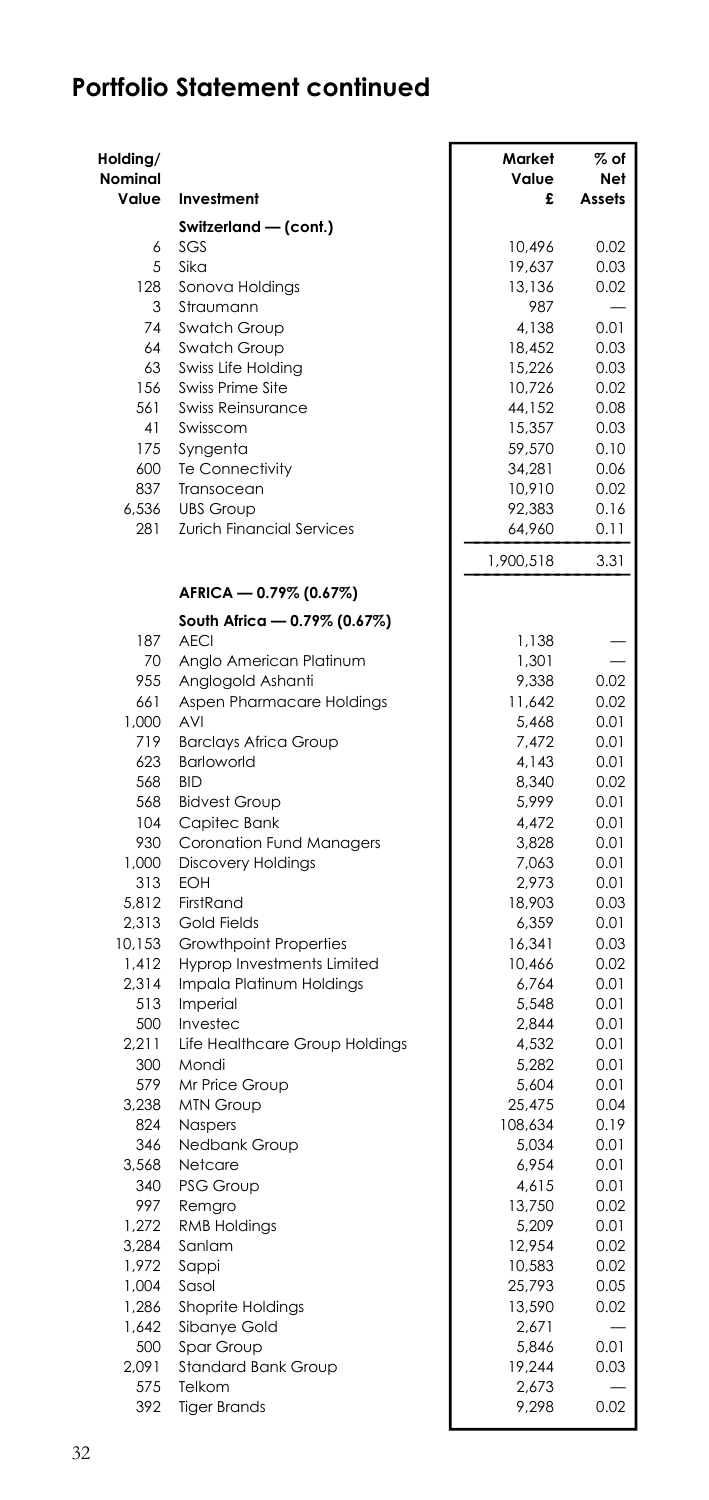| Holding/<br><b>Nominal</b><br>Value | Investment                                          | Market<br>Value<br>£ | $%$ of<br>Net<br>Assets |
|-------------------------------------|-----------------------------------------------------|----------------------|-------------------------|
|                                     | Switzerland - (cont.)                               |                      |                         |
| 6                                   | SGS                                                 | 10,496               | 0.02                    |
| 5                                   | Sika                                                | 19,637               | 0.03                    |
| 128                                 | Sonova Holdings                                     | 13,136               | 0.02                    |
| 3                                   | Straumann                                           | 987                  |                         |
| 74                                  | Swatch Group                                        | 4,138                | 0.01                    |
| 64<br>63                            | Swatch Group<br>Swiss Life Holding                  | 18,452<br>15,226     | 0.03<br>0.03            |
| 156                                 | Swiss Prime Site                                    | 10,726               | 0.02                    |
| 561                                 | <b>Swiss Reinsurance</b>                            | 44.152               | 0.08                    |
| 41                                  | Swisscom                                            | 15,357               | 0.03                    |
| 175                                 | Syngenta                                            | 59,570               | 0.10                    |
| 600                                 | <b>Te Connectivity</b>                              | 34,281               | 0.06                    |
| 837                                 | Transocean                                          | 10,910               | 0.02                    |
| 6,536<br>281                        | <b>UBS Group</b>                                    | 92,383               | 0.16                    |
|                                     | Zurich Financial Services                           | 64,960               | 0.11<br>3.31            |
|                                     | AFRICA - 0.79% (0.67%)                              | 1,900,518            |                         |
|                                     | South Africa — 0.79% (0.67%)                        |                      |                         |
| 187                                 | <b>AECI</b>                                         | 1,138                |                         |
| 70                                  | Anglo American Platinum                             | 1,301                |                         |
| 955                                 | Anglogold Ashanti                                   | 9,338                | 0.02                    |
| 661                                 | Aspen Pharmacare Holdings                           | 11,642               | 0.02                    |
| 1.000                               | <b>AVI</b>                                          | 5.468                | 0.01                    |
| 719                                 | <b>Barclays Africa Group</b>                        | 7,472                | 0.01                    |
| 623<br>568                          | Barloworld<br><b>BID</b>                            | 4,143<br>8,340       | 0.01<br>0.02            |
| 568                                 | <b>Bidvest Group</b>                                | 5,999                | 0.01                    |
| 104                                 | Capitec Bank                                        | 4,472                | 0.01                    |
| 930                                 | Coronation Fund Managers                            | 3,828                | 0.01                    |
| 1,000                               | <b>Discovery Holdings</b>                           | 7,063                | 0.01                    |
| 313                                 | EOH                                                 | 2,973                | 0.01                    |
| 5,812                               | FirstRand                                           | 18,903               | 0.03                    |
| 2,313<br>10,153                     | <b>Gold Fields</b><br><b>Growthpoint Properties</b> | 6,359<br>16,341      | 0.01<br>0.03            |
| 1,412                               | Hyprop Investments Limited                          | 10,466               | 0.02                    |
| 2,314                               | Impala Platinum Holdings                            | 6,764                | 0.01                    |
| 513                                 | Imperial                                            | 5,548                | 0.01                    |
| 500                                 | Investec                                            | 2,844                | 0.01                    |
| 2,211                               | Life Healthcare Group Holdings                      | 4,532                | 0.01                    |
| 300                                 | Mondi                                               | 5,282                | 0.01                    |
| 579                                 | Mr Price Group                                      | 5,604                | 0.01                    |
| 3,238                               | <b>MTN Group</b>                                    | 25,475               | 0.04                    |
| 824<br>346                          | Naspers<br>Nedbank Group                            | 108,634<br>5,034     | 0.19<br>0.01            |
| 3,568                               | Netcare                                             | 6,954                | 0.01                    |
| 340                                 | PSG Group                                           | 4,615                | 0.01                    |
| 997                                 | Remgro                                              | 13,750               | 0.02                    |
| 1,272                               | <b>RMB Holdings</b>                                 | 5,209                | 0.01                    |
| 3,284                               | Sanlam                                              | 12,954               | 0.02                    |
| 1,972                               | Sappi                                               | 10,583               | 0.02                    |
| 1,004                               | Sasol                                               | 25,793               | 0.05                    |
| 1,286<br>1,642                      | Shoprite Holdings<br>Sibanye Gold                   | 13,590<br>2,671      | 0.02                    |
| 500                                 | Spar Group                                          | 5,846                | 0.01                    |
| 2,091                               | Standard Bank Group                                 | 19,244               | 0.03                    |
| 575                                 | Telkom                                              | 2,673                |                         |
| 392                                 | <b>Tiger Brands</b>                                 | 9,298                | 0.02                    |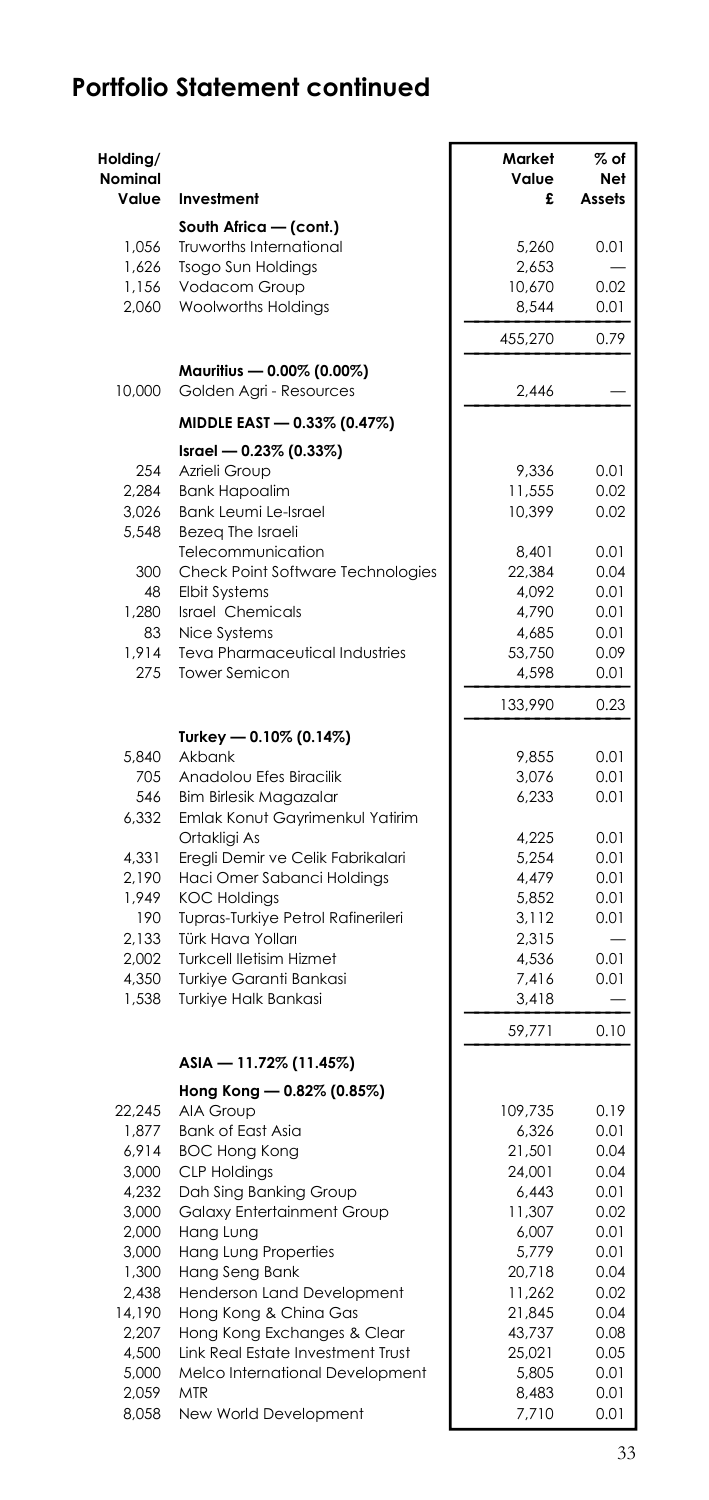| Holding/<br><b>Nominal</b><br>Value | Investment                                             | Market<br>Value<br>£ | $%$ of<br>Net<br>Assets |
|-------------------------------------|--------------------------------------------------------|----------------------|-------------------------|
|                                     | South Africa - (cont.)                                 |                      |                         |
| 1,056                               | Truworths International                                | 5,260                | 0.01                    |
| 1,626                               | <b>Tsogo Sun Holdings</b>                              | 2,653                |                         |
| 1,156                               | Vodacom Group                                          | 10,670               | 0.02                    |
| 2,060                               | Woolworths Holdings                                    | 8,544                | 0.01                    |
|                                     |                                                        | 455,270              | 0.79                    |
| 10,000                              | Mauritius - 0.00% (0.00%)<br>Golden Agri - Resources   | 2,446                |                         |
|                                     | MIDDLE EAST - 0.33% (0.47%)                            |                      |                         |
|                                     | Israel - 0.23% (0.33%)                                 |                      |                         |
| 254                                 | Azrieli Group                                          | 9,336                | 0.01                    |
| 2.284                               | <b>Bank Hapoalim</b>                                   | 11,555               | 0.02                    |
| 3,026                               | Bank Leumi Le-Israel                                   | 10,399               | 0.02                    |
| 5,548                               | Bezeg The Israeli                                      |                      |                         |
| 300                                 | Telecommunication<br>Check Point Software Technologies | 8,401                | 0.01                    |
| 48                                  | <b>Elbit Systems</b>                                   | 22,384<br>4,092      | 0.04<br>0.01            |
| 1,280                               | <b>Israel Chemicals</b>                                | 4,790                | 0.01                    |
| 83                                  | Nice Systems                                           | 4,685                | 0.01                    |
| 1,914                               | Teva Pharmaceutical Industries                         | 53,750               | 0.09                    |
| 275                                 | <b>Tower Semicon</b>                                   | 4,598                | 0.01                    |
|                                     |                                                        | 133,990              | 0.23                    |
|                                     | Turkey — 0.10% (0.14%)                                 |                      |                         |
| 5.840                               | Akbank                                                 | 9,855                | 0.01                    |
| 705                                 | Anadolou Efes Biracilik                                | 3,076                | 0.01                    |
| 546                                 | <b>Bim Birlesik Magazalar</b>                          | 6,233                | 0.01                    |
| 6,332                               | Emlak Konut Gayrimenkul Yatirim<br>Ortakligi As        | 4,225                | 0.01                    |
| 4,331                               | Eregli Demir ve Celik Fabrikalari                      | 5,254                | 0.01                    |
| 2,190                               | Haci Omer Sabanci Holdings                             | 4,479                | 0.01                    |
| 1,949                               | <b>KOC Holdings</b>                                    | 5,852                | 0.01                    |
| 190                                 | Tupras-Turkiye Petrol Rafinerileri                     | 3,112                | 0.01                    |
| 2.133                               | Türk Hava Yolları                                      | 2,315                |                         |
| 2,002                               | <b>Turkcell lletisim Hizmet</b>                        | 4,536                | 0.01                    |
| 4,350                               | Turkiye Garanti Bankasi                                | 7,416                | 0.01                    |
| 1,538                               | Turkiye Halk Bankasi                                   | 3,418                | -                       |
|                                     |                                                        | 59,771               | 0.10                    |
|                                     | ASIA - 11.72% (11.45%)                                 |                      |                         |
|                                     | Hong Kong - 0.82% (0.85%)                              |                      |                         |
| 22,245                              | AIA Group                                              | 109,735              | 0.19                    |
| 1,877<br>6,914                      | <b>Bank of East Asia</b><br><b>BOC Hong Kong</b>       | 6,326<br>21,501      | 0.01<br>0.04            |
| 3,000                               | <b>CLP Holdings</b>                                    | 24,001               | 0.04                    |
| 4,232                               | Dah Sing Banking Group                                 | 6,443                | 0.01                    |
| 3,000                               | Galaxy Entertainment Group                             | 11,307               | 0.02                    |
| 2,000                               | Hang Lung                                              | 6,007                | 0.01                    |
| 3,000                               | <b>Hang Lung Properties</b>                            | 5,779                | 0.01                    |
| 1,300                               | Hang Seng Bank                                         | 20,718               | 0.04                    |
| 2,438                               | Henderson Land Development                             | 11,262               | 0.02                    |
| 14,190                              | Hong Kong & China Gas                                  | 21,845               | 0.04                    |
| 2,207                               | Hong Kong Exchanges & Clear                            | 43,737               | 0.08                    |
| 4.500                               | Link Real Estate Investment Trust                      | 25,021               | 0.05                    |
| 5,000                               | Melco International Development                        | 5,805                | 0.01                    |
| 2,059                               | <b>MTR</b>                                             | 8,483                | 0.01                    |
| 8,058                               | New World Development                                  | 7,710                | 0.01                    |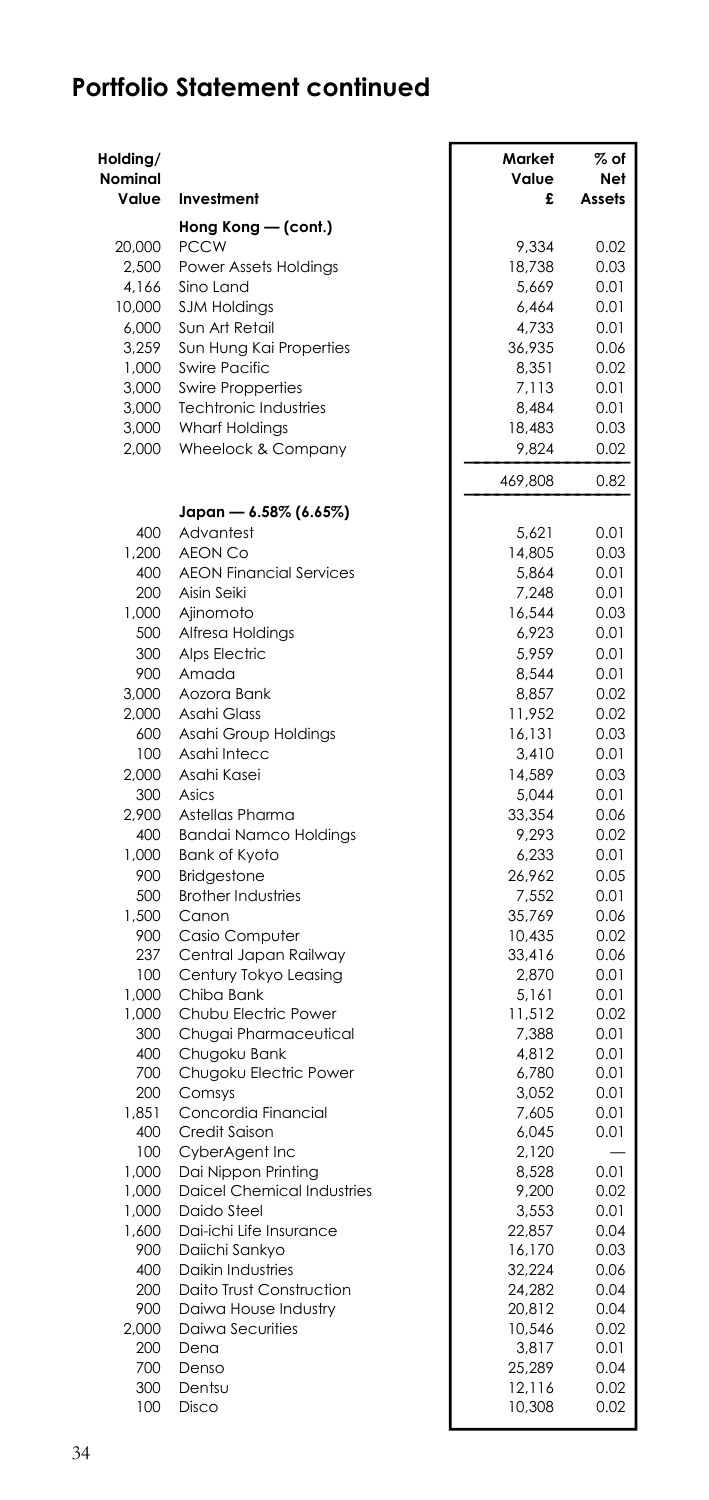| Holding/<br><b>Nominal</b><br>Value | Investment                                               | Market<br>Value<br>£ | $%$ of<br>Net<br>Assets |
|-------------------------------------|----------------------------------------------------------|----------------------|-------------------------|
|                                     | Hong Kong - (cont.)                                      |                      |                         |
| 20,000                              | <b>PCCW</b>                                              | 9.334                | 0.02                    |
| 2,500                               | Power Assets Holdings                                    | 18,738               | 0.03                    |
| 4,166                               | Sino Land                                                | 5,669                | 0.01                    |
| 10,000                              | <b>SJM Holdings</b>                                      | 6,464                | 0.01                    |
| 6,000                               | Sun Art Retail                                           | 4,733                | 0.01                    |
| 3,259                               | Sun Hung Kai Properties                                  | 36,935               | 0.06                    |
| 1,000                               | <b>Swire Pacific</b>                                     | 8,351                | 0.02                    |
| 3,000<br>3,000                      | <b>Swire Propperties</b><br><b>Techtronic Industries</b> | 7,113<br>8.484       | 0.01<br>0.01            |
| 3,000                               | <b>Wharf Holdings</b>                                    | 18,483               | 0.03                    |
| 2,000                               | Wheelock & Company                                       | 9,824                | 0.02                    |
|                                     |                                                          | 469,808              | 0.82                    |
|                                     | Japan - 6.58% (6.65%)                                    |                      |                         |
| 400                                 | Advantest                                                | 5,621                | 0.01                    |
| 1,200                               | <b>AEON Co</b>                                           | 14,805               | 0.03                    |
| 400                                 | <b>AEON Financial Services</b>                           | 5,864                | 0.01                    |
| 200                                 | Aisin Seiki                                              | 7,248                | 0.01                    |
| 1,000                               | Ajinomoto                                                | 16,544               | 0.03                    |
| 500                                 | Alfresa Holdings                                         | 6,923                | 0.01                    |
| 300<br>900                          | Alps Electric                                            | 5,959                | 0.01                    |
| 3,000                               | Amada<br>Aozora Bank                                     | 8,544<br>8.857       | 0.01<br>0.02            |
| 2,000                               | Asahi Glass                                              | 11,952               | 0.02                    |
| 600                                 | Asahi Group Holdings                                     | 16,131               | 0.03                    |
| 100                                 | Asahi Intecc                                             | 3,410                | 0.01                    |
| 2,000                               | Asahi Kasei                                              | 14,589               | 0.03                    |
| 300                                 | Asics                                                    | 5,044                | 0.01                    |
| 2,900                               | Astellas Pharma                                          | 33,354               | 0.06                    |
| 400                                 | <b>Bandai Namco Holdings</b>                             | 9,293                | 0.02                    |
| 1.000                               | Bank of Kyoto                                            | 6.233                | 0.01                    |
| 900                                 | <b>Bridgestone</b>                                       | 26,962               | 0.05                    |
| 500                                 | <b>Brother Industries</b>                                | 7,552                | 0.01                    |
| 1,500                               | Canon                                                    | 35.769               | 0.06                    |
| 900                                 | Casio Computer                                           | 10,435               | 0.02                    |
| 237<br>100                          | Central Japan Railway<br>Century Tokyo Leasing           | 33,416<br>2.870      | 0.06<br>0.01            |
| 1,000                               | Chiba Bank                                               | 5,161                | 0.01                    |
| 1,000                               | Chubu Electric Power                                     | 11,512               | 0.02                    |
| 300                                 | Chugai Pharmaceutical                                    | 7.388                | 0.01                    |
| 400                                 | Chugoku Bank                                             | 4,812                | 0.01                    |
| 700                                 | Chugoku Electric Power                                   | 6,780                | 0.01                    |
| 200                                 | Comsys                                                   | 3,052                | 0.01                    |
| 1,851                               | Concordia Financial                                      | 7,605                | 0.01                    |
| 400                                 | Credit Saison                                            | 6.045                | 0.01                    |
| 100                                 | CyberAgent Inc                                           | 2,120                |                         |
| 1,000                               | Dai Nippon Printing                                      | 8,528                | 0.01                    |
| 1,000<br>1,000                      | <b>Daicel Chemical Industries</b><br>Daido Steel         | 9,200<br>3,553       | 0.02<br>0.01            |
| 1,600                               | Dai-ichi Life Insurance                                  | 22,857               | 0.04                    |
| 900                                 | Daiichi Sankyo                                           | 16,170               | 0.03                    |
| 400                                 | <b>Daikin Industries</b>                                 | 32,224               | 0.06                    |
| 200                                 | Daito Trust Construction                                 | 24,282               | 0.04                    |
| 900                                 | Daiwa House Industry                                     | 20,812               | 0.04                    |
| 2,000                               | Daiwa Securities                                         | 10,546               | 0.02                    |
| 200                                 | Dena                                                     | 3,817                | 0.01                    |
| 700                                 | Denso                                                    | 25,289               | 0.04                    |
| 300                                 | Dentsu                                                   | 12,116               | 0.02                    |
| 100                                 | Disco                                                    | 10,308               | 0.02                    |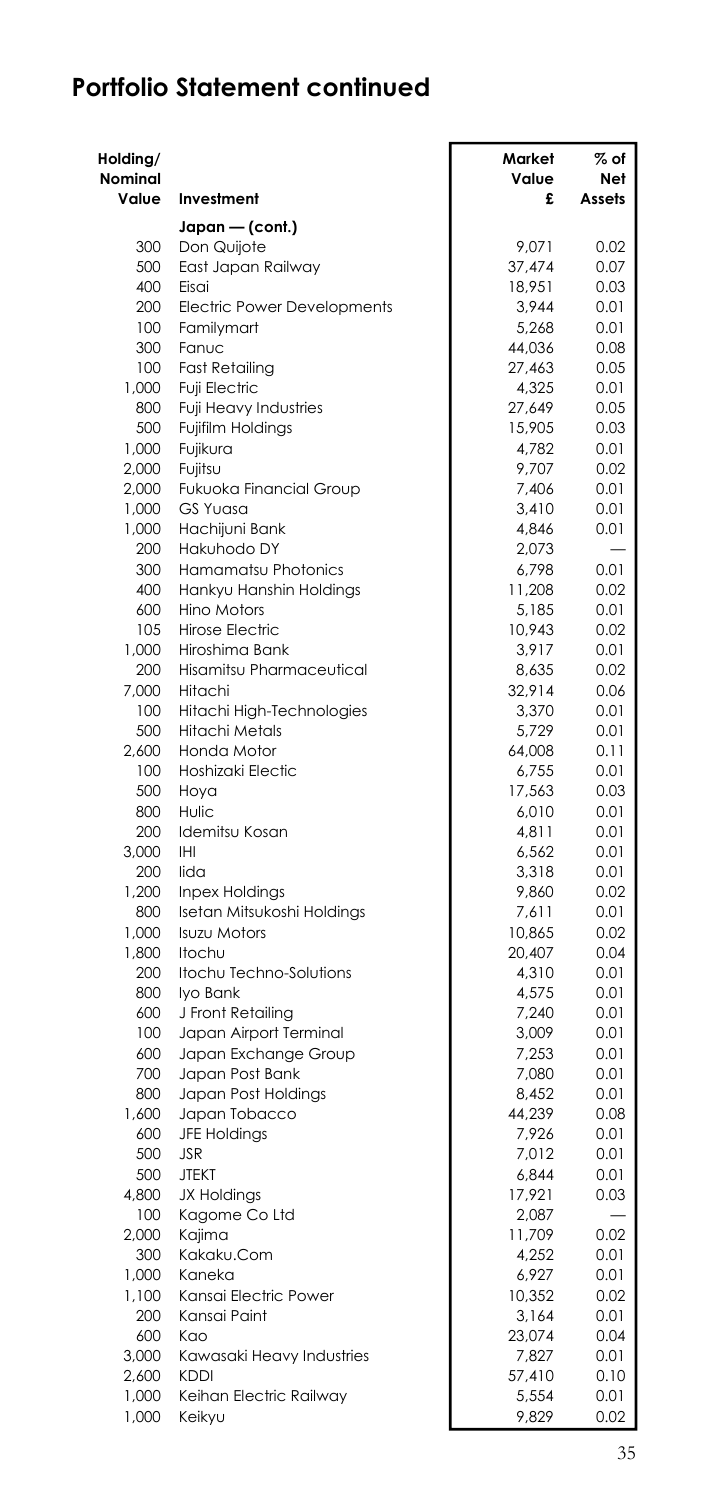| Holding/<br>Nominal<br>Value | Investment                                 | Market<br>Value<br>£ | % of<br>Net<br>Assets |
|------------------------------|--------------------------------------------|----------------------|-----------------------|
|                              | Japan - (cont.)                            |                      |                       |
| 300                          | Don Quijote                                | 9.071                | 0.02                  |
| 500                          | East Japan Railway                         | 37,474               | 0.07                  |
| 400                          | Eisai                                      | 18,951               | 0.03                  |
| 200                          | Electric Power Developments                | 3,944                | 0.01                  |
| 100                          | Familymart                                 | 5,268                | 0.01                  |
| 300                          | Fanuc                                      | 44,036               | 0.08                  |
| 100                          | <b>Fast Retailing</b>                      | 27,463               | 0.05                  |
| 1,000                        | Fuji Electric                              | 4,325                | 0.01                  |
| 800                          | Fuji Heavy Industries                      | 27,649               | 0.05                  |
| 500                          | Fujifilm Holdings                          | 15,905               | 0.03                  |
| 1,000                        | Fujikura                                   | 4,782                | 0.01                  |
| 2,000                        | Fujitsu                                    | 9,707                | 0.02                  |
| 2,000                        | Fukuoka Financial Group<br><b>GS Yuasa</b> | 7,406                | 0.01<br>0.01          |
| 1,000<br>1,000               | Hachijuni Bank                             | 3,410<br>4,846       | 0.01                  |
| 200                          | Hakuhodo DY                                | 2,073                |                       |
| 300                          | Hamamatsu Photonics                        | 6,798                | 0.01                  |
| 400                          | Hankyu Hanshin Holdings                    | 11,208               | 0.02                  |
| 600                          | <b>Hino Motors</b>                         | 5,185                | 0.01                  |
| 105                          | <b>Hirose Electric</b>                     | 10,943               | 0.02                  |
| 1,000                        | Hiroshima Bank                             | 3,917                | 0.01                  |
| 200                          | Hisamitsu Pharmaceutical                   | 8,635                | 0.02                  |
| 7,000                        | Hitachi                                    | 32,914               | 0.06                  |
| 100                          | Hitachi High-Technologies                  | 3,370                | 0.01                  |
| 500                          | <b>Hitachi Metals</b>                      | 5,729                | 0.01                  |
| 2,600                        | Honda Motor                                | 64,008               | 0.11                  |
| 100                          | Hoshizaki Electic                          | 6,755                | 0.01                  |
| 500                          | Hoya                                       | 17,563               | 0.03                  |
| 800                          | Hulic                                      | 6,010                | 0.01                  |
| 200                          | Idemitsu Kosan                             | 4,811                | 0.01                  |
| 3,000                        | <b>IHI</b>                                 | 6,562                | 0.01                  |
| 200<br>1,200                 | lida<br>Inpex Holdings                     | 3,318<br>9.860       | 0.01<br>0.02          |
| 800                          | Isetan Mitsukoshi Holdings                 | 7,611                | 0.01                  |
| 1,000                        | <b>Isuzu Motors</b>                        | 10,865               | 0.02                  |
| 1,800                        | Itochu                                     | 20,407               | 0.04                  |
| 200                          | Itochu Techno-Solutions                    | 4,310                | 0.01                  |
| 800                          | Iyo Bank                                   | 4,575                | 0.01                  |
| 600                          | J Front Retailing                          | 7,240                | 0.01                  |
| 100                          | Japan Airport Terminal                     | 3,009                | 0.01                  |
| 600                          | Japan Exchange Group                       | 7,253                | 0.01                  |
| 700                          | Japan Post Bank                            | 7,080                | 0.01                  |
| 800                          | Japan Post Holdings                        | 8,452                | 0.01                  |
| 1,600                        | Japan Tobacco                              | 44,239               | 0.08                  |
| 600                          | <b>JFE Holdings</b>                        | 7,926                | 0.01                  |
| 500                          | <b>JSR</b>                                 | 7,012                | 0.01                  |
| 500                          | <b>JTEKT</b>                               | 6,844                | 0.01                  |
| 4,800                        | <b>JX Holdings</b>                         | 17,921               | 0.03                  |
| 100                          | Kagome Co Ltd                              | 2,087                |                       |
| 2,000                        | Kajima                                     | 11,709               | 0.02                  |
| 300<br>1,000                 | Kakaku.Com<br>Kaneka                       | 4,252<br>6,927       | 0.01<br>0.01          |
| 1,100                        | Kansai Electric Power                      | 10,352               | 0.02                  |
| 200                          | Kansai Paint                               | 3,164                | 0.01                  |
| 600                          | Kao                                        | 23,074               | 0.04                  |
| 3,000                        | Kawasaki Heavy Industries                  | 7,827                | 0.01                  |
| 2,600                        | <b>KDDI</b>                                | 57,410               | 0.10                  |
| 1,000                        | Keihan Electric Railway                    | 5,554                | 0.01                  |
| 1,000                        | Keikyu                                     | 9,829                | 0.02                  |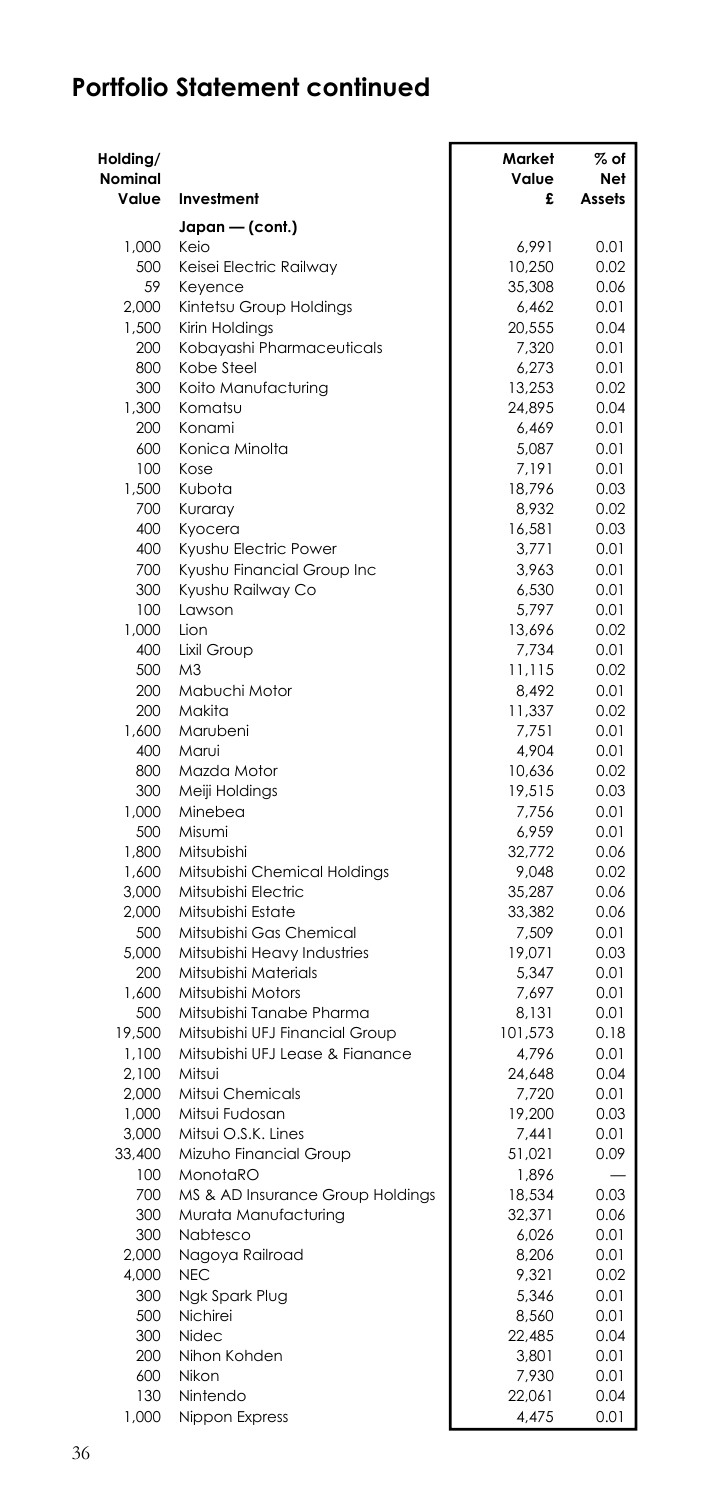| Holding/<br>Nominal<br>Value | Investment                                | Market<br>Value<br>£ | % of<br>Net<br>Assets |
|------------------------------|-------------------------------------------|----------------------|-----------------------|
|                              | Japan — (cont.)                           |                      |                       |
| 1.000                        | Keio                                      | 6.991                | 0.01                  |
| 500                          | Keisei Electric Railway                   | 10,250               | 0.02                  |
| 59                           | Keyence                                   | 35,308               | 0.06                  |
| 2,000                        | Kintetsu Group Holdings                   | 6,462                | 0.01                  |
| 1.500                        | Kirin Holdings                            | 20,555               | 0.04                  |
| 200                          | Kobayashi Pharmaceuticals                 | 7,320                | 0.01                  |
| 800                          | Kobe Steel                                | 6,273                | 0.01                  |
| 300                          | Koito Manufacturing                       | 13,253               | 0.02                  |
| 1,300                        | Komatsu                                   | 24.895               | 0.04                  |
| 200                          | Konami                                    | 6,469                | 0.01                  |
| 600                          | Konica Minolta                            | 5,087                | 0.01                  |
| 100                          | Kose                                      | 7,191                | 0.01                  |
| 1,500<br>700                 | Kubota<br>Kuraray                         | 18,796<br>8,932      | 0.03<br>0.02          |
| 400                          | Kyocera                                   | 16,581               | 0.03                  |
| 400                          | Kyushu Electric Power                     | 3,771                | 0.01                  |
| 700                          | Kyushu Financial Group Inc                | 3,963                | 0.01                  |
| 300                          | Kyushu Railway Co                         | 6,530                | 0.01                  |
| 100                          | Lawson                                    | 5,797                | 0.01                  |
| 1,000                        | Lion                                      | 13,696               | 0.02                  |
| 400                          | Lixil Group                               | 7,734                | 0.01                  |
| 500                          | M <sub>3</sub>                            | 11,115               | 0.02                  |
| 200                          | Mabuchi Motor                             | 8,492                | 0.01                  |
| 200                          | Makita                                    | 11,337               | 0.02                  |
| 1,600                        | Marubeni                                  | 7,751                | 0.01                  |
| 400                          | Marui                                     | 4.904                | 0.01                  |
| 800                          | Mazda Motor                               | 10,636               | 0.02                  |
| 300                          | Meiji Holdings                            | 19,515               | 0.03                  |
| 1,000                        | Minebea                                   | 7,756                | 0.01                  |
| 500                          | Misumi                                    | 6,959                | 0.01                  |
| 1,800                        | Mitsubishi                                | 32,772               | 0.06                  |
| 1,600                        | Mitsubishi Chemical Holdings              | 9,048                | 0.02                  |
| 3,000                        | Mitsubishi Electric                       | 35,287               | 0.06                  |
| 2,000                        | Mitsubishi Estate                         | 33,382               | 0.06                  |
| 500                          | Mitsubishi Gas Chemical                   | 7,509                | 0.01                  |
| 5,000                        | Mitsubishi Heavy Industries               | 19,071               | 0.03                  |
| 200                          | Mitsubishi Materials<br>Mitsubishi Motors | 5,347                | 0.01                  |
| 1,600<br>500                 | Mitsubishi Tanabe Pharma                  | 7,697<br>8,131       | 0.01<br>0.01          |
| 19,500                       | Mitsubishi UFJ Financial Group            | 101,573              | 0.18                  |
| 1,100                        | Mitsubishi UFJ Lease & Fianance           | 4,796                | 0.01                  |
| 2,100                        | Mitsui                                    | 24,648               | 0.04                  |
| 2,000                        | Mitsui Chemicals                          | 7,720                | 0.01                  |
| 1,000                        | Mitsui Fudosan                            | 19,200               | 0.03                  |
| 3,000                        | Mitsui O.S.K. Lines                       | 7,441                | 0.01                  |
| 33,400                       | Mizuho Financial Group                    | 51,021               | 0.09                  |
| 100                          | MonotaRO                                  | 1,896                |                       |
| 700                          | MS & AD Insurance Group Holdings          | 18,534               | 0.03                  |
| 300                          | Murata Manufacturing                      | 32,371               | 0.06                  |
| 300                          | Nabtesco                                  | 6.026                | 0.01                  |
| 2,000                        | Nagoya Railroad                           | 8,206                | 0.01                  |
| 4,000                        | <b>NEC</b>                                | 9,321                | 0.02                  |
| 300                          | Ngk Spark Plug                            | 5,346                | 0.01                  |
| 500                          | Nichirei                                  | 8,560                | 0.01                  |
| 300                          | Nidec                                     | 22,485               | 0.04                  |
| 200                          | Nihon Kohden                              | 3,801                | 0.01                  |
| 600                          | Nikon                                     | 7,930                | 0.01                  |
| 130                          | Nintendo                                  | 22,061               | 0.04                  |
| 1,000                        | Nippon Express                            | 4,475                | 0.01                  |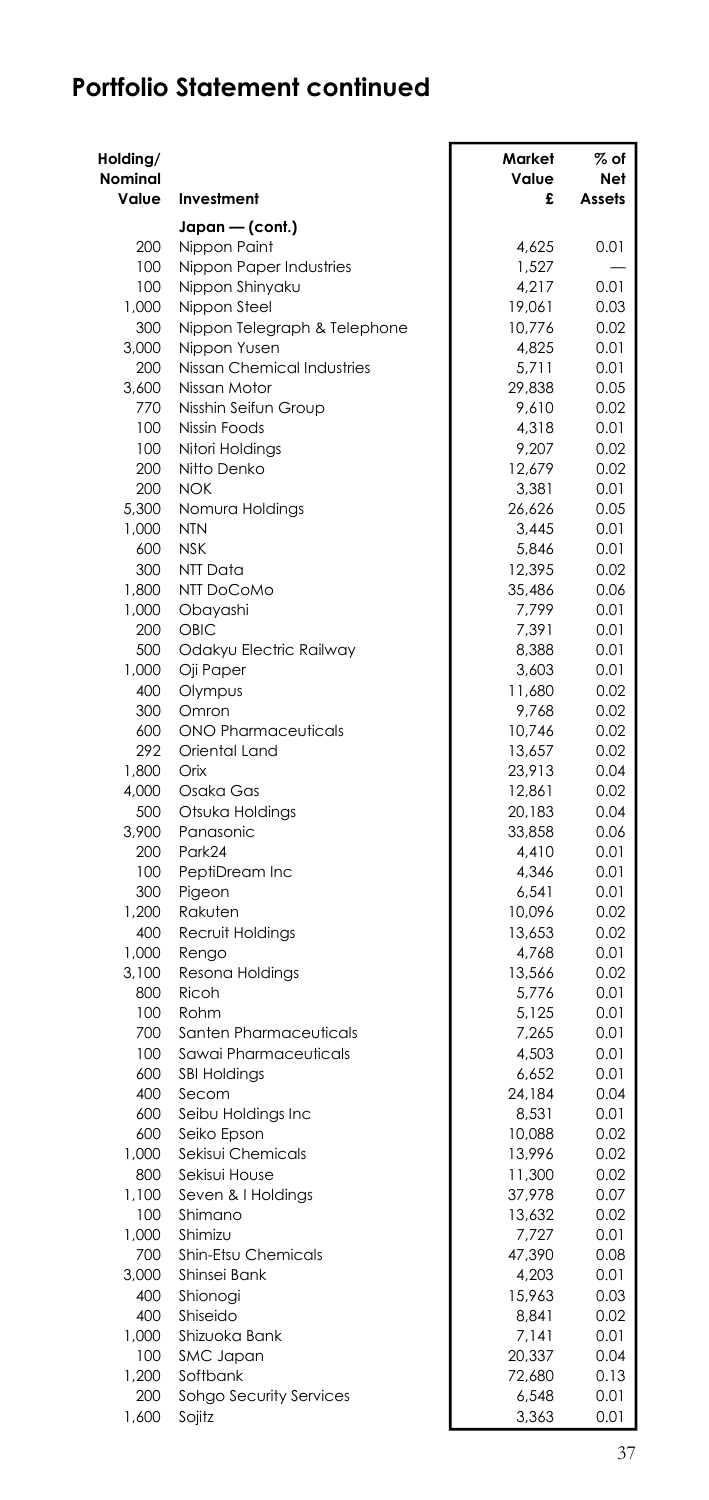| Holding/<br>Nominal |                                      | Market<br>Value | % of<br>Net  |
|---------------------|--------------------------------------|-----------------|--------------|
| Value               | Investment                           | £               | Assets       |
|                     | Japan - (cont.)                      |                 |              |
| 200                 | Nippon Paint                         | 4.625           | 0.01         |
| 100                 | Nippon Paper Industries              | 1,527           |              |
| 100                 | Nippon Shinyaku                      | 4,217           | 0.01         |
| 1,000               | Nippon Steel                         | 19,061          | 0.03         |
| 300                 | Nippon Telegraph & Telephone         | 10,776          | 0.02         |
| 3,000               | Nippon Yusen                         | 4,825           | 0.01         |
| 200                 | Nissan Chemical Industries           | 5,711           | 0.01         |
| 3,600<br>770        | Nissan Motor<br>Nisshin Seifun Group | 29,838<br>9,610 | 0.05<br>0.02 |
| 100                 | Nissin Foods                         | 4,318           | 0.01         |
| 100                 | Nitori Holdings                      | 9,207           | 0.02         |
| 200                 | Nitto Denko                          | 12,679          | 0.02         |
| 200                 | NOK                                  | 3,381           | 0.01         |
| 5.300               | Nomura Holdings                      | 26,626          | 0.05         |
| 1,000               | <b>NTN</b>                           | 3.445           | 0.01         |
| 600                 | <b>NSK</b>                           | 5,846           | 0.01         |
| 300                 | NTT Data                             | 12,395          | 0.02         |
| 1,800               | NTT DoCoMo                           | 35,486          | 0.06         |
| 1,000               | Obayashi                             | 7,799           | 0.01         |
| 200                 | OBIC                                 | 7,391           | 0.01         |
| 500                 | Odakyu Electric Railway              | 8,388           | 0.01         |
| 1.000               | Oji Paper                            | 3.603           | 0.01         |
| 400                 | Olympus                              | 11,680          | 0.02         |
| 300<br>600          | Omron<br><b>ONO Pharmaceuticals</b>  | 9,768<br>10,746 | 0.02<br>0.02 |
| 292                 | Oriental Land                        | 13,657          | 0.02         |
| 1,800               | Orix                                 | 23,913          | 0.04         |
| 4,000               | Osaka Gas                            | 12,861          | 0.02         |
| 500                 | Otsuka Holdings                      | 20,183          | 0.04         |
| 3,900               | Panasonic                            | 33,858          | 0.06         |
| 200                 | Park24                               | 4,410           | 0.01         |
| $100 -$             | PeptiDream Inc                       | 4,346           | 0.01         |
| 300                 | Pigeon                               | 6,541           | 0.01         |
| 1,200               | Rakuten                              | 10,096          | 0.02         |
| 400                 | Recruit Holdings                     | 13,653          | 0.02         |
| 1.000               | Rengo                                | 4.768           | 0.01         |
| 3,100               | Resona Holdings                      | 13,566          | 0.02         |
| 800                 | Ricoh                                | 5,776           | 0.01         |
| 100                 | Rohm<br>Santen Pharmaceuticals       | 5,125           | 0.01         |
| 700<br>100          | Sawai Pharmaceuticals                | 7,265           | 0.01         |
| 600                 | <b>SBI Holdings</b>                  | 4,503<br>6,652  | 0.01<br>0.01 |
| 400                 | Secom                                | 24,184          | 0.04         |
| 600                 | Seibu Holdings Inc                   | 8,531           | 0.01         |
| 600                 | Seiko Epson                          | 10,088          | 0.02         |
| 1.000               | Sekisui Chemicals                    | 13,996          | 0.02         |
| 800                 | Sekisui House                        | 11,300          | 0.02         |
| 1,100               | Seven & I Holdings                   | 37,978          | 0.07         |
| 100                 | Shimano                              | 13,632          | 0.02         |
| 1.000               | Shimizu                              | 7.727           | 0.01         |
| 700                 | Shin-Etsu Chemicals                  | 47,390          | 0.08         |
| 3,000               | Shinsei Bank                         | 4,203           | 0.01         |
| 400                 | Shionogi                             | 15,963          | 0.03         |
| 400                 | Shiseido                             | 8,841           | 0.02         |
| 1,000               | Shizuoka Bank                        | 7,141           | 0.01         |
| 100                 | SMC Japan                            | 20.337          | 0.04         |
| 1,200<br>200        | Softbank<br>Sohgo Security Services  | 72,680<br>6,548 | 0.13<br>0.01 |
| 1,600               | Sojitz                               | 3,363           | 0.01         |
|                     |                                      |                 |              |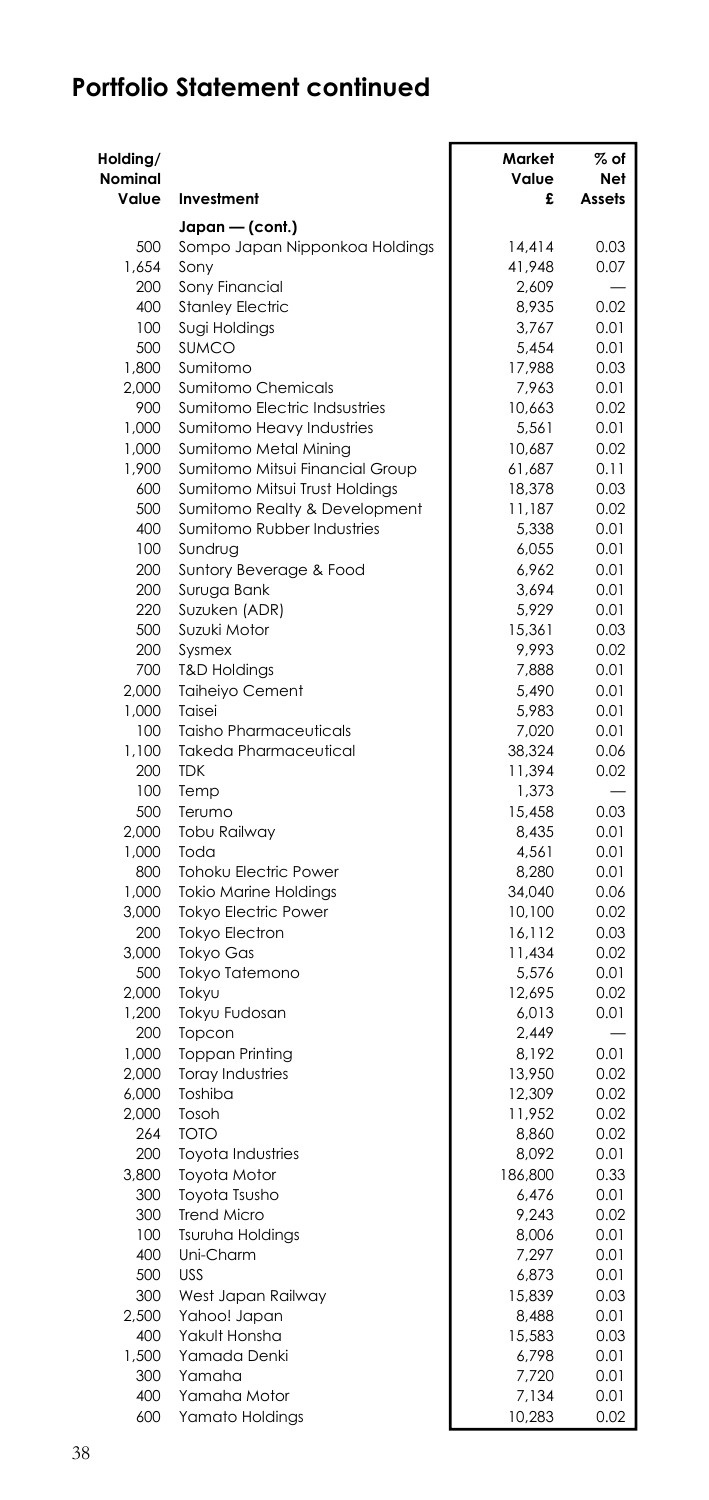| Japan — (cont.)<br>500<br>Sompo Japan Nipponkoa Holdings<br>14.414<br>0.03<br>1,654<br>Sony<br>41,948<br>0.07<br>200<br>Sony Financial<br>2,609<br>400<br><b>Stanley Electric</b><br>8,935<br>0.02<br>100<br>Sugi Holdings<br>3,767<br>0.01<br><b>SUMCO</b><br>500<br>5,454<br>0.01<br>Sumitomo<br>1,800<br>17,988<br>0.03<br>2,000<br>Sumitomo Chemicals<br>7,963<br>0.01<br>Sumitomo Electric Indsustries<br>900<br>10,663<br>0.02<br>1,000<br>Sumitomo Heavy Industries<br>5,561<br>0.01<br>1,000<br>Sumitomo Metal Mining<br>10,687<br>0.02<br>1,900<br>Sumitomo Mitsui Financial Group<br>0.11<br>61,687<br>Sumitomo Mitsui Trust Holdings<br>600<br>18,378<br>0.03<br>500<br>Sumitomo Realty & Development<br>11,187<br>0.02<br>400<br>Sumitomo Rubber Industries<br>5,338<br>0.01<br>100<br>Sundrug<br>6,055<br>0.01<br>200<br>Suntory Beverage & Food<br>6,962<br>0.01<br>200<br>3,694<br>0.01<br>Suruga Bank<br>220<br>5,929<br>0.01<br>Suzuken (ADR)<br>500<br>Suzuki Motor<br>15,361<br>0.03<br>200<br>Sysmex<br>9,993<br>0.02<br>700<br><b>T&amp;D Holdings</b><br>7,888<br>0.01<br>2.000<br><b>Taiheiyo Cement</b><br>5,490<br>0.01<br>1,000<br>Taisei<br>5,983<br>0.01<br><b>Taisho Pharmaceuticals</b><br>100<br>7,020<br>0.01<br>1,100<br>Takeda Pharmaceutical<br>38,324<br>0.06<br><b>TDK</b><br>200<br>11,394<br>0.02<br>100<br>Temp<br>1,373<br>0.03<br>500<br>Terumo<br>15,458<br>2.000<br>Tobu Railway<br>8,435<br>0.01<br>1,000<br>Toda<br>4,561<br>0.01<br>800<br>Tohoku Electric Power<br>8,280<br>0.01<br>1,000<br><b>Tokio Marine Holdings</b><br>34,040<br>0.06<br>3,000<br><b>Tokyo Electric Power</b><br>10,100<br>0.02<br>200<br><b>Tokyo Electron</b><br>16,112<br>0.03<br>3,000<br>Tokyo Gas<br>11,434<br>0.02<br>Tokyo Tatemono<br>500<br>5,576<br>0.01<br>2,000<br>Tokyu<br>12,695<br>0.02<br>1,200<br>Tokyu Fudosan<br>6,013<br>0.01<br>200<br>Topcon<br>2,449<br>0.01<br>1,000<br>Toppan Printing<br>8,192<br>2,000<br><b>Toray Industries</b><br>13,950<br>0.02<br>6,000<br>Toshiba<br>12,309<br>0.02<br>2,000<br>Tosoh<br>11,952<br>0.02<br>264<br><b>TOTO</b><br>8,860<br>0.02<br>Toyota Industries<br>200<br>8.092<br>0.01<br>3,800<br>Toyota Motor<br>186,800<br>0.33<br>300<br>Toyota Tsusho<br>6,476<br>0.01<br>300<br><b>Trend Micro</b><br>9,243<br>0.02<br>100<br>Tsuruha Holdings<br>8.006<br>0.01<br>Uni-Charm<br>400<br>7,297<br>0.01<br>500<br><b>USS</b><br>6,873<br>0.01<br>300<br>West Japan Railway<br>15,839<br>0.03<br>2.500<br>Yahoo! Japan<br>8,488<br>0.01<br>400<br>Yakult Honsha<br>15,583<br>0.03<br>1.500<br>Yamada Denki<br>6,798<br>0.01<br>300<br>Yamaha<br>7,720<br>0.01<br>400<br>Yamaha Motor<br>7,134<br>0.01<br>600<br>Yamato Holdings<br>10,283<br>0.02 | Holding/<br>Nominal<br>Value | Investment | Market<br>Value<br>£ | % of<br>Net<br>Assets |
|----------------------------------------------------------------------------------------------------------------------------------------------------------------------------------------------------------------------------------------------------------------------------------------------------------------------------------------------------------------------------------------------------------------------------------------------------------------------------------------------------------------------------------------------------------------------------------------------------------------------------------------------------------------------------------------------------------------------------------------------------------------------------------------------------------------------------------------------------------------------------------------------------------------------------------------------------------------------------------------------------------------------------------------------------------------------------------------------------------------------------------------------------------------------------------------------------------------------------------------------------------------------------------------------------------------------------------------------------------------------------------------------------------------------------------------------------------------------------------------------------------------------------------------------------------------------------------------------------------------------------------------------------------------------------------------------------------------------------------------------------------------------------------------------------------------------------------------------------------------------------------------------------------------------------------------------------------------------------------------------------------------------------------------------------------------------------------------------------------------------------------------------------------------------------------------------------------------------------------------------------------------------------------------------------------------------------------------------------------------------------------------------------------------------------------------------------------------------------------------------------------------------------------------------------------------------------------------------------------------------------------------------------------------------------------------------------------------------------------|------------------------------|------------|----------------------|-----------------------|
|                                                                                                                                                                                                                                                                                                                                                                                                                                                                                                                                                                                                                                                                                                                                                                                                                                                                                                                                                                                                                                                                                                                                                                                                                                                                                                                                                                                                                                                                                                                                                                                                                                                                                                                                                                                                                                                                                                                                                                                                                                                                                                                                                                                                                                                                                                                                                                                                                                                                                                                                                                                                                                                                                                                                  |                              |            |                      |                       |
|                                                                                                                                                                                                                                                                                                                                                                                                                                                                                                                                                                                                                                                                                                                                                                                                                                                                                                                                                                                                                                                                                                                                                                                                                                                                                                                                                                                                                                                                                                                                                                                                                                                                                                                                                                                                                                                                                                                                                                                                                                                                                                                                                                                                                                                                                                                                                                                                                                                                                                                                                                                                                                                                                                                                  |                              |            |                      |                       |
|                                                                                                                                                                                                                                                                                                                                                                                                                                                                                                                                                                                                                                                                                                                                                                                                                                                                                                                                                                                                                                                                                                                                                                                                                                                                                                                                                                                                                                                                                                                                                                                                                                                                                                                                                                                                                                                                                                                                                                                                                                                                                                                                                                                                                                                                                                                                                                                                                                                                                                                                                                                                                                                                                                                                  |                              |            |                      |                       |
|                                                                                                                                                                                                                                                                                                                                                                                                                                                                                                                                                                                                                                                                                                                                                                                                                                                                                                                                                                                                                                                                                                                                                                                                                                                                                                                                                                                                                                                                                                                                                                                                                                                                                                                                                                                                                                                                                                                                                                                                                                                                                                                                                                                                                                                                                                                                                                                                                                                                                                                                                                                                                                                                                                                                  |                              |            |                      |                       |
|                                                                                                                                                                                                                                                                                                                                                                                                                                                                                                                                                                                                                                                                                                                                                                                                                                                                                                                                                                                                                                                                                                                                                                                                                                                                                                                                                                                                                                                                                                                                                                                                                                                                                                                                                                                                                                                                                                                                                                                                                                                                                                                                                                                                                                                                                                                                                                                                                                                                                                                                                                                                                                                                                                                                  |                              |            |                      |                       |
|                                                                                                                                                                                                                                                                                                                                                                                                                                                                                                                                                                                                                                                                                                                                                                                                                                                                                                                                                                                                                                                                                                                                                                                                                                                                                                                                                                                                                                                                                                                                                                                                                                                                                                                                                                                                                                                                                                                                                                                                                                                                                                                                                                                                                                                                                                                                                                                                                                                                                                                                                                                                                                                                                                                                  |                              |            |                      |                       |
|                                                                                                                                                                                                                                                                                                                                                                                                                                                                                                                                                                                                                                                                                                                                                                                                                                                                                                                                                                                                                                                                                                                                                                                                                                                                                                                                                                                                                                                                                                                                                                                                                                                                                                                                                                                                                                                                                                                                                                                                                                                                                                                                                                                                                                                                                                                                                                                                                                                                                                                                                                                                                                                                                                                                  |                              |            |                      |                       |
|                                                                                                                                                                                                                                                                                                                                                                                                                                                                                                                                                                                                                                                                                                                                                                                                                                                                                                                                                                                                                                                                                                                                                                                                                                                                                                                                                                                                                                                                                                                                                                                                                                                                                                                                                                                                                                                                                                                                                                                                                                                                                                                                                                                                                                                                                                                                                                                                                                                                                                                                                                                                                                                                                                                                  |                              |            |                      |                       |
|                                                                                                                                                                                                                                                                                                                                                                                                                                                                                                                                                                                                                                                                                                                                                                                                                                                                                                                                                                                                                                                                                                                                                                                                                                                                                                                                                                                                                                                                                                                                                                                                                                                                                                                                                                                                                                                                                                                                                                                                                                                                                                                                                                                                                                                                                                                                                                                                                                                                                                                                                                                                                                                                                                                                  |                              |            |                      |                       |
|                                                                                                                                                                                                                                                                                                                                                                                                                                                                                                                                                                                                                                                                                                                                                                                                                                                                                                                                                                                                                                                                                                                                                                                                                                                                                                                                                                                                                                                                                                                                                                                                                                                                                                                                                                                                                                                                                                                                                                                                                                                                                                                                                                                                                                                                                                                                                                                                                                                                                                                                                                                                                                                                                                                                  |                              |            |                      |                       |
|                                                                                                                                                                                                                                                                                                                                                                                                                                                                                                                                                                                                                                                                                                                                                                                                                                                                                                                                                                                                                                                                                                                                                                                                                                                                                                                                                                                                                                                                                                                                                                                                                                                                                                                                                                                                                                                                                                                                                                                                                                                                                                                                                                                                                                                                                                                                                                                                                                                                                                                                                                                                                                                                                                                                  |                              |            |                      |                       |
|                                                                                                                                                                                                                                                                                                                                                                                                                                                                                                                                                                                                                                                                                                                                                                                                                                                                                                                                                                                                                                                                                                                                                                                                                                                                                                                                                                                                                                                                                                                                                                                                                                                                                                                                                                                                                                                                                                                                                                                                                                                                                                                                                                                                                                                                                                                                                                                                                                                                                                                                                                                                                                                                                                                                  |                              |            |                      |                       |
|                                                                                                                                                                                                                                                                                                                                                                                                                                                                                                                                                                                                                                                                                                                                                                                                                                                                                                                                                                                                                                                                                                                                                                                                                                                                                                                                                                                                                                                                                                                                                                                                                                                                                                                                                                                                                                                                                                                                                                                                                                                                                                                                                                                                                                                                                                                                                                                                                                                                                                                                                                                                                                                                                                                                  |                              |            |                      |                       |
|                                                                                                                                                                                                                                                                                                                                                                                                                                                                                                                                                                                                                                                                                                                                                                                                                                                                                                                                                                                                                                                                                                                                                                                                                                                                                                                                                                                                                                                                                                                                                                                                                                                                                                                                                                                                                                                                                                                                                                                                                                                                                                                                                                                                                                                                                                                                                                                                                                                                                                                                                                                                                                                                                                                                  |                              |            |                      |                       |
|                                                                                                                                                                                                                                                                                                                                                                                                                                                                                                                                                                                                                                                                                                                                                                                                                                                                                                                                                                                                                                                                                                                                                                                                                                                                                                                                                                                                                                                                                                                                                                                                                                                                                                                                                                                                                                                                                                                                                                                                                                                                                                                                                                                                                                                                                                                                                                                                                                                                                                                                                                                                                                                                                                                                  |                              |            |                      |                       |
|                                                                                                                                                                                                                                                                                                                                                                                                                                                                                                                                                                                                                                                                                                                                                                                                                                                                                                                                                                                                                                                                                                                                                                                                                                                                                                                                                                                                                                                                                                                                                                                                                                                                                                                                                                                                                                                                                                                                                                                                                                                                                                                                                                                                                                                                                                                                                                                                                                                                                                                                                                                                                                                                                                                                  |                              |            |                      |                       |
|                                                                                                                                                                                                                                                                                                                                                                                                                                                                                                                                                                                                                                                                                                                                                                                                                                                                                                                                                                                                                                                                                                                                                                                                                                                                                                                                                                                                                                                                                                                                                                                                                                                                                                                                                                                                                                                                                                                                                                                                                                                                                                                                                                                                                                                                                                                                                                                                                                                                                                                                                                                                                                                                                                                                  |                              |            |                      |                       |
|                                                                                                                                                                                                                                                                                                                                                                                                                                                                                                                                                                                                                                                                                                                                                                                                                                                                                                                                                                                                                                                                                                                                                                                                                                                                                                                                                                                                                                                                                                                                                                                                                                                                                                                                                                                                                                                                                                                                                                                                                                                                                                                                                                                                                                                                                                                                                                                                                                                                                                                                                                                                                                                                                                                                  |                              |            |                      |                       |
|                                                                                                                                                                                                                                                                                                                                                                                                                                                                                                                                                                                                                                                                                                                                                                                                                                                                                                                                                                                                                                                                                                                                                                                                                                                                                                                                                                                                                                                                                                                                                                                                                                                                                                                                                                                                                                                                                                                                                                                                                                                                                                                                                                                                                                                                                                                                                                                                                                                                                                                                                                                                                                                                                                                                  |                              |            |                      |                       |
|                                                                                                                                                                                                                                                                                                                                                                                                                                                                                                                                                                                                                                                                                                                                                                                                                                                                                                                                                                                                                                                                                                                                                                                                                                                                                                                                                                                                                                                                                                                                                                                                                                                                                                                                                                                                                                                                                                                                                                                                                                                                                                                                                                                                                                                                                                                                                                                                                                                                                                                                                                                                                                                                                                                                  |                              |            |                      |                       |
|                                                                                                                                                                                                                                                                                                                                                                                                                                                                                                                                                                                                                                                                                                                                                                                                                                                                                                                                                                                                                                                                                                                                                                                                                                                                                                                                                                                                                                                                                                                                                                                                                                                                                                                                                                                                                                                                                                                                                                                                                                                                                                                                                                                                                                                                                                                                                                                                                                                                                                                                                                                                                                                                                                                                  |                              |            |                      |                       |
|                                                                                                                                                                                                                                                                                                                                                                                                                                                                                                                                                                                                                                                                                                                                                                                                                                                                                                                                                                                                                                                                                                                                                                                                                                                                                                                                                                                                                                                                                                                                                                                                                                                                                                                                                                                                                                                                                                                                                                                                                                                                                                                                                                                                                                                                                                                                                                                                                                                                                                                                                                                                                                                                                                                                  |                              |            |                      |                       |
|                                                                                                                                                                                                                                                                                                                                                                                                                                                                                                                                                                                                                                                                                                                                                                                                                                                                                                                                                                                                                                                                                                                                                                                                                                                                                                                                                                                                                                                                                                                                                                                                                                                                                                                                                                                                                                                                                                                                                                                                                                                                                                                                                                                                                                                                                                                                                                                                                                                                                                                                                                                                                                                                                                                                  |                              |            |                      |                       |
|                                                                                                                                                                                                                                                                                                                                                                                                                                                                                                                                                                                                                                                                                                                                                                                                                                                                                                                                                                                                                                                                                                                                                                                                                                                                                                                                                                                                                                                                                                                                                                                                                                                                                                                                                                                                                                                                                                                                                                                                                                                                                                                                                                                                                                                                                                                                                                                                                                                                                                                                                                                                                                                                                                                                  |                              |            |                      |                       |
|                                                                                                                                                                                                                                                                                                                                                                                                                                                                                                                                                                                                                                                                                                                                                                                                                                                                                                                                                                                                                                                                                                                                                                                                                                                                                                                                                                                                                                                                                                                                                                                                                                                                                                                                                                                                                                                                                                                                                                                                                                                                                                                                                                                                                                                                                                                                                                                                                                                                                                                                                                                                                                                                                                                                  |                              |            |                      |                       |
|                                                                                                                                                                                                                                                                                                                                                                                                                                                                                                                                                                                                                                                                                                                                                                                                                                                                                                                                                                                                                                                                                                                                                                                                                                                                                                                                                                                                                                                                                                                                                                                                                                                                                                                                                                                                                                                                                                                                                                                                                                                                                                                                                                                                                                                                                                                                                                                                                                                                                                                                                                                                                                                                                                                                  |                              |            |                      |                       |
|                                                                                                                                                                                                                                                                                                                                                                                                                                                                                                                                                                                                                                                                                                                                                                                                                                                                                                                                                                                                                                                                                                                                                                                                                                                                                                                                                                                                                                                                                                                                                                                                                                                                                                                                                                                                                                                                                                                                                                                                                                                                                                                                                                                                                                                                                                                                                                                                                                                                                                                                                                                                                                                                                                                                  |                              |            |                      |                       |
|                                                                                                                                                                                                                                                                                                                                                                                                                                                                                                                                                                                                                                                                                                                                                                                                                                                                                                                                                                                                                                                                                                                                                                                                                                                                                                                                                                                                                                                                                                                                                                                                                                                                                                                                                                                                                                                                                                                                                                                                                                                                                                                                                                                                                                                                                                                                                                                                                                                                                                                                                                                                                                                                                                                                  |                              |            |                      |                       |
|                                                                                                                                                                                                                                                                                                                                                                                                                                                                                                                                                                                                                                                                                                                                                                                                                                                                                                                                                                                                                                                                                                                                                                                                                                                                                                                                                                                                                                                                                                                                                                                                                                                                                                                                                                                                                                                                                                                                                                                                                                                                                                                                                                                                                                                                                                                                                                                                                                                                                                                                                                                                                                                                                                                                  |                              |            |                      |                       |
|                                                                                                                                                                                                                                                                                                                                                                                                                                                                                                                                                                                                                                                                                                                                                                                                                                                                                                                                                                                                                                                                                                                                                                                                                                                                                                                                                                                                                                                                                                                                                                                                                                                                                                                                                                                                                                                                                                                                                                                                                                                                                                                                                                                                                                                                                                                                                                                                                                                                                                                                                                                                                                                                                                                                  |                              |            |                      |                       |
|                                                                                                                                                                                                                                                                                                                                                                                                                                                                                                                                                                                                                                                                                                                                                                                                                                                                                                                                                                                                                                                                                                                                                                                                                                                                                                                                                                                                                                                                                                                                                                                                                                                                                                                                                                                                                                                                                                                                                                                                                                                                                                                                                                                                                                                                                                                                                                                                                                                                                                                                                                                                                                                                                                                                  |                              |            |                      |                       |
|                                                                                                                                                                                                                                                                                                                                                                                                                                                                                                                                                                                                                                                                                                                                                                                                                                                                                                                                                                                                                                                                                                                                                                                                                                                                                                                                                                                                                                                                                                                                                                                                                                                                                                                                                                                                                                                                                                                                                                                                                                                                                                                                                                                                                                                                                                                                                                                                                                                                                                                                                                                                                                                                                                                                  |                              |            |                      |                       |
|                                                                                                                                                                                                                                                                                                                                                                                                                                                                                                                                                                                                                                                                                                                                                                                                                                                                                                                                                                                                                                                                                                                                                                                                                                                                                                                                                                                                                                                                                                                                                                                                                                                                                                                                                                                                                                                                                                                                                                                                                                                                                                                                                                                                                                                                                                                                                                                                                                                                                                                                                                                                                                                                                                                                  |                              |            |                      |                       |
|                                                                                                                                                                                                                                                                                                                                                                                                                                                                                                                                                                                                                                                                                                                                                                                                                                                                                                                                                                                                                                                                                                                                                                                                                                                                                                                                                                                                                                                                                                                                                                                                                                                                                                                                                                                                                                                                                                                                                                                                                                                                                                                                                                                                                                                                                                                                                                                                                                                                                                                                                                                                                                                                                                                                  |                              |            |                      |                       |
|                                                                                                                                                                                                                                                                                                                                                                                                                                                                                                                                                                                                                                                                                                                                                                                                                                                                                                                                                                                                                                                                                                                                                                                                                                                                                                                                                                                                                                                                                                                                                                                                                                                                                                                                                                                                                                                                                                                                                                                                                                                                                                                                                                                                                                                                                                                                                                                                                                                                                                                                                                                                                                                                                                                                  |                              |            |                      |                       |
|                                                                                                                                                                                                                                                                                                                                                                                                                                                                                                                                                                                                                                                                                                                                                                                                                                                                                                                                                                                                                                                                                                                                                                                                                                                                                                                                                                                                                                                                                                                                                                                                                                                                                                                                                                                                                                                                                                                                                                                                                                                                                                                                                                                                                                                                                                                                                                                                                                                                                                                                                                                                                                                                                                                                  |                              |            |                      |                       |
|                                                                                                                                                                                                                                                                                                                                                                                                                                                                                                                                                                                                                                                                                                                                                                                                                                                                                                                                                                                                                                                                                                                                                                                                                                                                                                                                                                                                                                                                                                                                                                                                                                                                                                                                                                                                                                                                                                                                                                                                                                                                                                                                                                                                                                                                                                                                                                                                                                                                                                                                                                                                                                                                                                                                  |                              |            |                      |                       |
|                                                                                                                                                                                                                                                                                                                                                                                                                                                                                                                                                                                                                                                                                                                                                                                                                                                                                                                                                                                                                                                                                                                                                                                                                                                                                                                                                                                                                                                                                                                                                                                                                                                                                                                                                                                                                                                                                                                                                                                                                                                                                                                                                                                                                                                                                                                                                                                                                                                                                                                                                                                                                                                                                                                                  |                              |            |                      |                       |
|                                                                                                                                                                                                                                                                                                                                                                                                                                                                                                                                                                                                                                                                                                                                                                                                                                                                                                                                                                                                                                                                                                                                                                                                                                                                                                                                                                                                                                                                                                                                                                                                                                                                                                                                                                                                                                                                                                                                                                                                                                                                                                                                                                                                                                                                                                                                                                                                                                                                                                                                                                                                                                                                                                                                  |                              |            |                      |                       |
|                                                                                                                                                                                                                                                                                                                                                                                                                                                                                                                                                                                                                                                                                                                                                                                                                                                                                                                                                                                                                                                                                                                                                                                                                                                                                                                                                                                                                                                                                                                                                                                                                                                                                                                                                                                                                                                                                                                                                                                                                                                                                                                                                                                                                                                                                                                                                                                                                                                                                                                                                                                                                                                                                                                                  |                              |            |                      |                       |
|                                                                                                                                                                                                                                                                                                                                                                                                                                                                                                                                                                                                                                                                                                                                                                                                                                                                                                                                                                                                                                                                                                                                                                                                                                                                                                                                                                                                                                                                                                                                                                                                                                                                                                                                                                                                                                                                                                                                                                                                                                                                                                                                                                                                                                                                                                                                                                                                                                                                                                                                                                                                                                                                                                                                  |                              |            |                      |                       |
|                                                                                                                                                                                                                                                                                                                                                                                                                                                                                                                                                                                                                                                                                                                                                                                                                                                                                                                                                                                                                                                                                                                                                                                                                                                                                                                                                                                                                                                                                                                                                                                                                                                                                                                                                                                                                                                                                                                                                                                                                                                                                                                                                                                                                                                                                                                                                                                                                                                                                                                                                                                                                                                                                                                                  |                              |            |                      |                       |
|                                                                                                                                                                                                                                                                                                                                                                                                                                                                                                                                                                                                                                                                                                                                                                                                                                                                                                                                                                                                                                                                                                                                                                                                                                                                                                                                                                                                                                                                                                                                                                                                                                                                                                                                                                                                                                                                                                                                                                                                                                                                                                                                                                                                                                                                                                                                                                                                                                                                                                                                                                                                                                                                                                                                  |                              |            |                      |                       |
|                                                                                                                                                                                                                                                                                                                                                                                                                                                                                                                                                                                                                                                                                                                                                                                                                                                                                                                                                                                                                                                                                                                                                                                                                                                                                                                                                                                                                                                                                                                                                                                                                                                                                                                                                                                                                                                                                                                                                                                                                                                                                                                                                                                                                                                                                                                                                                                                                                                                                                                                                                                                                                                                                                                                  |                              |            |                      |                       |
|                                                                                                                                                                                                                                                                                                                                                                                                                                                                                                                                                                                                                                                                                                                                                                                                                                                                                                                                                                                                                                                                                                                                                                                                                                                                                                                                                                                                                                                                                                                                                                                                                                                                                                                                                                                                                                                                                                                                                                                                                                                                                                                                                                                                                                                                                                                                                                                                                                                                                                                                                                                                                                                                                                                                  |                              |            |                      |                       |
|                                                                                                                                                                                                                                                                                                                                                                                                                                                                                                                                                                                                                                                                                                                                                                                                                                                                                                                                                                                                                                                                                                                                                                                                                                                                                                                                                                                                                                                                                                                                                                                                                                                                                                                                                                                                                                                                                                                                                                                                                                                                                                                                                                                                                                                                                                                                                                                                                                                                                                                                                                                                                                                                                                                                  |                              |            |                      |                       |
|                                                                                                                                                                                                                                                                                                                                                                                                                                                                                                                                                                                                                                                                                                                                                                                                                                                                                                                                                                                                                                                                                                                                                                                                                                                                                                                                                                                                                                                                                                                                                                                                                                                                                                                                                                                                                                                                                                                                                                                                                                                                                                                                                                                                                                                                                                                                                                                                                                                                                                                                                                                                                                                                                                                                  |                              |            |                      |                       |
|                                                                                                                                                                                                                                                                                                                                                                                                                                                                                                                                                                                                                                                                                                                                                                                                                                                                                                                                                                                                                                                                                                                                                                                                                                                                                                                                                                                                                                                                                                                                                                                                                                                                                                                                                                                                                                                                                                                                                                                                                                                                                                                                                                                                                                                                                                                                                                                                                                                                                                                                                                                                                                                                                                                                  |                              |            |                      |                       |
|                                                                                                                                                                                                                                                                                                                                                                                                                                                                                                                                                                                                                                                                                                                                                                                                                                                                                                                                                                                                                                                                                                                                                                                                                                                                                                                                                                                                                                                                                                                                                                                                                                                                                                                                                                                                                                                                                                                                                                                                                                                                                                                                                                                                                                                                                                                                                                                                                                                                                                                                                                                                                                                                                                                                  |                              |            |                      |                       |
|                                                                                                                                                                                                                                                                                                                                                                                                                                                                                                                                                                                                                                                                                                                                                                                                                                                                                                                                                                                                                                                                                                                                                                                                                                                                                                                                                                                                                                                                                                                                                                                                                                                                                                                                                                                                                                                                                                                                                                                                                                                                                                                                                                                                                                                                                                                                                                                                                                                                                                                                                                                                                                                                                                                                  |                              |            |                      |                       |
|                                                                                                                                                                                                                                                                                                                                                                                                                                                                                                                                                                                                                                                                                                                                                                                                                                                                                                                                                                                                                                                                                                                                                                                                                                                                                                                                                                                                                                                                                                                                                                                                                                                                                                                                                                                                                                                                                                                                                                                                                                                                                                                                                                                                                                                                                                                                                                                                                                                                                                                                                                                                                                                                                                                                  |                              |            |                      |                       |
|                                                                                                                                                                                                                                                                                                                                                                                                                                                                                                                                                                                                                                                                                                                                                                                                                                                                                                                                                                                                                                                                                                                                                                                                                                                                                                                                                                                                                                                                                                                                                                                                                                                                                                                                                                                                                                                                                                                                                                                                                                                                                                                                                                                                                                                                                                                                                                                                                                                                                                                                                                                                                                                                                                                                  |                              |            |                      |                       |
|                                                                                                                                                                                                                                                                                                                                                                                                                                                                                                                                                                                                                                                                                                                                                                                                                                                                                                                                                                                                                                                                                                                                                                                                                                                                                                                                                                                                                                                                                                                                                                                                                                                                                                                                                                                                                                                                                                                                                                                                                                                                                                                                                                                                                                                                                                                                                                                                                                                                                                                                                                                                                                                                                                                                  |                              |            |                      |                       |
|                                                                                                                                                                                                                                                                                                                                                                                                                                                                                                                                                                                                                                                                                                                                                                                                                                                                                                                                                                                                                                                                                                                                                                                                                                                                                                                                                                                                                                                                                                                                                                                                                                                                                                                                                                                                                                                                                                                                                                                                                                                                                                                                                                                                                                                                                                                                                                                                                                                                                                                                                                                                                                                                                                                                  |                              |            |                      |                       |
|                                                                                                                                                                                                                                                                                                                                                                                                                                                                                                                                                                                                                                                                                                                                                                                                                                                                                                                                                                                                                                                                                                                                                                                                                                                                                                                                                                                                                                                                                                                                                                                                                                                                                                                                                                                                                                                                                                                                                                                                                                                                                                                                                                                                                                                                                                                                                                                                                                                                                                                                                                                                                                                                                                                                  |                              |            |                      |                       |
|                                                                                                                                                                                                                                                                                                                                                                                                                                                                                                                                                                                                                                                                                                                                                                                                                                                                                                                                                                                                                                                                                                                                                                                                                                                                                                                                                                                                                                                                                                                                                                                                                                                                                                                                                                                                                                                                                                                                                                                                                                                                                                                                                                                                                                                                                                                                                                                                                                                                                                                                                                                                                                                                                                                                  |                              |            |                      |                       |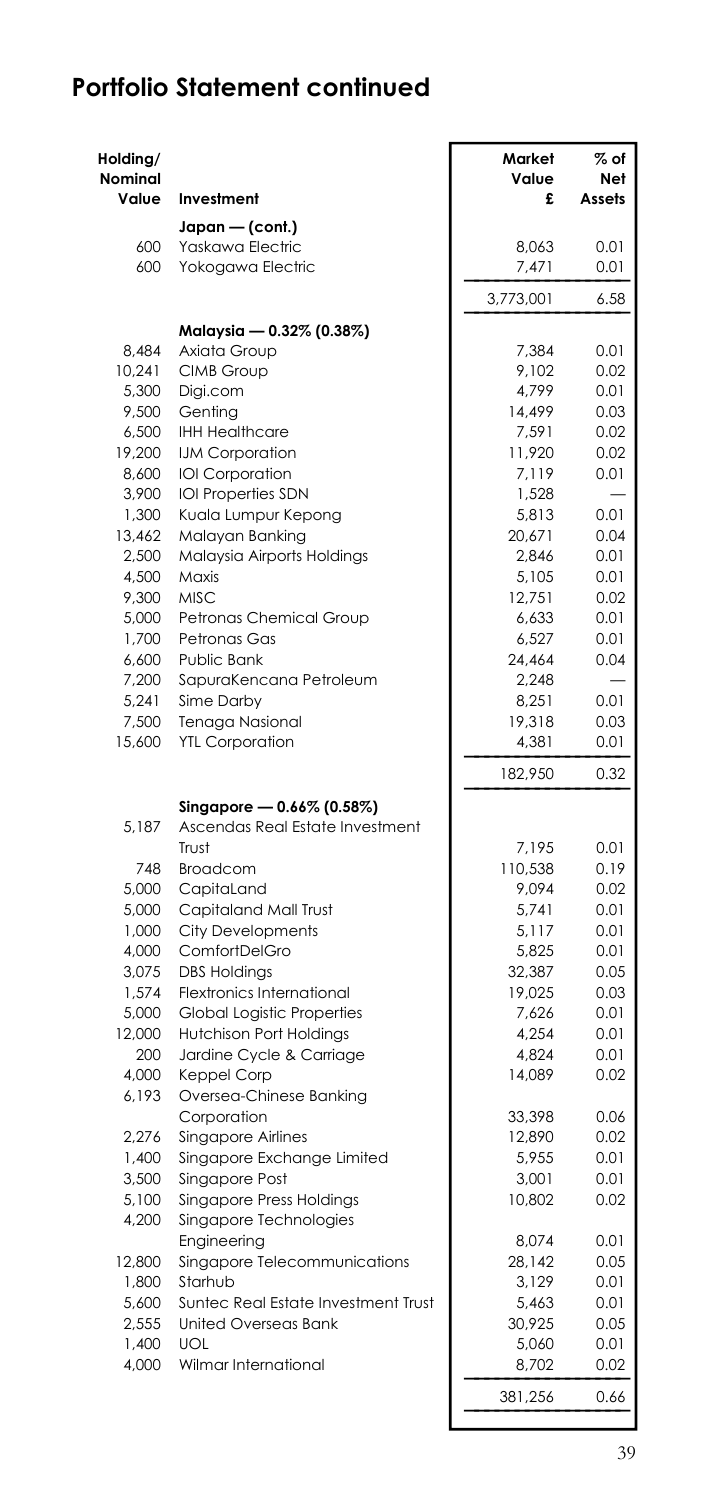| Holding/<br>Nominal<br>Value | Investment                             | Market<br>Value<br>£ | $%$ of<br>Net<br>Assets |
|------------------------------|----------------------------------------|----------------------|-------------------------|
|                              | Japan - (cont.)                        |                      |                         |
| 600                          | Yaskawa Electric                       | 8.063                | 0.01                    |
| 600                          | Yokogawa Electric                      | 7,471                | 0.01                    |
|                              |                                        | 3,773,001            | 6.58                    |
|                              | Malaysia - 0.32% (0.38%)               |                      |                         |
| 8,484                        | Axiata Group                           | 7,384                | 0.01                    |
| 10,241                       | <b>CIMB Group</b>                      | 9,102                | 0.02                    |
| 5.300                        | Digi.com                               | 4.799                | 0.01                    |
| 9,500                        | Genting                                | 14,499               | 0.03                    |
| 6,500                        | <b>IHH Healthcare</b>                  | 7,591                | 0.02                    |
| 19,200                       | IJM Corporation                        | 11,920               | 0.02                    |
| 8,600                        | IOI Corporation                        | 7,119                | 0.01                    |
| 3,900<br>1,300               | IOI Properties SDN                     | 1,528                | 0.01                    |
| 13,462                       | Kuala Lumpur Kepong<br>Malayan Banking | 5,813<br>20,671      | 0.04                    |
| 2,500                        | Malaysia Airports Holdings             | 2,846                | 0.01                    |
| 4,500                        | Maxis                                  | 5,105                | 0.01                    |
| 9,300                        | <b>MISC</b>                            | 12,751               | 0.02                    |
| 5,000                        | Petronas Chemical Group                | 6,633                | 0.01                    |
| 1,700                        | Petronas Gas                           | 6,527                | 0.01                    |
| 6.600                        | Public Bank                            | 24.464               | 0.04                    |
| 7,200                        | SapuraKencana Petroleum                | 2,248                |                         |
| 5,241                        | Sime Darby                             | 8,251                | 0.01                    |
| 7,500                        | Tenaga Nasional                        | 19,318               | 0.03                    |
| 15,600                       | <b>YTL Corporation</b>                 | 4,381                | 0.01                    |
|                              |                                        | 182,950              | 0.32                    |
|                              | Singapore - 0.66% (0.58%)              |                      |                         |
| 5,187                        | Ascendas Real Estate Investment        |                      |                         |
| 748                          | Trust<br><b>Broadcom</b>               | 7,195<br>110,538     | 0.01<br>0.19            |
| 5,000                        | CapitaLand                             | 9,094                | 0.02                    |
| 5,000                        | Capitaland Mall Trust                  | 5,741                | 0.01                    |
| 1,000                        | <b>City Developments</b>               | 5,117                | 0.01                    |
| 4,000                        | ComfortDelGro                          | 5,825                | 0.01                    |
| 3,075                        | <b>DBS Holdings</b>                    | 32,387               | 0.05                    |
| 1,574                        | <b>Flextronics International</b>       | 19,025               | 0.03                    |
| 5,000                        | <b>Global Logistic Properties</b>      | 7,626                | 0.01                    |
| 12,000                       | <b>Hutchison Port Holdings</b>         | 4,254                | 0.01                    |
| 200                          | Jardine Cycle & Carriage               | 4,824                | 0.01                    |
| 4,000                        | Keppel Corp                            | 14,089               | 0.02                    |
| 6,193                        | Oversea-Chinese Banking                |                      |                         |
|                              | Corporation                            | 33,398               | 0.06                    |
| 2,276                        | Singapore Airlines                     | 12,890               | 0.02                    |
| 1,400                        | Singapore Exchange Limited             | 5,955                | 0.01                    |
| 3,500                        | Singapore Post                         | 3,001                | 0.01                    |
| 5,100                        | Singapore Press Holdings               | 10,802               | 0.02                    |
| 4,200                        | Singapore Technologies<br>Engineering  | 8,074                | 0.01                    |
| 12,800                       | Singapore Telecommunications           | 28,142               | 0.05                    |
| 1,800                        | Starhub                                | 3,129                | 0.01                    |
| 5,600                        | Suntec Real Estate Investment Trust    | 5,463                | 0.01                    |
| 2,555                        | <b>United Overseas Bank</b>            | 30,925               | 0.05                    |
| 1,400                        | <b>UOL</b>                             | 5,060                | 0.01                    |
| 4,000                        | Wilmar International                   | 8,702                | 0.02                    |
|                              |                                        | 381,256              | 0.66                    |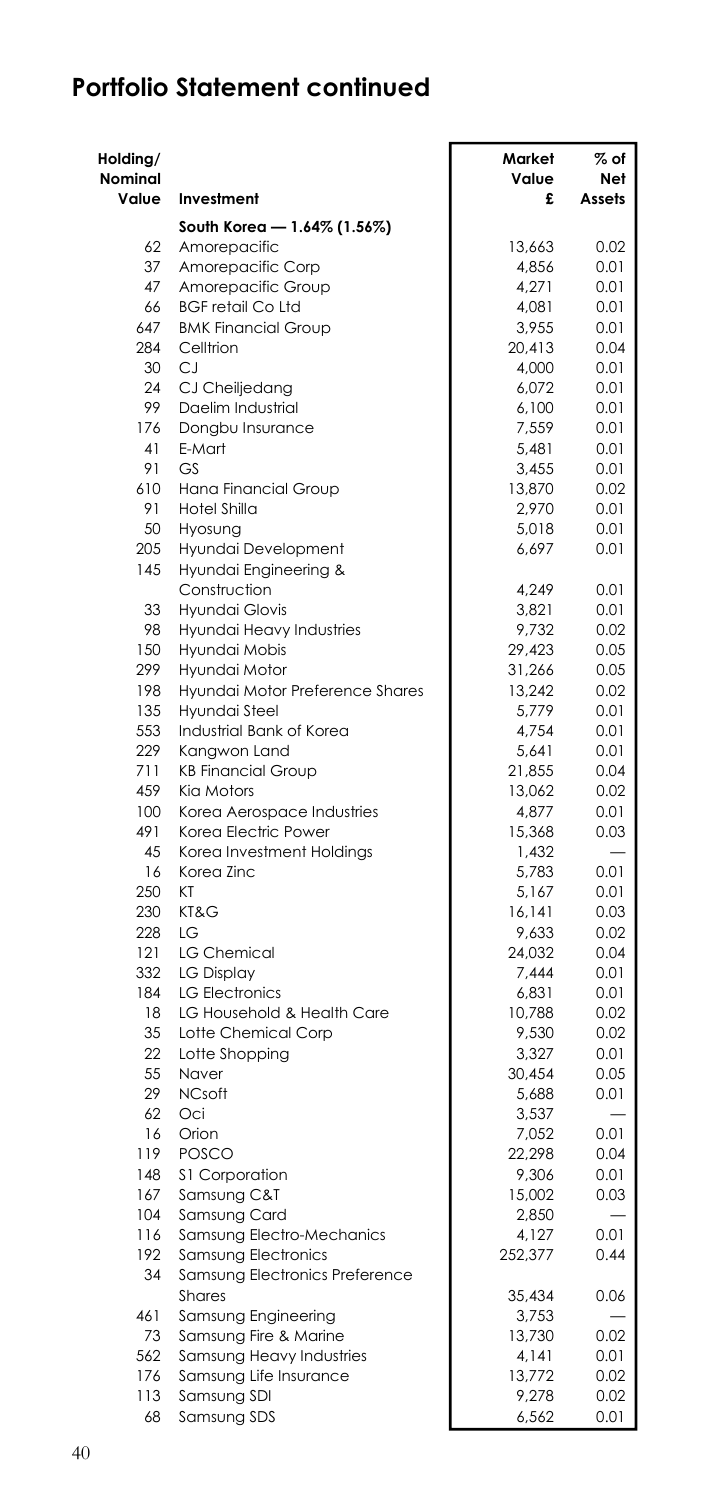| Holding/<br>Nominal |                                 | Market<br>Value | % of<br>Net |
|---------------------|---------------------------------|-----------------|-------------|
| Value               | Investment                      | £               | Assets      |
|                     | South Korea - 1.64% (1.56%)     |                 |             |
| 62                  | Amorepacific                    | 13.663          | 0.02        |
| 37                  | Amorepacific Corp               | 4,856           | 0.01        |
| 47                  | Amorepacific Group              | 4,271           | 0.01        |
| 66                  | <b>BGF retail Co Ltd</b>        | 4.081           | 0.01        |
| 647                 | <b>BMK Financial Group</b>      | 3,955           | 0.01        |
| 284                 | Celltrion                       | 20,413          | 0.04        |
| 30                  | CJ                              | 4,000           | 0.01        |
| 24                  | CJ Cheiljedang                  | 6,072           | 0.01        |
| 99                  | Daelim Industrial               | 6,100           | 0.01        |
| 176                 | Dongbu Insurance                | 7,559           | 0.01        |
| 41                  | E-Mart                          | 5,481           | 0.01        |
| 91                  | GS                              | 3.455           | 0.01        |
| 610                 | Hana Financial Group            | 13,870          | 0.02        |
| 91                  | Hotel Shilla                    | 2,970           | 0.01        |
| 50                  | Hyosung                         | 5,018           | 0.01        |
| 205                 | Hyundai Development             | 6,697           | 0.01        |
| 145                 | Hyundai Engineering &           |                 |             |
|                     | Construction                    | 4.249           | 0.01        |
| 33                  | Hyundai Glovis                  | 3,821           | 0.01        |
| 98                  | Hyundai Heavy Industries        | 9,732           | 0.02        |
| 150                 | Hyundai Mobis                   | 29,423          | 0.05        |
| 299                 | Hyundai Motor                   | 31,266          | 0.05        |
| 198                 | Hyundai Motor Preference Shares | 13,242          | 0.02        |
| 135                 | Hyundai Steel                   | 5,779           | 0.01        |
| 553                 | Industrial Bank of Korea        | 4,754           | 0.01        |
| 229                 | Kangwon Land                    | 5,641           | 0.01        |
| 711                 | <b>KB Financial Group</b>       | 21,855          | 0.04        |
| 459                 | Kia Motors                      | 13,062          | 0.02        |
| 100                 | Korea Aerospace Industries      | 4,877           | 0.01        |
| 491                 | Korea Electric Power            | 15,368          | 0.03        |
| 45                  | Korea Investment Holdings       | 1,432           |             |
| 16                  | Korea Zinc                      | 5,783           | 0.01        |
| 250                 | KT                              | 5.167           | 0.01        |
| 230                 | KT&G                            | 16,141          | 0.03        |
| 228                 | LG                              | 9,633           | 0.02        |
| 121                 | <b>LG Chemical</b>              | 24,032          | 0.04        |
| 332                 | <b>LG Display</b>               | 7,444           | 0.01        |
| 184                 | <b>LG Electronics</b>           | 6,831           | 0.01        |
| 18                  | LG Household & Health Care      | 10,788          | 0.02        |
| 35                  | Lotte Chemical Corp             | 9,530           | 0.02        |
| 22                  | Lotte Shopping                  | 3,327           | 0.01        |
| 55                  | Naver                           | 30,454          | 0.05        |
| 29                  | <b>NCsoft</b>                   | 5,688           | 0.01        |
| 62                  | Oci                             | 3,537           |             |
| 16                  | Orion                           | 7,052           | 0.01        |
| 119                 | <b>POSCO</b>                    | 22,298          | 0.04        |
| 148                 | \$1 Corporation                 | 9.306           | 0.01        |
| 167                 | Samsung C&T                     | 15,002          | 0.03        |
| 104                 | Samsung Card                    | 2,850           |             |
| 116                 | Samsung Electro-Mechanics       | 4,127           | 0.01        |
| 192                 | Samsung Electronics             | 252,377         | 0.44        |
| 34                  | Samsung Electronics Preference  |                 |             |
|                     | Shares                          | 35,434          | 0.06        |
| 461                 | Samsung Engineering             | 3,753           |             |
| 73                  | Samsung Fire & Marine           | 13,730          | 0.02        |
| 562                 | Samsung Heavy Industries        | 4,141           | 0.01        |
| 176                 | Samsung Life Insurance          | 13,772          | 0.02        |
| 113                 | Samsung SDI                     | 9,278           | 0.02        |
| 68                  | Samsung SDS                     | 6,562           | 0.01        |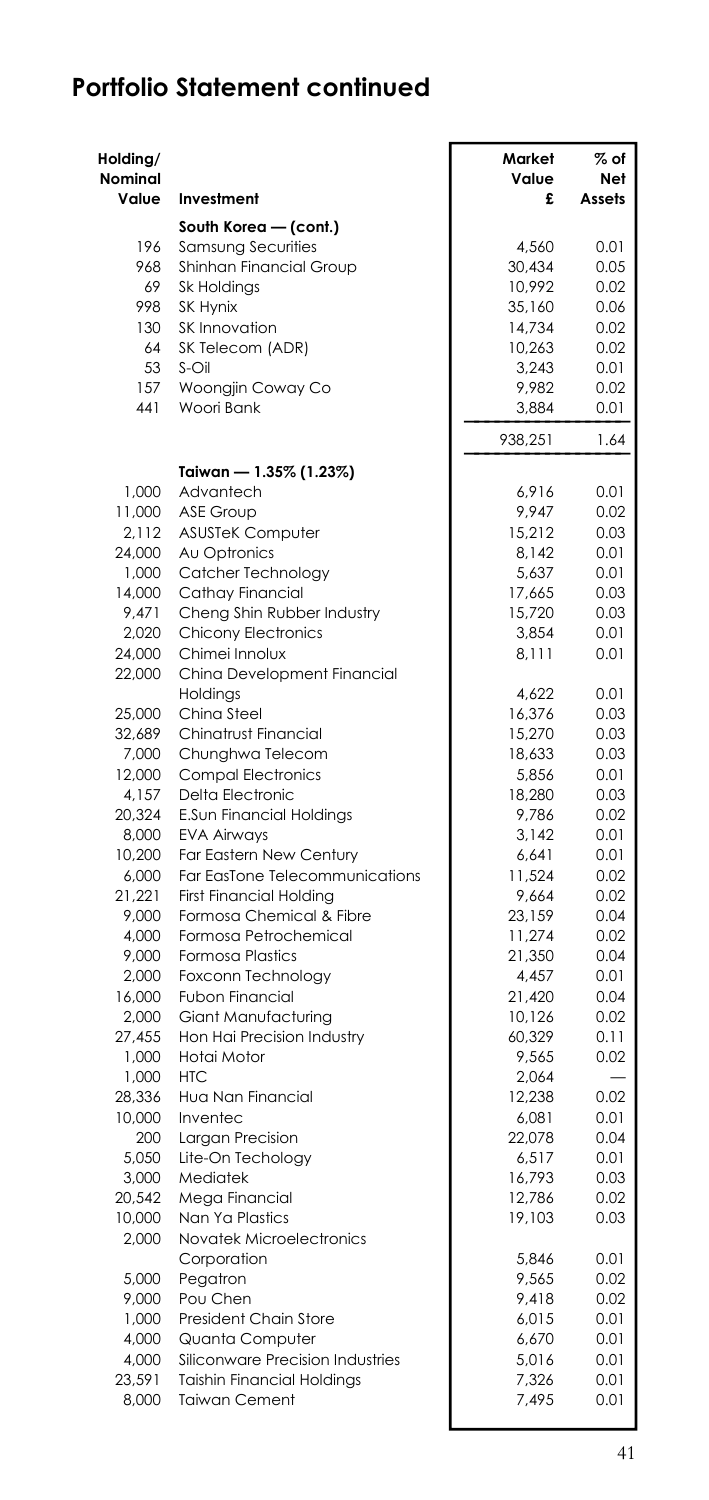| Holding/<br>Nominal<br>Value | Investment                                            | Market<br>Value<br>£ | $%$ of<br>Net<br>Assets |
|------------------------------|-------------------------------------------------------|----------------------|-------------------------|
|                              | South Korea - (cont.)                                 |                      |                         |
| 196                          | Samsung Securities                                    | 4,560                | 0.01                    |
| 968                          | Shinhan Financial Group                               | 30,434               | 0.05                    |
| 69                           | Sk Holdings                                           | 10,992               | 0.02                    |
| 998                          | SK Hynix                                              | 35,160               | 0.06                    |
| 130                          | SK Innovation                                         | 14,734               | 0.02                    |
| 64                           | SK Telecom (ADR)                                      | 10,263               | 0.02                    |
| 53                           | S-Oil                                                 | 3,243                | 0.01                    |
| 157                          | Woongjin Coway Co                                     | 9,982                | 0.02                    |
| 441                          | Woori Bank                                            | 3,884                | 0.01                    |
|                              |                                                       | 938,251              | 1.64                    |
|                              | Taiwan — 1.35% (1.23%)                                |                      |                         |
| 1.000                        | Advantech                                             | 6.916                | 0.01                    |
| 11,000                       | <b>ASE Group</b>                                      | 9,947                | 0.02                    |
| 2,112                        | <b>ASUSTeK Computer</b>                               | 15,212               | 0.03                    |
| 24,000<br>1,000              | Au Optronics<br>Catcher Technology                    | 8,142<br>5,637       | 0.01<br>0.01            |
| 14,000                       | Cathay Financial                                      | 17,665               | 0.03                    |
| 9,471                        | Cheng Shin Rubber Industry                            | 15,720               | 0.03                    |
| 2,020                        | <b>Chicony Electronics</b>                            | 3,854                | 0.01                    |
| 24,000                       | Chimei Innolux                                        | 8,111                | 0.01                    |
| 22,000                       | China Development Financial                           |                      |                         |
|                              | Holdings                                              | 4.622                | 0.01                    |
| 25,000                       | China Steel                                           | 16,376               | 0.03                    |
| 32,689                       | Chinatrust Financial                                  | 15,270               | 0.03                    |
| 7,000                        | Chunghwa Telecom                                      | 18,633               | 0.03                    |
| 12,000                       | <b>Compal Electronics</b>                             | 5,856                | 0.01                    |
| 4,157                        | Delta Electronic                                      | 18,280               | 0.03                    |
| 20,324<br>8,000              | <b>E.Sun Financial Holdings</b><br><b>EVA Airways</b> | 9,786<br>3,142       | 0.02<br>0.01            |
| 10,200                       | Far Eastern New Century                               | 6,641                | 0.01                    |
| 6,000                        | Far EasTone Telecommunications                        | 11,524               | 0.02                    |
| 21,221                       | <b>First Financial Holding</b>                        | 9,664                | 0.02                    |
| 9.000                        | Formosa Chemical & Fibre                              | 23,159               | 0.04                    |
| 4,000                        | Formosa Petrochemical                                 | 11,274               | 0.02                    |
| 9.000                        | <b>Formosa Plastics</b>                               | 21,350               | 0.04                    |
| 2,000                        | Foxconn Technology                                    | 4,457                | 0.01                    |
| 16,000                       | Fubon Financial                                       | 21,420               | 0.04                    |
| 2,000                        | Giant Manufacturing                                   | 10,126               | 0.02                    |
| 27,455                       | Hon Hai Precision Industry                            | 60,329               | 0.11                    |
| 1,000                        | Hotai Motor                                           | 9,565                | 0.02                    |
| 1,000                        | HTC.                                                  | 2,064                |                         |
| 28,336                       | Hua Nan Financial                                     | 12,238               | 0.02                    |
| 10,000                       | Inventec                                              | 6,081                | 0.01                    |
| 200                          | Largan Precision                                      | 22,078               | 0.04                    |
| 5,050                        | Lite-On Techology                                     | 6,517                | 0.01                    |
| 3,000                        | Mediatek                                              | 16,793               | 0.03                    |
| 20,542                       | Mega Financial                                        | 12,786               | 0.02                    |
| 10,000                       | Nan Ya Plastics                                       | 19,103               | 0.03                    |
| 2,000                        | Novatek Microelectronics<br>Corporation               | 5,846                | 0.01                    |
| 5,000                        | Pegatron                                              | 9,565                | 0.02                    |
| 9,000                        | Pou Chen                                              | 9,418                | 0.02                    |
| 1,000                        | President Chain Store                                 | 6,015                | 0.01                    |
| 4,000                        | Quanta Computer                                       | 6,670                | 0.01                    |
| 4.000                        | Siliconware Precision Industries                      | 5,016                | 0.01                    |
| 23,591                       | <b>Taishin Financial Holdings</b>                     | 7,326                | 0.01                    |
| 8,000                        | <b>Taiwan Cement</b>                                  | 7,495                | 0.01                    |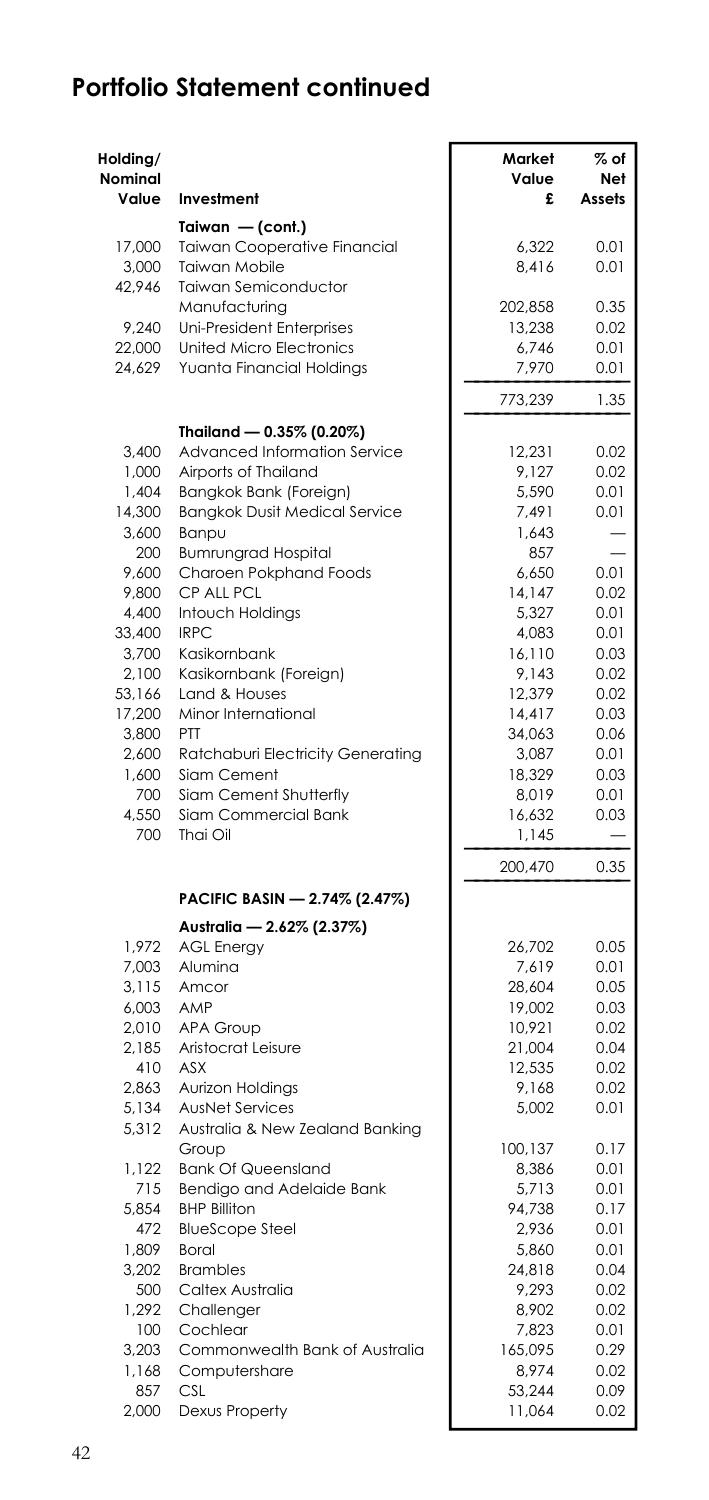| Holding/<br>Nominal<br>Value | Investment                                                | Market<br>Value<br>£ | $%$ of<br>Net<br>Assets |
|------------------------------|-----------------------------------------------------------|----------------------|-------------------------|
|                              | Taiwan - (cont.)                                          |                      |                         |
| 17,000                       | <b>Taiwan Cooperative Financial</b>                       | 6.322                | 0.01                    |
| 3,000                        | Taiwan Mobile                                             | 8,416                | 0.01                    |
| 42,946                       | Taiwan Semiconductor                                      |                      |                         |
|                              | Manufacturing                                             | 202,858              | 0.35                    |
| 9,240<br>22,000              | Uni-President Enterprises<br>United Micro Electronics     | 13,238<br>6.746      | 0.02<br>0.01            |
| 24,629                       | Yuanta Financial Holdings                                 | 7,970                | 0.01                    |
|                              |                                                           | 773,239              | 1.35                    |
|                              | Thailand - 0.35% (0.20%)                                  |                      |                         |
| 3,400                        | Advanced Information Service                              | 12,231               | 0.02                    |
| 1,000                        | Airports of Thailand                                      | 9,127                | 0.02                    |
| 1,404                        | Bangkok Bank (Foreign)                                    | 5,590                | 0.01                    |
| 14,300                       | <b>Bangkok Dusit Medical Service</b>                      | 7,491                | 0.01                    |
| 3,600                        | Banpu                                                     | 1,643                |                         |
| 200                          | <b>Bumrungrad Hospital</b>                                | 857                  |                         |
| 9,600                        | Charoen Pokphand Foods                                    | 6,650                | 0.01                    |
| 9,800<br>4.400               | CP ALL PCL<br>Intouch Holdings                            | 14,147<br>5,327      | 0.02<br>0.01            |
| 33,400                       | <b>IRPC</b>                                               | 4,083                | 0.01                    |
| 3,700                        | Kasikornbank                                              | 16,110               | 0.03                    |
| 2,100                        | Kasikornbank (Foreign)                                    | 9,143                | 0.02                    |
| 53,166                       | Land & Houses                                             | 12,379               | 0.02                    |
| 17,200                       | Minor International                                       | 14,417               | 0.03                    |
| 3,800                        | PTT                                                       | 34,063               | 0.06                    |
| 2,600                        | Ratchaburi Electricity Generating                         | 3,087                | 0.01                    |
| 1,600                        | Siam Cement                                               | 18,329               | 0.03                    |
| 700                          | Siam Cement Shutterfly                                    | 8,019                | 0.01                    |
| 4,550<br>700                 | Siam Commercial Bank<br>Thai Oil                          | 16,632               | 0.03                    |
|                              |                                                           | 1,145<br>200,470     | 0.35                    |
|                              | PACIFIC BASIN — 2.74% (2.47%)                             |                      |                         |
|                              | Australia - 2.62% (2.37%)                                 |                      |                         |
| 1,972                        | <b>AGL Energy</b>                                         | 26,702               | 0.05                    |
| 7,003                        | Alumina                                                   | 7,619                | 0.01                    |
| 3,115                        | Amcor                                                     | 28,604               | 0.05                    |
| 6,003                        | AMP                                                       | 19,002               | 0.03                    |
| 2,010                        | <b>APA Group</b>                                          | 10,921               | 0.02                    |
| 2,185                        | Aristocrat Leisure                                        | 21,004               | 0.04                    |
| 410                          | <b>ASX</b>                                                | 12,535               | 0.02                    |
| 2,863                        | Aurizon Holdings                                          | 9,168                | 0.02                    |
| 5,134<br>5,312               | <b>AusNet Services</b><br>Australia & New Zealand Banking | 5,002                | 0.01                    |
|                              | Group                                                     | 100,137              | 0.17                    |
| 1,122                        | <b>Bank Of Queensland</b>                                 | 8,386                | 0.01                    |
| 715                          | Bendigo and Adelaide Bank                                 | 5,713                | 0.01                    |
| 5,854                        | <b>BHP Billiton</b>                                       | 94,738               | 0.17                    |
| 472                          | <b>BlueScope Steel</b>                                    | 2,936                | 0.01                    |
| 1,809<br>3.202               | Boral<br><b>Brambles</b>                                  | 5,860<br>24.818      | 0.01<br>0.04            |
| 500                          | Caltex Australia                                          | 9,293                | 0.02                    |
| 1,292                        | Challenger                                                | 8,902                | 0.02                    |
| 100                          | Cochlear                                                  | 7,823                | 0.01                    |
| 3,203                        | Commonwealth Bank of Australia                            | 165,095              | 0.29                    |
| 1,168                        | Computershare                                             | 8,974                | 0.02                    |
| 857                          | CSI.                                                      | 53,244               | 0.09                    |
| 2,000                        | Dexus Property                                            | 11,064               | 0.02                    |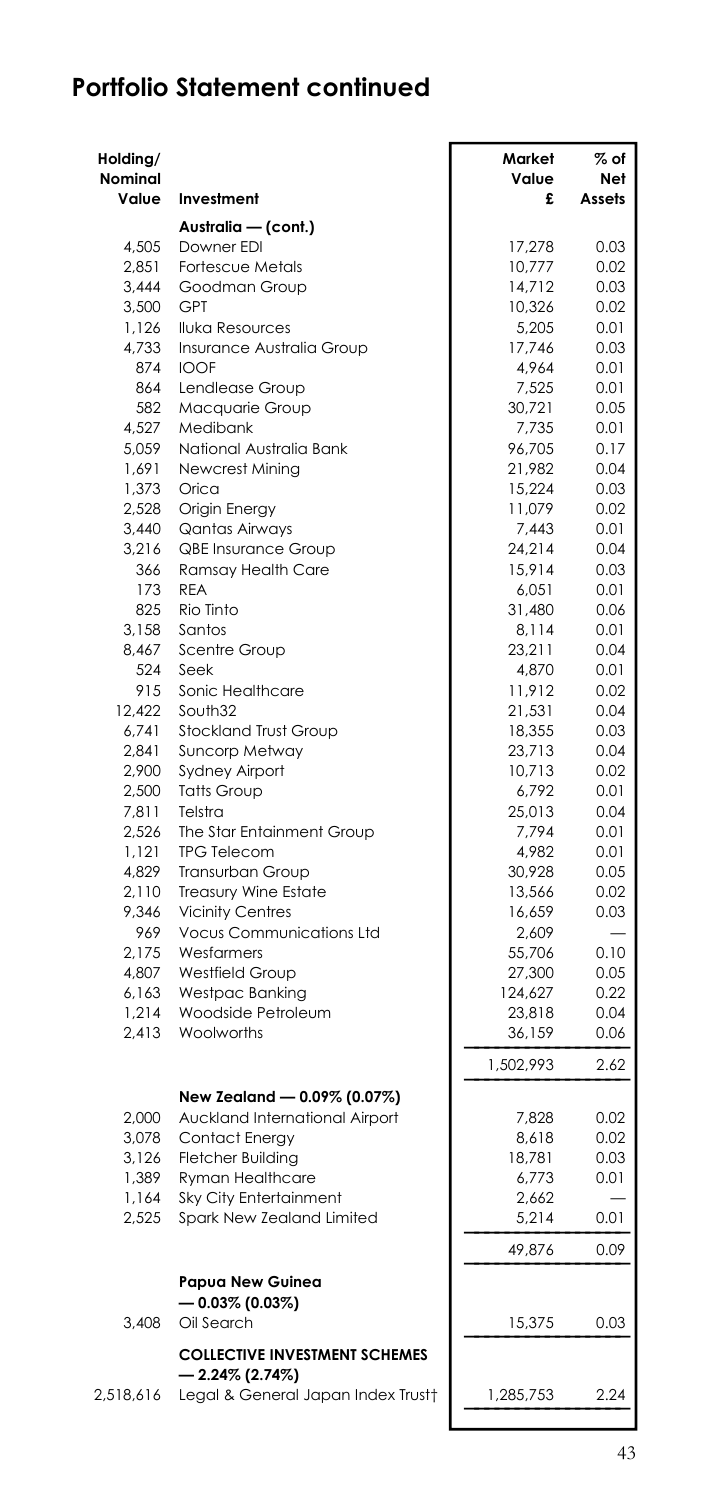| Australia - (cont.)<br>4,505<br>Downer EDI<br>17,278<br>10,777<br>2,851<br><b>Fortescue Metals</b><br>3.444<br>Goodman Group<br>14,712<br>0.03<br>3,500<br><b>GPT</b><br>10,326<br>0.02<br>1,126<br><b>Iluka Resources</b><br>5,205<br>0.01<br>4,733<br>17,746<br>0.03<br>Insurance Australia Group<br>874<br>4,964<br><b>IOOF</b><br>0.01<br>864<br>7,525<br>Lendlease Group<br>0.01<br>582<br>30,721<br>Macquarie Group<br>0.05<br>4,527<br>Medibank<br>7,735<br>0.01<br>5,059<br>National Australia Bank<br>96,705<br>1.691<br>Newcrest Mining<br>21,982<br>1,373<br>Orica<br>15,224<br>2,528<br>11,079<br>Origin Energy<br>3,440<br><b>Qantas Airways</b><br>7,443<br>3,216<br><b>QBE Insurance Group</b><br>24,214<br>366<br>Ramsay Health Care<br>15,914<br>173<br><b>REA</b><br>6,051<br>Rio Tinto<br>825<br>31,480<br>0.06<br>3,158<br>Santos<br>8,114<br>0.01<br>8,467<br>Scentre Group<br>23,211<br>0.04<br>524<br>Seek<br>4,870<br>0.01<br>Sonic Healthcare<br>915<br>11,912<br>0.02<br>South32<br>12,422<br>21,531<br>0.04<br>6,741<br>Stockland Trust Group<br>18,355<br>0.03<br>2,841<br>Suncorp Metway<br>23,713<br>0.04<br>2,900<br><b>Sydney Airport</b><br>10,713<br>2,500<br><b>Tatts Group</b><br>6,792<br>7,811<br>Telstra<br>25,013<br>The Star Entainment Group<br>2.526<br>7,794<br><b>TPG Telecom</b><br>1,121<br>4,982<br>4.829<br>Transurban Group<br>30,928<br>2,110<br>Treasury Wine Estate<br>13,566<br>9,346<br><b>Vicinity Centres</b><br>16,659<br>0.03<br><b>Vocus Communications Ltd</b><br>969<br>2,609<br>0.10<br>2,175<br>Wesfarmers<br>55,706<br>4,807<br>Westfield Group<br>27,300<br>0.05<br>6,163<br>Westpac Banking<br>124,627<br>0.22<br>1,214<br>Woodside Petroleum<br>23,818<br>0.04<br>2,413<br>Woolworths<br>36,159<br>0.06<br>1,502,993<br>2.62<br>New Zealand - 0.09% (0.07%)<br>2,000<br>Auckland International Airport<br>7,828<br>3,078<br>Contact Energy<br>8,618<br>18,781<br>3,126<br><b>Fletcher Building</b><br>1,389<br><b>Ryman Healthcare</b><br>6,773<br>1,164<br>Sky City Entertainment<br>2,662<br>2,525<br>Spark New Zealand Limited<br>5,214<br>0.01<br>49,876<br>Papua New Guinea<br>$-0.03\%$ (0.03%)<br>3,408<br>Oil Search<br>15,375<br><b>COLLECTIVE INVESTMENT SCHEMES</b> | Holding/<br>Nominal<br>Value | Investment | Market<br>Value<br>£ | $%$ of<br>Net<br>Assets |
|----------------------------------------------------------------------------------------------------------------------------------------------------------------------------------------------------------------------------------------------------------------------------------------------------------------------------------------------------------------------------------------------------------------------------------------------------------------------------------------------------------------------------------------------------------------------------------------------------------------------------------------------------------------------------------------------------------------------------------------------------------------------------------------------------------------------------------------------------------------------------------------------------------------------------------------------------------------------------------------------------------------------------------------------------------------------------------------------------------------------------------------------------------------------------------------------------------------------------------------------------------------------------------------------------------------------------------------------------------------------------------------------------------------------------------------------------------------------------------------------------------------------------------------------------------------------------------------------------------------------------------------------------------------------------------------------------------------------------------------------------------------------------------------------------------------------------------------------------------------------------------------------------------------------------------------------------------------------------------------------------------------------------------------------------------------------------------------------------------------------------------------------------------------------------------------------------------------------------------------------------|------------------------------|------------|----------------------|-------------------------|
|                                                                                                                                                                                                                                                                                                                                                                                                                                                                                                                                                                                                                                                                                                                                                                                                                                                                                                                                                                                                                                                                                                                                                                                                                                                                                                                                                                                                                                                                                                                                                                                                                                                                                                                                                                                                                                                                                                                                                                                                                                                                                                                                                                                                                                                    |                              |            |                      |                         |
|                                                                                                                                                                                                                                                                                                                                                                                                                                                                                                                                                                                                                                                                                                                                                                                                                                                                                                                                                                                                                                                                                                                                                                                                                                                                                                                                                                                                                                                                                                                                                                                                                                                                                                                                                                                                                                                                                                                                                                                                                                                                                                                                                                                                                                                    |                              |            |                      | 0.03                    |
|                                                                                                                                                                                                                                                                                                                                                                                                                                                                                                                                                                                                                                                                                                                                                                                                                                                                                                                                                                                                                                                                                                                                                                                                                                                                                                                                                                                                                                                                                                                                                                                                                                                                                                                                                                                                                                                                                                                                                                                                                                                                                                                                                                                                                                                    |                              |            |                      | 0.02                    |
|                                                                                                                                                                                                                                                                                                                                                                                                                                                                                                                                                                                                                                                                                                                                                                                                                                                                                                                                                                                                                                                                                                                                                                                                                                                                                                                                                                                                                                                                                                                                                                                                                                                                                                                                                                                                                                                                                                                                                                                                                                                                                                                                                                                                                                                    |                              |            |                      |                         |
|                                                                                                                                                                                                                                                                                                                                                                                                                                                                                                                                                                                                                                                                                                                                                                                                                                                                                                                                                                                                                                                                                                                                                                                                                                                                                                                                                                                                                                                                                                                                                                                                                                                                                                                                                                                                                                                                                                                                                                                                                                                                                                                                                                                                                                                    |                              |            |                      |                         |
|                                                                                                                                                                                                                                                                                                                                                                                                                                                                                                                                                                                                                                                                                                                                                                                                                                                                                                                                                                                                                                                                                                                                                                                                                                                                                                                                                                                                                                                                                                                                                                                                                                                                                                                                                                                                                                                                                                                                                                                                                                                                                                                                                                                                                                                    |                              |            |                      |                         |
|                                                                                                                                                                                                                                                                                                                                                                                                                                                                                                                                                                                                                                                                                                                                                                                                                                                                                                                                                                                                                                                                                                                                                                                                                                                                                                                                                                                                                                                                                                                                                                                                                                                                                                                                                                                                                                                                                                                                                                                                                                                                                                                                                                                                                                                    |                              |            |                      |                         |
|                                                                                                                                                                                                                                                                                                                                                                                                                                                                                                                                                                                                                                                                                                                                                                                                                                                                                                                                                                                                                                                                                                                                                                                                                                                                                                                                                                                                                                                                                                                                                                                                                                                                                                                                                                                                                                                                                                                                                                                                                                                                                                                                                                                                                                                    |                              |            |                      |                         |
|                                                                                                                                                                                                                                                                                                                                                                                                                                                                                                                                                                                                                                                                                                                                                                                                                                                                                                                                                                                                                                                                                                                                                                                                                                                                                                                                                                                                                                                                                                                                                                                                                                                                                                                                                                                                                                                                                                                                                                                                                                                                                                                                                                                                                                                    |                              |            |                      |                         |
|                                                                                                                                                                                                                                                                                                                                                                                                                                                                                                                                                                                                                                                                                                                                                                                                                                                                                                                                                                                                                                                                                                                                                                                                                                                                                                                                                                                                                                                                                                                                                                                                                                                                                                                                                                                                                                                                                                                                                                                                                                                                                                                                                                                                                                                    |                              |            |                      |                         |
|                                                                                                                                                                                                                                                                                                                                                                                                                                                                                                                                                                                                                                                                                                                                                                                                                                                                                                                                                                                                                                                                                                                                                                                                                                                                                                                                                                                                                                                                                                                                                                                                                                                                                                                                                                                                                                                                                                                                                                                                                                                                                                                                                                                                                                                    |                              |            |                      | 0.17                    |
|                                                                                                                                                                                                                                                                                                                                                                                                                                                                                                                                                                                                                                                                                                                                                                                                                                                                                                                                                                                                                                                                                                                                                                                                                                                                                                                                                                                                                                                                                                                                                                                                                                                                                                                                                                                                                                                                                                                                                                                                                                                                                                                                                                                                                                                    |                              |            |                      | 0.04                    |
|                                                                                                                                                                                                                                                                                                                                                                                                                                                                                                                                                                                                                                                                                                                                                                                                                                                                                                                                                                                                                                                                                                                                                                                                                                                                                                                                                                                                                                                                                                                                                                                                                                                                                                                                                                                                                                                                                                                                                                                                                                                                                                                                                                                                                                                    |                              |            |                      | 0.03                    |
|                                                                                                                                                                                                                                                                                                                                                                                                                                                                                                                                                                                                                                                                                                                                                                                                                                                                                                                                                                                                                                                                                                                                                                                                                                                                                                                                                                                                                                                                                                                                                                                                                                                                                                                                                                                                                                                                                                                                                                                                                                                                                                                                                                                                                                                    |                              |            |                      | 0.02                    |
|                                                                                                                                                                                                                                                                                                                                                                                                                                                                                                                                                                                                                                                                                                                                                                                                                                                                                                                                                                                                                                                                                                                                                                                                                                                                                                                                                                                                                                                                                                                                                                                                                                                                                                                                                                                                                                                                                                                                                                                                                                                                                                                                                                                                                                                    |                              |            |                      | 0.01                    |
|                                                                                                                                                                                                                                                                                                                                                                                                                                                                                                                                                                                                                                                                                                                                                                                                                                                                                                                                                                                                                                                                                                                                                                                                                                                                                                                                                                                                                                                                                                                                                                                                                                                                                                                                                                                                                                                                                                                                                                                                                                                                                                                                                                                                                                                    |                              |            |                      | 0.04                    |
|                                                                                                                                                                                                                                                                                                                                                                                                                                                                                                                                                                                                                                                                                                                                                                                                                                                                                                                                                                                                                                                                                                                                                                                                                                                                                                                                                                                                                                                                                                                                                                                                                                                                                                                                                                                                                                                                                                                                                                                                                                                                                                                                                                                                                                                    |                              |            |                      | 0.03                    |
|                                                                                                                                                                                                                                                                                                                                                                                                                                                                                                                                                                                                                                                                                                                                                                                                                                                                                                                                                                                                                                                                                                                                                                                                                                                                                                                                                                                                                                                                                                                                                                                                                                                                                                                                                                                                                                                                                                                                                                                                                                                                                                                                                                                                                                                    |                              |            |                      | 0.01                    |
|                                                                                                                                                                                                                                                                                                                                                                                                                                                                                                                                                                                                                                                                                                                                                                                                                                                                                                                                                                                                                                                                                                                                                                                                                                                                                                                                                                                                                                                                                                                                                                                                                                                                                                                                                                                                                                                                                                                                                                                                                                                                                                                                                                                                                                                    |                              |            |                      |                         |
|                                                                                                                                                                                                                                                                                                                                                                                                                                                                                                                                                                                                                                                                                                                                                                                                                                                                                                                                                                                                                                                                                                                                                                                                                                                                                                                                                                                                                                                                                                                                                                                                                                                                                                                                                                                                                                                                                                                                                                                                                                                                                                                                                                                                                                                    |                              |            |                      |                         |
|                                                                                                                                                                                                                                                                                                                                                                                                                                                                                                                                                                                                                                                                                                                                                                                                                                                                                                                                                                                                                                                                                                                                                                                                                                                                                                                                                                                                                                                                                                                                                                                                                                                                                                                                                                                                                                                                                                                                                                                                                                                                                                                                                                                                                                                    |                              |            |                      |                         |
|                                                                                                                                                                                                                                                                                                                                                                                                                                                                                                                                                                                                                                                                                                                                                                                                                                                                                                                                                                                                                                                                                                                                                                                                                                                                                                                                                                                                                                                                                                                                                                                                                                                                                                                                                                                                                                                                                                                                                                                                                                                                                                                                                                                                                                                    |                              |            |                      |                         |
|                                                                                                                                                                                                                                                                                                                                                                                                                                                                                                                                                                                                                                                                                                                                                                                                                                                                                                                                                                                                                                                                                                                                                                                                                                                                                                                                                                                                                                                                                                                                                                                                                                                                                                                                                                                                                                                                                                                                                                                                                                                                                                                                                                                                                                                    |                              |            |                      |                         |
|                                                                                                                                                                                                                                                                                                                                                                                                                                                                                                                                                                                                                                                                                                                                                                                                                                                                                                                                                                                                                                                                                                                                                                                                                                                                                                                                                                                                                                                                                                                                                                                                                                                                                                                                                                                                                                                                                                                                                                                                                                                                                                                                                                                                                                                    |                              |            |                      |                         |
|                                                                                                                                                                                                                                                                                                                                                                                                                                                                                                                                                                                                                                                                                                                                                                                                                                                                                                                                                                                                                                                                                                                                                                                                                                                                                                                                                                                                                                                                                                                                                                                                                                                                                                                                                                                                                                                                                                                                                                                                                                                                                                                                                                                                                                                    |                              |            |                      |                         |
|                                                                                                                                                                                                                                                                                                                                                                                                                                                                                                                                                                                                                                                                                                                                                                                                                                                                                                                                                                                                                                                                                                                                                                                                                                                                                                                                                                                                                                                                                                                                                                                                                                                                                                                                                                                                                                                                                                                                                                                                                                                                                                                                                                                                                                                    |                              |            |                      | 0.02                    |
|                                                                                                                                                                                                                                                                                                                                                                                                                                                                                                                                                                                                                                                                                                                                                                                                                                                                                                                                                                                                                                                                                                                                                                                                                                                                                                                                                                                                                                                                                                                                                                                                                                                                                                                                                                                                                                                                                                                                                                                                                                                                                                                                                                                                                                                    |                              |            |                      | 0.01                    |
|                                                                                                                                                                                                                                                                                                                                                                                                                                                                                                                                                                                                                                                                                                                                                                                                                                                                                                                                                                                                                                                                                                                                                                                                                                                                                                                                                                                                                                                                                                                                                                                                                                                                                                                                                                                                                                                                                                                                                                                                                                                                                                                                                                                                                                                    |                              |            |                      | 0.04                    |
|                                                                                                                                                                                                                                                                                                                                                                                                                                                                                                                                                                                                                                                                                                                                                                                                                                                                                                                                                                                                                                                                                                                                                                                                                                                                                                                                                                                                                                                                                                                                                                                                                                                                                                                                                                                                                                                                                                                                                                                                                                                                                                                                                                                                                                                    |                              |            |                      | 0.01                    |
|                                                                                                                                                                                                                                                                                                                                                                                                                                                                                                                                                                                                                                                                                                                                                                                                                                                                                                                                                                                                                                                                                                                                                                                                                                                                                                                                                                                                                                                                                                                                                                                                                                                                                                                                                                                                                                                                                                                                                                                                                                                                                                                                                                                                                                                    |                              |            |                      | 0.01                    |
|                                                                                                                                                                                                                                                                                                                                                                                                                                                                                                                                                                                                                                                                                                                                                                                                                                                                                                                                                                                                                                                                                                                                                                                                                                                                                                                                                                                                                                                                                                                                                                                                                                                                                                                                                                                                                                                                                                                                                                                                                                                                                                                                                                                                                                                    |                              |            |                      | 0.05                    |
|                                                                                                                                                                                                                                                                                                                                                                                                                                                                                                                                                                                                                                                                                                                                                                                                                                                                                                                                                                                                                                                                                                                                                                                                                                                                                                                                                                                                                                                                                                                                                                                                                                                                                                                                                                                                                                                                                                                                                                                                                                                                                                                                                                                                                                                    |                              |            |                      | 0.02                    |
|                                                                                                                                                                                                                                                                                                                                                                                                                                                                                                                                                                                                                                                                                                                                                                                                                                                                                                                                                                                                                                                                                                                                                                                                                                                                                                                                                                                                                                                                                                                                                                                                                                                                                                                                                                                                                                                                                                                                                                                                                                                                                                                                                                                                                                                    |                              |            |                      |                         |
|                                                                                                                                                                                                                                                                                                                                                                                                                                                                                                                                                                                                                                                                                                                                                                                                                                                                                                                                                                                                                                                                                                                                                                                                                                                                                                                                                                                                                                                                                                                                                                                                                                                                                                                                                                                                                                                                                                                                                                                                                                                                                                                                                                                                                                                    |                              |            |                      |                         |
|                                                                                                                                                                                                                                                                                                                                                                                                                                                                                                                                                                                                                                                                                                                                                                                                                                                                                                                                                                                                                                                                                                                                                                                                                                                                                                                                                                                                                                                                                                                                                                                                                                                                                                                                                                                                                                                                                                                                                                                                                                                                                                                                                                                                                                                    |                              |            |                      |                         |
|                                                                                                                                                                                                                                                                                                                                                                                                                                                                                                                                                                                                                                                                                                                                                                                                                                                                                                                                                                                                                                                                                                                                                                                                                                                                                                                                                                                                                                                                                                                                                                                                                                                                                                                                                                                                                                                                                                                                                                                                                                                                                                                                                                                                                                                    |                              |            |                      |                         |
|                                                                                                                                                                                                                                                                                                                                                                                                                                                                                                                                                                                                                                                                                                                                                                                                                                                                                                                                                                                                                                                                                                                                                                                                                                                                                                                                                                                                                                                                                                                                                                                                                                                                                                                                                                                                                                                                                                                                                                                                                                                                                                                                                                                                                                                    |                              |            |                      |                         |
|                                                                                                                                                                                                                                                                                                                                                                                                                                                                                                                                                                                                                                                                                                                                                                                                                                                                                                                                                                                                                                                                                                                                                                                                                                                                                                                                                                                                                                                                                                                                                                                                                                                                                                                                                                                                                                                                                                                                                                                                                                                                                                                                                                                                                                                    |                              |            |                      |                         |
|                                                                                                                                                                                                                                                                                                                                                                                                                                                                                                                                                                                                                                                                                                                                                                                                                                                                                                                                                                                                                                                                                                                                                                                                                                                                                                                                                                                                                                                                                                                                                                                                                                                                                                                                                                                                                                                                                                                                                                                                                                                                                                                                                                                                                                                    |                              |            |                      |                         |
|                                                                                                                                                                                                                                                                                                                                                                                                                                                                                                                                                                                                                                                                                                                                                                                                                                                                                                                                                                                                                                                                                                                                                                                                                                                                                                                                                                                                                                                                                                                                                                                                                                                                                                                                                                                                                                                                                                                                                                                                                                                                                                                                                                                                                                                    |                              |            |                      |                         |
|                                                                                                                                                                                                                                                                                                                                                                                                                                                                                                                                                                                                                                                                                                                                                                                                                                                                                                                                                                                                                                                                                                                                                                                                                                                                                                                                                                                                                                                                                                                                                                                                                                                                                                                                                                                                                                                                                                                                                                                                                                                                                                                                                                                                                                                    |                              |            |                      |                         |
|                                                                                                                                                                                                                                                                                                                                                                                                                                                                                                                                                                                                                                                                                                                                                                                                                                                                                                                                                                                                                                                                                                                                                                                                                                                                                                                                                                                                                                                                                                                                                                                                                                                                                                                                                                                                                                                                                                                                                                                                                                                                                                                                                                                                                                                    |                              |            |                      | 0.02                    |
|                                                                                                                                                                                                                                                                                                                                                                                                                                                                                                                                                                                                                                                                                                                                                                                                                                                                                                                                                                                                                                                                                                                                                                                                                                                                                                                                                                                                                                                                                                                                                                                                                                                                                                                                                                                                                                                                                                                                                                                                                                                                                                                                                                                                                                                    |                              |            |                      | 0.02                    |
|                                                                                                                                                                                                                                                                                                                                                                                                                                                                                                                                                                                                                                                                                                                                                                                                                                                                                                                                                                                                                                                                                                                                                                                                                                                                                                                                                                                                                                                                                                                                                                                                                                                                                                                                                                                                                                                                                                                                                                                                                                                                                                                                                                                                                                                    |                              |            |                      | 0.03                    |
|                                                                                                                                                                                                                                                                                                                                                                                                                                                                                                                                                                                                                                                                                                                                                                                                                                                                                                                                                                                                                                                                                                                                                                                                                                                                                                                                                                                                                                                                                                                                                                                                                                                                                                                                                                                                                                                                                                                                                                                                                                                                                                                                                                                                                                                    |                              |            |                      | 0.01                    |
|                                                                                                                                                                                                                                                                                                                                                                                                                                                                                                                                                                                                                                                                                                                                                                                                                                                                                                                                                                                                                                                                                                                                                                                                                                                                                                                                                                                                                                                                                                                                                                                                                                                                                                                                                                                                                                                                                                                                                                                                                                                                                                                                                                                                                                                    |                              |            |                      |                         |
|                                                                                                                                                                                                                                                                                                                                                                                                                                                                                                                                                                                                                                                                                                                                                                                                                                                                                                                                                                                                                                                                                                                                                                                                                                                                                                                                                                                                                                                                                                                                                                                                                                                                                                                                                                                                                                                                                                                                                                                                                                                                                                                                                                                                                                                    |                              |            |                      |                         |
|                                                                                                                                                                                                                                                                                                                                                                                                                                                                                                                                                                                                                                                                                                                                                                                                                                                                                                                                                                                                                                                                                                                                                                                                                                                                                                                                                                                                                                                                                                                                                                                                                                                                                                                                                                                                                                                                                                                                                                                                                                                                                                                                                                                                                                                    |                              |            |                      | 0.09                    |
|                                                                                                                                                                                                                                                                                                                                                                                                                                                                                                                                                                                                                                                                                                                                                                                                                                                                                                                                                                                                                                                                                                                                                                                                                                                                                                                                                                                                                                                                                                                                                                                                                                                                                                                                                                                                                                                                                                                                                                                                                                                                                                                                                                                                                                                    |                              |            |                      |                         |
|                                                                                                                                                                                                                                                                                                                                                                                                                                                                                                                                                                                                                                                                                                                                                                                                                                                                                                                                                                                                                                                                                                                                                                                                                                                                                                                                                                                                                                                                                                                                                                                                                                                                                                                                                                                                                                                                                                                                                                                                                                                                                                                                                                                                                                                    |                              |            |                      | 0.03                    |
|                                                                                                                                                                                                                                                                                                                                                                                                                                                                                                                                                                                                                                                                                                                                                                                                                                                                                                                                                                                                                                                                                                                                                                                                                                                                                                                                                                                                                                                                                                                                                                                                                                                                                                                                                                                                                                                                                                                                                                                                                                                                                                                                                                                                                                                    |                              |            |                      |                         |
| - 2.24% (2.74%)<br>Legal & General Japan Index Trust†<br>2,518,616<br>1,285,753                                                                                                                                                                                                                                                                                                                                                                                                                                                                                                                                                                                                                                                                                                                                                                                                                                                                                                                                                                                                                                                                                                                                                                                                                                                                                                                                                                                                                                                                                                                                                                                                                                                                                                                                                                                                                                                                                                                                                                                                                                                                                                                                                                    |                              |            |                      | 2.24                    |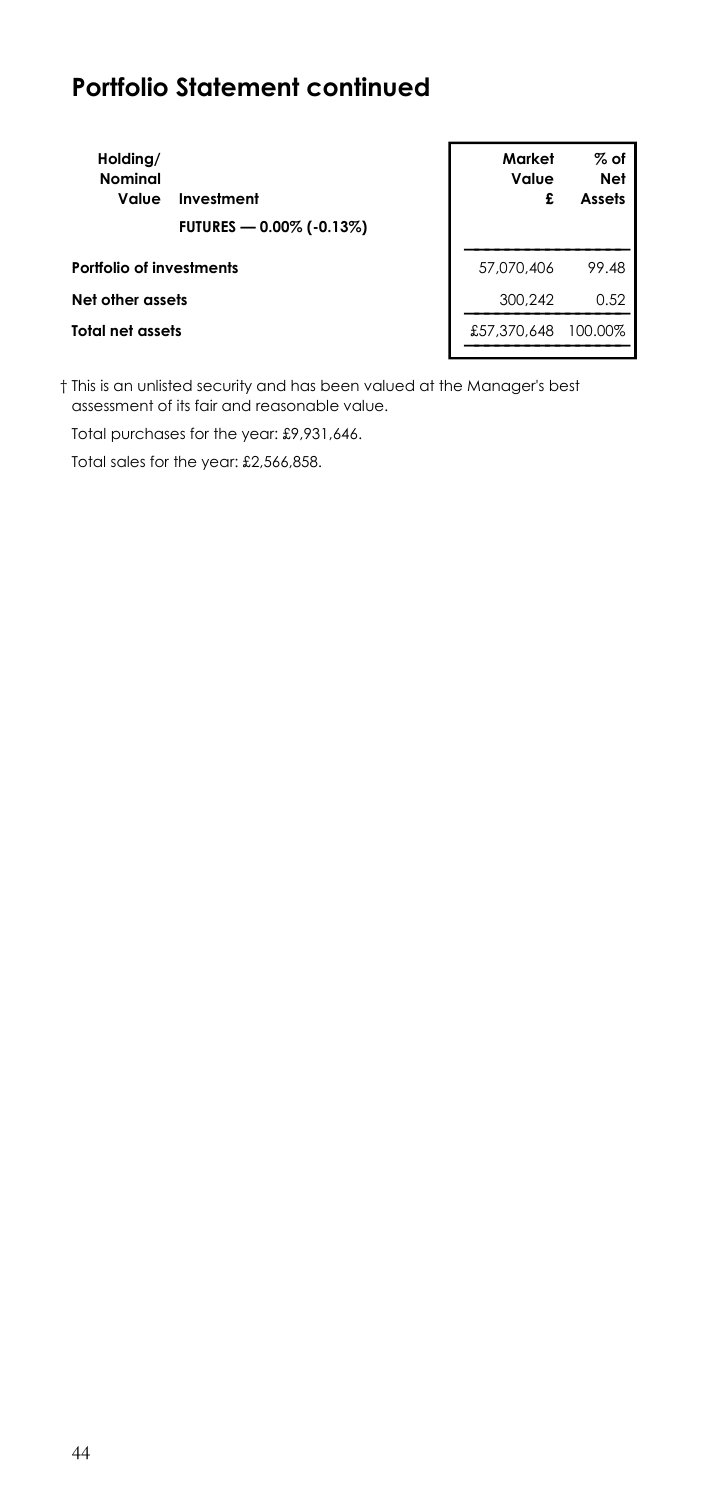| Holding/<br>Nominal<br>Value | Investment<br>FUTURES - 0.00% (-0.13%) | Market<br>Value<br>£ | % of<br>Net<br>Assets |
|------------------------------|----------------------------------------|----------------------|-----------------------|
| Portfolio of investments     |                                        | 57,070,406           | 99.48                 |
| Net other assets             |                                        | 300.242              | 0.52                  |
| Total net assets             |                                        | £57,370,648          | 100.00%               |
|                              |                                        |                      |                       |

† This is an unlisted security and has been valued at the Manager's best assessment of its fair and reasonable value.

Total purchases for the year: £9,931,646.

Total sales for the year: £2,566,858.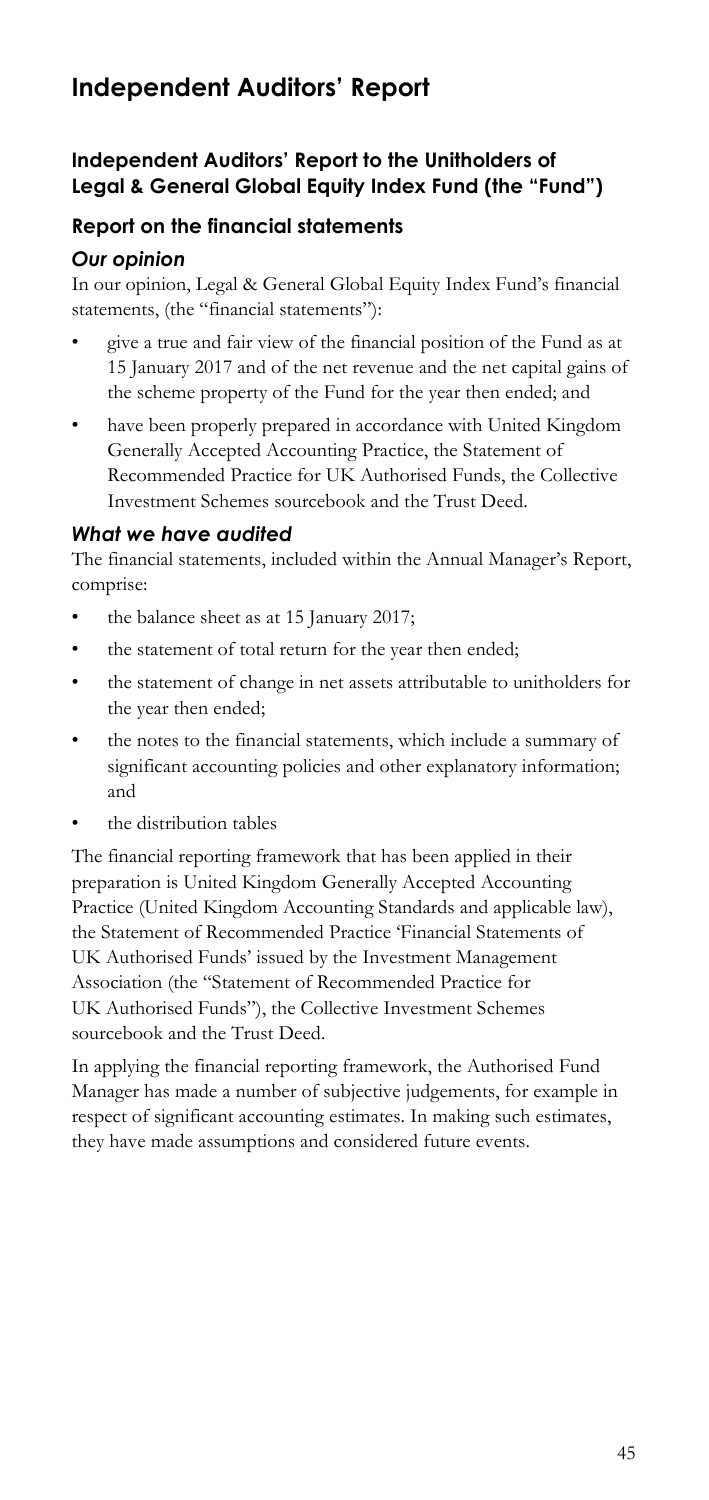## **Independent Auditors' Report**

### **Independent Auditors' Report to the Unitholders of Legal & General Global Equity Index Fund (the "Fund")**

### **Report on the financial statements**

### *Our opinion*

In our opinion, Legal & General Global Equity Index Fund's financial statements, (the "financial statements"):

- the scheme property of the Fund for the year then ended; and • give a true and fair view of the financial position of the Fund as at 15 January 2017 and of the net revenue and the net capital gains of
- the scheme property of the Fund for the year then ended; and have been properly prepared in accordance with United Kingdom Generally Accepted Accounting Practice, the Statement of Recommended Practice for UK Authorised Funds, the Collective Investment Schemes sourcebook and the Trust Deed.

#### *What we have audited*

The financial statements, included within the Annual Manager's Report, comprise:

- the balance sheet as at 15 January 2017;
- the statement of total return for the year then ended;
- the statement of change in net assets attributable to unitholders for the year then ended;
- the notes to the financial statements, which include a summary of significant accounting policies and other explanatory information; and
- the distribution tables

 preparation is United Kingdom Generally Accepted Accounting The financial reporting framework that has been applied in their Practice (United Kingdom Accounting Standards and applicable law), the Statement of Recommended Practice 'Financial Statements of UK Authorised Funds' issued by the Investment Management Association (the "Statement of Recommended Practice for UK Authorised Funds"), the Collective Investment Schemes sourcebook and the Trust Deed.

In applying the financial reporting framework, the Authorised Fund Manager has made a number of subjective judgements, for example in respect of significant accounting estimates. In making such estimates, they have made assumptions and considered future events.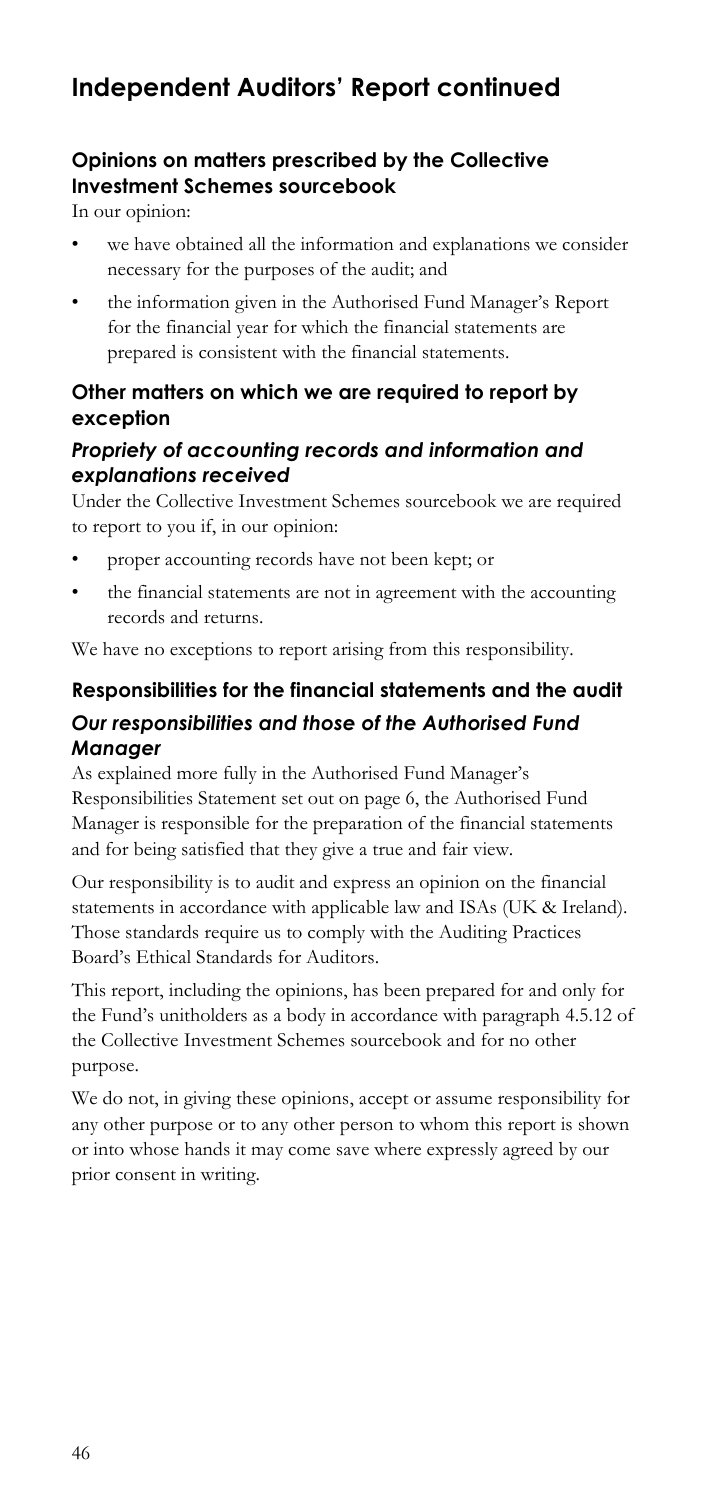## **Independent Auditors' Report continued**

## **Opinions on matters prescribed by the Collective Investment Schemes sourcebook**

In our opinion:

- we have obtained all the information and explanations we consider necessary for the purposes of the audit; and
- the information given in the Authorised Fund Manager's Report for the financial year for which the financial statements are prepared is consistent with the financial statements.

### **Other matters on which we are required to report by exception**

### *Propriety of accounting records and information and explanations received*

Under the Collective Investment Schemes sourcebook we are required to report to you if, in our opinion:

- proper accounting records have not been kept; or
- the financial statements are not in agreement with the accounting records and returns.

We have no exceptions to report arising from this responsibility.

## **Responsibilities for the financial statements and the audit**  *Our responsibilities and those of the Authorised Fund Manager*

As explained more fully in the Authorised Fund Manager's Responsibilities Statement set out on page 6, the Authorised Fund Manager is responsible for the preparation of the financial statements and for being satisfied that they give a true and fair view.

Our responsibility is to audit and express an opinion on the financial statements in accordance with applicable law and ISAs (UK & Ireland). Those standards require us to comply with the Auditing Practices Board's Ethical Standards for Auditors.

purpose. This report, including the opinions, has been prepared for and only for the Fund's unitholders as a body in accordance with paragraph 4.5.12 of the Collective Investment Schemes sourcebook and for no other

We do not, in giving these opinions, accept or assume responsibility for any other purpose or to any other person to whom this report is shown or into whose hands it may come save where expressly agreed by our prior consent in writing.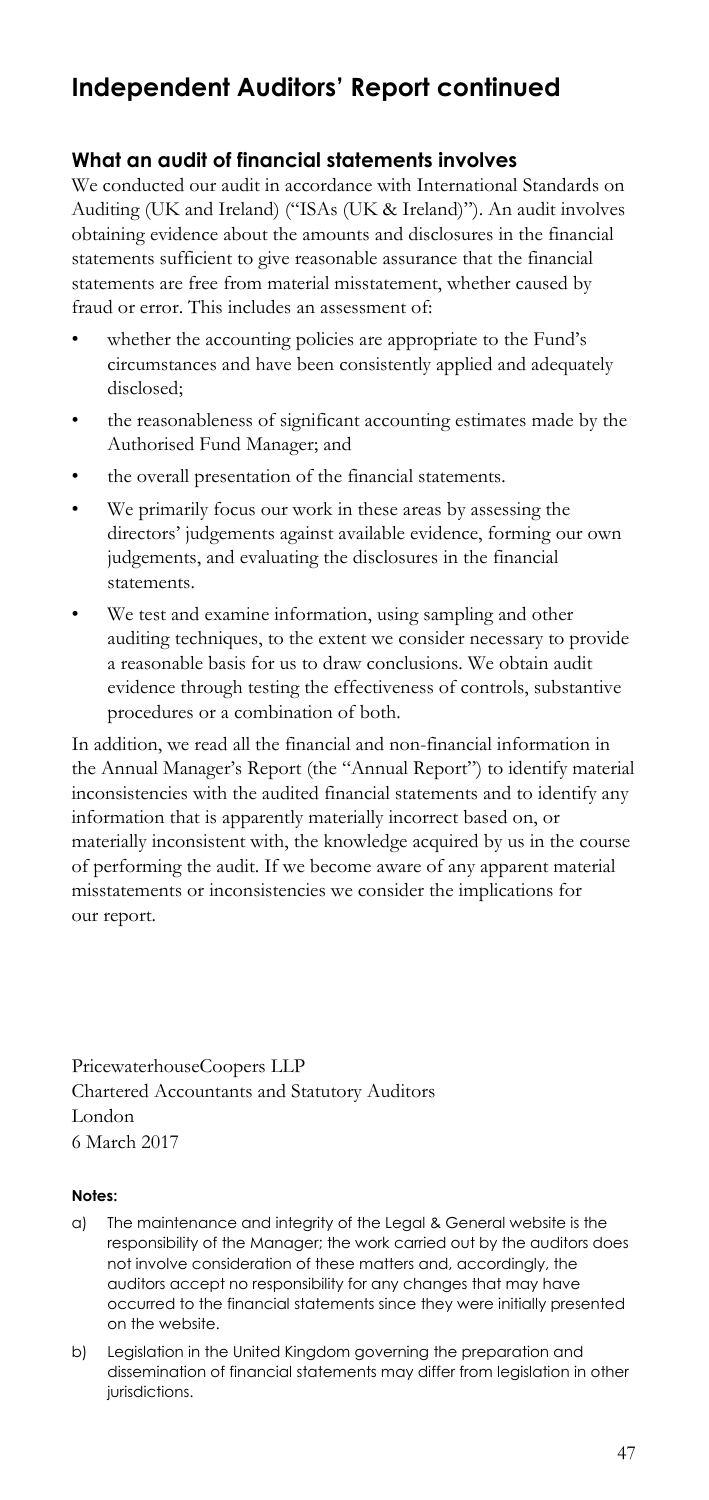## **Independent Auditors' Report continued**

### **What an audit of financial statements involves**

We conducted our audit in accordance with International Standards on Auditing (UK and Ireland) ("ISAs (UK & Ireland)"). An audit involves obtaining evidence about the amounts and disclosures in the financial statements sufficient to give reasonable assurance that the financial statements are free from material misstatement, whether caused by fraud or error. This includes an assessment of:

- whether the accounting policies are appropriate to the Fund's circumstances and have been consistently applied and adequately disclosed;
- the reasonableness of significant accounting estimates made by the Authorised Fund Manager; and
- the overall presentation of the financial statements.
- • We primarily focus our work in these areas by assessing the directors' judgements against available evidence, forming our own judgements, and evaluating the disclosures in the financial statements.
- We test and examine information, using sampling and other auditing techniques, to the extent we consider necessary to provide a reasonable basis for us to draw conclusions. We obtain audit evidence through testing the effectiveness of controls, substantive procedures or a combination of both.

In addition, we read all the financial and non-financial information in the Annual Manager's Report (the "Annual Report") to identify material inconsistencies with the audited financial statements and to identify any information that is apparently materially incorrect based on, or materially inconsistent with, the knowledge acquired by us in the course of performing the audit. If we become aware of any apparent material misstatements or inconsistencies we consider the implications for our report.

PricewaterhouseCoopers LLP Chartered Accountants and Statutory Auditors London 6 March 2017

#### **Notes:**

- a) The maintenance and integrity of the Legal & General website is the responsibility of the Manager; the work carried out by the auditors does not involve consideration of these matters and, accordingly, the auditors accept no responsibility for any changes that may have occurred to the financial statements since they were initially presented on the website.
- b) Legislation in the United Kingdom governing the preparation and dissemination of financial statements may differ from legislation in other jurisdictions.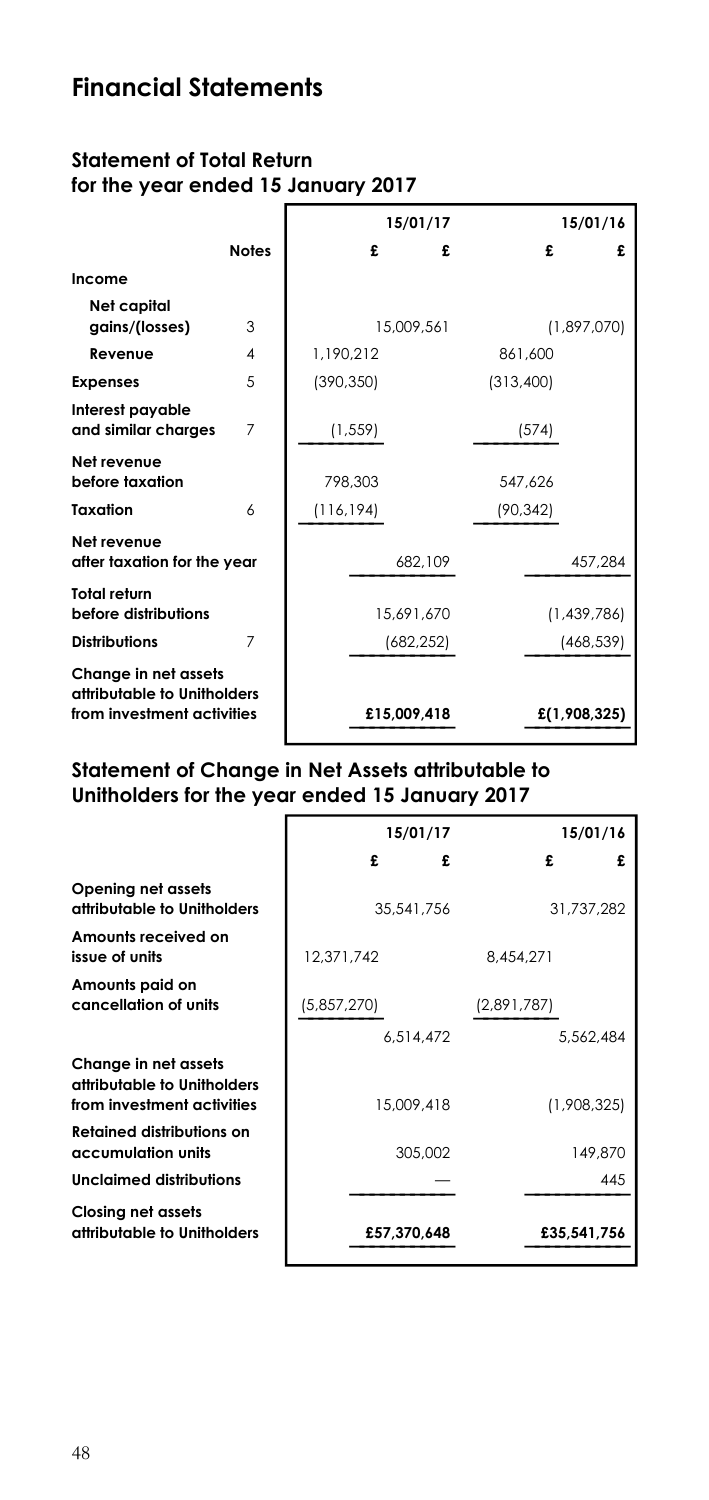## **Financial Statements**

### **Statement of Total Return for the year ended 15 January 2017**

|                                                                                   |              |            | 15/01/17    |           | 15/01/16     |
|-----------------------------------------------------------------------------------|--------------|------------|-------------|-----------|--------------|
|                                                                                   | <b>Notes</b> | £          | £           | £         | £            |
| Income                                                                            |              |            |             |           |              |
| Net capital<br>gains/(losses)                                                     | 3            |            | 15,009,561  |           | (1,897,070)  |
| Revenue                                                                           | 4            | 1.190.212  |             | 861,600   |              |
| <b>Expenses</b>                                                                   | 5            | (390, 350) |             | (313,400) |              |
| Interest payable<br>and similar charges                                           | 7            | (1, 559)   |             | (574)     |              |
| Net revenue<br>before taxation                                                    |              | 798.303    |             | 547,626   |              |
| Taxation                                                                          | 6            | (116, 194) |             | (90, 342) |              |
| Net revenue<br>after taxation for the year                                        |              |            | 682,109     |           | 457,284      |
| Total return<br>before distributions                                              |              |            | 15.691.670  |           | (1,439,786)  |
| <b>Distributions</b>                                                              | 7            |            | (682, 252)  |           | (468, 539)   |
| Change in net assets<br>attributable to Unitholders<br>from investment activities |              |            | £15,009,418 |           | £(1,908,325) |

## **Statement of Change in Net Assets attributable to Unitholders for the year ended 15 January 2017**

|                                                                                   | 15/01/17    | 15/01/16    |
|-----------------------------------------------------------------------------------|-------------|-------------|
|                                                                                   | £<br>£      | £<br>£      |
| Opening net assets<br>attributable to Unitholders                                 | 35,541,756  | 31.737.282  |
| Amounts received on<br>issue of units                                             | 12.371.742  | 8.454.271   |
| Amounts paid on<br>cancellation of units                                          | (5,857,270) | (2,891,787) |
|                                                                                   | 6.514.472   | 5,562,484   |
| Change in net assets<br>attributable to Unitholders<br>from investment activities | 15,009,418  | (1,908,325) |
| <b>Retained distributions on</b><br>accumulation units                            | 305.002     | 149,870     |
| Unclaimed distributions                                                           |             | 445         |
| Closing net assets<br>attributable to Unitholders                                 | £57,370,648 | £35,541,756 |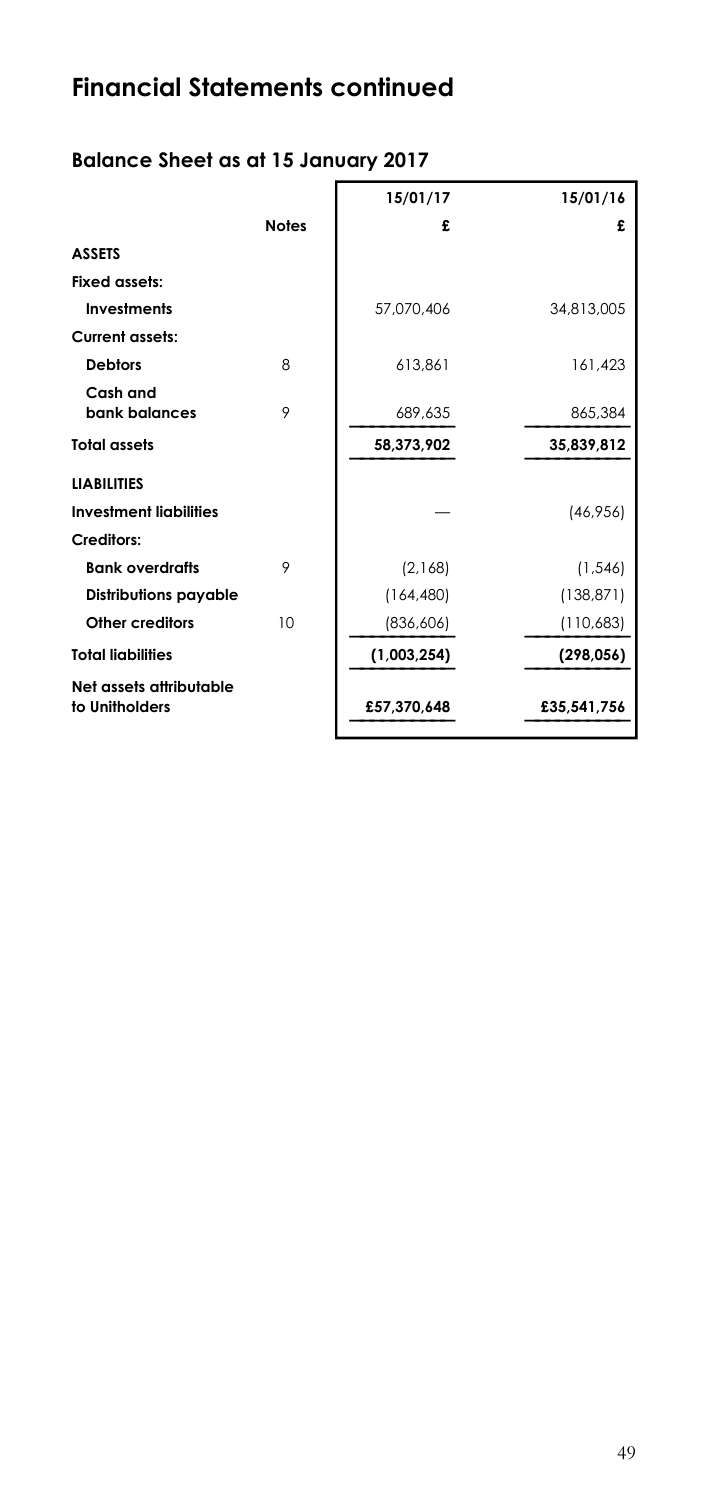# **Financial Statements continued**

## **Balance Sheet as at 15 January 2017**

|                                           |              | 15/01/17    | 15/01/16    |
|-------------------------------------------|--------------|-------------|-------------|
|                                           | <b>Notes</b> | £           | £           |
| <b>ASSETS</b>                             |              |             |             |
| Fixed assets:                             |              |             |             |
| <b>Investments</b>                        |              | 57,070,406  | 34,813,005  |
| <b>Current assets:</b>                    |              |             |             |
| <b>Debtors</b>                            | 8            | 613,861     | 161,423     |
| Cash and                                  |              |             |             |
| bank balances                             | 9            | 689,635     | 865,384     |
| <b>Total assets</b>                       |              | 58,373,902  | 35,839,812  |
| <b>LIABILITIES</b>                        |              |             |             |
| <b>Investment liabilities</b>             |              |             | (46, 956)   |
| Creditors:                                |              |             |             |
| <b>Bank overdrafts</b>                    | 9            | (2,168)     | (1, 546)    |
| <b>Distributions payable</b>              |              | (164, 480)  | (138, 871)  |
| Other creditors                           | 10           | (836, 606)  | (110,683)   |
| <b>Total liabilities</b>                  |              | (1,003,254) | (298, 056)  |
| Net assets attributable<br>to Unitholders |              | £57.370.648 | £35,541,756 |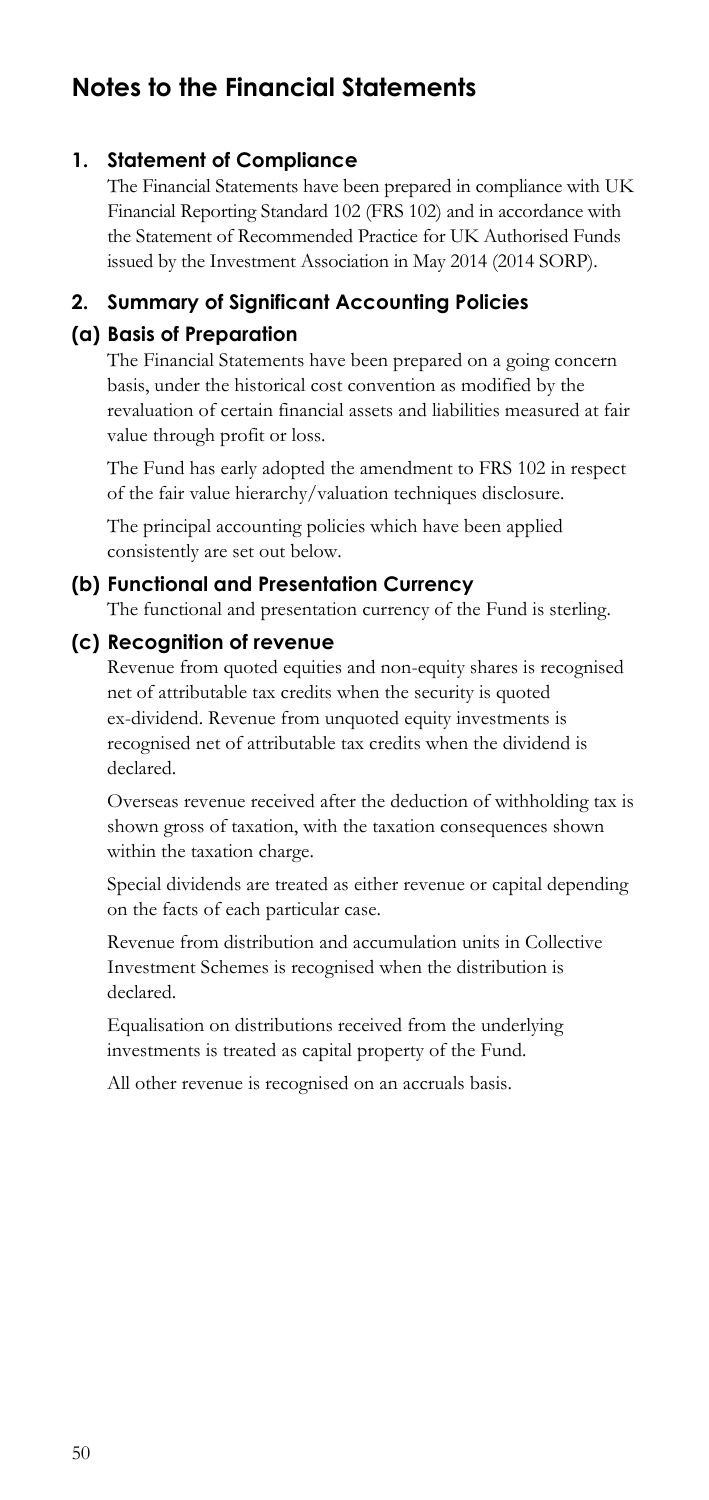## **Notes to the Financial Statements**

### **1. Statement of Compliance**

 The Financial Statements have been prepared in compliance with UK Financial Reporting Standard 102 (FRS 102) and in accordance with the Statement of Recommended Practice for UK Authorised Funds issued by the Investment Association in May 2014 (2014 SORP).

### **2. Summary of Significant Accounting Policies**

## **(a) Basis of Preparation**

The Financial Statements have been prepared on a going concern basis, under the historical cost convention as modified by the revaluation of certain financial assets and liabilities measured at fair value through profit or loss.

The Fund has early adopted the amendment to FRS 102 in respect of the fair value hierarchy/valuation techniques disclosure.

The principal accounting policies which have been applied consistently are set out below.

#### **(b) Functional and Presentation Currency**

The functional and presentation currency of the Fund is sterling.

#### **(c) Recognition of revenue**

 Revenue from quoted equities and non-equity shares is recognised net of attributable tax credits when the security is quoted ex-dividend. Revenue from unquoted equity investments is declared. recognised net of attributable tax credits when the dividend is

Overseas revenue received after the deduction of withholding tax is shown gross of taxation, with the taxation consequences shown within the taxation charge.

Special dividends are treated as either revenue or capital depending on the facts of each particular case.

Revenue from distribution and accumulation units in Collective Investment Schemes is recognised when the distribution is declared.

Equalisation on distributions received from the underlying investments is treated as capital property of the Fund.

All other revenue is recognised on an accruals basis.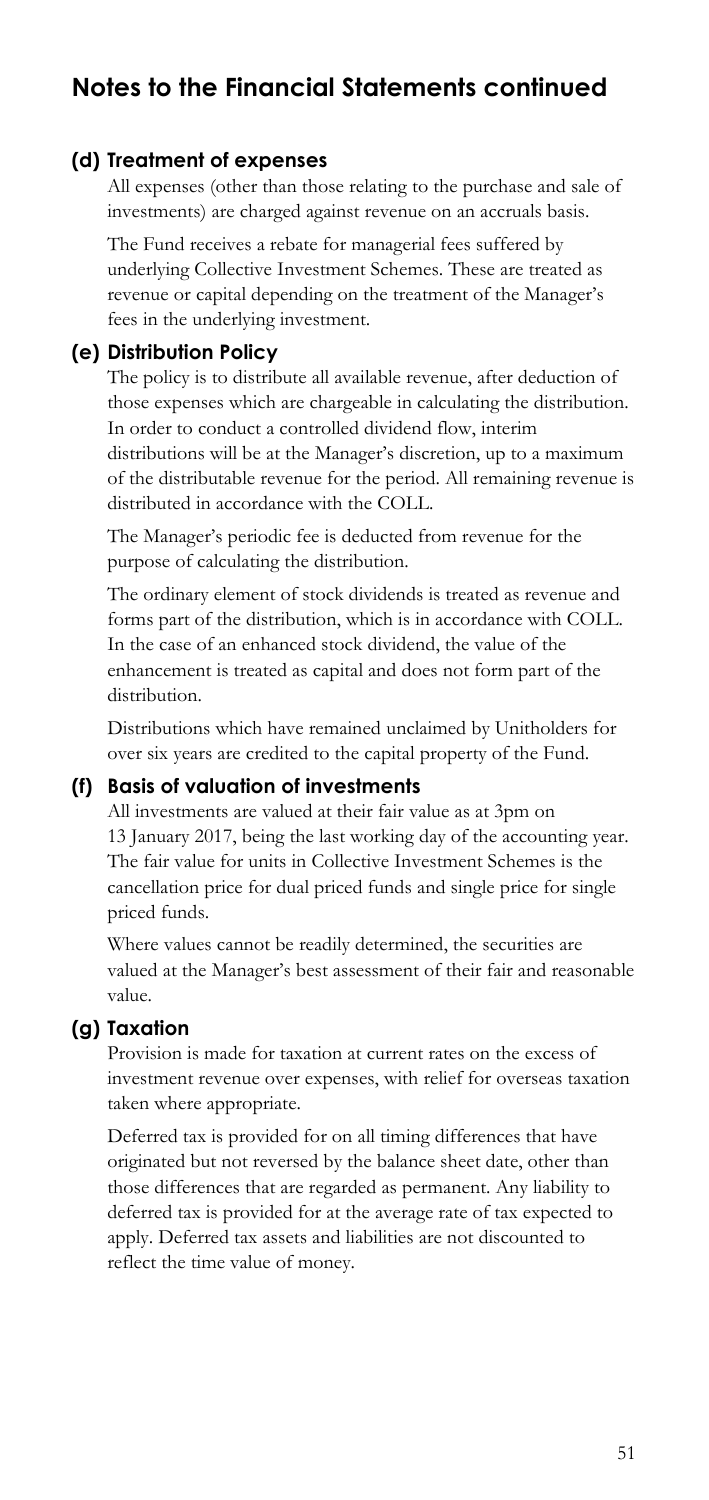#### **(d) Treatment of expenses**

All expenses (other than those relating to the purchase and sale of investments) are charged against revenue on an accruals basis.

 The Fund receives a rebate for managerial fees suffered by underlying Collective Investment Schemes. These are treated as revenue or capital depending on the treatment of the Manager's fees in the underlying investment.

### **(e) Distribution Policy**

The policy is to distribute all available revenue, after deduction of those expenses which are chargeable in calculating the distribution. In order to conduct a controlled dividend flow, interim distributions will be at the Manager's discretion, up to a maximum of the distributable revenue for the period. All remaining revenue is distributed in accordance with the COLL.

The Manager's periodic fee is deducted from revenue for the purpose of calculating the distribution.

The ordinary element of stock dividends is treated as revenue and forms part of the distribution, which is in accordance with COLL. In the case of an enhanced stock dividend, the value of the enhancement is treated as capital and does not form part of the distribution.

Distributions which have remained unclaimed by Unitholders for over six years are credited to the capital property of the Fund.

### **(f) Basis of valuation of investments**

All investments are valued at their fair value as at 3pm on 13 January 2017, being the last working day of the accounting year. The fair value for units in Collective Investment Schemes is the cancellation price for dual priced funds and single price for single priced funds.

Where values cannot be readily determined, the securities are valued at the Manager's best assessment of their fair and reasonable value.

#### **(g) Taxation**

Provision is made for taxation at current rates on the excess of investment revenue over expenses, with relief for overseas taxation taken where appropriate.

Deferred tax is provided for on all timing differences that have originated but not reversed by the balance sheet date, other than those differences that are regarded as permanent. Any liability to deferred tax is provided for at the average rate of tax expected to apply. Deferred tax assets and liabilities are not discounted to reflect the time value of money.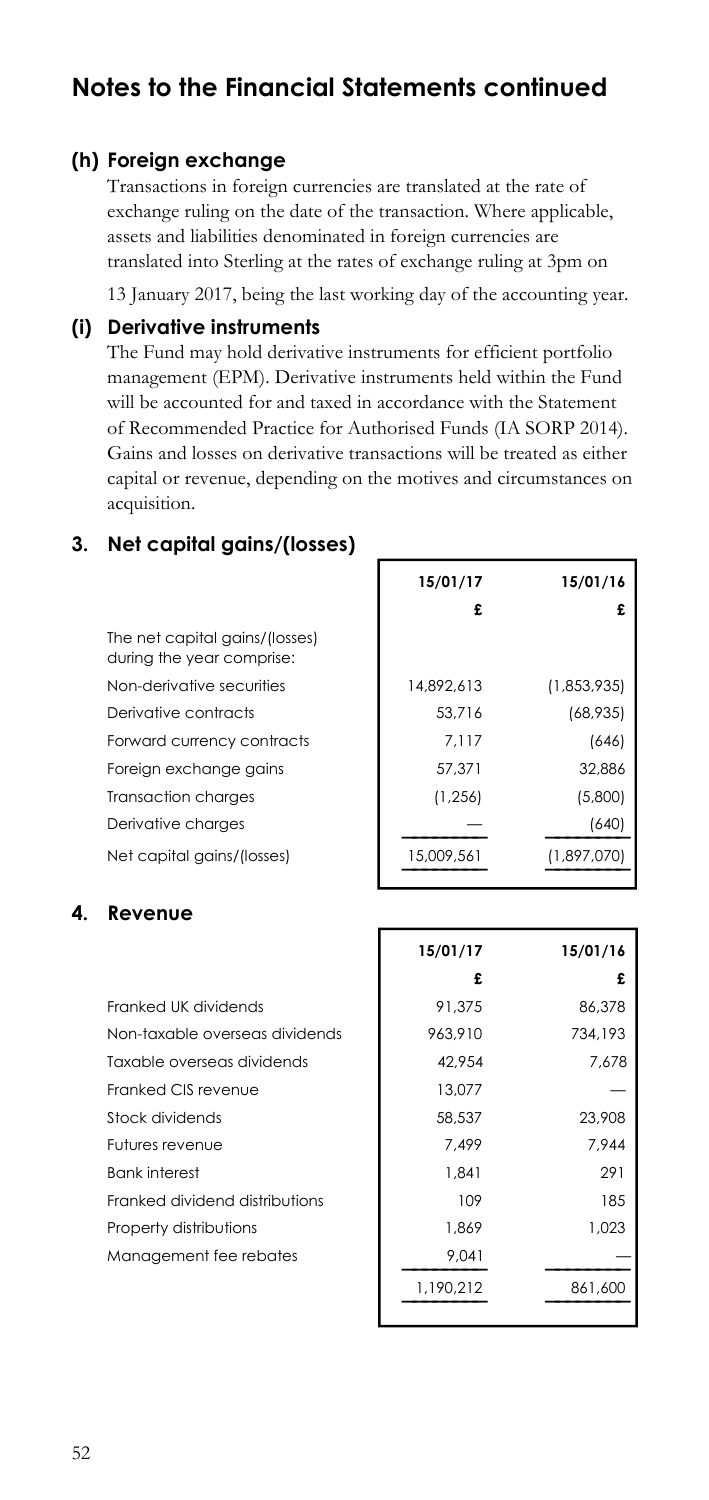#### **(h) Foreign exchange**

Transactions in foreign currencies are translated at the rate of exchange ruling on the date of the transaction. Where applicable, assets and liabilities denominated in foreign currencies are translated into Sterling at the rates of exchange ruling at 3pm on

13 January 2017, being the last working day of the accounting year.

#### **(i) Derivative instruments**

The Fund may hold derivative instruments for efficient portfolio management (EPM). Derivative instruments held within the Fund will be accounted for and taxed in accordance with the Statement of Recommended Practice for Authorised Funds (IA SORP 2014). Gains and losses on derivative transactions will be treated as either capital or revenue, depending on the motives and circumstances on acquisition.

**15/01/17 15/01/16** 

### **3. Net capital gains/(losses)**

during the year comprise: The net capital gains/(losses) during the year comprise:<br>Non-derivative securities<br>Derivative contracts Forward currency contracts Foreign exchange gains Transaction charges Derivative charges Net capital gains/(losses) **£ £**  14,892,613 (1,853,935) 53,716 (68,935) 7,117 (646) 57,371 32,886 (1,256) (5,800) — (640) **———————— ————————**  15,009,561 (1,897,070) **———————— ————————** 

#### **4. Revenue**

|                                | 15/01/17  | 15/01/16 |
|--------------------------------|-----------|----------|
|                                | £         |          |
| Franked UK dividends           | 91.375    | 86,378   |
| Non-taxable overseas dividends | 963.910   | 734,193  |
| Taxable overseas dividends     | 42.954    | 7.678    |
| Franked CIS revenue            | 13.077    |          |
| Stock dividends                | 58,537    | 23,908   |
| Futures revenue                | 7.499     | 7.944    |
| <b>Bank interest</b>           | 1.841     | 291      |
| Franked dividend distributions | 109       | 185      |
| Property distributions         | 1.869     | 1.023    |
| Management fee rebates         | 9,041     |          |
|                                | 1,190,212 | 861,600  |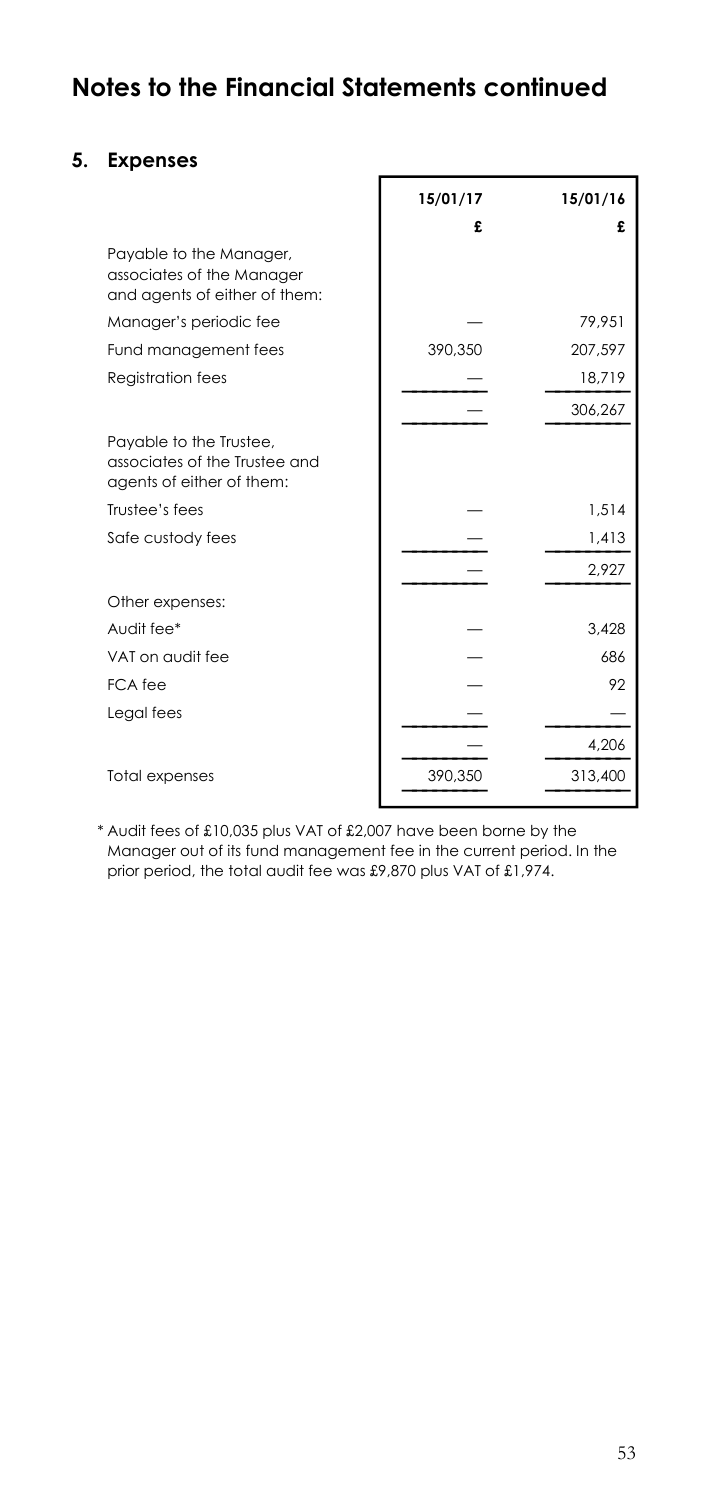ř

### **5. Expenses**

|                                                                                       | 15/01/17 | 15/01/16 |
|---------------------------------------------------------------------------------------|----------|----------|
|                                                                                       | £        | £        |
| Payable to the Manager,<br>associates of the Manager<br>and agents of either of them: |          |          |
| Manager's periodic fee                                                                |          | 79,951   |
| Fund management fees                                                                  | 390,350  | 207.597  |
| Registration fees                                                                     |          | 18,719   |
|                                                                                       |          | 306,267  |
| Payable to the Trustee,<br>associates of the Trustee and<br>agents of either of them: |          |          |
| Trustee's fees                                                                        |          | 1,514    |
| Safe custody fees                                                                     |          | 1,413    |
|                                                                                       |          | 2.927    |
| Other expenses:                                                                       |          |          |
| Audit fee*                                                                            |          | 3.428    |
| VAT on audit fee                                                                      |          | 686      |
| FCA fee                                                                               |          | 92       |
| Legal fees                                                                            |          |          |
|                                                                                       |          | 4,206    |
| <b>Total expenses</b>                                                                 | 390,350  | 313,400  |

\* Audit fees of £10,035 plus VAT of £2,007 have been borne by the Manager out of its fund management fee in the current period. In the prior period, the total audit fee was £9,870 plus VAT of £1,974.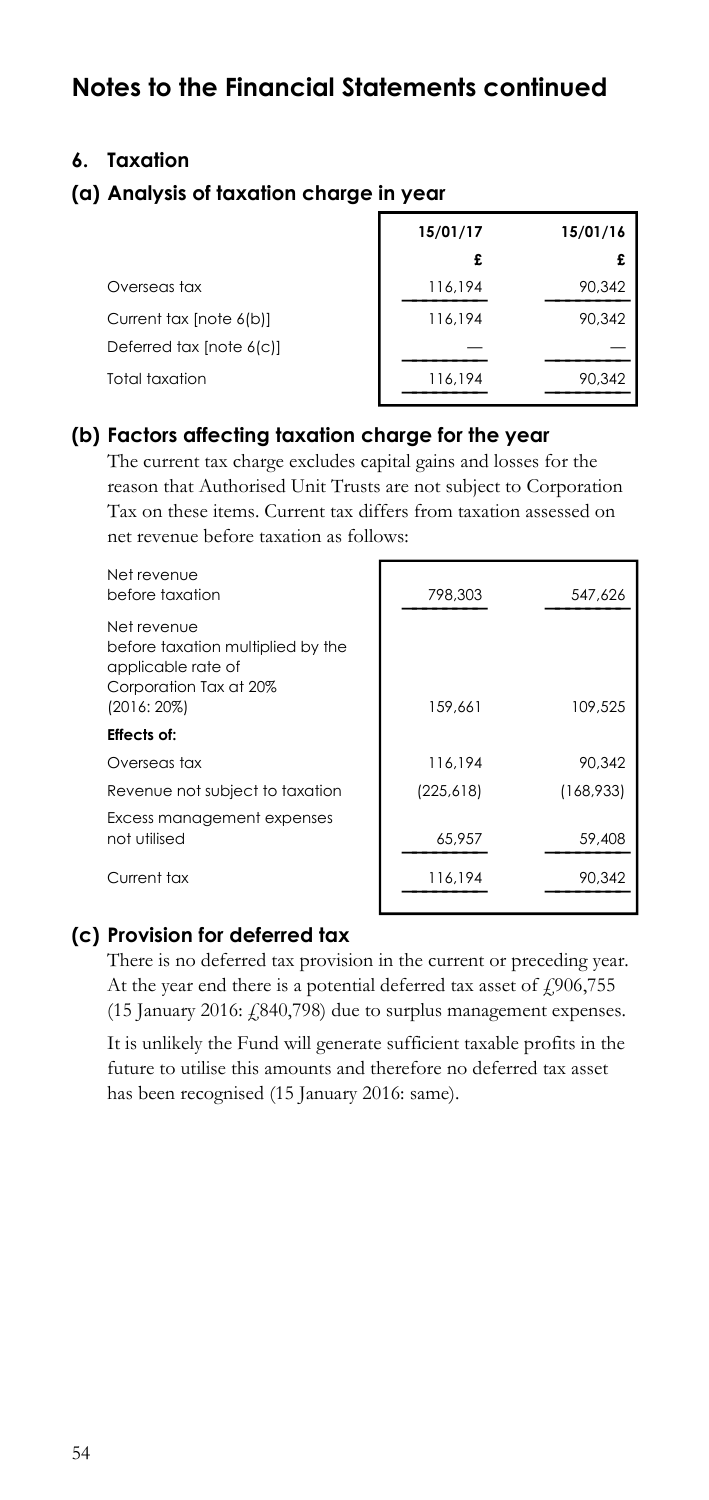### **6. Taxation**

### **(a) Analysis of taxation charge in year**

|                          | 15/01/17 | 15/01/16 |
|--------------------------|----------|----------|
|                          | £        | £        |
| Overseas tax             | 116,194  | 90,342   |
| Current tax [note 6(b)]  | 116.194  | 90.342   |
| Deferred tax [note 6(c)] |          |          |
| Total taxation           | 116,194  | 90,342   |

### **(b) Factors affecting taxation charge for the year**

 The current tax charge excludes capital gains and losses for the reason that Authorised Unit Trusts are not subject to Corporation Tax on these items. Current tax differs from taxation assessed on net revenue before taxation as follows:

| Net revenue<br>before taxation                                                                                    | 798,303    | 547.626   |
|-------------------------------------------------------------------------------------------------------------------|------------|-----------|
| Net revenue<br>before taxation multiplied by the<br>applicable rate of<br>Corporation Tax at 20%<br>$(2016:20\%)$ | 159.661    | 109,525   |
| <b>Effects of:</b>                                                                                                |            |           |
| Overseas tax                                                                                                      | 116.194    | 90.342    |
| Revenue not subject to taxation                                                                                   | (225, 618) | (168,933) |
| Excess management expenses<br>not utilised                                                                        | 65.957     | 59,408    |
| Current tax                                                                                                       | 116,194    | 90.342    |

#### **(c) Provision for deferred tax**

There is no deferred tax provision in the current or preceding year. At the year end there is a potential deferred tax asset of  $\text{\emph{f}}906,755$ (15 January 2016: £840,798) due to surplus management expenses.

It is unlikely the Fund will generate sufficient taxable profits in the future to utilise this amounts and therefore no deferred tax asset has been recognised (15 January 2016: same).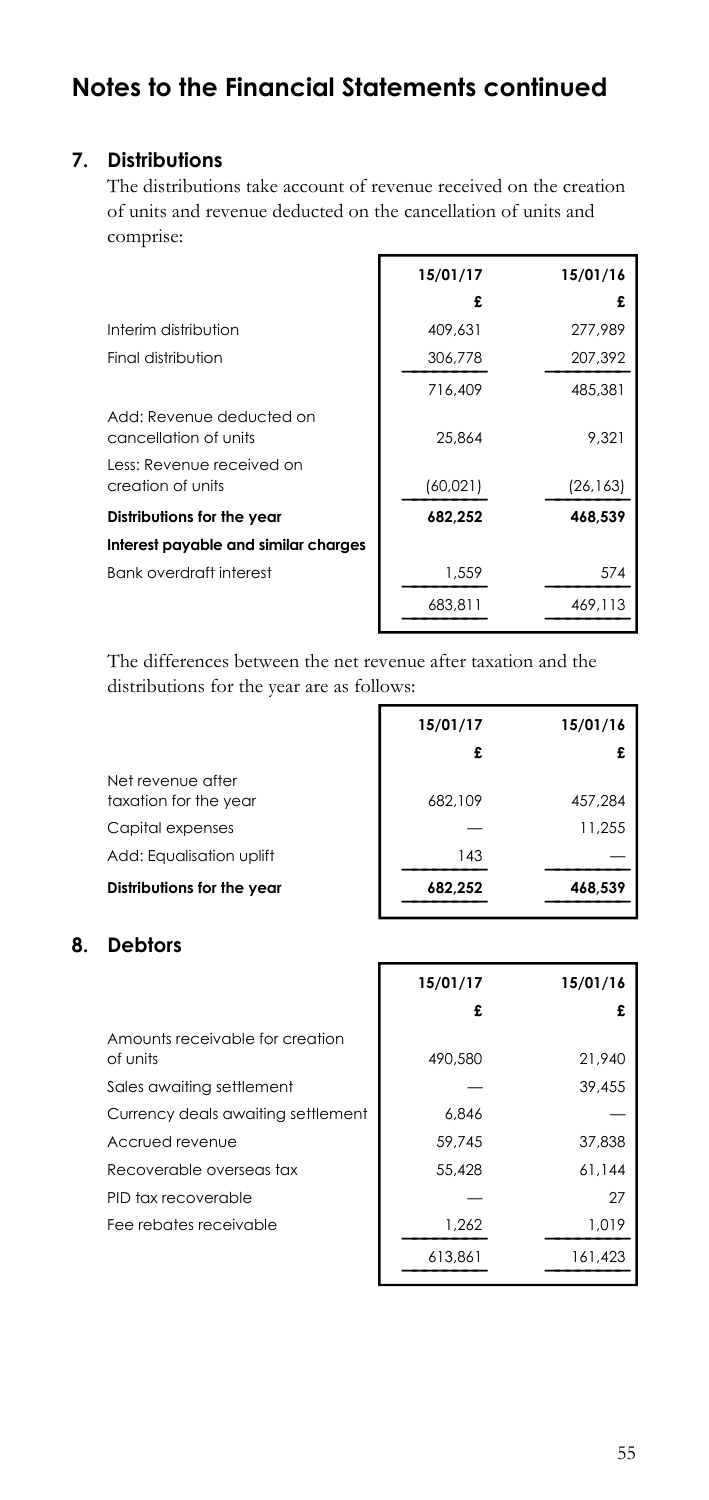### **7. Distributions**

The distributions take account of revenue received on the creation of units and revenue deducted on the cancellation of units and comprise:

|                                                   | 15/01/17 | 15/01/16  |
|---------------------------------------------------|----------|-----------|
|                                                   | £        |           |
| Interim distribution                              | 409.631  | 277,989   |
| Final distribution                                | 306,778  | 207,392   |
|                                                   | 716.409  | 485.381   |
| Add: Revenue deducted on<br>cancellation of units | 25,864   | 9.321     |
| Less: Revenue received on<br>creation of units    | (60,021) | (26, 163) |
| Distributions for the year                        | 682,252  | 468.539   |
| Interest payable and similar charges              |          |           |
| <b>Bank overdraft interest</b>                    | 1.559    | 574       |
|                                                   | 683,811  | 469.113   |
|                                                   |          |           |

The differences between the net revenue after taxation and the distributions for the year are as follows:

|                                            | 15/01/17 | 15/01/16 |
|--------------------------------------------|----------|----------|
|                                            | £        | £        |
| Net revenue after<br>taxation for the year | 682.109  | 457.284  |
| Capital expenses                           |          | 11.255   |
| Add: Equalisation uplift                   | 143      |          |
| Distributions for the year                 | 682,252  | 468,539  |

г

### **8. Debtors**

|                                             | 15/01/17 | 15/01/16 |
|---------------------------------------------|----------|----------|
|                                             | £        |          |
| Amounts receivable for creation<br>of units | 490.580  | 21.940   |
| Sales awaiting settlement                   |          | 39,455   |
| Currency deals awaiting settlement          | 6.846    |          |
| Accrued revenue                             | 59.745   | 37,838   |
| Recoverable overseas tax                    | 55,428   | 61,144   |
| PID tax recoverable                         |          | 27       |
| Fee rebates receivable                      | 1,262    | 1,019    |
|                                             | 613,861  | 161,423  |

 $\overline{\phantom{a}}$ 

5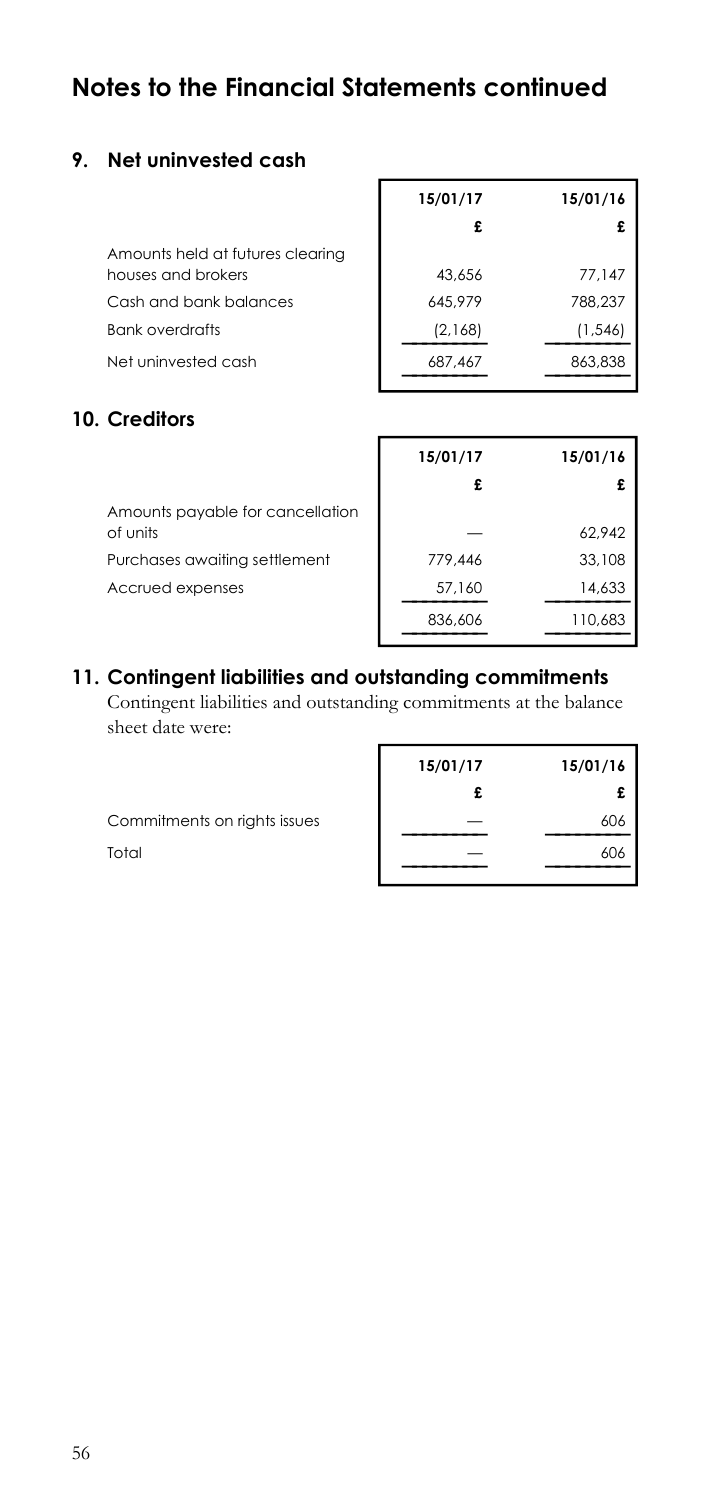### **9. Net uninvested cash**

|                                                        | 15/01/17 | 15/01/16 |
|--------------------------------------------------------|----------|----------|
|                                                        | £        |          |
| Amounts held at futures clearing<br>houses and brokers | 43.656   | 77,147   |
| Cash and bank balances                                 | 645.979  | 788.237  |
| <b>Bank overdrafts</b>                                 | (2,168)  | (1, 546) |
| Net uninvested cash                                    | 687,467  | 863,838  |
| <b>Computer 2004</b>                                   |          |          |

### **10. Creditors**

|                                              | 15/01/17 | 15/01/16 |
|----------------------------------------------|----------|----------|
|                                              |          | £        |
| Amounts payable for cancellation<br>of units |          | 62,942   |
| Purchases awaiting settlement                | 779.446  | 33,108   |
| Accrued expenses                             | 57,160   | 14,633   |
|                                              | 836,606  | 110,683  |

## **11. Contingent liabilities and outstanding commitments**

Contingent liabilities and outstanding commitments at the balance sheet date were:

| 15/01/17 | 15/01/16 |
|----------|----------|
|          |          |
|          | 606      |
|          | 606      |
|          |          |

4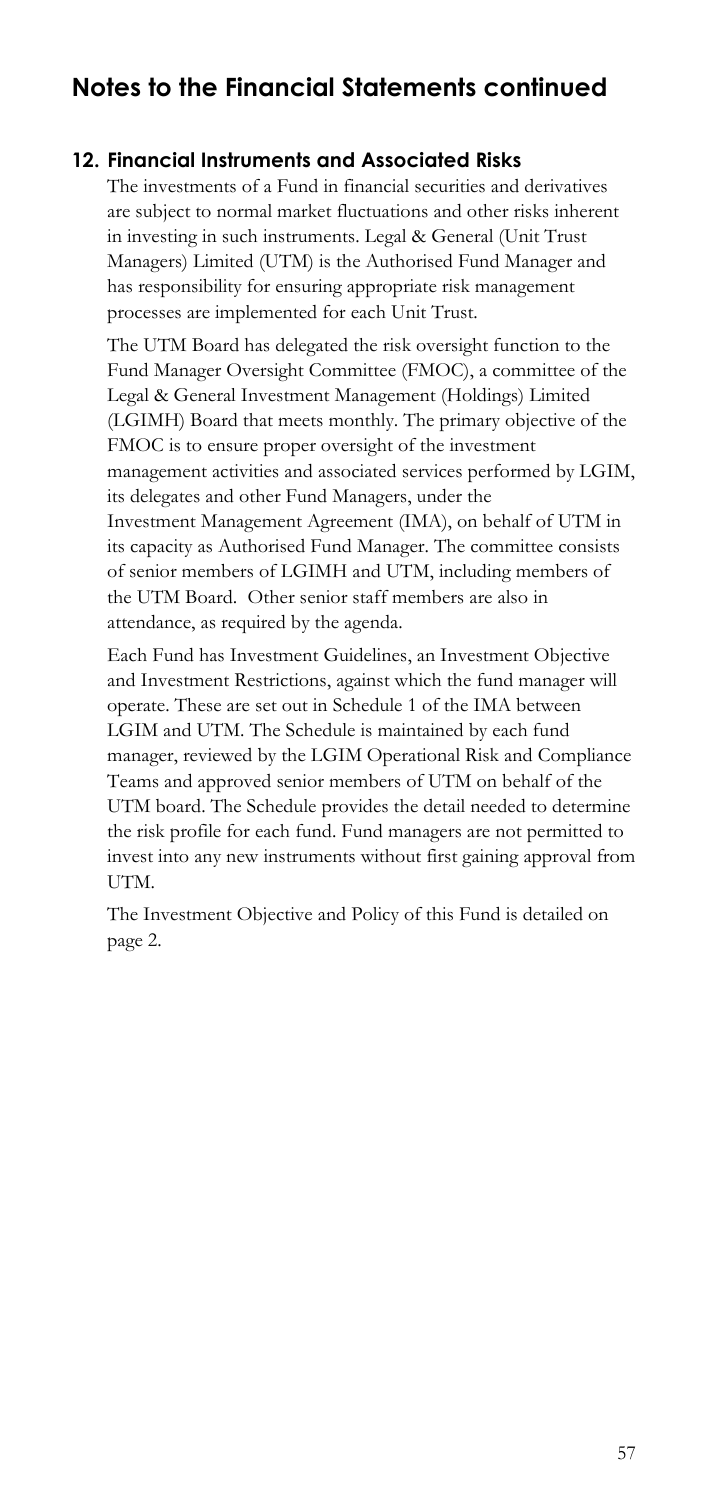### **12. Financial Instruments and Associated Risks**

The investments of a Fund in financial securities and derivatives are subject to normal market fluctuations and other risks inherent in investing in such instruments. Legal & General (Unit Trust Managers) Limited (UTM) is the Authorised Fund Manager and has responsibility for ensuring appropriate risk management processes are implemented for each Unit Trust.

The UTM Board has delegated the risk oversight function to the Fund Manager Oversight Committee (FMOC), a committee of the Legal & General Investment Management (Holdings) Limited (LGIMH) Board that meets monthly. The primary objective of the FMOC is to ensure proper oversight of the investment management activities and associated services performed by LGIM, its delegates and other Fund Managers, under the Investment Management Agreement (IMA), on behalf of UTM in its capacity as Authorised Fund Manager. The committee consists of senior members of LGIMH and UTM, including members of the UTM Board. Other senior staff members are also in attendance, as required by the agenda.

Each Fund has Investment Guidelines, an Investment Objective and Investment Restrictions, against which the fund manager will operate. These are set out in Schedule 1 of the IMA between LGIM and UTM. The Schedule is maintained by each fund manager, reviewed by the LGIM Operational Risk and Compliance Teams and approved senior members of UTM on behalf of the UTM board. The Schedule provides the detail needed to determine the risk profile for each fund. Fund managers are not permitted to invest into any new instruments without first gaining approval from UTM.

The Investment Objective and Policy of this Fund is detailed on page 2.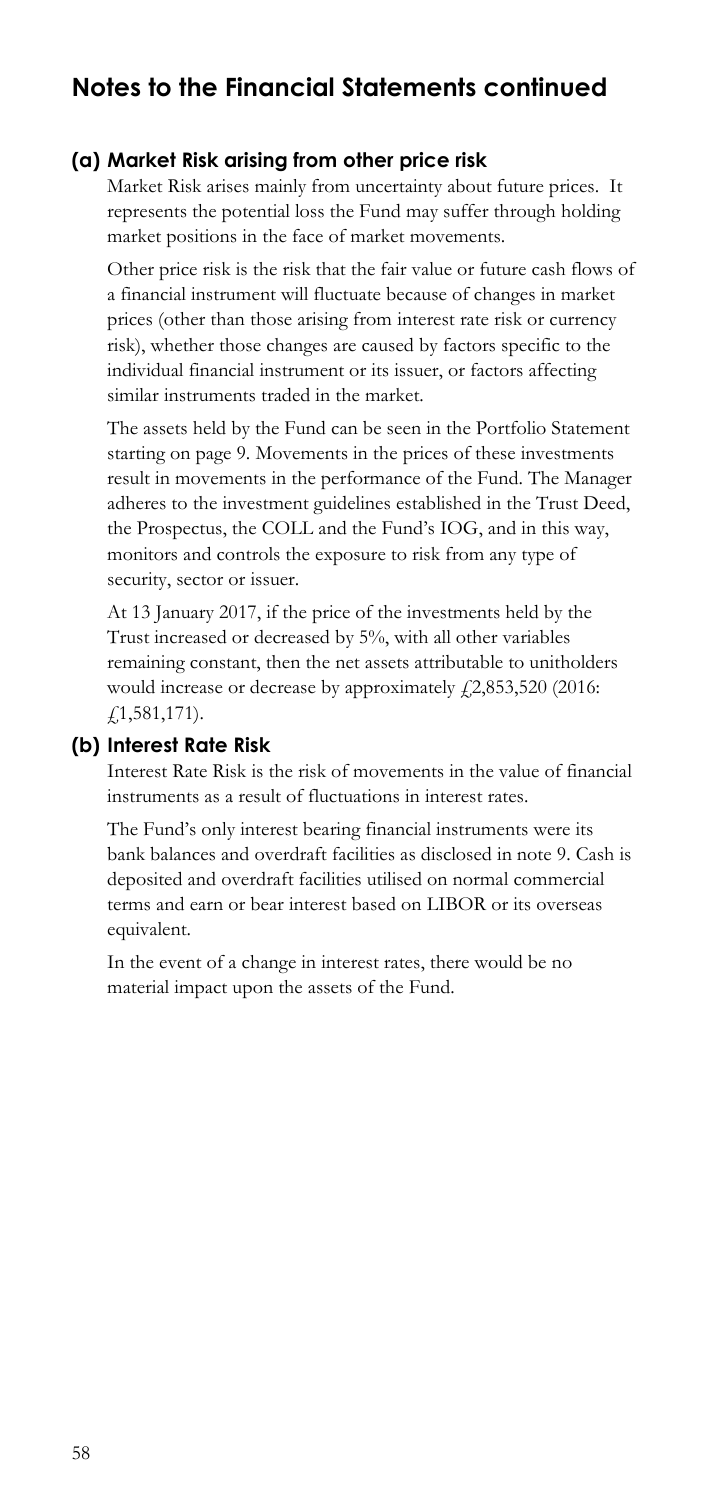#### **(a) Market Risk arising from other price risk**

Market Risk arises mainly from uncertainty about future prices. It represents the potential loss the Fund may suffer through holding market positions in the face of market movements.

 prices (other than those arising from interest rate risk or currency Other price risk is the risk that the fair value or future cash flows of a financial instrument will fluctuate because of changes in market risk), whether those changes are caused by factors specific to the individual financial instrument or its issuer, or factors affecting similar instruments traded in the market.

 security, sector or issuer. The assets held by the Fund can be seen in the Portfolio Statement starting on page 9. Movements in the prices of these investments result in movements in the performance of the Fund. The Manager adheres to the investment guidelines established in the Trust Deed, the Prospectus, the COLL and the Fund's IOG, and in this way, monitors and controls the exposure to risk from any type of

At 13 January 2017, if the price of the investments held by the Trust increased or decreased by 5%, with all other variables remaining constant, then the net assets attributable to unitholders would increase or decrease by approximately  $\mathcal{L}2,853,520$  (2016: £1,581,171).

#### **(b) Interest Rate Risk**

Interest Rate Risk is the risk of movements in the value of financial instruments as a result of fluctuations in interest rates.

 bank balances and overdraft facilities as disclosed in note 9. Cash is The Fund's only interest bearing financial instruments were its deposited and overdraft facilities utilised on normal commercial terms and earn or bear interest based on LIBOR or its overseas equivalent.

In the event of a change in interest rates, there would be no material impact upon the assets of the Fund.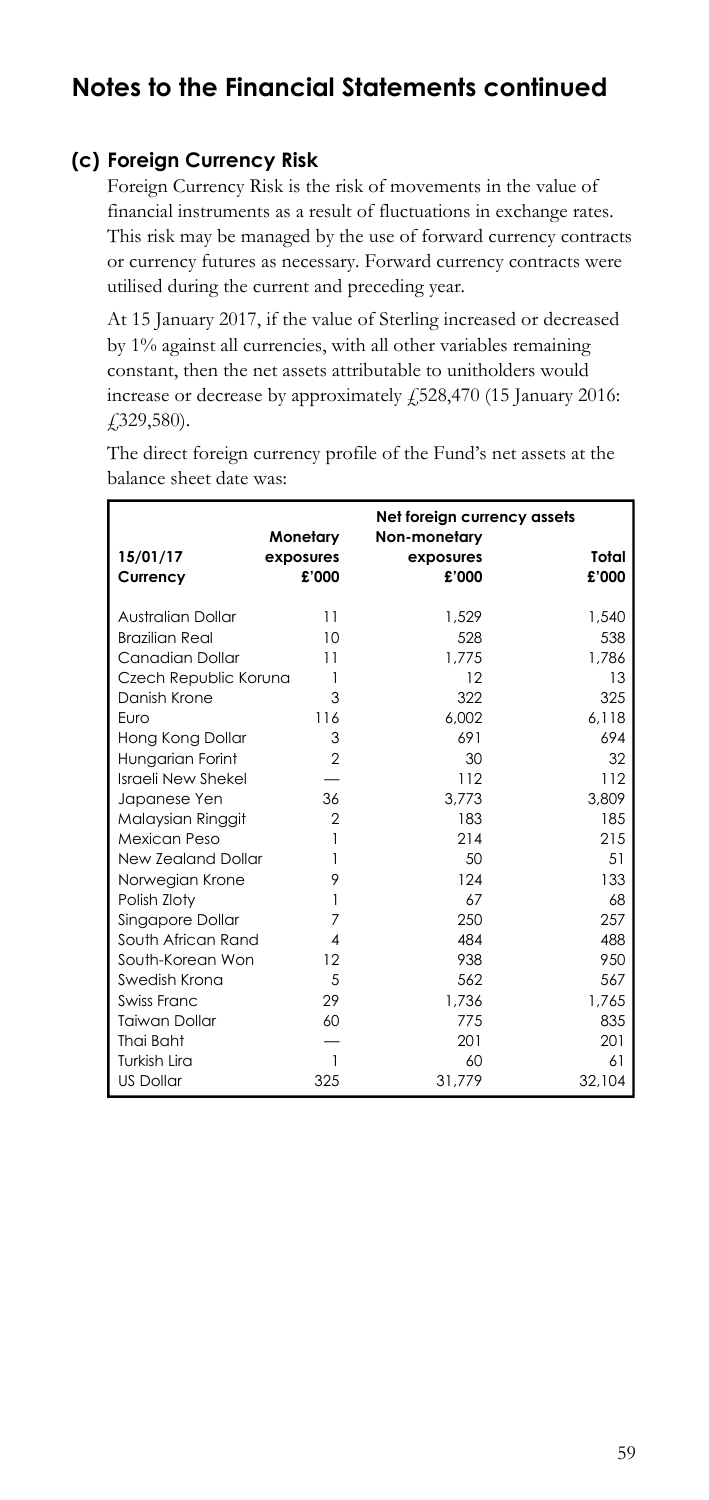### **(c) Foreign Currency Risk**

 Foreign Currency Risk is the risk of movements in the value of This risk may be managed by the use of forward currency contracts financial instruments as a result of fluctuations in exchange rates. or currency futures as necessary. Forward currency contracts were utilised during the current and preceding year.

 by 1% against all currencies, with all other variables remaining At 15 January 2017, if the value of Sterling increased or decreased constant, then the net assets attributable to unitholders would increase or decrease by approximately  $\sqrt{528,470}$  (15 January 2016: £329,580).

 balance sheet date was: The direct foreign currency profile of the Fund's net assets at the

| 15/01/17<br>Currency  | Monetary<br>exposures<br>£'000 | Net foreign currency assets<br>Non-monetary<br>exposures<br>£'000 | Total<br>£'000 |
|-----------------------|--------------------------------|-------------------------------------------------------------------|----------------|
| Australian Dollar     | 11                             | 1.529                                                             | 1,540          |
| <b>Brazilian Real</b> | 10                             | 528                                                               | 538            |
| Canadian Dollar       | 11                             | 1.775                                                             | 1.786          |
| Czech Republic Koruna | 1                              | 12                                                                | 13             |
| Danish Krone          | 3                              | 322                                                               | 325            |
| Furo                  | 116                            | 6.002                                                             | 6.118          |
| Hong Kong Dollar      | 3                              | 691                                                               | 694            |
| Hungarian Forint      | 2                              | 30                                                                | 32             |
| Israeli New Shekel    |                                | 112                                                               | 112            |
| Japanese Yen          | 36                             | 3.773                                                             | 3.809          |
| Malaysian Ringgit     | $\overline{2}$                 | 183                                                               | 185            |
| Mexican Peso          | 1                              | 214                                                               | 215            |
| New Zealand Dollar    | 1                              | 50                                                                | 51             |
| Norwegian Krone       | 9                              | 124                                                               | 133            |
| Polish Zloty          | 1                              | 67                                                                | 68             |
| Singapore Dollar      | 7                              | 250                                                               | 257            |
| South African Rand    | 4                              | 484                                                               | 488            |
| South-Korean Won      | 12                             | 938                                                               | 950            |
| Swedish Krona         | 5                              | 562                                                               | 567            |
| Swiss Franc           | 29                             | 1.736                                                             | 1.765          |
| <b>Taiwan Dollar</b>  | 60                             | 775                                                               | 835            |
| Thai Baht             |                                | 201                                                               | 201            |
| Turkish Lira          | 1                              | 60                                                                | 61             |
| <b>US Dollar</b>      | 325                            | 31,779                                                            | 32,104         |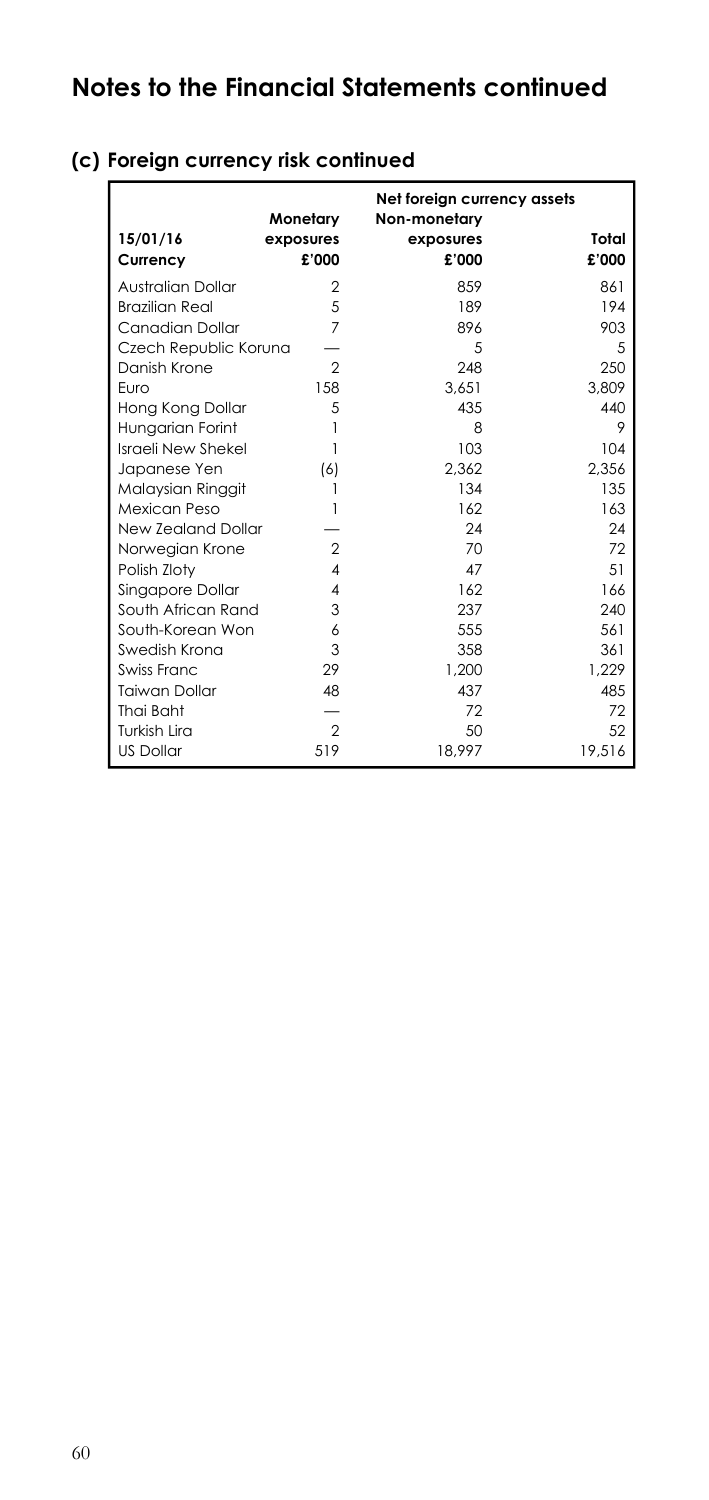| 15/01/16<br>Currency     | Monetary<br>exposures<br>£'000 | Net foreign currency assets<br>Non-monetary<br>exposures<br>£'000 | Total<br>£'000 |
|--------------------------|--------------------------------|-------------------------------------------------------------------|----------------|
| <b>Australian Dollar</b> | 2                              | 859                                                               | 861            |
| <b>Brazilian Real</b>    | 5                              | 189                                                               | 194            |
| Canadian Dollar          | $\overline{7}$                 | 896                                                               | 903            |
| Czech Republic Koruna    |                                | 5                                                                 | .5             |
| Danish Krone             | 2                              | 248                                                               | 250            |
| Furo                     | 158                            | 3.651                                                             | 3,809          |
| Hong Kong Dollar         | 5                              | 435                                                               | 440            |
| Hungarian Forint         |                                | 8                                                                 | 9              |
| Israeli New Shekel       |                                | 103                                                               | 104            |
| Japanese Yen             | (6)                            | 2.362                                                             | 2,356          |
| Malaysian Ringgit        |                                | 134                                                               | 135            |
| Mexican Peso             |                                | 162                                                               | 163            |
| New Zealand Dollar       |                                | 24                                                                | 24             |
| Norwegian Krone          | 2                              | 70                                                                | 72             |
| Polish Zloty             | $\overline{4}$                 | 47                                                                | 51             |
| Singapore Dollar         | 4                              | 162                                                               | 166            |
| South African Rand       | 3                              | 237                                                               | 240            |
| South-Korean Won         | 6                              | 555                                                               | 561            |
| Swedish Krona            | 3                              | 358                                                               | 361            |
| Swiss Franc              | 29                             | 1.200                                                             | 1.229          |
| <b>Taiwan Dollar</b>     | 48                             | 437                                                               | 48.5           |
| Thai Baht                |                                | 72                                                                | 72             |
| Turkish Lira             | $\overline{2}$                 | 50                                                                | 52             |
| <b>US Dollar</b>         | 519                            | 18,997                                                            | 19,516         |

## **(c) Foreign currency risk continued**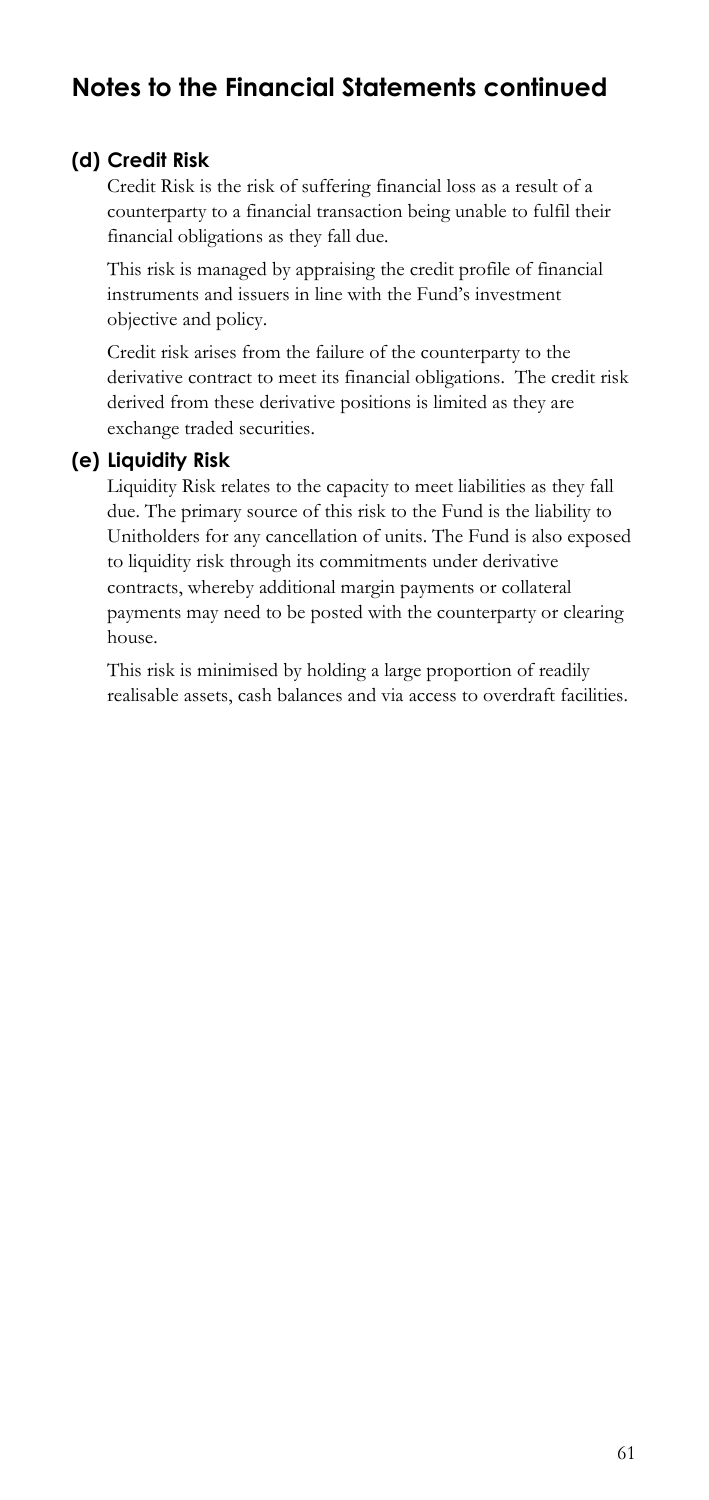### **(d) Credit Risk**

Credit Risk is the risk of suffering financial loss as a result of a counterparty to a financial transaction being unable to fulfil their financial obligations as they fall due. This risk is managed by appraising the credit profile of financial

instruments and issuers in line with the Fund's investment objective and policy.

 derivative contract to meet its financial obligations. The credit risk Credit risk arises from the failure of the counterparty to the derived from these derivative positions is limited as they are exchange traded securities.

#### **(e) Liquidity Risk**

 Liquidity Risk relates to the capacity to meet liabilities as they fall payments may need to be posted with the counterparty or clearing due. The primary source of this risk to the Fund is the liability to Unitholders for any cancellation of units. The Fund is also exposed to liquidity risk through its commitments under derivative contracts, whereby additional margin payments or collateral house.

 realisable assets, cash balances and via access to overdraft facilities. This risk is minimised by holding a large proportion of readily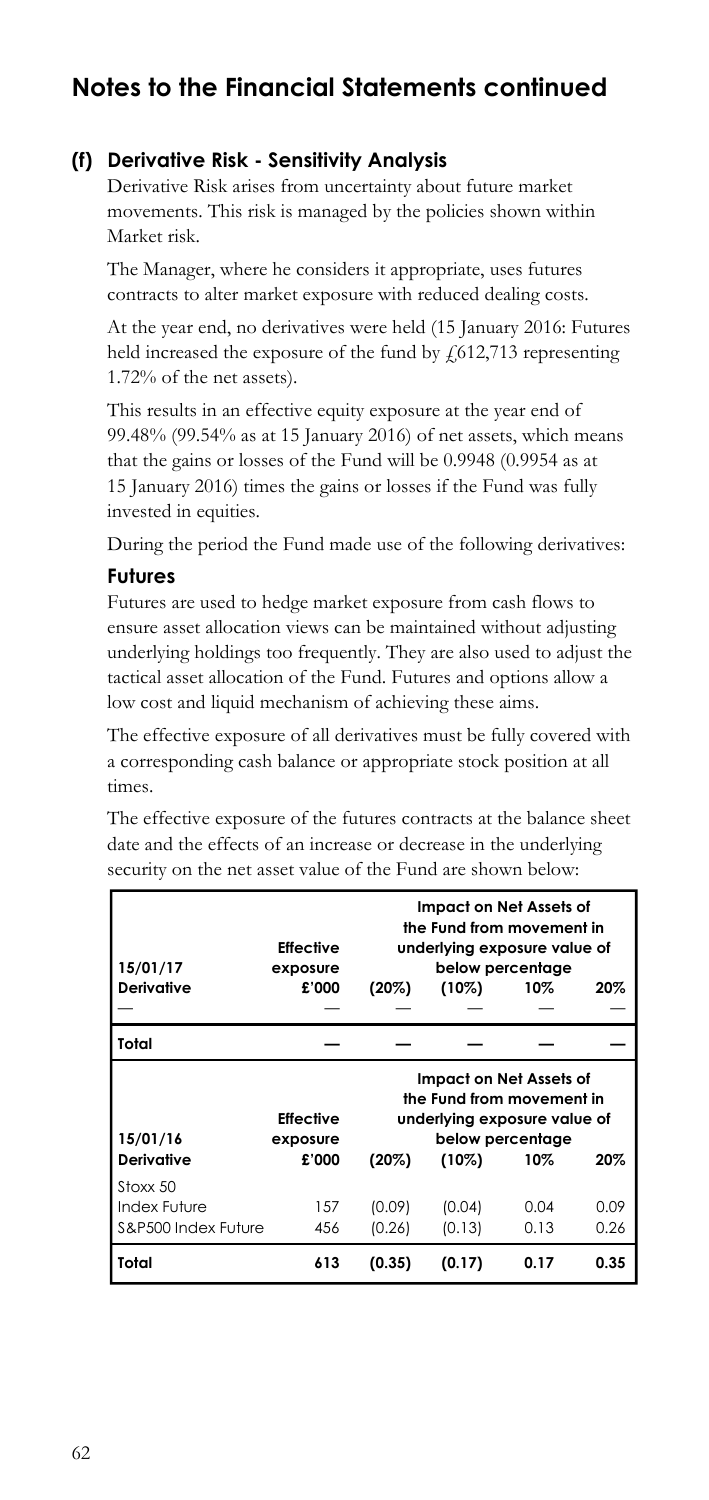### **(f) Derivative Risk - Sensitivity Analysis**

Derivative Risk arises from uncertainty about future market movements. This risk is managed by the policies shown within Market risk.

contracts to alter market exposure with reduced dealing costs. The Manager, where he considers it appropriate, uses futures

At the year end, no derivatives were held (15 January 2016: Futures held increased the exposure of the fund by  $\frac{1}{612}$ ,713 representing 1.72% of the net assets).

This results in an effective equity exposure at the year end of 99.48% (99.54% as at 15 January 2016) of net assets, which means that the gains or losses of the Fund will be 0.9948 (0.9954 as at 15 January 2016) times the gains or losses if the Fund was fully invested in equities.

During the period the Fund made use of the following derivatives:

#### **Futures**

 low cost and liquid mechanism of achieving these aims. Futures are used to hedge market exposure from cash flows to ensure asset allocation views can be maintained without adjusting underlying holdings too frequently. They are also used to adjust the tactical asset allocation of the Fund. Futures and options allow a

The effective exposure of all derivatives must be fully covered with a corresponding cash balance or appropriate stock position at all times.

The effective exposure of the futures contracts at the balance sheet date and the effects of an increase or decrease in the underlying security on the net asset value of the Fund are shown below:

| 15/01/17<br>Derivative                          | <b>Effective</b><br>exposure<br>£'000 | Impact on Net Assets of<br>the Fund from movement in<br>underlying exposure value of<br>below percentage<br>$(10\%)$<br>20%<br>$(20\%)$<br>10% |                  |              |              |
|-------------------------------------------------|---------------------------------------|------------------------------------------------------------------------------------------------------------------------------------------------|------------------|--------------|--------------|
| Total                                           |                                       |                                                                                                                                                |                  |              |              |
| 15/01/16<br>Derivative                          | <b>Effective</b><br>exposure<br>£'000 | Impact on Net Assets of<br>the Fund from movement in<br>underlying exposure value of<br>below percentage<br>$(20\%)$<br>$(10\%)$<br>10%<br>20% |                  |              |              |
| Stoxx 50<br>Index Future<br>S&P500 Index Future | 157<br>456                            | (0.09)<br>(0.26)                                                                                                                               | (0.04)<br>(0.13) | 0.04<br>0.13 | 0.09<br>0.26 |
| Total                                           | 613                                   | (0.35)                                                                                                                                         | (0.17)           | 0.17         | 0.35         |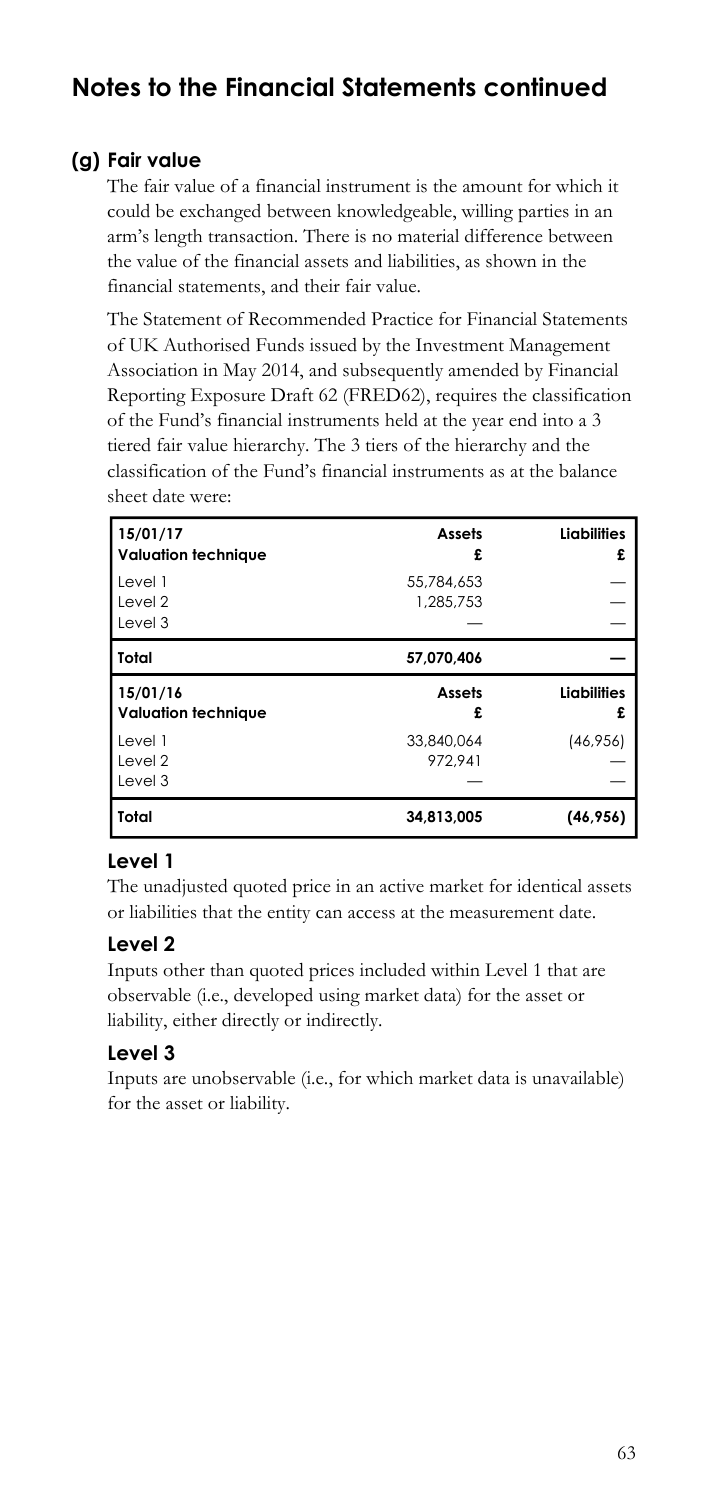### **(g) Fair value**

The fair value of a financial instrument is the amount for which it could be exchanged between knowledgeable, willing parties in an arm's length transaction. There is no material difference between the value of the financial assets and liabilities, as shown in the financial statements, and their fair value.

The Statement of Recommended Practice for Financial Statements of UK Authorised Funds issued by the Investment Management Association in May 2014, and subsequently amended by Financial Reporting Exposure Draft 62 (FRED62), requires the classification of the Fund's financial instruments held at the year end into a 3 tiered fair value hierarchy. The 3 tiers of the hierarchy and the classification of the Fund's financial instruments as at the balance sheet date were:

| 15/01/17<br><b>Valuation technique</b> | <b>Assets</b><br>£      | <b>Liabilities</b><br>£ |
|----------------------------------------|-------------------------|-------------------------|
| Level 1<br>Level 2<br>Level 3          | 55.784.653<br>1,285,753 |                         |
| Total                                  | 57.070.406              |                         |
|                                        |                         |                         |
| 15/01/16<br><b>Valuation technique</b> | <b>Assets</b><br>£      | <b>Liabilities</b><br>£ |
| Level 1<br>Level 2<br>Level 3          | 33.840.064<br>972.941   | (46, 956)               |

### **Level 1**

The unadjusted quoted price in an active market for identical assets or liabilities that the entity can access at the measurement date.

### **Level 2**

 liability, either directly or indirectly. Inputs other than quoted prices included within Level 1 that are observable (i.e., developed using market data) for the asset or

### **Level 3**

Inputs are unobservable (i.e., for which market data is unavailable) for the asset or liability.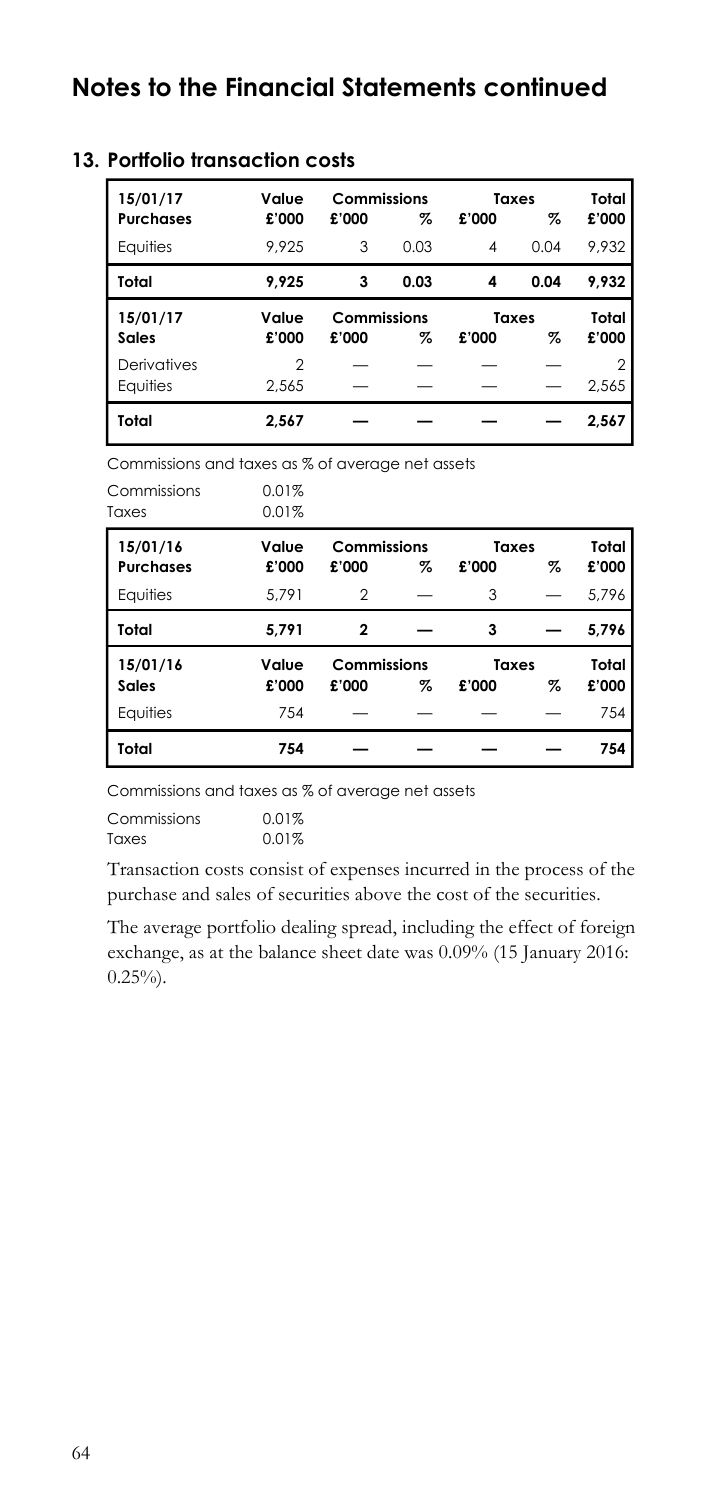| 15/01/17<br><b>Purchases</b> | Value<br>£'000 | Commissions<br>£'000 | %    | £'000 | Taxes<br>% | Total<br>£'000          |
|------------------------------|----------------|----------------------|------|-------|------------|-------------------------|
| Equities                     | 9.925          | 3                    | 0.03 | 4     | 0.04       | 9.932                   |
| Total                        | 9.925          | 3                    | 0.03 | 4     | 0.04       | 9.932                   |
| 15/01/17<br>Sales            | Value<br>£'000 | Commissions<br>£'000 | z    | £'000 | Taxes<br>% | Total<br>£'000          |
| Derivatives<br>Equities      | 2<br>2.565     |                      |      |       |            | $\mathfrak{D}$<br>2,565 |
| Total                        | 2.567          |                      |      |       |            | 2,567                   |

#### **13. Portfolio transaction costs**

Commissions and taxes as % of average net assets

| Commissions<br>Taxes         | 0.01%<br>0.01% |                      |   |                |   |                |
|------------------------------|----------------|----------------------|---|----------------|---|----------------|
| 15/01/16<br><b>Purchases</b> | Value<br>£'000 | Commissions<br>£'000 | % | Taxes<br>£'000 | % | Total<br>£'000 |
| Equities                     | 5.791          | 2                    |   | 3              |   | 5,796          |
| Total                        | 5.791          | 2                    |   | 3              |   | 5.796          |
| 15/01/16<br>Sales            | Value<br>£'000 | Commissions<br>£'000 | % | Taxes<br>£'000 | % | Total<br>£'000 |
| Equities                     | 754            |                      |   |                |   | 754            |
| Total                        | 754            |                      |   |                |   | 754            |

Commissions and taxes as % of average net assets

| Commissions | 0.01% |
|-------------|-------|
| Taxes       | 0.01% |

Transaction costs consist of expenses incurred in the process of the purchase and sales of securities above the cost of the securities.

The average portfolio dealing spread, including the effect of foreign exchange, as at the balance sheet date was 0.09% (15 January 2016:  $0.25\%$ ).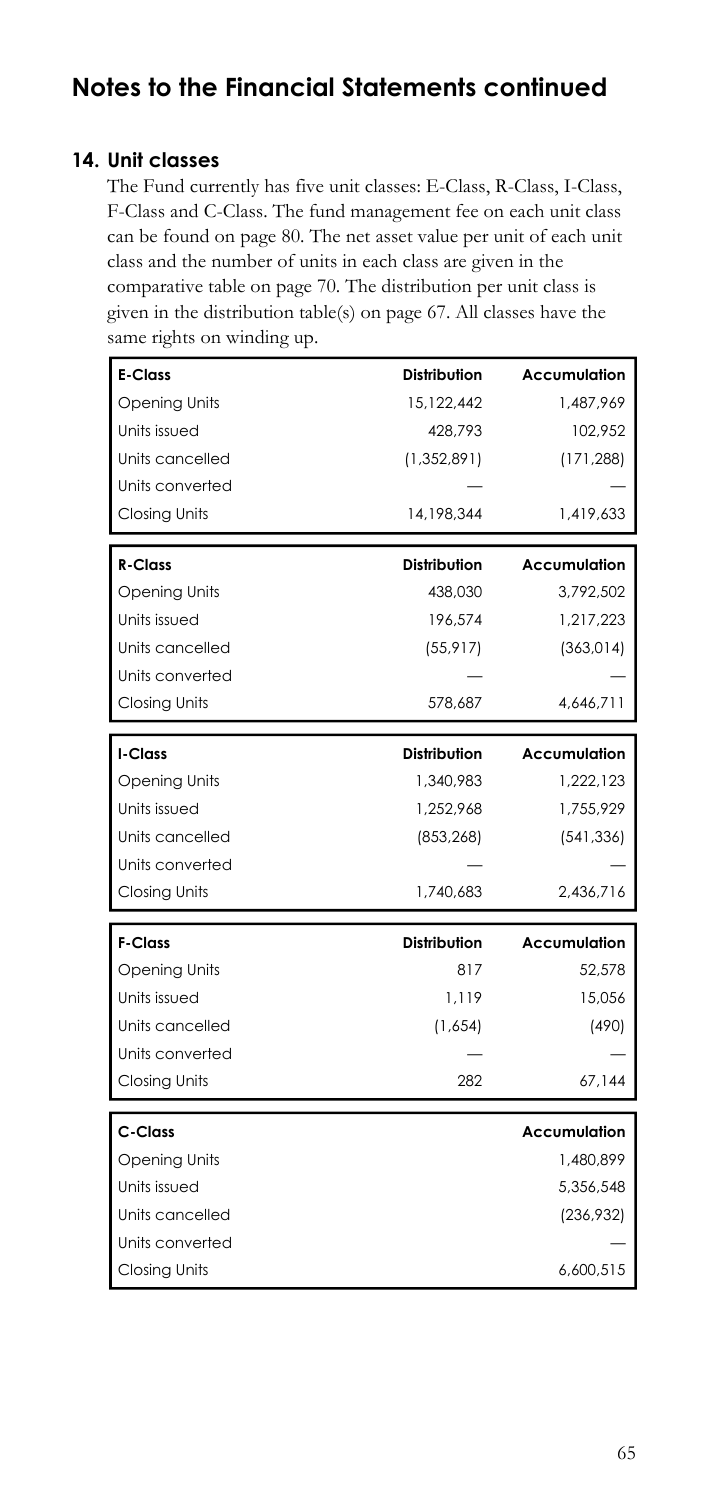### **14. Unit classes**

The Fund currently has five unit classes: E-Class, R-Class, I-Class, F-Class and C-Class. The fund management fee on each unit class can be found on page 80. The net asset value per unit of each unit class and the number of units in each class are given in the comparative table on page 70. The distribution per unit class is given in the distribution table(s) on page 67. All classes have the same rights on winding up.

| <b>E-Class</b>       | <b>Distribution</b> | Accumulation        |
|----------------------|---------------------|---------------------|
| <b>Opening Units</b> | 15.122.442          | 1.487.969           |
| Units issued         | 428,793             | 102,952             |
| Units cancelled      | (1,352,891)         | (171, 288)          |
| Units converted      |                     |                     |
| <b>Closing Units</b> | 14,198,344          | 1,419,633           |
|                      |                     |                     |
| <b>R-Class</b>       | Distribution        | Accumulation        |
| <b>Opening Units</b> | 438,030             | 3,792,502           |
| Units issued         | 196.574             | 1,217,223           |
| Units cancelled      | (55, 917)           | (363, 014)          |
| Units converted      |                     |                     |
| Closing Units        | 578,687             | 4,646,711           |
| I-Class              | <b>Distribution</b> | <b>Accumulation</b> |
| <b>Opening Units</b> | 1,340,983           | 1,222,123           |
| Units issued         | 1,252,968           | 1,755,929           |
| Units cancelled      | (853, 268)          | (541, 336)          |
| Units converted      |                     |                     |
| Closing Units        | 1,740,683           | 2,436,716           |
| <b>F-Class</b>       | <b>Distribution</b> | <b>Accumulation</b> |
| <b>Opening Units</b> | 817                 | 52,578              |
| Units issued         | 1.119               | 15,056              |
| Units cancelled      | (1,654)             | (490)               |
| Units converted      |                     |                     |
| Closing Units        | 282                 | 67,144              |
|                      |                     |                     |
| C-Class              |                     | Accumulation        |
| Opening Units        |                     | 1,480,899           |
| Units issued         |                     | 5,356,548           |
| Units cancelled      |                     | (236, 932)          |
| Units converted      |                     |                     |
| <b>Closing Units</b> |                     | 6,600,515           |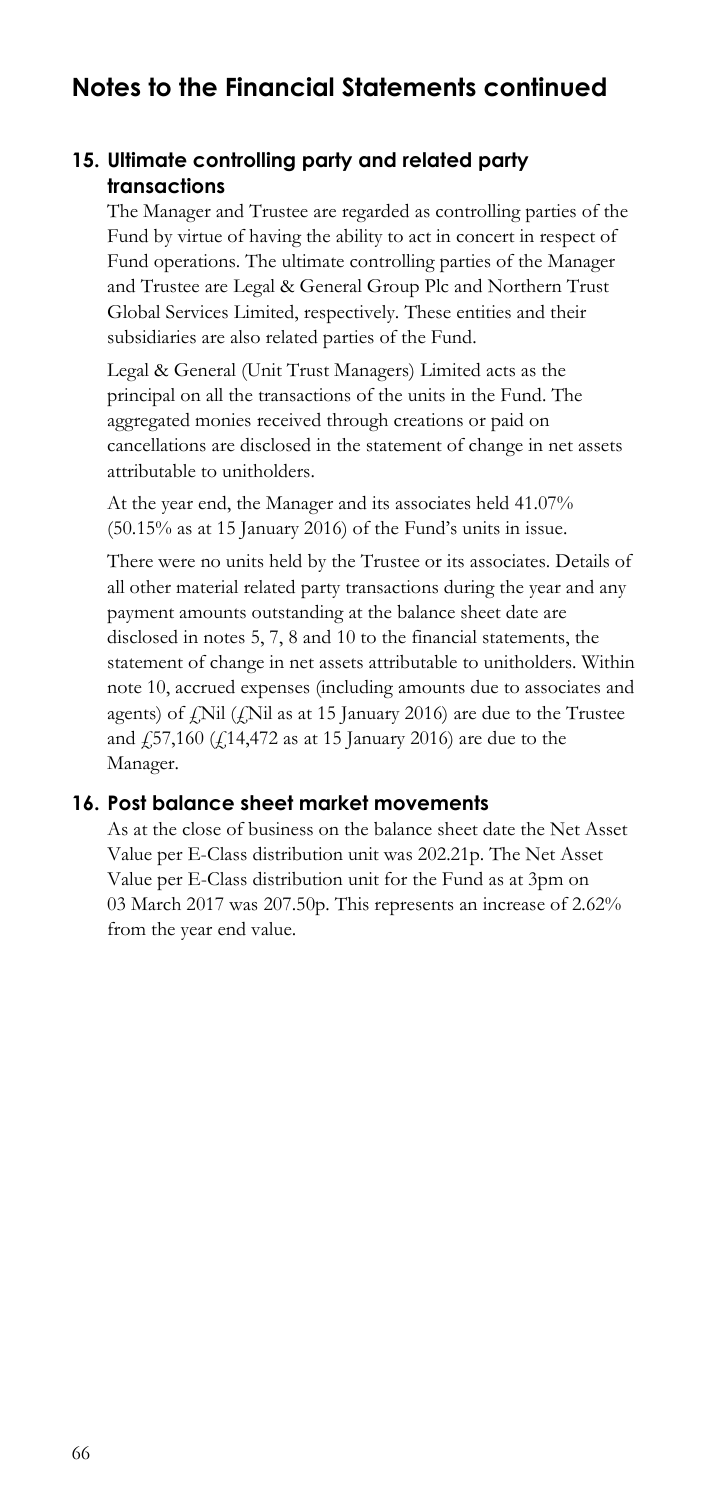### **15. Ultimate controlling party and related party transactions**

The Manager and Trustee are regarded as controlling parties of the Fund by virtue of having the ability to act in concert in respect of Fund operations. The ultimate controlling parties of the Manager and Trustee are Legal & General Group Plc and Northern Trust Global Services Limited, respectively. These entities and their subsidiaries are also related parties of the Fund.

Legal & General (Unit Trust Managers) Limited acts as the principal on all the transactions of the units in the Fund. The aggregated monies received through creations or paid on cancellations are disclosed in the statement of change in net assets attributable to unitholders.

 At the year end, the Manager and its associates held 41.07% (50.15% as at 15 January 2016) of the Fund's units in issue.

 disclosed in notes 5, 7, 8 and 10 to the financial statements, the and  $\frac{1}{2}$ 57,160 ( $\frac{1}{2}$ 14,472 as at 15 January 2016) are due to the There were no units held by the Trustee or its associates. Details of all other material related party transactions during the year and any payment amounts outstanding at the balance sheet date are statement of change in net assets attributable to unitholders. Within note 10, accrued expenses (including amounts due to associates and agents) of  $f$ Nil  $(f$ Nil as at 15 January 2016) are due to the Trustee Manager.

### **16. Post balance sheet market movements**

 from the year end value. As at the close of business on the balance sheet date the Net Asset Value per E-Class distribution unit was 202.21p. The Net Asset Value per E-Class distribution unit for the Fund as at 3pm on 03 March 2017 was 207.50p. This represents an increase of 2.62%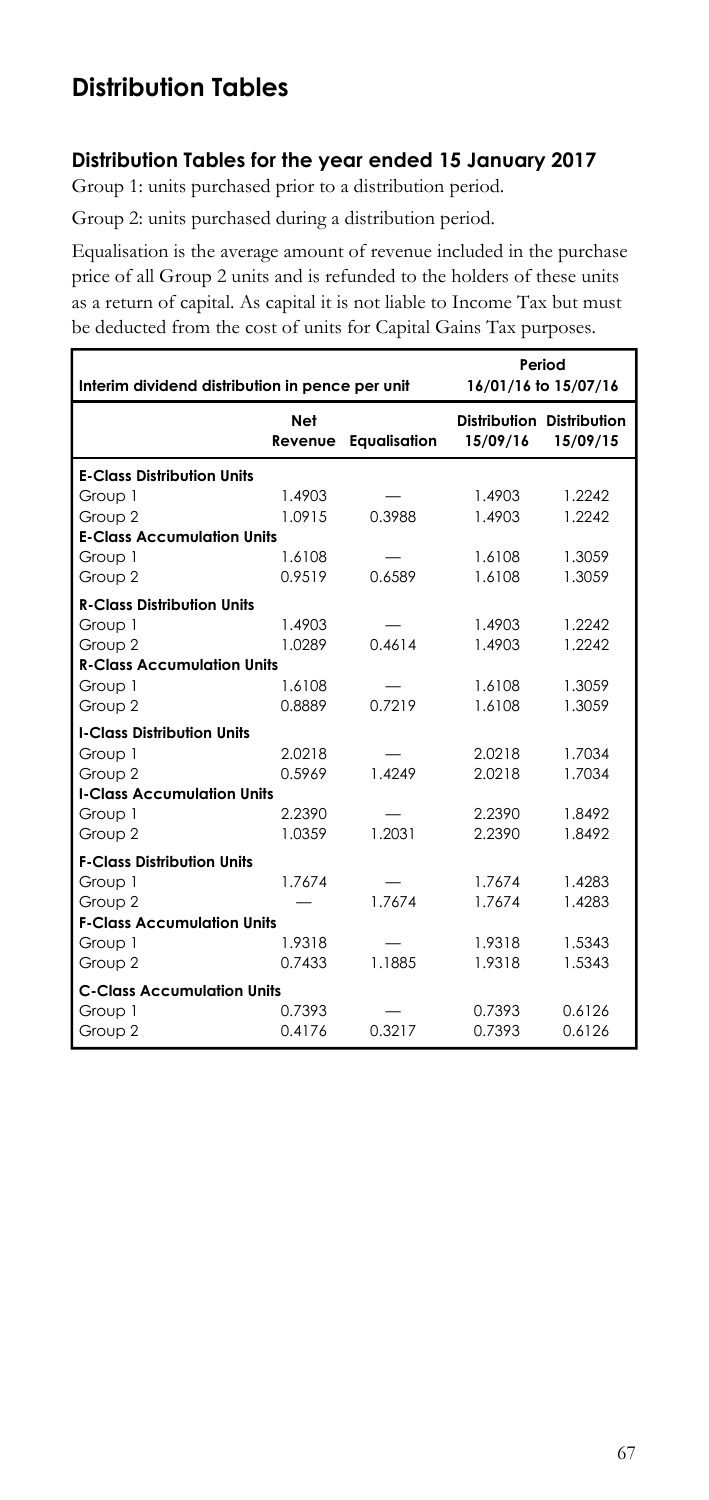# **Distribution Tables**

### **Distribution Tables for the year ended 15 January 2017**

Group 1: units purchased prior to a distribution period.

Group 2: units purchased during a distribution period.

 Equalisation is the average amount of revenue included in the purchase as a return of capital. As capital it is not liable to Income Tax but must price of all Group 2 units and is refunded to the holders of these units be deducted from the cost of units for Capital Gains Tax purposes.

| Interim dividend distribution in pence per unit |                | Period<br>16/01/16 to 15/07/16 |                                       |          |
|-------------------------------------------------|----------------|--------------------------------|---------------------------------------|----------|
|                                                 | Net<br>Revenue | <b>Eaualisation</b>            | Distribution Distribution<br>15/09/16 | 15/09/15 |
| <b>E-Class Distribution Units</b>               |                |                                |                                       |          |
| Group 1                                         | 1.4903         |                                | 1.4903                                | 1.2242   |
| Group 2                                         | 1.0915         | 0.3988                         | 1.4903                                | 1.2242   |
| <b>E-Class Accumulation Units</b>               |                |                                |                                       |          |
| Group 1                                         | 1.6108         |                                | 1.6108                                | 1.3059   |
| Group 2                                         | 0.9519         | 0.6589                         | 1.6108                                | 1.3059   |
| <b>R-Class Distribution Units</b>               |                |                                |                                       |          |
| Group 1                                         | 1.4903         |                                | 1.4903                                | 1.2242   |
| Group 2                                         | 1.0289         | 0.4614                         | 1.4903                                | 1.2242   |
| <b>R-Class Accumulation Units</b>               |                |                                |                                       |          |
| Group 1                                         | 1.6108         |                                | 1.6108                                | 1.3059   |
| Group 2                                         | 0.8889         | 0.7219                         | 1.6108                                | 1.3059   |
| <b>I-Class Distribution Units</b>               |                |                                |                                       |          |
| Group 1                                         | 2.0218         |                                | 2.0218                                | 1.7034   |
| Group 2                                         | 0.5969         | 1.4249                         | 2.0218                                | 1.7034   |
| <b>I-Class Accumulation Units</b>               |                |                                |                                       |          |
| Group 1                                         | 2.2390         |                                | 2.2390                                | 1.8492   |
| Group 2                                         | 1.0359         | 1.2031                         | 2.2390                                | 1.8492   |
| <b>F-Class Distribution Units</b>               |                |                                |                                       |          |
| Group 1                                         | 1.7674         |                                | 1.7674                                | 1.4283   |
| Group 2                                         |                | 1.7674                         | 1.7674                                | 1.4283   |
| <b>F-Class Accumulation Units</b>               |                |                                |                                       |          |
| Group 1                                         | 1.9318         |                                | 1.9318                                | 1.5343   |
| Group 2                                         | 0.7433         | 1.1885                         | 1.9318                                | 1.5343   |
| <b>C-Class Accumulation Units</b>               |                |                                |                                       |          |
| Group 1                                         | 0.7393         |                                | 0.7393                                | 0.6126   |
| Group 2                                         | 0.4176         | 0.3217                         | 0.7393                                | 0.6126   |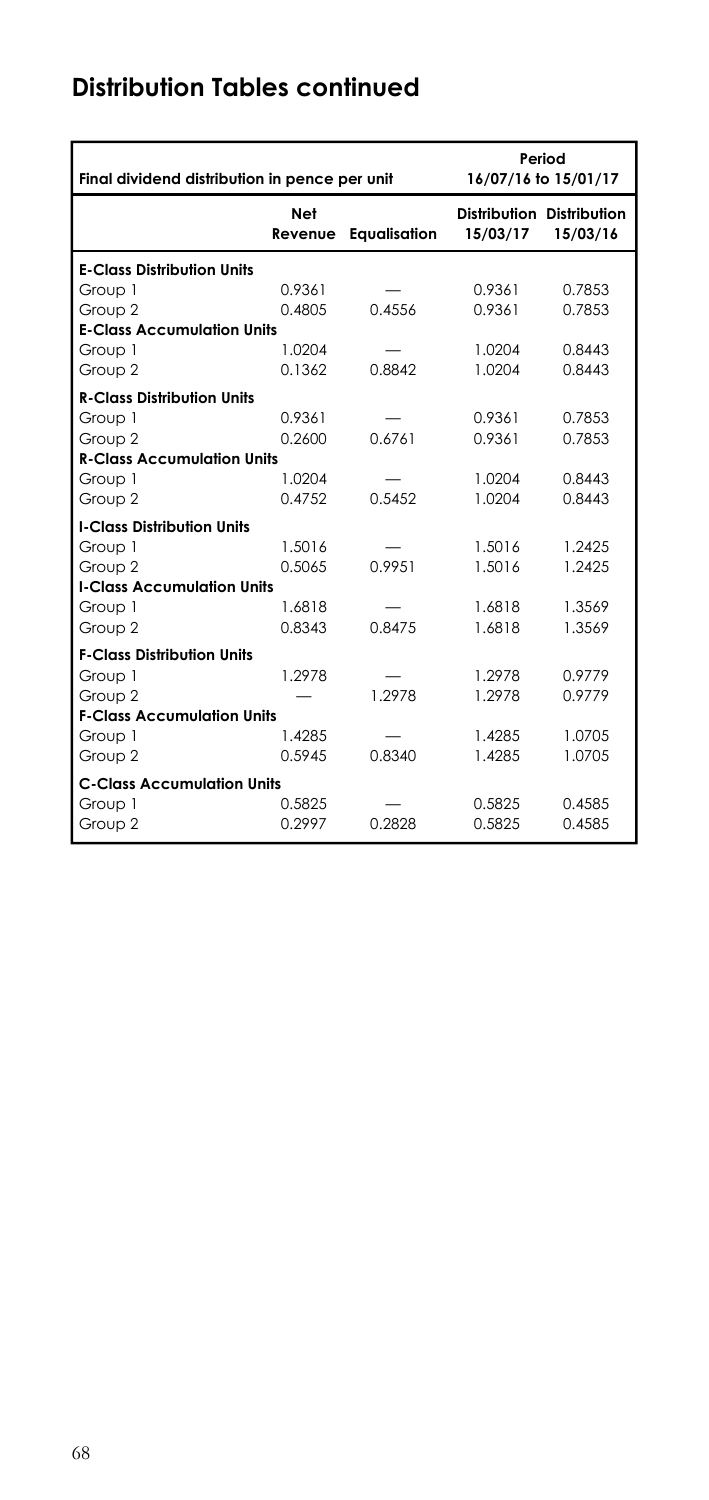# **Distribution Tables continued**

| Final dividend distribution in pence per unit |                       | Period<br>16/07/16 to 15/01/17 |                                       |          |
|-----------------------------------------------|-----------------------|--------------------------------|---------------------------------------|----------|
|                                               | <b>Net</b><br>Revenue | <b>Equalisation</b>            | Distribution Distribution<br>15/03/17 | 15/03/16 |
| <b>E-Class Distribution Units</b>             |                       |                                |                                       |          |
| Group 1                                       | 0.9361                |                                | 0.9361                                | 0.7853   |
| Group 2                                       | 0.4805                | 0.4556                         | 0.9361                                | 0.7853   |
| <b>E-Class Accumulation Units</b>             |                       |                                |                                       |          |
| Group 1                                       | 1.0204                |                                | 1.0204                                | 0.8443   |
| Group 2                                       | 0.1362                | 0.8842                         | 1.0204                                | 0.8443   |
| <b>R-Class Distribution Units</b>             |                       |                                |                                       |          |
| Group 1                                       | 0.9361                |                                | 0.9361                                | 0.7853   |
| Group 2                                       | 0.2600                | 0.6761                         | 0.9361                                | 0.7853   |
| <b>R-Class Accumulation Units</b>             |                       |                                |                                       |          |
| Group 1                                       | 1.0204                |                                | 1.0204                                | 0.8443   |
| Group 2                                       | 0.4752                | 0.5452                         | 1.0204                                | 0.8443   |
| <b>I-Class Distribution Units</b>             |                       |                                |                                       |          |
| Group 1                                       | 1.5016                |                                | 1.5016                                | 1.2425   |
| Group 2                                       | 0.5065                | 0.9951                         | 1.5016                                | 1.2425   |
| <b>I-Class Accumulation Units</b>             |                       |                                |                                       |          |
| Group 1                                       | 1.6818                |                                | 1.6818                                | 1.3569   |
| Group 2                                       | 0.8343                | 0.8475                         | 1.6818                                | 1.3569   |
| <b>F-Class Distribution Units</b>             |                       |                                |                                       |          |
| Group 1                                       | 1.2978                |                                | 1.2978                                | 0.9779   |
| Group 2                                       |                       | 1.2978                         | 1.2978                                | 0.9779   |
| <b>F-Class Accumulation Units</b>             |                       |                                |                                       |          |
| Group 1                                       | 1.4285                |                                | 1.4285                                | 1.0705   |
| Group 2                                       | 0.5945                | 0.8340                         | 1.4285                                | 1.0705   |
| <b>C-Class Accumulation Units</b>             |                       |                                |                                       |          |
| Group 1                                       | 0.5825                |                                | 0.5825                                | 0.4585   |
| Group 2                                       | 0.2997                | 0.2828                         | 0.5825                                | 0.4585   |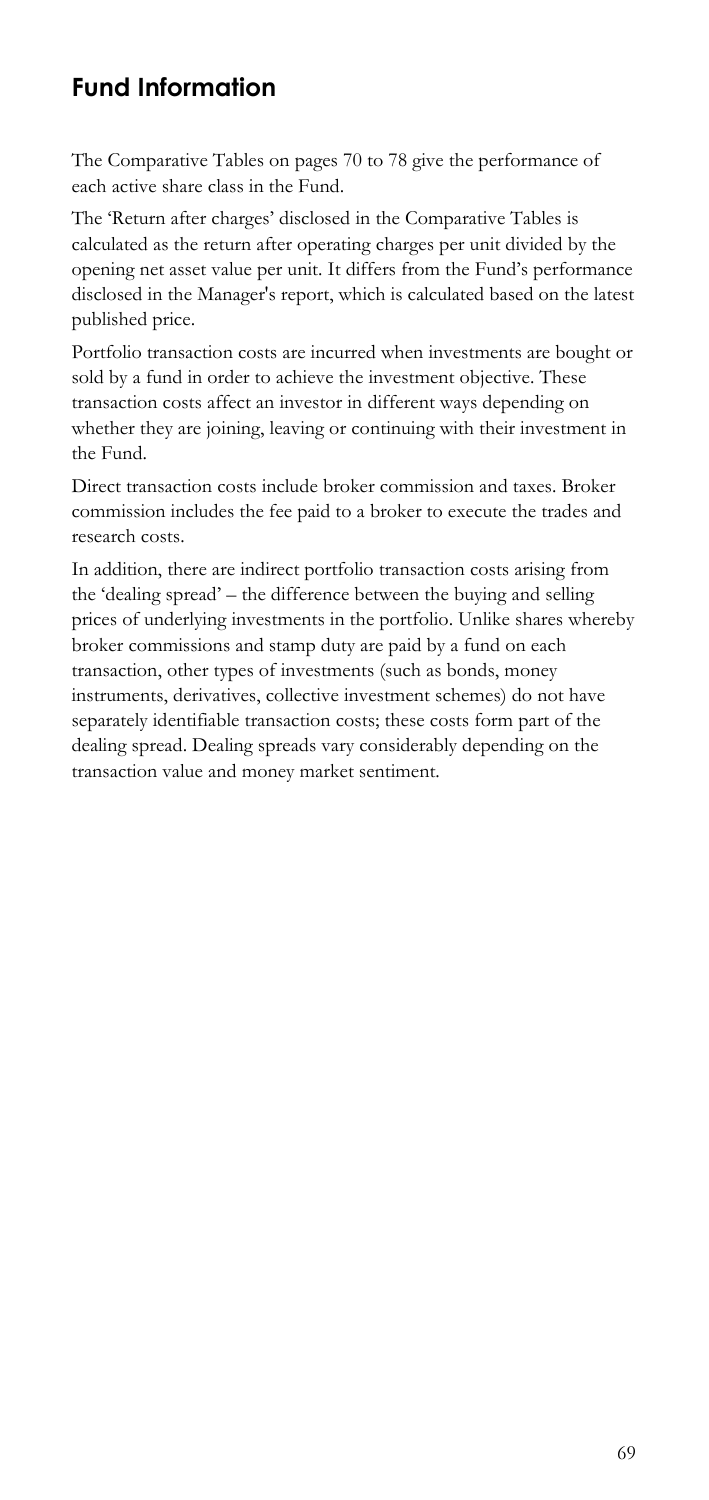## **Fund Information**

The Comparative Tables on pages 70 to 78 give the performance of each active share class in the Fund.

 The 'Return after charges' disclosed in the Comparative Tables is calculated as the return after operating charges per unit divided by the opening net asset value per unit. It differs from the Fund's performance disclosed in the Manager's report, which is calculated based on the latest published price.

Portfolio transaction costs are incurred when investments are bought or sold by a fund in order to achieve the investment objective. These transaction costs affect an investor in different ways depending on whether they are joining, leaving or continuing with their investment in the Fund.

Direct transaction costs include broker commission and taxes. Broker commission includes the fee paid to a broker to execute the trades and research costs.

In addition, there are indirect portfolio transaction costs arising from the 'dealing spread' – the difference between the buying and selling prices of underlying investments in the portfolio. Unlike shares whereby broker commissions and stamp duty are paid by a fund on each transaction, other types of investments (such as bonds, money instruments, derivatives, collective investment schemes) do not have separately identifiable transaction costs; these costs form part of the dealing spread. Dealing spreads vary considerably depending on the transaction value and money market sentiment.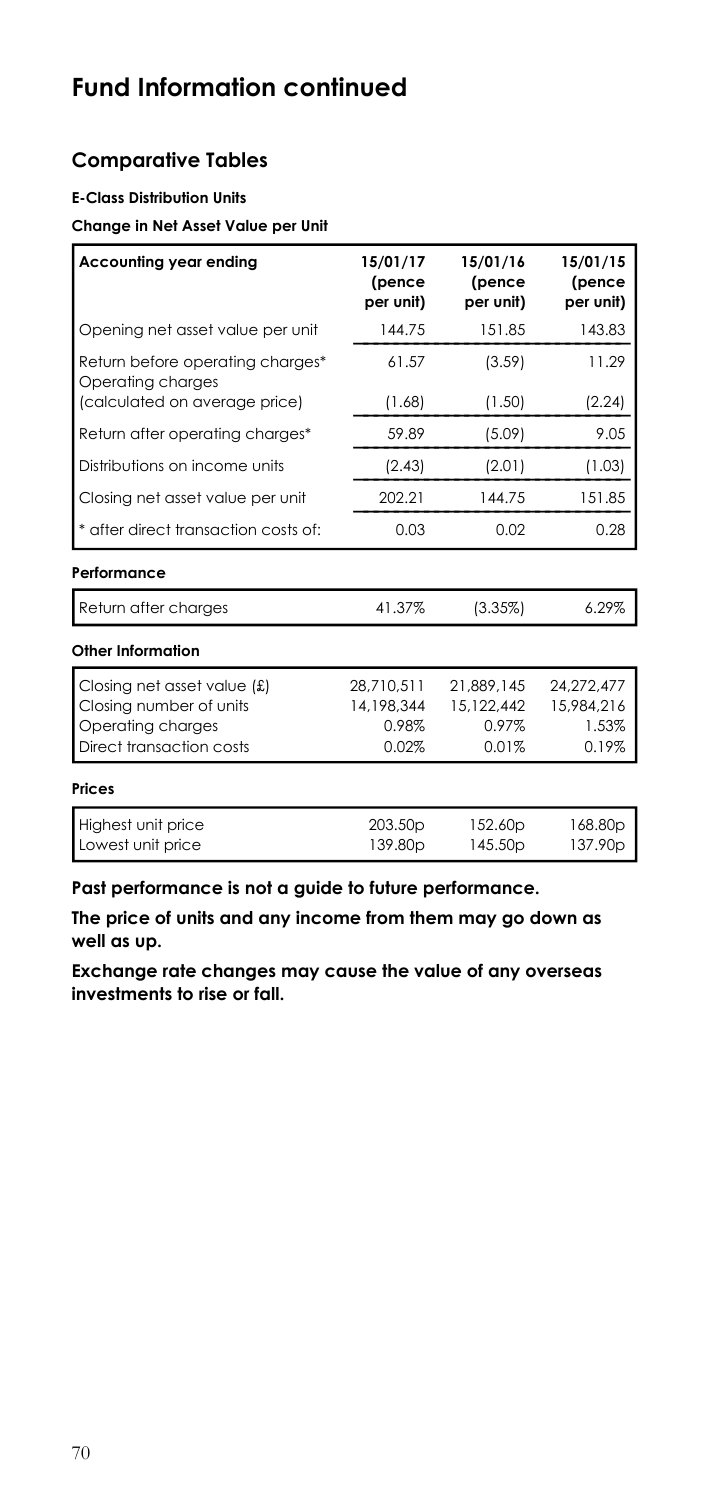# **Fund Information continued**

## **Comparative Tables**

#### **E-Class Distribution Units**

#### **Change in Net Asset Value per Unit**

| Accounting year ending                                                                                     | 15/01/17<br>(pence<br>per unit)            | 15/01/16<br>(pence<br>per unit)               | 15/01/15<br>(pence<br>per unit)            |
|------------------------------------------------------------------------------------------------------------|--------------------------------------------|-----------------------------------------------|--------------------------------------------|
| Opening net asset value per unit                                                                           | 144.75                                     | 151.85                                        | 143.83                                     |
| Return before operating charges*<br>Operating charges                                                      | 61.57                                      | (3.59)                                        | 11.29                                      |
| (calculated on average price)                                                                              | (1.68)                                     | (1.50)                                        | (2.24)                                     |
| Return after operating charges*                                                                            | 59.89                                      | (5.09)                                        | 9.05                                       |
| Distributions on income units                                                                              | (2.43)                                     | (2.01)                                        | (1.03)                                     |
| Closing net asset value per unit                                                                           | 202.21                                     | 144.75                                        | 151.85                                     |
| * after direct transaction costs of:                                                                       | 0.03                                       | 0.02                                          | 0.28                                       |
| Performance                                                                                                |                                            |                                               |                                            |
| Return after charges                                                                                       | 41.37%                                     | (3.35%)                                       | 6.29%                                      |
| Other Information                                                                                          |                                            |                                               |                                            |
| Closing net asset value $f(x)$<br>Closing number of units<br>Operating charges<br>Direct transaction costs | 28.710.511<br>14.198.344<br>0.98%<br>0.02% | 21.889.145<br>15,122,442<br>$0.97\%$<br>0.01% | 24,272,477<br>15,984.216<br>1.53%<br>0.19% |
| <b>Prices</b>                                                                                              |                                            |                                               |                                            |
| Highest unit price<br>Lowest unit price                                                                    | 203.50 <sub>p</sub><br>139.80 <sub>p</sub> | 152.60p<br>145.50 <sub>p</sub>                | 168.80p<br>137.90 <sub>p</sub>             |

**Past performance is not a guide to future performance.** 

**The price of units and any income from them may go down as well as up.** 

**Exchange rate changes may cause the value of any overseas investments to rise or fall.**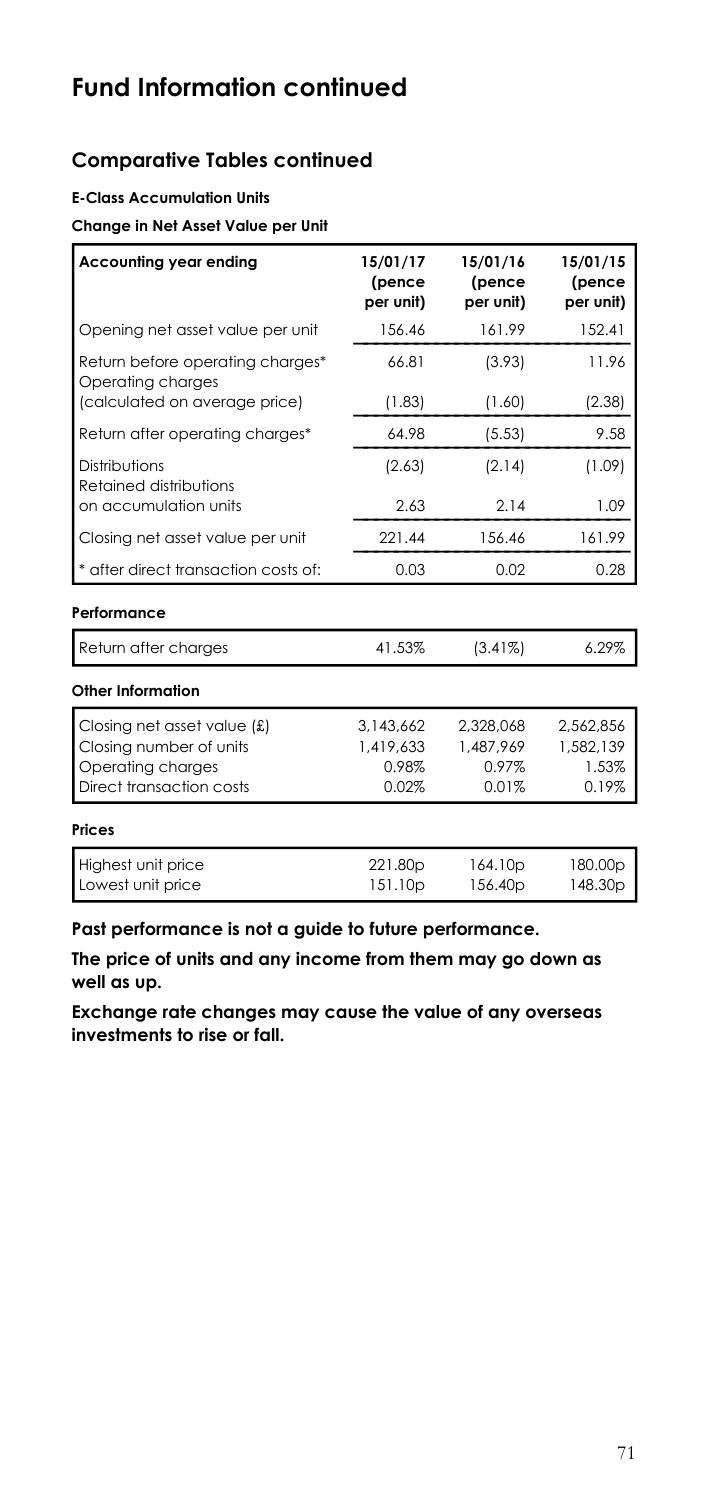## **Comparative Tables continued**

### **E-Class Accumulation Units**

#### **Change in Net Asset Value per Unit**

| 15/01/17<br>(pence<br>per unit) | 15/01/16<br>(pence<br>per unit)       | 15/01/15<br>(pence<br>per unit)       |
|---------------------------------|---------------------------------------|---------------------------------------|
| 156.46                          | 161.99                                | 152.41                                |
| 66.81                           | (3.93)                                | 11.96                                 |
| (1.83)                          | (1.60)                                | (2.38)                                |
| 64.98                           | (5.53)                                | 9.58                                  |
| (2.63)                          | (2.14)                                | (1.09)                                |
| 2.63                            | 2.14                                  | 1.09                                  |
| 221.44                          | 156.46                                | 161.99                                |
| 0.03                            | 0.02                                  | 0.28                                  |
|                                 |                                       |                                       |
| 41.53%                          | (3.41%)                               | 6.29%                                 |
|                                 |                                       |                                       |
| 3,143,662                       | 2,328,068                             | 2,562,856                             |
| 1.419.633                       | 1.487.969                             | 1.582.139                             |
|                                 |                                       | 1.53%                                 |
|                                 |                                       | 0.19%                                 |
|                                 |                                       |                                       |
| 221.80p                         | 164.10p                               | 180.00p<br>148.30 <sub>p</sub>        |
|                                 | 0.98%<br>0.02%<br>151.10 <sub>p</sub> | 0.97%<br>0.01%<br>156.40 <sub>p</sub> |

**Past performance is not a guide to future performance.** 

**The price of units and any income from them may go down as well as up.**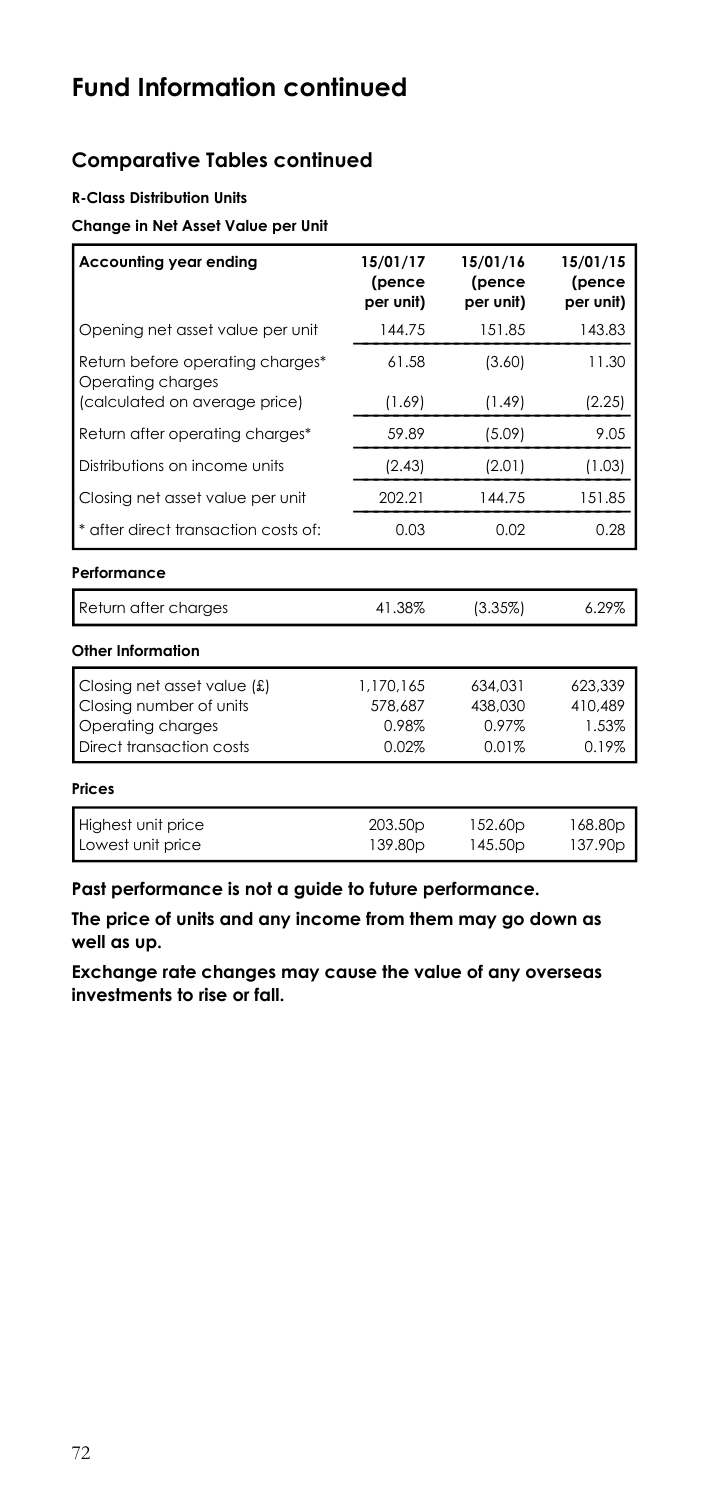## **Comparative Tables continued**

### **R-Class Distribution Units**

#### **Change in Net Asset Value per Unit**

| Accounting year ending                                                                                  | 15/01/17<br>(pence<br>per unit)            | 15/01/16<br>(pence<br>per unit)      | 15/01/15<br>(pence<br>per unit)      |
|---------------------------------------------------------------------------------------------------------|--------------------------------------------|--------------------------------------|--------------------------------------|
| Opening net asset value per unit                                                                        | 144.75                                     | 151.85                               | 143.83                               |
| Return before operating charges*<br>Operating charges                                                   | 61.58                                      | (3.60)                               | 11.30                                |
| (calculated on average price)                                                                           | (1.69)                                     | (1.49)                               | (2.25)                               |
| Return after operating charges*                                                                         | 59.89                                      | (5.09)                               | 9.05                                 |
| Distributions on income units                                                                           | (2.43)                                     | (2.01)                               | (1.03)                               |
| Closing net asset value per unit                                                                        | 202.21                                     | 144.75                               | 151.85                               |
| * after direct transaction costs of:                                                                    | 0.03                                       | 0.02                                 | 0.28                                 |
| Performance                                                                                             |                                            |                                      |                                      |
| Return after charges                                                                                    | 41.38%                                     | (3.35%)                              | 6.29%                                |
| Other Information                                                                                       |                                            |                                      |                                      |
| Closing net asset value (£)<br>Closing number of units<br>Operating charges<br>Direct transaction costs | 1,170,165<br>578,687<br>0.98%<br>0.02%     | 634,031<br>438,030<br>0.97%<br>0.01% | 623.339<br>410,489<br>1.53%<br>0.19% |
| <b>Prices</b>                                                                                           |                                            |                                      |                                      |
| Highest unit price<br>Lowest unit price                                                                 | 203.50 <sub>p</sub><br>139.80 <sub>p</sub> | 152.60p<br>145.50 <sub>p</sub>       | 168.80p<br>137.90 <sub>p</sub>       |

**Past performance is not a guide to future performance.** 

**The price of units and any income from them may go down as well as up.**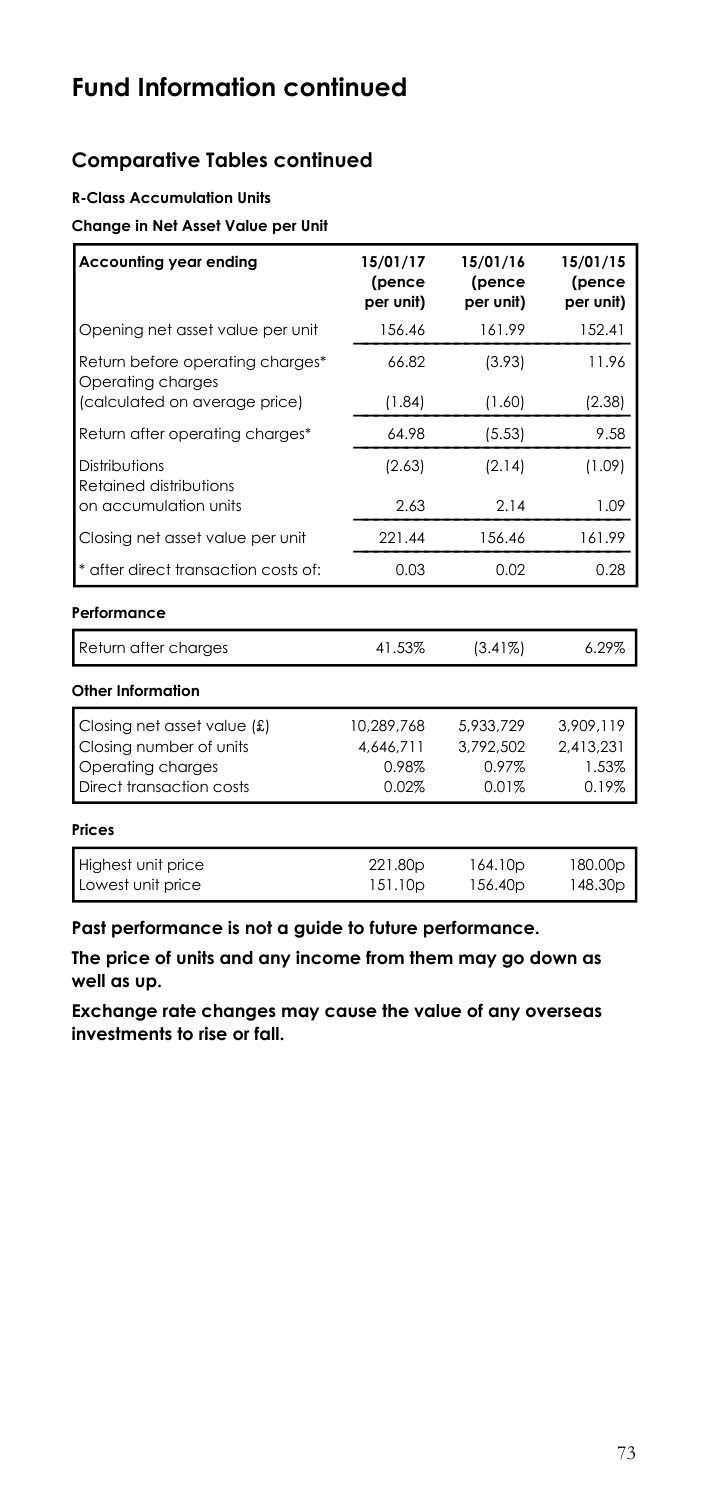## **Comparative Tables continued**

### **R-Class Accumulation Units**

#### **Change in Net Asset Value per Unit**

| Accounting year ending                                | 15/01/17<br>(pence<br>per unit) | 15/01/16<br>(pence<br>per unit) | 15/01/15<br>(pence<br>per unit) |
|-------------------------------------------------------|---------------------------------|---------------------------------|---------------------------------|
| Opening net asset value per unit                      | 156.46                          | 161.99                          | 152.41                          |
| Return before operating charges*<br>Operating charges | 66.82                           | (3.93)                          | 11.96                           |
| (calculated on average price)                         | (1.84)                          | (1.60)                          | (2.38)                          |
| Return after operating charges*                       | 64.98                           | (5.53)                          | 9.58                            |
| Distributions<br>Retained distributions               | (2.63)                          | (2.14)                          | (1.09)                          |
| on accumulation units                                 | 2.63                            | 2.14                            | 1.09                            |
| Closing net asset value per unit                      | 221.44                          | 156.46                          | 161.99                          |
| * after direct transaction costs of:                  | 0.03                            | 0.02                            | 0.28                            |
| Performance                                           |                                 |                                 |                                 |
| Return after charges                                  | 41.53%                          | (3.41%)                         | 6.29%                           |
| Other Information                                     |                                 |                                 |                                 |
| Closing net asset value (£)                           | 10,289,768                      | 5,933,729                       | 3.909.119                       |
| Closing number of units                               | 4.646.711                       | 3.792.502                       | 2,413,231                       |
| Operating charges                                     | 0.98%                           | 0.97%                           | 1.53%                           |
| Direct transaction costs                              | 0.02%                           | 0.01%                           | 0.19%                           |
| Prices                                                |                                 |                                 |                                 |
| Highest unit price<br>Lowest unit price               | 221.80p<br>151.10 <sub>p</sub>  | 164.10p<br>156.40 <sub>p</sub>  | 180.00p<br>148.30p              |

**Past performance is not a guide to future performance.** 

**The price of units and any income from them may go down as well as up.**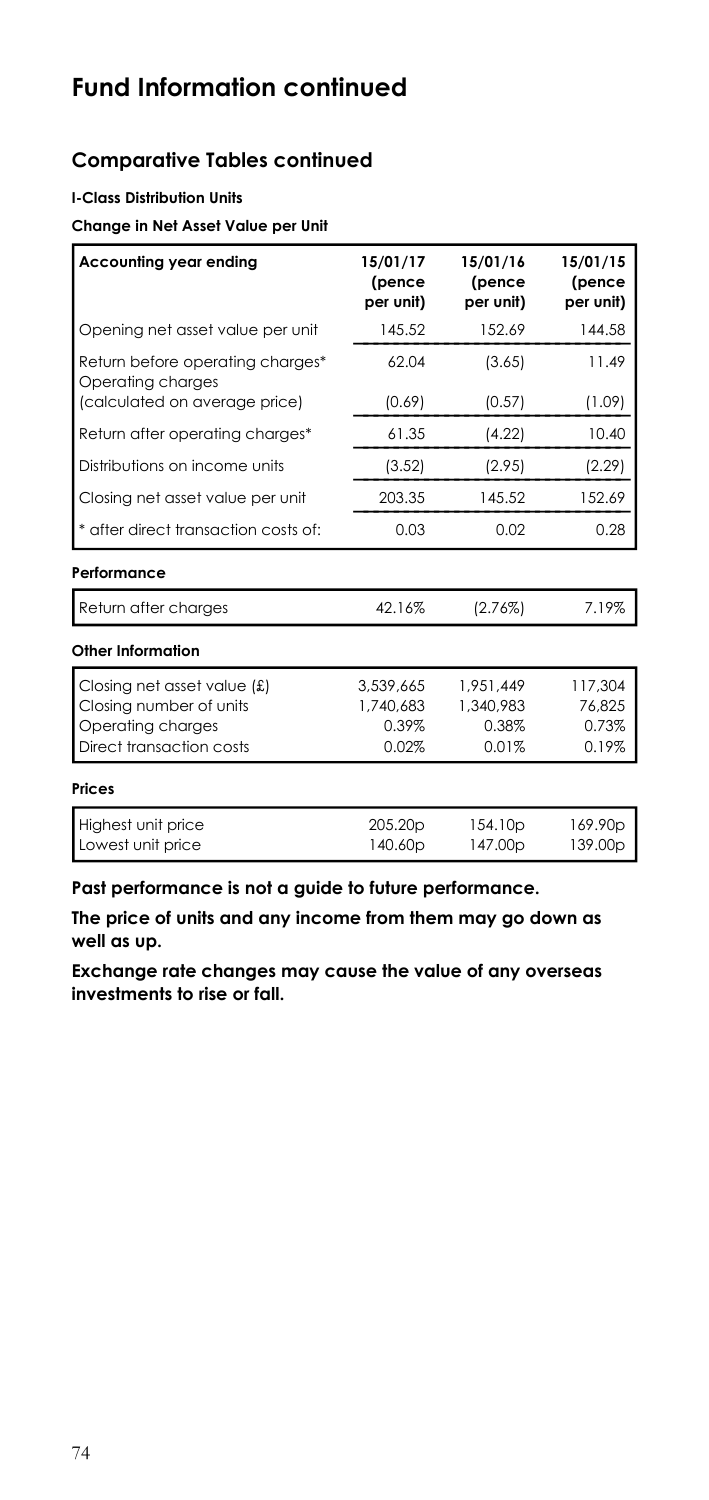## **Comparative Tables continued**

### **I-Class Distribution Units**

#### **Change in Net Asset Value per Unit**

| Accounting year ending                                                                                  | 15/01/17<br>(pence<br>per unit)          | 15/01/16<br>(pence<br>per unit)          | 15/01/15<br>(pence<br>per unit)     |
|---------------------------------------------------------------------------------------------------------|------------------------------------------|------------------------------------------|-------------------------------------|
| Opening net asset value per unit                                                                        | 145.52                                   | 152.69                                   | 144.58                              |
| Return before operating charges*<br>Operating charges                                                   | 62.04                                    | (3.65)                                   | 11.49                               |
| (calculated on average price)                                                                           | (0.69)                                   | (0.57)                                   | (1.09)                              |
| Return after operating charges*                                                                         | 61.35                                    | (4.22)                                   | 10.40                               |
| Distributions on income units                                                                           | (3.52)                                   | (2.95)                                   | (2.29)                              |
| Closing net asset value per unit                                                                        | 203.35                                   | 145.52                                   | 152.69                              |
| * after direct transaction costs of:                                                                    | 0.03                                     | 0.02                                     | 0.28                                |
| Performance                                                                                             |                                          |                                          |                                     |
| Return after charges                                                                                    | 42.16%                                   | $(2.76\%)$                               | 7.19%                               |
| Other Information                                                                                       |                                          |                                          |                                     |
| Closing net asset value (£)<br>Closing number of units<br>Operating charges<br>Direct transaction costs | 3.539.665<br>1,740,683<br>0.39%<br>0.02% | 1.951.449<br>1.340.983<br>0.38%<br>0.01% | 117.304<br>76.825<br>0.73%<br>0.19% |
| <b>Prices</b>                                                                                           |                                          |                                          |                                     |
| Highest unit price<br>Lowest unit price                                                                 | 205.20p<br>140.60p                       | 154.10p<br>147.00p                       | 169.90p<br>139.00p                  |

**Past performance is not a guide to future performance.** 

**The price of units and any income from them may go down as well as up.**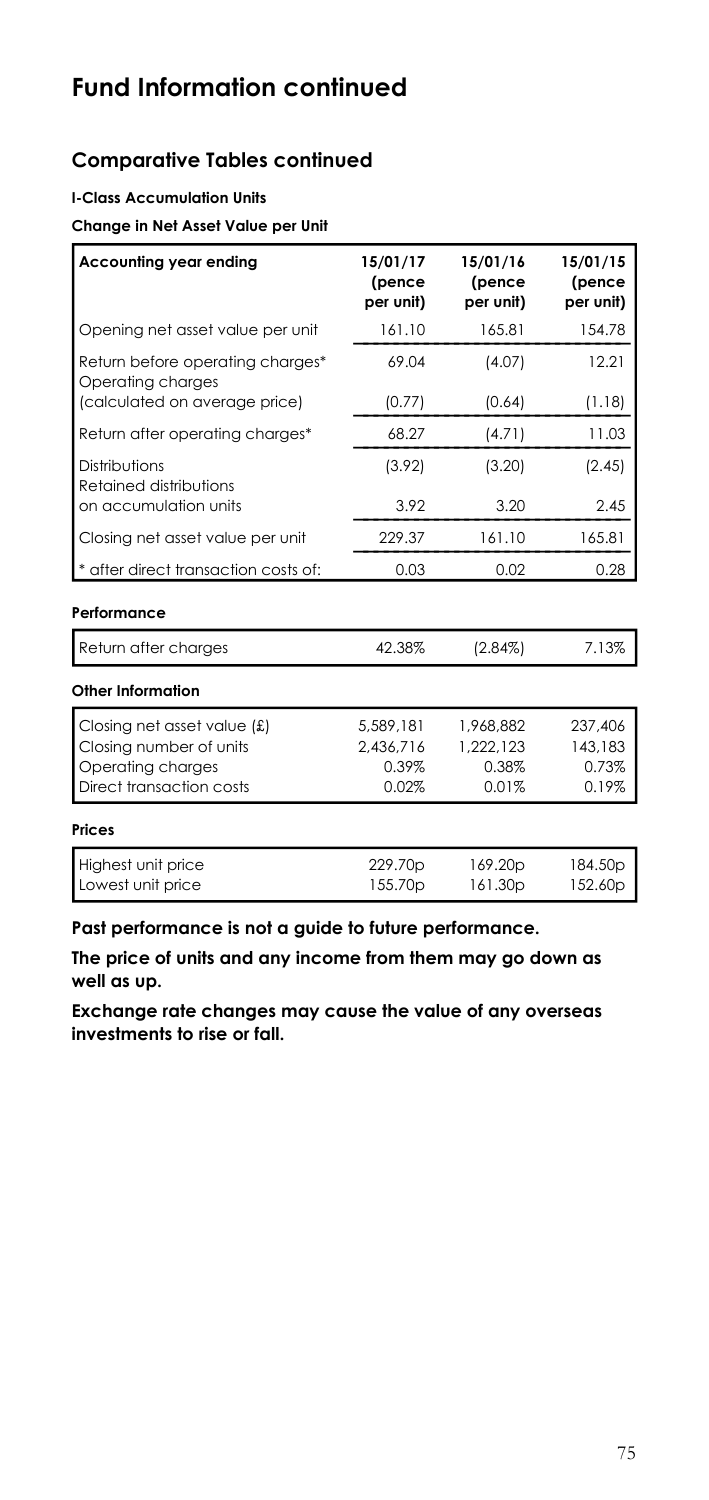## **Comparative Tables continued**

### **I-Class Accumulation Units**

#### **Change in Net Asset Value per Unit**

| Accounting year ending                                                                                    | 15/01/17<br>(pence<br>per unit)          | 15/01/16<br>(pence<br>per unit)          | 15/01/15<br>(pence<br>per unit)      |
|-----------------------------------------------------------------------------------------------------------|------------------------------------------|------------------------------------------|--------------------------------------|
| Opening net asset value per unit                                                                          | 161.10                                   | 165.81                                   | 154.78                               |
| Return before operating charges*<br>Operating charges                                                     | 69.04                                    | (4.07)                                   | 12.21                                |
| (calculated on average price)                                                                             | (0.77)                                   | (0.64)                                   | (1.18)                               |
| Return after operating charges*                                                                           | 68.27                                    | (4.71)                                   | 11.03                                |
| Distributions<br>Retained distributions                                                                   | (3.92)                                   | (3.20)                                   | (2.45)                               |
| on accumulation units                                                                                     | 3.92                                     | 3.20                                     | 2.45                                 |
| Closing net asset value per unit                                                                          | 229.37                                   | 161.10                                   | 165.81                               |
| * after direct transaction costs of:                                                                      | 0.03                                     | 0.02                                     | 0.28                                 |
| Performance                                                                                               |                                          |                                          |                                      |
| Return after charges                                                                                      | 42.38%                                   | $(2.84\%)$                               | 7.13%                                |
| Other Information                                                                                         |                                          |                                          |                                      |
| Closing net asset value $(f)$<br>Closing number of units<br>Operating charges<br>Direct transaction costs | 5,589,181<br>2,436,716<br>0.39%<br>0.02% | 1,968,882<br>1.222.123<br>0.38%<br>0.01% | 237,406<br>143,183<br>0.73%<br>0.19% |
| Prices                                                                                                    |                                          |                                          |                                      |
| Highest unit price<br>Lowest unit price                                                                   | 229.70p<br>155.70p                       | 169.20p<br>161.30p                       | 184.50p<br>152.60p                   |

**Past performance is not a guide to future performance.** 

**The price of units and any income from them may go down as well as up.**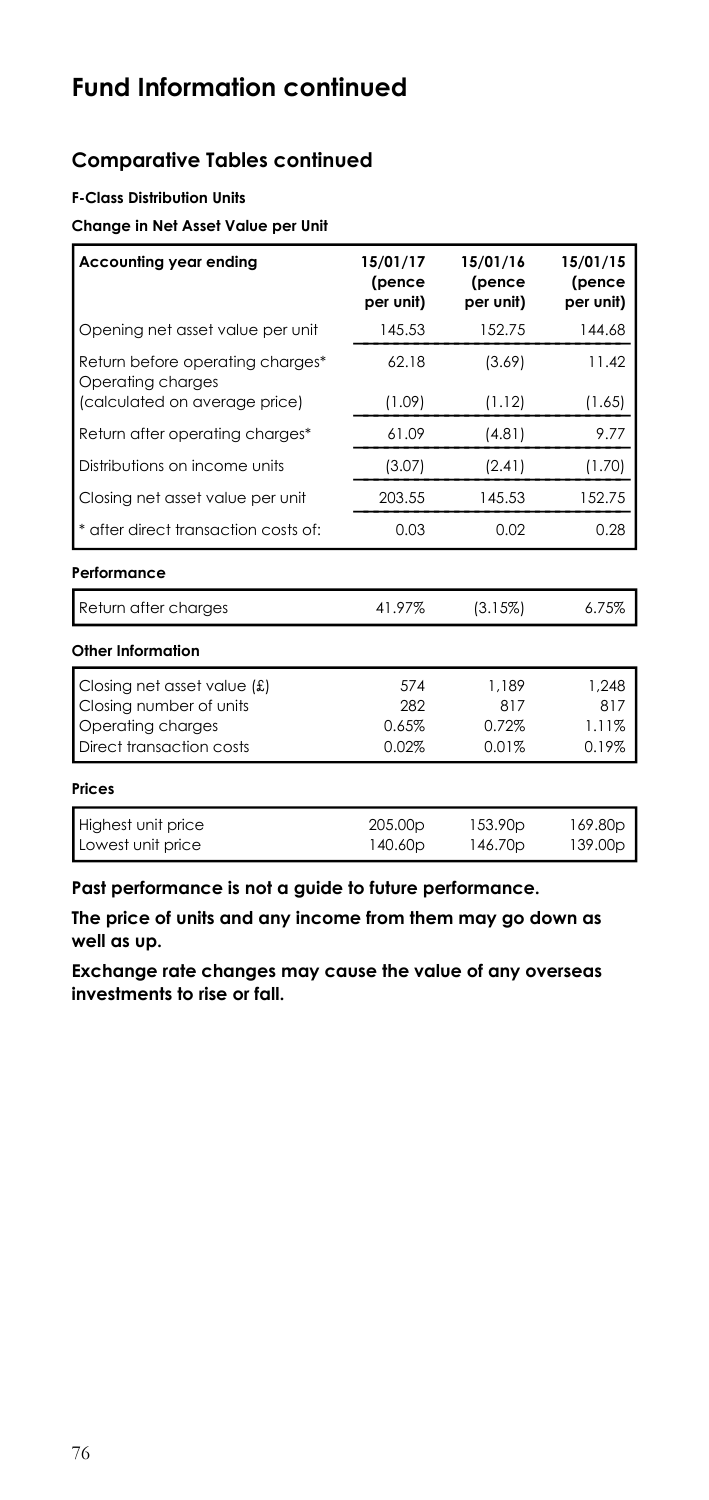## **Comparative Tables continued**

### **F-Class Distribution Units**

#### **Change in Net Asset Value per Unit**

| Accounting year ending                                | 15/01/17<br>(pence<br>per unit) | 15/01/16<br>(pence<br>per unit) | 15/01/15<br>(pence<br>per unit) |
|-------------------------------------------------------|---------------------------------|---------------------------------|---------------------------------|
| Opening net asset value per unit                      | 145.53                          | 152.75                          | 144.68                          |
| Return before operating charges*<br>Operating charges | 62.18                           | (3.69)                          | 11.42                           |
| (calculated on average price)                         | (1.09)                          | (1.12)                          | (1.65)                          |
| Return after operating charges*                       | 61.09                           | (4.81)                          | 9.77                            |
| Distributions on income units                         | (3.07)                          | (2.41)                          | (1.70)                          |
| Closing net asset value per unit                      | 203.55                          | 145.53                          | 152.75                          |
| * after direct transaction costs of:                  | 0.03                            | 0.02                            | 0.28                            |
| Performance                                           |                                 |                                 |                                 |
| Return after charges                                  | 41.97%                          | (3.15%)                         | 6.75%                           |
| Other Information                                     |                                 |                                 |                                 |
| Closing net asset value $(f)$                         | 574                             | 1.189                           | 1.248                           |
| Closing number of units                               | 282                             | 817                             | 817                             |
| Operating charges                                     | 0.65%                           | 0.72%                           | 1.11%                           |
| Direct transaction costs                              | 0.02%                           | 0.01%                           | 0.19%                           |
| <b>Prices</b>                                         |                                 |                                 |                                 |
| Highest unit price                                    | 205.00p                         | 153.90 <sub>p</sub>             | 169.80p                         |
| Lowest unit price                                     | 140.60p                         | 146.70p                         | 139.00p                         |

**Past performance is not a guide to future performance.** 

**The price of units and any income from them may go down as well as up.**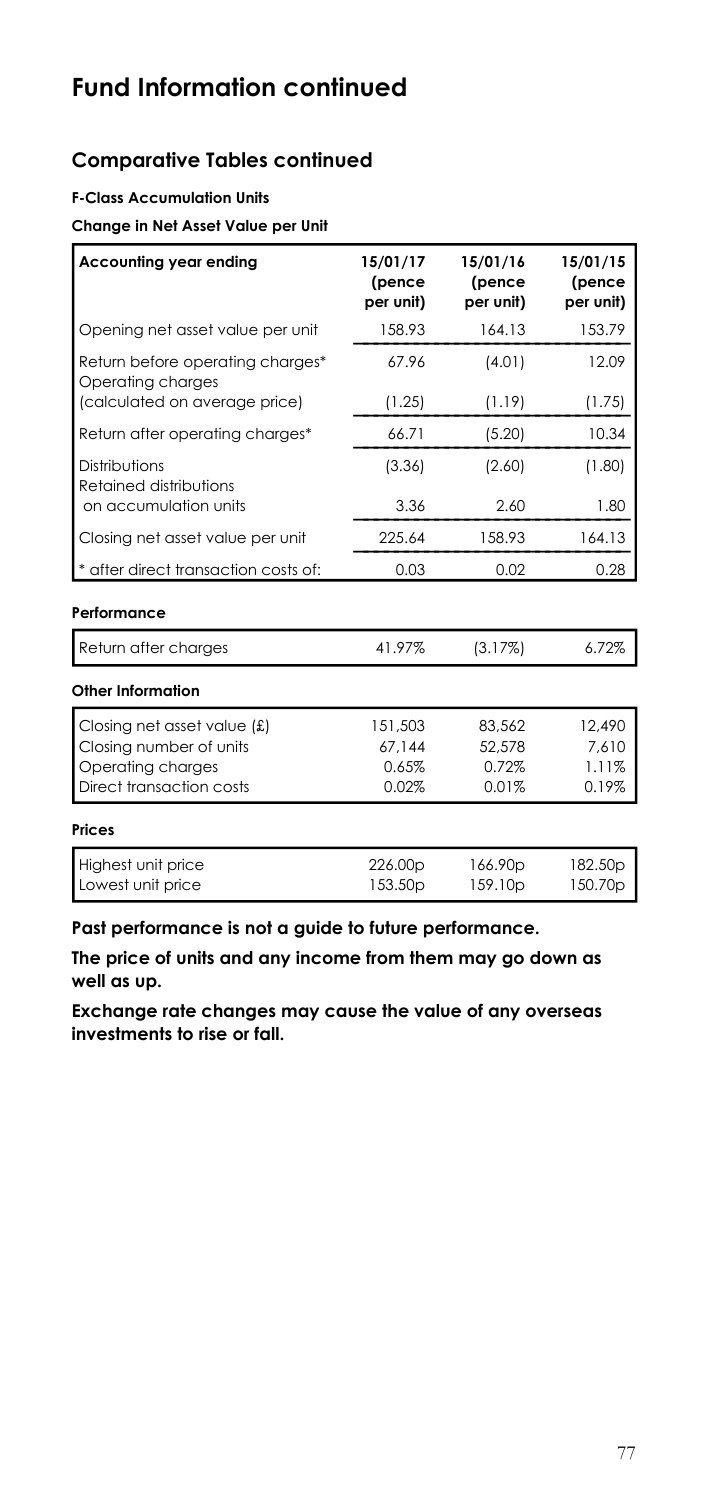## **Comparative Tables continued**

### **F-Class Accumulation Units**

### **Change in Net Asset Value per Unit**

| Accounting year ending                                | 15/01/17<br>(pence<br>per unit) | 15/01/16<br>(pence<br>per unit) | 15/01/15<br>(pence<br>per unit) |
|-------------------------------------------------------|---------------------------------|---------------------------------|---------------------------------|
| Opening net asset value per unit                      | 158.93                          | 164.13                          | 153.79                          |
| Return before operating charges*<br>Operating charges | 67.96                           | (4.01)                          | 12.09                           |
| (calculated on average price)                         | (1.25)                          | (1.19)                          | (1.75)                          |
| Return after operating charges*                       | 66.71                           | (5.20)                          | 10.34                           |
| Distributions<br>Retained distributions               | (3.36)                          | (2.60)                          | (1.80)                          |
| on accumulation units                                 | 3.36                            | 2.60                            | 1.80                            |
| Closing net asset value per unit                      | 225.64                          | 158.93                          | 164.13                          |
| * after direct transaction costs of:                  | 0.03                            | 0.02                            | 0.28                            |
| Performance                                           |                                 |                                 |                                 |
| Return after charges                                  | 41.97%                          | (3.17%)                         | 6.72%                           |
| Other Information                                     |                                 |                                 |                                 |
| Closing net asset value $f(x)$                        | 151,503                         | 83.562                          | 12.490                          |
| Closing number of units                               | 67.144                          | 52,578                          | 7.610                           |
| Operating charges                                     | 0.65%                           | 0.72%                           | 1.11%                           |
| Direct transaction costs                              | 0.02%                           | 0.01%                           | 0.19%                           |
| Prices                                                |                                 |                                 |                                 |
| Highest unit price                                    | 226.00p                         | 166.90p                         | 182.50p                         |
| Lowest unit price                                     | 153.50 <sub>p</sub>             | 159.10p                         | 150.70p                         |

**Past performance is not a guide to future performance.** 

**The price of units and any income from them may go down as well as up.**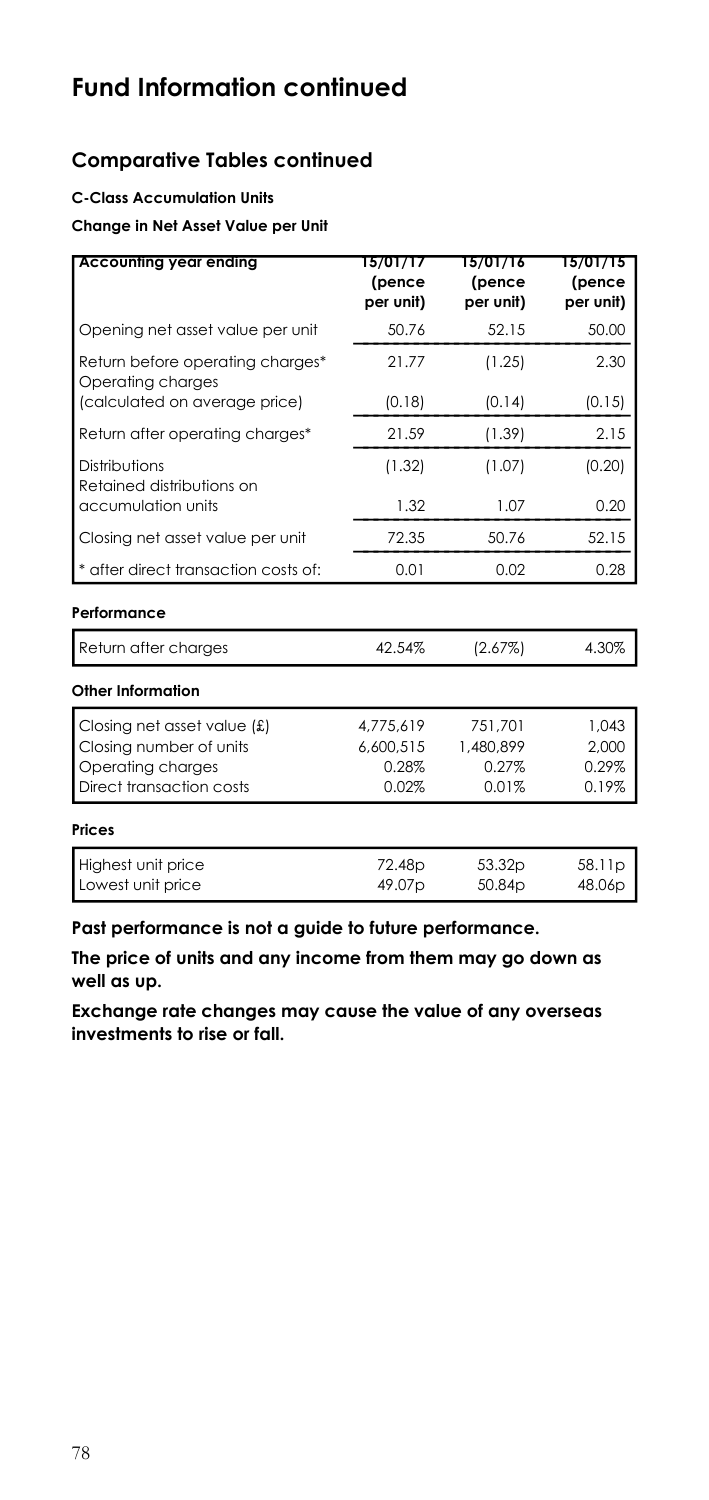## **Comparative Tables continued**

### **C-Class Accumulation Units**

### **Change in Net Asset Value per Unit**

| <b>Accounting year ending</b>                         | 15/01/17<br>(pence<br>per unit) | 15/01/16<br>(pence<br>per unit) | 15/01/15<br>(pence<br>per unit) |
|-------------------------------------------------------|---------------------------------|---------------------------------|---------------------------------|
| Opening net asset value per unit                      | 50.76                           | 52.15                           | 50.00                           |
| Return before operating charges*<br>Operating charges | 21.77                           | (1.25)                          | 2.30                            |
| (calculated on average price)                         | (0.18)                          | (0.14)                          | (0.15)                          |
| Return after operating charges*                       | 21.59                           | (1.39)                          | 2.15                            |
| Distributions<br>Retained distributions on            | (1.32)                          | (1.07)                          | (0.20)                          |
| accumulation units                                    | 1.32                            | 1.07                            | 0.20                            |
| Closing net asset value per unit                      | 72.35                           | 50.76                           | 52.15                           |
| * after direct transaction costs of:                  | 0.01                            | 0.02                            | 0.28                            |
| Performance                                           |                                 |                                 |                                 |
| Return after charges                                  | 42.54%                          | (2.67%)                         | 4.30%                           |
| Other Information                                     |                                 |                                 |                                 |
| Closing net asset value (£)                           | 4,775,619                       | 751,701                         | 1.043                           |
| Closing number of units                               | 6.600.515                       | 1,480,899                       | 2.000                           |
| Operating charges<br>Direct transaction costs         | 0.28%<br>0.02%                  | 0.27%<br>0.01%                  | 0.29%                           |
|                                                       |                                 |                                 | 0.19%                           |
| Prices                                                |                                 |                                 |                                 |
| Highest unit price                                    | 72.48p                          | 53.32p                          | 58.11p                          |
| Lowest unit price                                     | 49.07 <sub>p</sub>              | 50.84 <sub>p</sub>              | 48.06p                          |

**Past performance is not a guide to future performance.** 

**The price of units and any income from them may go down as well as up.**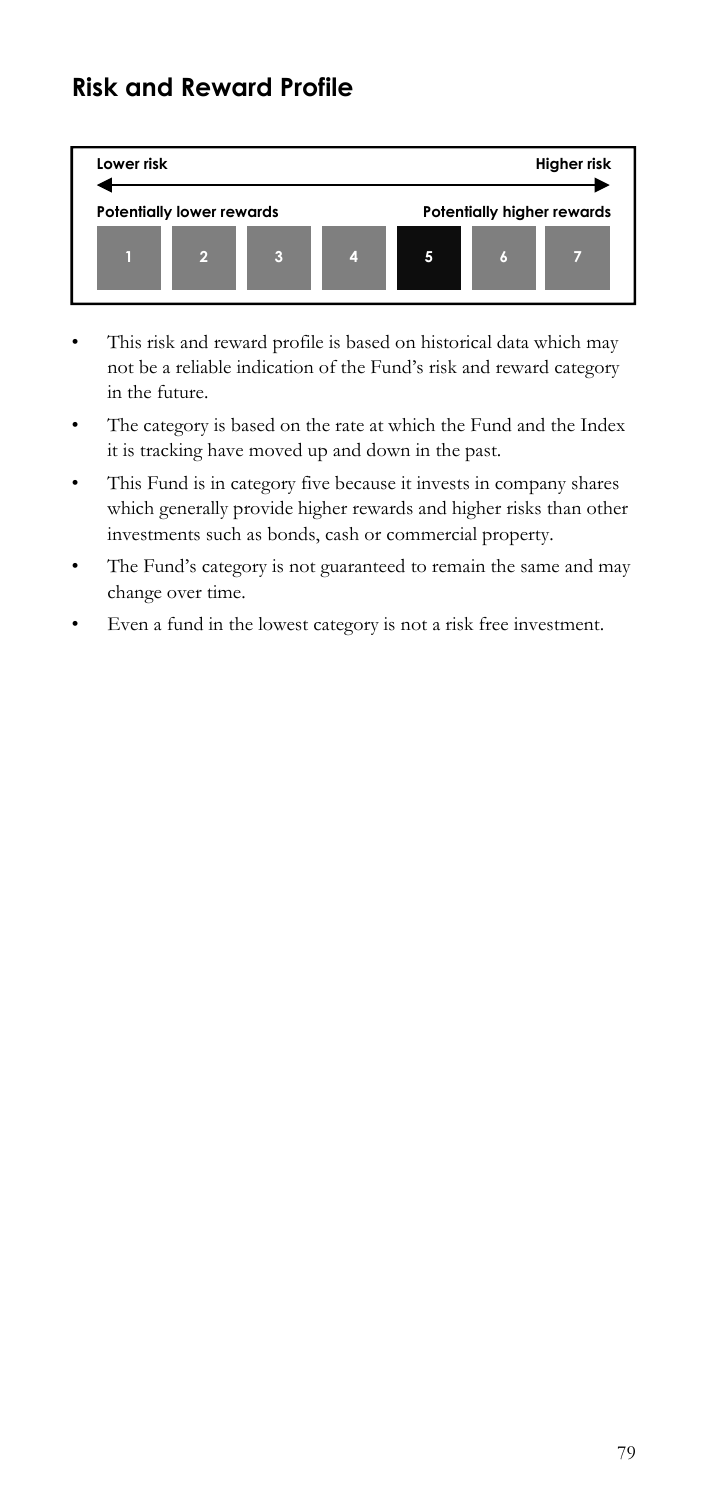## **Risk and Reward Profile**



- not be a reliable indication of the Fund's risk and reward category in the future. • This risk and reward profile is based on historical data which may
- The category is based on the rate at which the Fund and the Index it is tracking have moved up and down in the past.
- This Fund is in category five because it invests in company shares which generally provide higher rewards and higher risks than other investments such as bonds, cash or commercial property.
- The Fund's category is not guaranteed to remain the same and may change over time.
- Even a fund in the lowest category is not a risk free investment.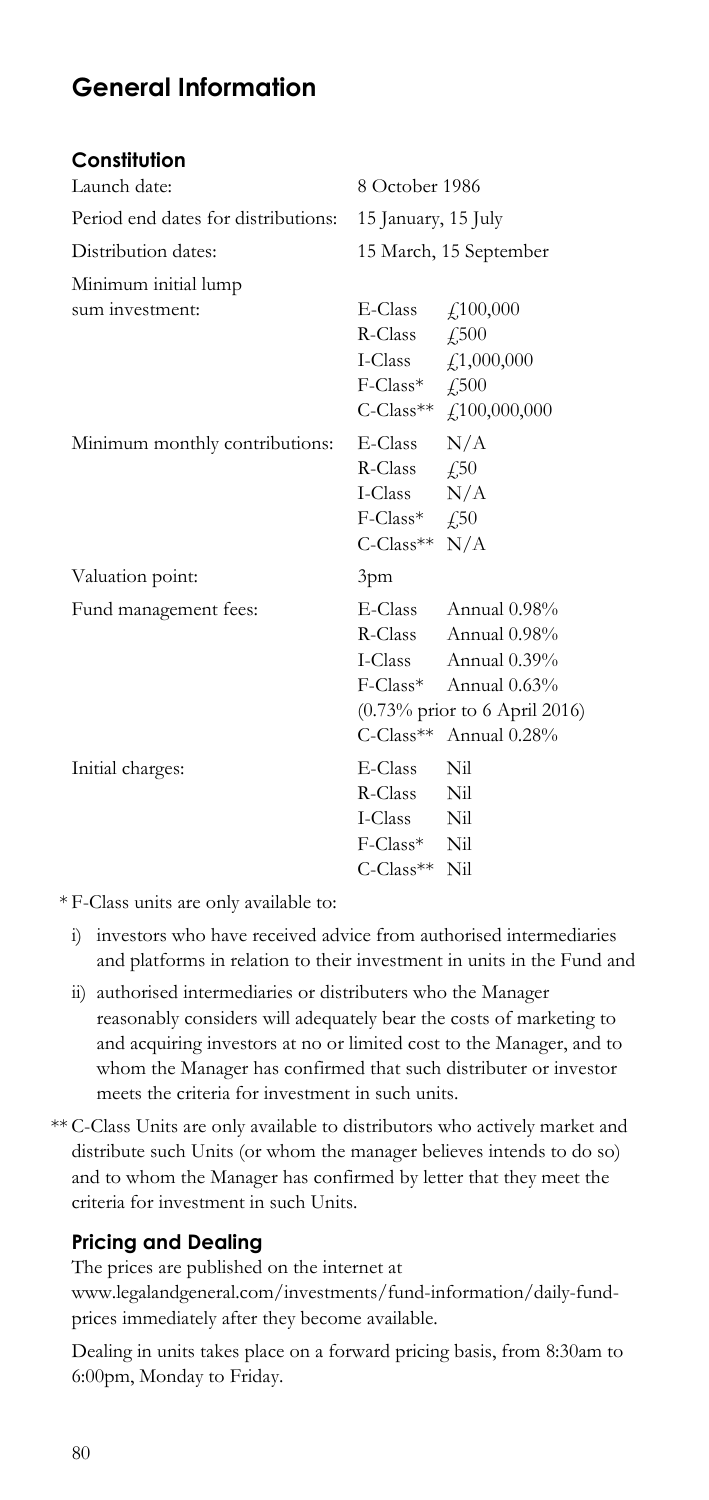# **General Information**

### **Constitution**

| Launch date:                        | 8 October 1986                                                                                                                                                                                                                                                                                                                                                                                      |                                                                                                                                                                                     |
|-------------------------------------|-----------------------------------------------------------------------------------------------------------------------------------------------------------------------------------------------------------------------------------------------------------------------------------------------------------------------------------------------------------------------------------------------------|-------------------------------------------------------------------------------------------------------------------------------------------------------------------------------------|
| Period end dates for distributions: | 15 January, 15 July                                                                                                                                                                                                                                                                                                                                                                                 |                                                                                                                                                                                     |
| Distribution dates:                 |                                                                                                                                                                                                                                                                                                                                                                                                     | 15 March, 15 September                                                                                                                                                              |
| Minimum initial lump                |                                                                                                                                                                                                                                                                                                                                                                                                     |                                                                                                                                                                                     |
| sum investment:                     | E-Class $\qquad f$ ,100,000<br>R-Class $\angle$ 500<br>$F\text{-Class*}$ $\qquad$ $\qquad$ $\qquad$ $\qquad$ $\qquad$ $\qquad$ $\qquad$ $\qquad$ $\qquad$ $\qquad$ $\qquad$ $\qquad$ $\qquad$ $\qquad$ $\qquad$ $\qquad$ $\qquad$ $\qquad$ $\qquad$ $\qquad$ $\qquad$ $\qquad$ $\qquad$ $\qquad$ $\qquad$ $\qquad$ $\qquad$ $\qquad$ $\qquad$ $\qquad$ $\qquad$ $\qquad$ $\qquad$ $\qquad$ $\qquad$ | I-Class $\int_{0}^{1} 1,000,000$<br>C-Class** £100,000,000                                                                                                                          |
| Minimum monthly contributions:      | $E$ -Class $N/A$<br>R-Class $\angle$ 4.50<br>I-Class N/A<br>$F\text{-Class*}$ $f\text{-}50$<br>$C$ -Class <sup>**</sup> N/A                                                                                                                                                                                                                                                                         |                                                                                                                                                                                     |
| Valuation point:                    | 3pm                                                                                                                                                                                                                                                                                                                                                                                                 |                                                                                                                                                                                     |
| Fund management fees:               |                                                                                                                                                                                                                                                                                                                                                                                                     | E-Class Annual 0.98%<br>R-Class Annual 0.98%<br>I-Class Annual 0.39%<br>F-Class* Annual 0.63%<br>$(0.73\% \text{ prior to } 6 \text{ April } 2016)$<br>$C$ -Class** Annual $0.28\%$ |
| Initial charges:                    | E-Class Nil<br>R-Class Nil<br>I-Class Nil<br>F-Class* Nil<br>C-Class** Nil                                                                                                                                                                                                                                                                                                                          |                                                                                                                                                                                     |

\* F-Class units are only available to:

- i) investors who have received advice from authorised intermediaries and platforms in relation to their investment in units in the Fund and
- whom the Manager has confirmed that such distributer or investor ii) authorised intermediaries or distributers who the Manager reasonably considers will adequately bear the costs of marketing to and acquiring investors at no or limited cost to the Manager, and to meets the criteria for investment in such units.
- \*\* C-Class Units are only available to distributors who actively market and distribute such Units (or whom the manager believes intends to do so) and to whom the Manager has confirmed by letter that they meet the criteria for investment in such Units.

## **Pricing and Dealing**

The prices are published on the internet at www.legalandgeneral.com/investments/fund-information/daily-fundprices immediately after they become available.

Dealing in units takes place on a forward pricing basis, from 8:30am to 6:00pm, Monday to Friday.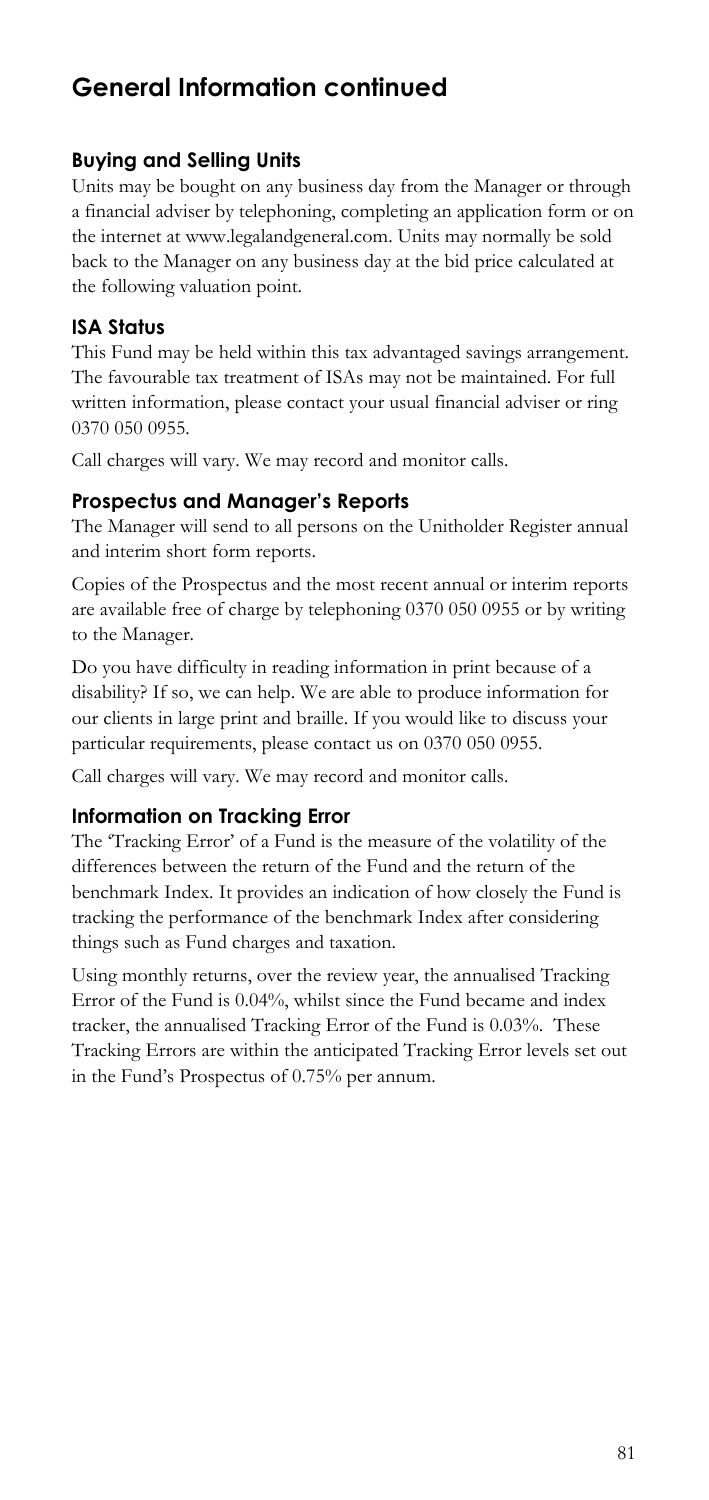## **Buying and Selling Units**

Units may be bought on any business day from the Manager or through a financial adviser by telephoning, completing an application form or on the internet at www.legalandgeneral.com. Units may normally be sold back to the Manager on any business day at the bid price calculated at the following valuation point.

## **ISA Status**

This Fund may be held within this tax advantaged savings arrangement. The favourable tax treatment of ISAs may not be maintained. For full written information, please contact your usual financial adviser or ring 0370 050 0955.

Call charges will vary. We may record and monitor calls.

## **Prospectus and Manager's Reports**

The Manager will send to all persons on the Unitholder Register annual and interim short form reports.

Copies of the Prospectus and the most recent annual or interim reports are available free of charge by telephoning 0370 050 0955 or by writing to the Manager.

 our clients in large print and braille. If you would like to discuss your particular requirements, please contact us on 0370 050 0955. Do you have difficulty in reading information in print because of a disability? If so, we can help. We are able to produce information for

Call charges will vary. We may record and monitor calls.

## **Information on Tracking Error**

The 'Tracking Error' of a Fund is the measure of the volatility of the differences between the return of the Fund and the return of the benchmark Index. It provides an indication of how closely the Fund is tracking the performance of the benchmark Index after considering things such as Fund charges and taxation.

Using monthly returns, over the review year, the annualised Tracking Error of the Fund is 0.04%, whilst since the Fund became and index tracker, the annualised Tracking Error of the Fund is 0.03%. These Tracking Errors are within the anticipated Tracking Error levels set out in the Fund's Prospectus of 0.75% per annum.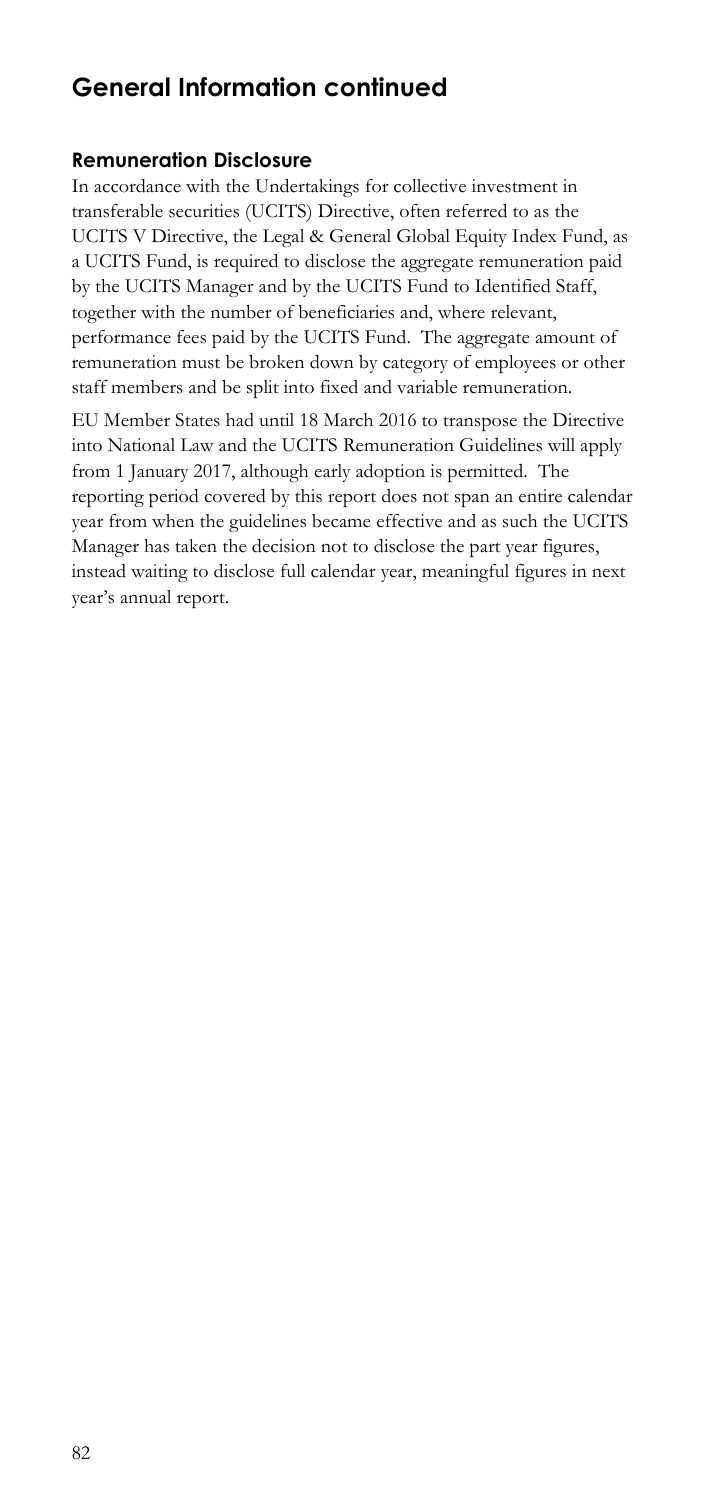### **Remuneration Disclosure**

In accordance with the Undertakings for collective investment in transferable securities (UCITS) Directive, often referred to as the UCITS V Directive, the Legal & General Global Equity Index Fund, as a UCITS Fund, is required to disclose the aggregate remuneration paid by the UCITS Manager and by the UCITS Fund to Identified Staff, together with the number of beneficiaries and, where relevant, performance fees paid by the UCITS Fund. The aggregate amount of remuneration must be broken down by category of employees or other staff members and be split into fixed and variable remuneration.

EU Member States had until 18 March 2016 to transpose the Directive into National Law and the UCITS Remuneration Guidelines will apply from 1 January 2017, although early adoption is permitted. The reporting period covered by this report does not span an entire calendar year from when the guidelines became effective and as such the UCITS Manager has taken the decision not to disclose the part year figures, instead waiting to disclose full calendar year, meaningful figures in next year's annual report.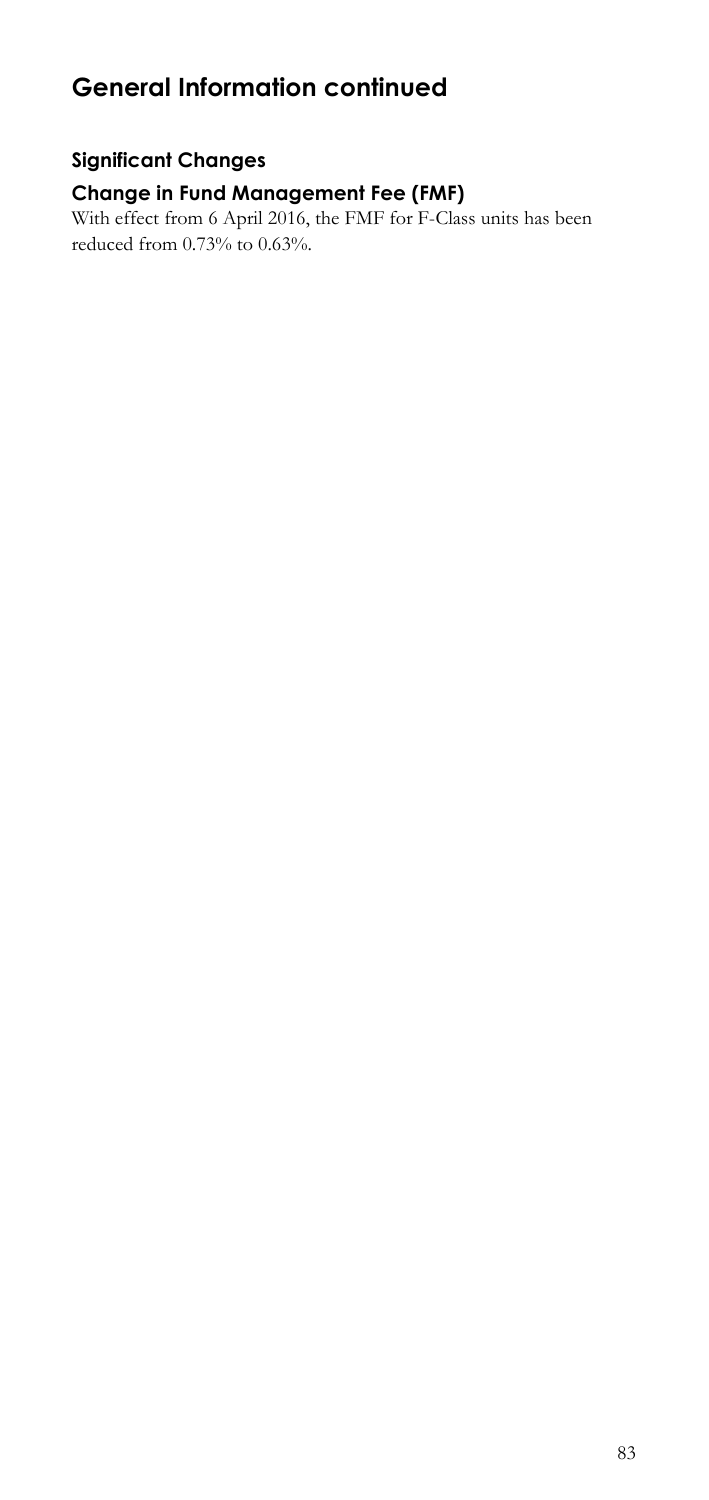## **Significant Changes**

## **Change in Fund Management Fee (FMF)**

 With effect from 6 April 2016, the FMF for F-Class units has been reduced from 0.73% to 0.63%.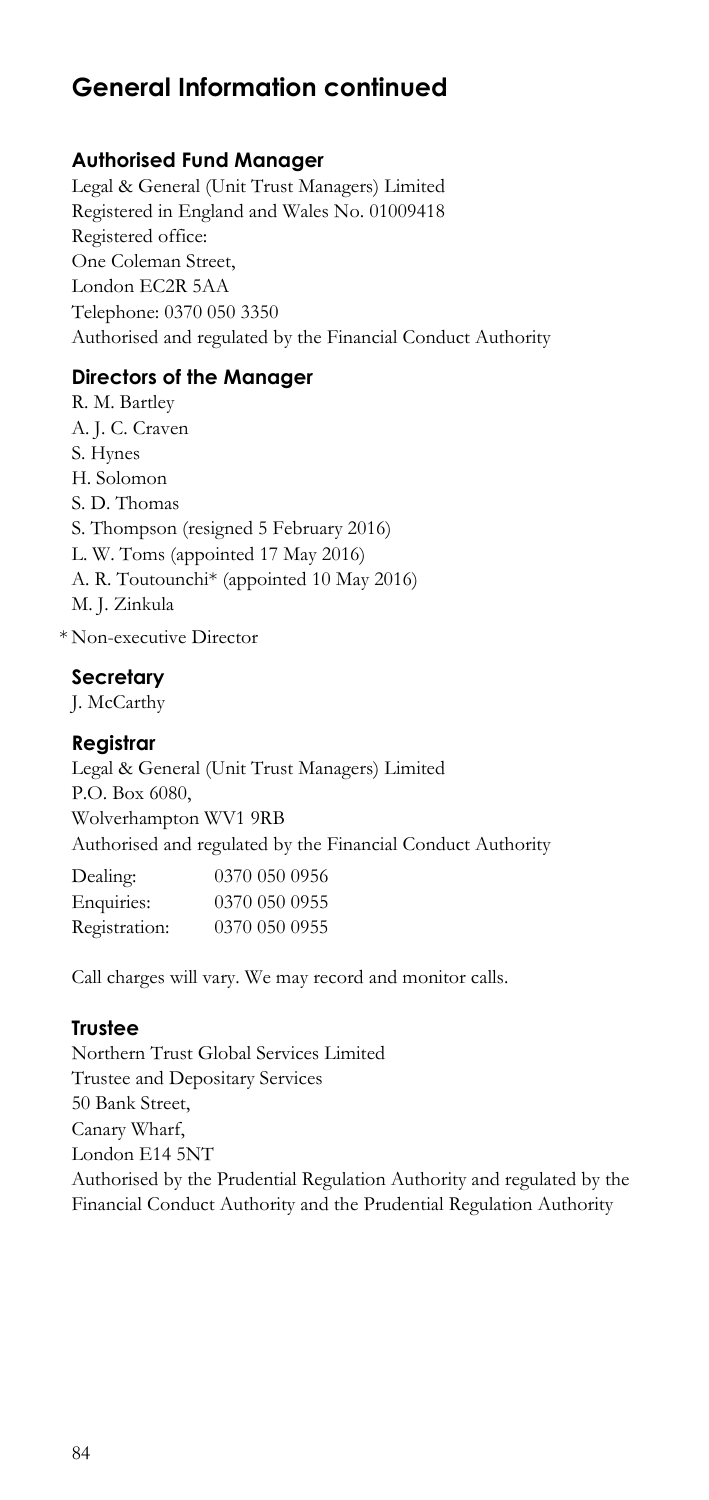## **Authorised Fund Manager**

 Registered in England and Wales No. 01009418 Legal & General (Unit Trust Managers) Limited Registered office: One Coleman Street, London EC2R 5AA Telephone: 0370 050 3350 Authorised and regulated by the Financial Conduct Authority

## **Directors of the Manager**

H. Solomon R. M. Bartley A. J. C. Craven S. Hynes S. D. Thomas S. Thompson (resigned 5 February 2016) L. W. Toms (appointed 17 May 2016) A. R. Toutounchi\* (appointed 10 May 2016) M. J. Zinkula

\* Non-executive Director

### **Secretary**

J. McCarthy

### **Registrar**

 Authorised and regulated by the Financial Conduct Authority Legal & General (Unit Trust Managers) Limited P.O. Box 6080, Wolverhampton WV1 9RB

| Dealing:      | 0370 050 0956 |
|---------------|---------------|
| Enquiries:    | 0370 050 0955 |
| Registration: | 0370 050 0955 |

Call charges will vary. We may record and monitor calls.

### **Trustee**

 Northern Trust Global Services Limited Trustee and Depositary Services 50 Bank Street, Canary Wharf, London E14 5NT Authorised by the Prudential Regulation Authority and regulated by the Financial Conduct Authority and the Prudential Regulation Authority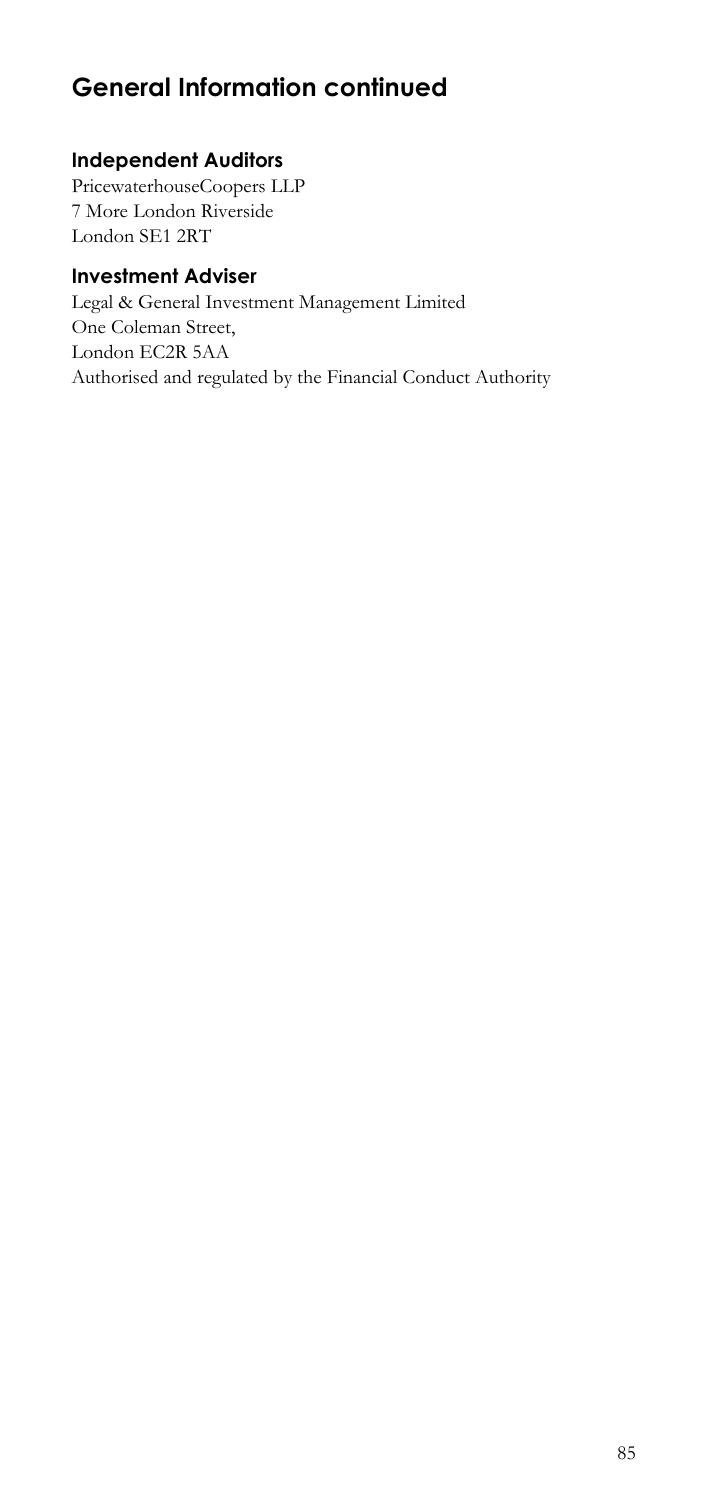## **Independent Auditors**

 PricewaterhouseCoopers LLP 7 More London Riverside London SE1 2RT

## **Investment Adviser**

Legal & General Investment Management Limited One Coleman Street, London EC2R 5AA Authorised and regulated by the Financial Conduct Authority